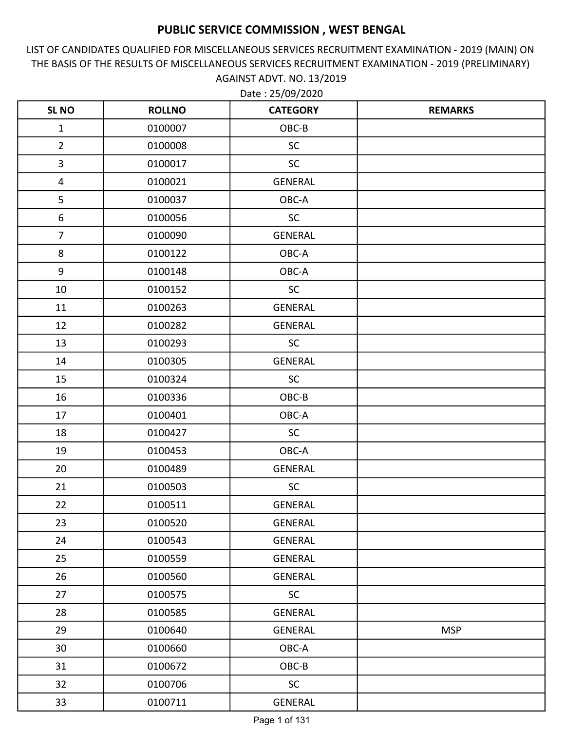LIST OF CANDIDATES QUALIFIED FOR MISCELLANEOUS SERVICES RECRUITMENT EXAMINATION - 2019 (MAIN) ON THE BASIS OF THE RESULTS OF MISCELLANEOUS SERVICES RECRUITMENT EXAMINATION - 2019 (PRELIMINARY) AGAINST ADVT. NO. 13/2019 Date : 25/09/2020

| <b>SL NO</b>     | <b>ROLLNO</b> | <b>CATEGORY</b> | <b>REMARKS</b> |
|------------------|---------------|-----------------|----------------|
| $\mathbf 1$      | 0100007       | OBC-B           |                |
| $\overline{2}$   | 0100008       | <b>SC</b>       |                |
| $\overline{3}$   | 0100017       | <b>SC</b>       |                |
| $\overline{4}$   | 0100021       | <b>GENERAL</b>  |                |
| 5                | 0100037       | OBC-A           |                |
| $\boldsymbol{6}$ | 0100056       | SC              |                |
| $\overline{7}$   | 0100090       | <b>GENERAL</b>  |                |
| 8                | 0100122       | OBC-A           |                |
| 9                | 0100148       | OBC-A           |                |
| 10               | 0100152       | SC              |                |
| 11               | 0100263       | <b>GENERAL</b>  |                |
| 12               | 0100282       | <b>GENERAL</b>  |                |
| 13               | 0100293       | <b>SC</b>       |                |
| 14               | 0100305       | <b>GENERAL</b>  |                |
| 15               | 0100324       | <b>SC</b>       |                |
| 16               | 0100336       | OBC-B           |                |
| 17               | 0100401       | OBC-A           |                |
| 18               | 0100427       | SC              |                |
| 19               | 0100453       | OBC-A           |                |
| 20               | 0100489       | <b>GENERAL</b>  |                |
| 21               | 0100503       | <b>SC</b>       |                |
| 22               | 0100511       | <b>GENERAL</b>  |                |
| 23               | 0100520       | <b>GENERAL</b>  |                |
| 24               | 0100543       | <b>GENERAL</b>  |                |
| 25               | 0100559       | GENERAL         |                |
| 26               | 0100560       | <b>GENERAL</b>  |                |
| 27               | 0100575       | <b>SC</b>       |                |
| 28               | 0100585       | <b>GENERAL</b>  |                |
| 29               | 0100640       | <b>GENERAL</b>  | <b>MSP</b>     |
| 30               | 0100660       | OBC-A           |                |
| 31               | 0100672       | OBC-B           |                |
| 32               | 0100706       | <b>SC</b>       |                |
| 33               | 0100711       | <b>GENERAL</b>  |                |

Page 1 of 131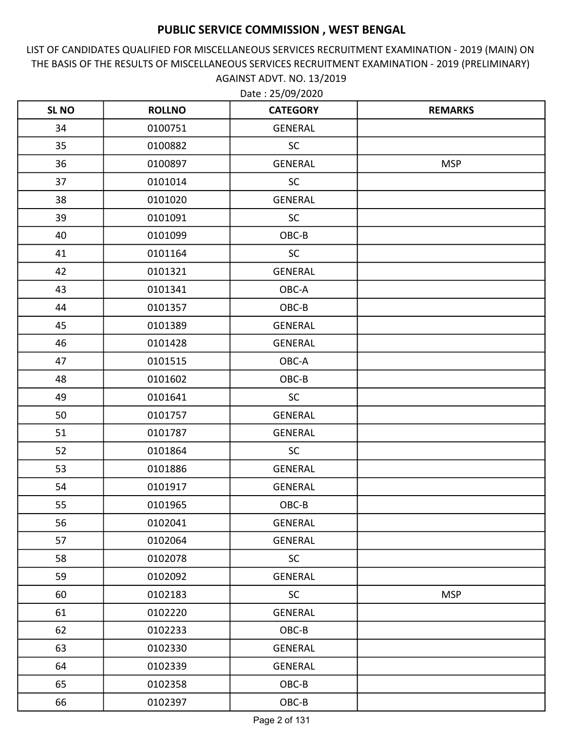LIST OF CANDIDATES QUALIFIED FOR MISCELLANEOUS SERVICES RECRUITMENT EXAMINATION - 2019 (MAIN) ON THE BASIS OF THE RESULTS OF MISCELLANEOUS SERVICES RECRUITMENT EXAMINATION - 2019 (PRELIMINARY) AGAINST ADVT. NO. 13/2019

| <b>SL NO</b> | <b>ROLLNO</b> | <b>CATEGORY</b> | <b>REMARKS</b> |
|--------------|---------------|-----------------|----------------|
| 34           | 0100751       | GENERAL         |                |
| 35           | 0100882       | <b>SC</b>       |                |
| 36           | 0100897       | GENERAL         | <b>MSP</b>     |
| 37           | 0101014       | <b>SC</b>       |                |
| 38           | 0101020       | <b>GENERAL</b>  |                |
| 39           | 0101091       | SC              |                |
| 40           | 0101099       | OBC-B           |                |
| 41           | 0101164       | <b>SC</b>       |                |
| 42           | 0101321       | <b>GENERAL</b>  |                |
| 43           | 0101341       | OBC-A           |                |
| 44           | 0101357       | OBC-B           |                |
| 45           | 0101389       | GENERAL         |                |
| 46           | 0101428       | <b>GENERAL</b>  |                |
| 47           | 0101515       | OBC-A           |                |
| 48           | 0101602       | OBC-B           |                |
| 49           | 0101641       | <b>SC</b>       |                |
| 50           | 0101757       | <b>GENERAL</b>  |                |
| 51           | 0101787       | <b>GENERAL</b>  |                |
| 52           | 0101864       | <b>SC</b>       |                |
| 53           | 0101886       | <b>GENERAL</b>  |                |
| 54           | 0101917       | <b>GENERAL</b>  |                |
| 55           | 0101965       | OBC-B           |                |
| 56           | 0102041       | <b>GENERAL</b>  |                |
| 57           | 0102064       | GENERAL         |                |
| 58           | 0102078       | SC              |                |
| 59           | 0102092       | <b>GENERAL</b>  |                |
| 60           | 0102183       | SC              | <b>MSP</b>     |
| 61           | 0102220       | GENERAL         |                |
| 62           | 0102233       | $OBC-B$         |                |
| 63           | 0102330       | GENERAL         |                |
| 64           | 0102339       | GENERAL         |                |
| 65           | 0102358       | OBC-B           |                |
| 66           | 0102397       | $OBC-B$         |                |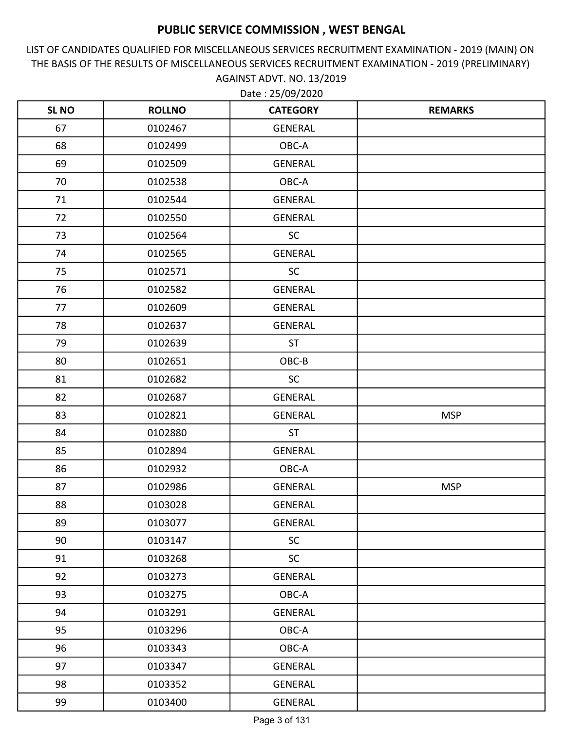LIST OF CANDIDATES QUALIFIED FOR MISCELLANEOUS SERVICES RECRUITMENT EXAMINATION - 2019 (MAIN) ON THE BASIS OF THE RESULTS OF MISCELLANEOUS SERVICES RECRUITMENT EXAMINATION - 2019 (PRELIMINARY) AGAINST ADVT. NO. 13/2019

| <b>SLNO</b> | <b>ROLLNO</b> | <b>CATEGORY</b> | <b>REMARKS</b> |
|-------------|---------------|-----------------|----------------|
| 67          | 0102467       | <b>GENERAL</b>  |                |
| 68          | 0102499       | OBC-A           |                |
| 69          | 0102509       | GENERAL         |                |
| 70          | 0102538       | OBC-A           |                |
| 71          | 0102544       | <b>GENERAL</b>  |                |
| 72          | 0102550       | <b>GENERAL</b>  |                |
| 73          | 0102564       | <b>SC</b>       |                |
| 74          | 0102565       | GENERAL         |                |
| 75          | 0102571       | <b>SC</b>       |                |
| 76          | 0102582       | <b>GENERAL</b>  |                |
| 77          | 0102609       | GENERAL         |                |
| 78          | 0102637       | <b>GENERAL</b>  |                |
| 79          | 0102639       | <b>ST</b>       |                |
| 80          | 0102651       | OBC-B           |                |
| 81          | 0102682       | SC              |                |
| 82          | 0102687       | GENERAL         |                |
| 83          | 0102821       | <b>GENERAL</b>  | <b>MSP</b>     |
| 84          | 0102880       | <b>ST</b>       |                |
| 85          | 0102894       | <b>GENERAL</b>  |                |
| 86          | 0102932       | OBC-A           |                |
| 87          | 0102986       | GENERAL         | <b>MSP</b>     |
| 88          | 0103028       | <b>GENERAL</b>  |                |
| 89          | 0103077       | <b>GENERAL</b>  |                |
| 90          | 0103147       | <b>SC</b>       |                |
| 91          | 0103268       | <b>SC</b>       |                |
| 92          | 0103273       | GENERAL         |                |
| 93          | 0103275       | OBC-A           |                |
| 94          | 0103291       | GENERAL         |                |
| 95          | 0103296       | OBC-A           |                |
| 96          | 0103343       | OBC-A           |                |
| 97          | 0103347       | GENERAL         |                |
| 98          | 0103352       | GENERAL         |                |
| 99          | 0103400       | GENERAL         |                |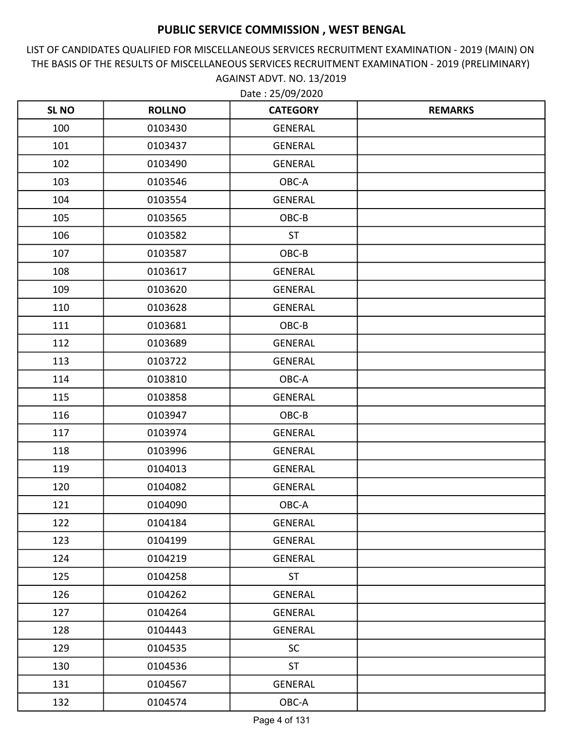LIST OF CANDIDATES QUALIFIED FOR MISCELLANEOUS SERVICES RECRUITMENT EXAMINATION - 2019 (MAIN) ON THE BASIS OF THE RESULTS OF MISCELLANEOUS SERVICES RECRUITMENT EXAMINATION - 2019 (PRELIMINARY) AGAINST ADVT. NO. 13/2019

| <b>SL NO</b> | <b>ROLLNO</b> | <b>CATEGORY</b> | <b>REMARKS</b> |
|--------------|---------------|-----------------|----------------|
| 100          | 0103430       | <b>GENERAL</b>  |                |
| 101          | 0103437       | <b>GENERAL</b>  |                |
| 102          | 0103490       | GENERAL         |                |
| 103          | 0103546       | OBC-A           |                |
| 104          | 0103554       | <b>GENERAL</b>  |                |
| 105          | 0103565       | OBC-B           |                |
| 106          | 0103582       | <b>ST</b>       |                |
| 107          | 0103587       | OBC-B           |                |
| 108          | 0103617       | <b>GENERAL</b>  |                |
| 109          | 0103620       | <b>GENERAL</b>  |                |
| 110          | 0103628       | GENERAL         |                |
| 111          | 0103681       | OBC-B           |                |
| 112          | 0103689       | <b>GENERAL</b>  |                |
| 113          | 0103722       | <b>GENERAL</b>  |                |
| 114          | 0103810       | OBC-A           |                |
| 115          | 0103858       | <b>GENERAL</b>  |                |
| 116          | 0103947       | OBC-B           |                |
| 117          | 0103974       | <b>GENERAL</b>  |                |
| 118          | 0103996       | GENERAL         |                |
| 119          | 0104013       | GENERAL         |                |
| 120          | 0104082       | GENERAL         |                |
| 121          | 0104090       | OBC-A           |                |
| 122          | 0104184       | GENERAL         |                |
| 123          | 0104199       | GENERAL         |                |
| 124          | 0104219       | <b>GENERAL</b>  |                |
| 125          | 0104258       | <b>ST</b>       |                |
| 126          | 0104262       | GENERAL         |                |
| 127          | 0104264       | GENERAL         |                |
| 128          | 0104443       | GENERAL         |                |
| 129          | 0104535       | SC              |                |
| 130          | 0104536       | <b>ST</b>       |                |
| 131          | 0104567       | GENERAL         |                |
| 132          | 0104574       | OBC-A           |                |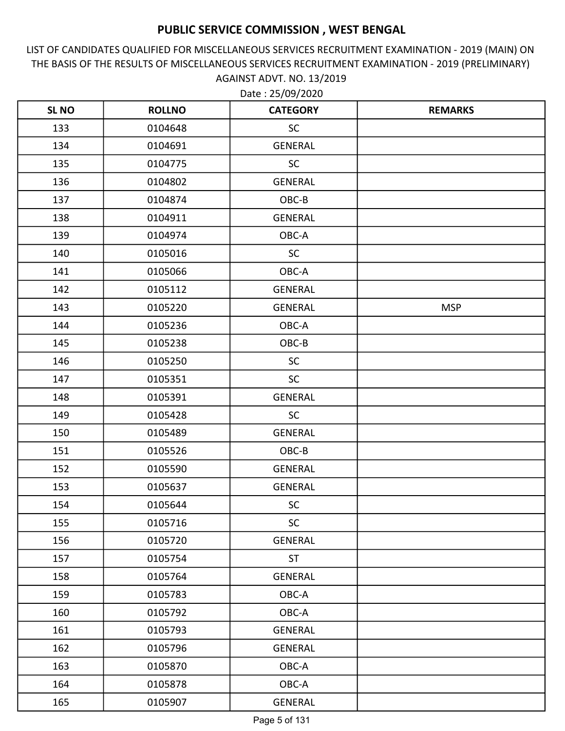LIST OF CANDIDATES QUALIFIED FOR MISCELLANEOUS SERVICES RECRUITMENT EXAMINATION - 2019 (MAIN) ON THE BASIS OF THE RESULTS OF MISCELLANEOUS SERVICES RECRUITMENT EXAMINATION - 2019 (PRELIMINARY) AGAINST ADVT. NO. 13/2019

| <b>SL NO</b> | <b>ROLLNO</b> | <b>CATEGORY</b> | <b>REMARKS</b> |
|--------------|---------------|-----------------|----------------|
| 133          | 0104648       | <b>SC</b>       |                |
| 134          | 0104691       | GENERAL         |                |
| 135          | 0104775       | <b>SC</b>       |                |
| 136          | 0104802       | GENERAL         |                |
| 137          | 0104874       | OBC-B           |                |
| 138          | 0104911       | GENERAL         |                |
| 139          | 0104974       | OBC-A           |                |
| 140          | 0105016       | SC              |                |
| 141          | 0105066       | OBC-A           |                |
| 142          | 0105112       | <b>GENERAL</b>  |                |
| 143          | 0105220       | GENERAL         | <b>MSP</b>     |
| 144          | 0105236       | OBC-A           |                |
| 145          | 0105238       | OBC-B           |                |
| 146          | 0105250       | <b>SC</b>       |                |
| 147          | 0105351       | <b>SC</b>       |                |
| 148          | 0105391       | <b>GENERAL</b>  |                |
| 149          | 0105428       | <b>SC</b>       |                |
| 150          | 0105489       | GENERAL         |                |
| 151          | 0105526       | OBC-B           |                |
| 152          | 0105590       | GENERAL         |                |
| 153          | 0105637       | GENERAL         |                |
| 154          | 0105644       | SC              |                |
| 155          | 0105716       | <b>SC</b>       |                |
| 156          | 0105720       | <b>GENERAL</b>  |                |
| 157          | 0105754       | <b>ST</b>       |                |
| 158          | 0105764       | GENERAL         |                |
| 159          | 0105783       | OBC-A           |                |
| 160          | 0105792       | OBC-A           |                |
| 161          | 0105793       | GENERAL         |                |
| 162          | 0105796       | <b>GENERAL</b>  |                |
| 163          | 0105870       | OBC-A           |                |
| 164          | 0105878       | OBC-A           |                |
| 165          | 0105907       | GENERAL         |                |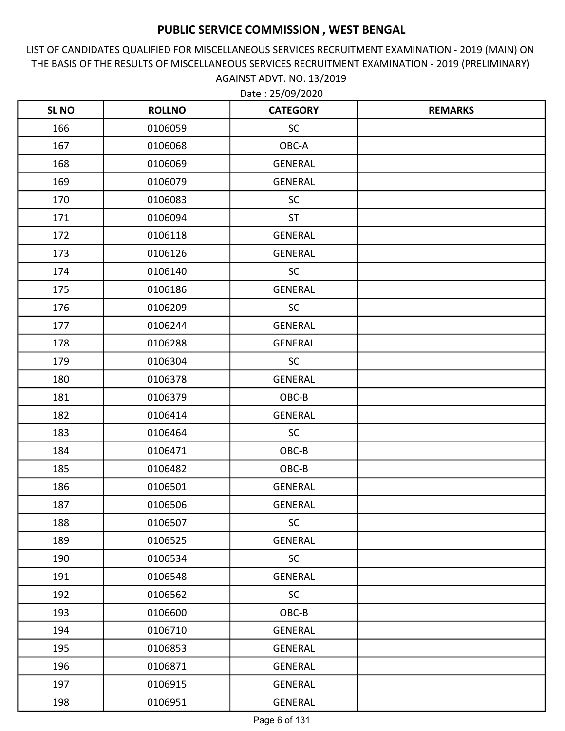LIST OF CANDIDATES QUALIFIED FOR MISCELLANEOUS SERVICES RECRUITMENT EXAMINATION - 2019 (MAIN) ON THE BASIS OF THE RESULTS OF MISCELLANEOUS SERVICES RECRUITMENT EXAMINATION - 2019 (PRELIMINARY) AGAINST ADVT. NO. 13/2019

| <b>SLNO</b> | <b>ROLLNO</b> | <b>CATEGORY</b> | <b>REMARKS</b> |
|-------------|---------------|-----------------|----------------|
| 166         | 0106059       | <b>SC</b>       |                |
| 167         | 0106068       | OBC-A           |                |
| 168         | 0106069       | GENERAL         |                |
| 169         | 0106079       | <b>GENERAL</b>  |                |
| 170         | 0106083       | <b>SC</b>       |                |
| 171         | 0106094       | <b>ST</b>       |                |
| 172         | 0106118       | <b>GENERAL</b>  |                |
| 173         | 0106126       | <b>GENERAL</b>  |                |
| 174         | 0106140       | <b>SC</b>       |                |
| 175         | 0106186       | <b>GENERAL</b>  |                |
| 176         | 0106209       | <b>SC</b>       |                |
| 177         | 0106244       | <b>GENERAL</b>  |                |
| 178         | 0106288       | <b>GENERAL</b>  |                |
| 179         | 0106304       | <b>SC</b>       |                |
| 180         | 0106378       | <b>GENERAL</b>  |                |
| 181         | 0106379       | OBC-B           |                |
| 182         | 0106414       | <b>GENERAL</b>  |                |
| 183         | 0106464       | <b>SC</b>       |                |
| 184         | 0106471       | OBC-B           |                |
| 185         | 0106482       | OBC-B           |                |
| 186         | 0106501       | GENERAL         |                |
| 187         | 0106506       | <b>GENERAL</b>  |                |
| 188         | 0106507       | <b>SC</b>       |                |
| 189         | 0106525       | <b>GENERAL</b>  |                |
| 190         | 0106534       | <b>SC</b>       |                |
| 191         | 0106548       | <b>GENERAL</b>  |                |
| 192         | 0106562       | <b>SC</b>       |                |
| 193         | 0106600       | OBC-B           |                |
| 194         | 0106710       | GENERAL         |                |
| 195         | 0106853       | <b>GENERAL</b>  |                |
| 196         | 0106871       | GENERAL         |                |
| 197         | 0106915       | GENERAL         |                |
| 198         | 0106951       | GENERAL         |                |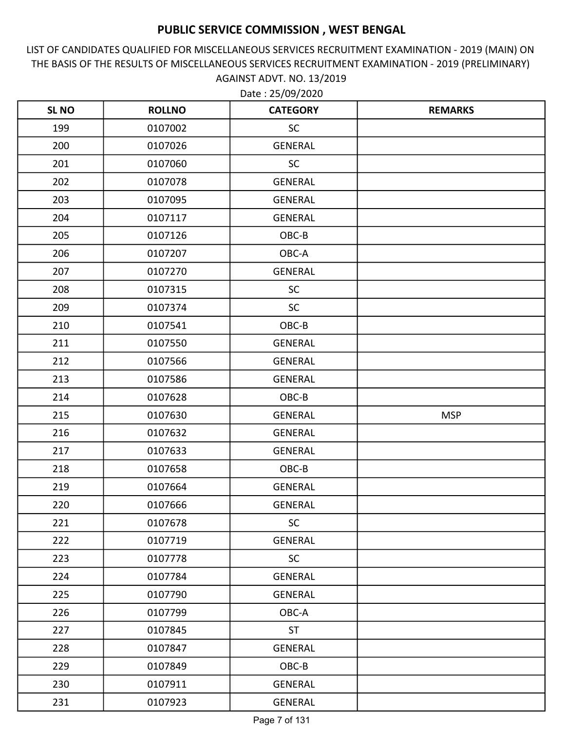LIST OF CANDIDATES QUALIFIED FOR MISCELLANEOUS SERVICES RECRUITMENT EXAMINATION - 2019 (MAIN) ON THE BASIS OF THE RESULTS OF MISCELLANEOUS SERVICES RECRUITMENT EXAMINATION - 2019 (PRELIMINARY) AGAINST ADVT. NO. 13/2019

| <b>SLNO</b> | <b>ROLLNO</b> | <b>CATEGORY</b> | <b>REMARKS</b> |
|-------------|---------------|-----------------|----------------|
| 199         | 0107002       | SC              |                |
| 200         | 0107026       | <b>GENERAL</b>  |                |
| 201         | 0107060       | <b>SC</b>       |                |
| 202         | 0107078       | GENERAL         |                |
| 203         | 0107095       | <b>GENERAL</b>  |                |
| 204         | 0107117       | <b>GENERAL</b>  |                |
| 205         | 0107126       | OBC-B           |                |
| 206         | 0107207       | OBC-A           |                |
| 207         | 0107270       | <b>GENERAL</b>  |                |
| 208         | 0107315       | <b>SC</b>       |                |
| 209         | 0107374       | <b>SC</b>       |                |
| 210         | 0107541       | OBC-B           |                |
| 211         | 0107550       | GENERAL         |                |
| 212         | 0107566       | <b>GENERAL</b>  |                |
| 213         | 0107586       | GENERAL         |                |
| 214         | 0107628       | OBC-B           |                |
| 215         | 0107630       | GENERAL         | <b>MSP</b>     |
| 216         | 0107632       | <b>GENERAL</b>  |                |
| 217         | 0107633       | GENERAL         |                |
| 218         | 0107658       | OBC-B           |                |
| 219         | 0107664       | GENERAL         |                |
| 220         | 0107666       | <b>GENERAL</b>  |                |
| 221         | 0107678       | <b>SC</b>       |                |
| 222         | 0107719       | <b>GENERAL</b>  |                |
| 223         | 0107778       | SC              |                |
| 224         | 0107784       | GENERAL         |                |
| 225         | 0107790       | GENERAL         |                |
| 226         | 0107799       | OBC-A           |                |
| 227         | 0107845       | <b>ST</b>       |                |
| 228         | 0107847       | <b>GENERAL</b>  |                |
| 229         | 0107849       | OBC-B           |                |
| 230         | 0107911       | <b>GENERAL</b>  |                |
| 231         | 0107923       | GENERAL         |                |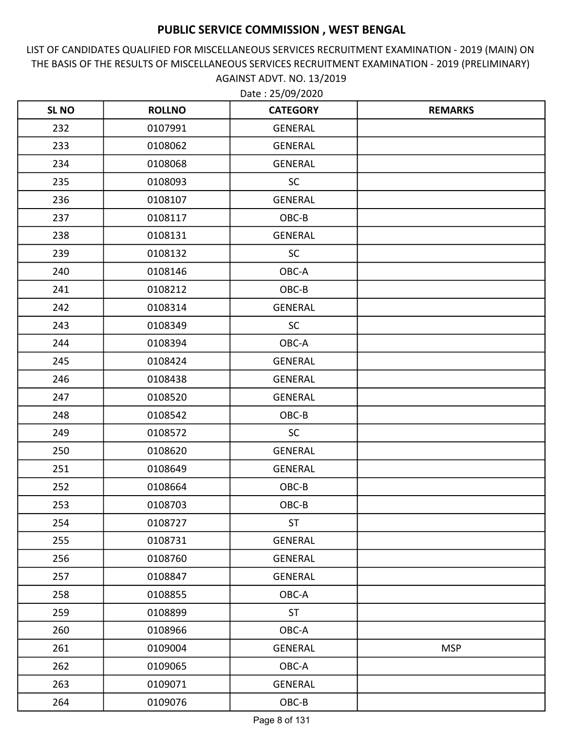LIST OF CANDIDATES QUALIFIED FOR MISCELLANEOUS SERVICES RECRUITMENT EXAMINATION - 2019 (MAIN) ON THE BASIS OF THE RESULTS OF MISCELLANEOUS SERVICES RECRUITMENT EXAMINATION - 2019 (PRELIMINARY) AGAINST ADVT. NO. 13/2019

| <b>SL NO</b> | <b>ROLLNO</b> | <b>CATEGORY</b> | <b>REMARKS</b> |
|--------------|---------------|-----------------|----------------|
| 232          | 0107991       | GENERAL         |                |
| 233          | 0108062       | <b>GENERAL</b>  |                |
| 234          | 0108068       | GENERAL         |                |
| 235          | 0108093       | <b>SC</b>       |                |
| 236          | 0108107       | <b>GENERAL</b>  |                |
| 237          | 0108117       | OBC-B           |                |
| 238          | 0108131       | GENERAL         |                |
| 239          | 0108132       | <b>SC</b>       |                |
| 240          | 0108146       | OBC-A           |                |
| 241          | 0108212       | OBC-B           |                |
| 242          | 0108314       | <b>GENERAL</b>  |                |
| 243          | 0108349       | <b>SC</b>       |                |
| 244          | 0108394       | OBC-A           |                |
| 245          | 0108424       | GENERAL         |                |
| 246          | 0108438       | GENERAL         |                |
| 247          | 0108520       | GENERAL         |                |
| 248          | 0108542       | OBC-B           |                |
| 249          | 0108572       | SC              |                |
| 250          | 0108620       | GENERAL         |                |
| 251          | 0108649       | <b>GENERAL</b>  |                |
| 252          | 0108664       | OBC-B           |                |
| 253          | 0108703       | OBC-B           |                |
| 254          | 0108727       | <b>ST</b>       |                |
| 255          | 0108731       | GENERAL         |                |
| 256          | 0108760       | GENERAL         |                |
| 257          | 0108847       | <b>GENERAL</b>  |                |
| 258          | 0108855       | OBC-A           |                |
| 259          | 0108899       | <b>ST</b>       |                |
| 260          | 0108966       | OBC-A           |                |
| 261          | 0109004       | GENERAL         | <b>MSP</b>     |
| 262          | 0109065       | OBC-A           |                |
| 263          | 0109071       | GENERAL         |                |
| 264          | 0109076       | $OBC-B$         |                |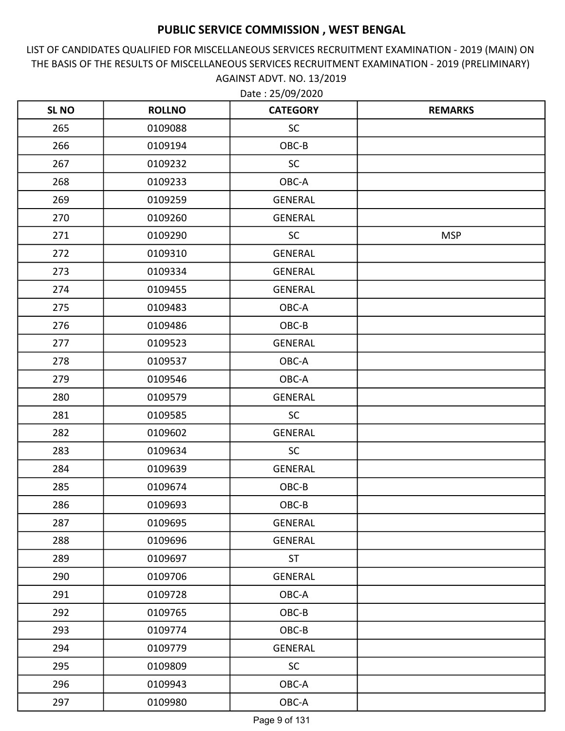LIST OF CANDIDATES QUALIFIED FOR MISCELLANEOUS SERVICES RECRUITMENT EXAMINATION - 2019 (MAIN) ON THE BASIS OF THE RESULTS OF MISCELLANEOUS SERVICES RECRUITMENT EXAMINATION - 2019 (PRELIMINARY) AGAINST ADVT. NO. 13/2019

| <b>SL NO</b> | <b>ROLLNO</b> | <b>CATEGORY</b> | <b>REMARKS</b> |
|--------------|---------------|-----------------|----------------|
| 265          | 0109088       | <b>SC</b>       |                |
| 266          | 0109194       | OBC-B           |                |
| 267          | 0109232       | <b>SC</b>       |                |
| 268          | 0109233       | OBC-A           |                |
| 269          | 0109259       | <b>GENERAL</b>  |                |
| 270          | 0109260       | <b>GENERAL</b>  |                |
| 271          | 0109290       | <b>SC</b>       | <b>MSP</b>     |
| 272          | 0109310       | <b>GENERAL</b>  |                |
| 273          | 0109334       | <b>GENERAL</b>  |                |
| 274          | 0109455       | <b>GENERAL</b>  |                |
| 275          | 0109483       | OBC-A           |                |
| 276          | 0109486       | OBC-B           |                |
| 277          | 0109523       | <b>GENERAL</b>  |                |
| 278          | 0109537       | OBC-A           |                |
| 279          | 0109546       | OBC-A           |                |
| 280          | 0109579       | <b>GENERAL</b>  |                |
| 281          | 0109585       | <b>SC</b>       |                |
| 282          | 0109602       | <b>GENERAL</b>  |                |
| 283          | 0109634       | <b>SC</b>       |                |
| 284          | 0109639       | GENERAL         |                |
| 285          | 0109674       | OBC-B           |                |
| 286          | 0109693       | OBC-B           |                |
| 287          | 0109695       | <b>GENERAL</b>  |                |
| 288          | 0109696       | GENERAL         |                |
| 289          | 0109697       | <b>ST</b>       |                |
| 290          | 0109706       | <b>GENERAL</b>  |                |
| 291          | 0109728       | OBC-A           |                |
| 292          | 0109765       | OBC-B           |                |
| 293          | 0109774       | OBC-B           |                |
| 294          | 0109779       | <b>GENERAL</b>  |                |
| 295          | 0109809       | SC              |                |
| 296          | 0109943       | OBC-A           |                |
| 297          | 0109980       | OBC-A           |                |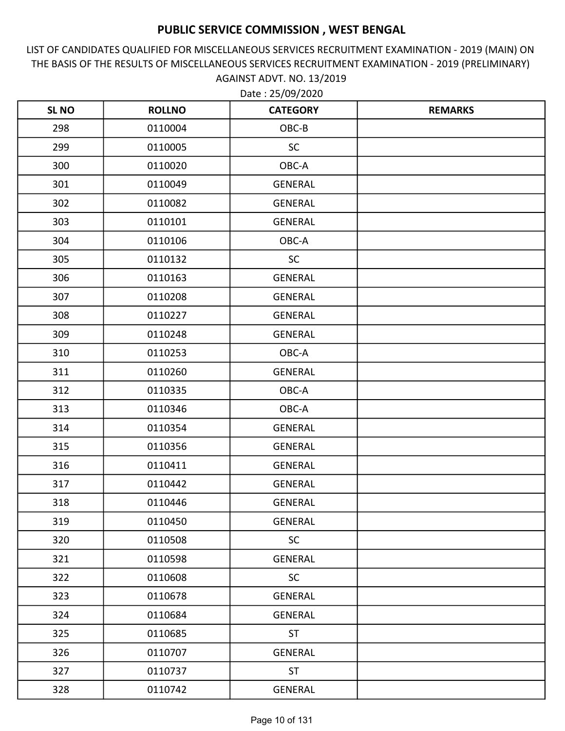LIST OF CANDIDATES QUALIFIED FOR MISCELLANEOUS SERVICES RECRUITMENT EXAMINATION - 2019 (MAIN) ON THE BASIS OF THE RESULTS OF MISCELLANEOUS SERVICES RECRUITMENT EXAMINATION - 2019 (PRELIMINARY) AGAINST ADVT. NO. 13/2019

| <b>SLNO</b> | <b>ROLLNO</b> | <b>CATEGORY</b> | <b>REMARKS</b> |
|-------------|---------------|-----------------|----------------|
| 298         | 0110004       | OBC-B           |                |
| 299         | 0110005       | <b>SC</b>       |                |
| 300         | 0110020       | OBC-A           |                |
| 301         | 0110049       | <b>GENERAL</b>  |                |
| 302         | 0110082       | <b>GENERAL</b>  |                |
| 303         | 0110101       | <b>GENERAL</b>  |                |
| 304         | 0110106       | OBC-A           |                |
| 305         | 0110132       | <b>SC</b>       |                |
| 306         | 0110163       | <b>GENERAL</b>  |                |
| 307         | 0110208       | <b>GENERAL</b>  |                |
| 308         | 0110227       | <b>GENERAL</b>  |                |
| 309         | 0110248       | <b>GENERAL</b>  |                |
| 310         | 0110253       | OBC-A           |                |
| 311         | 0110260       | <b>GENERAL</b>  |                |
| 312         | 0110335       | OBC-A           |                |
| 313         | 0110346       | OBC-A           |                |
| 314         | 0110354       | <b>GENERAL</b>  |                |
| 315         | 0110356       | <b>GENERAL</b>  |                |
| 316         | 0110411       | <b>GENERAL</b>  |                |
| 317         | 0110442       | GENERAL         |                |
| 318         | 0110446       | <b>GENERAL</b>  |                |
| 319         | 0110450       | <b>GENERAL</b>  |                |
| 320         | 0110508       | <b>SC</b>       |                |
| 321         | 0110598       | <b>GENERAL</b>  |                |
| 322         | 0110608       | <b>SC</b>       |                |
| 323         | 0110678       | GENERAL         |                |
| 324         | 0110684       | <b>GENERAL</b>  |                |
| 325         | 0110685       | <b>ST</b>       |                |
| 326         | 0110707       | GENERAL         |                |
| 327         | 0110737       | <b>ST</b>       |                |
| 328         | 0110742       | GENERAL         |                |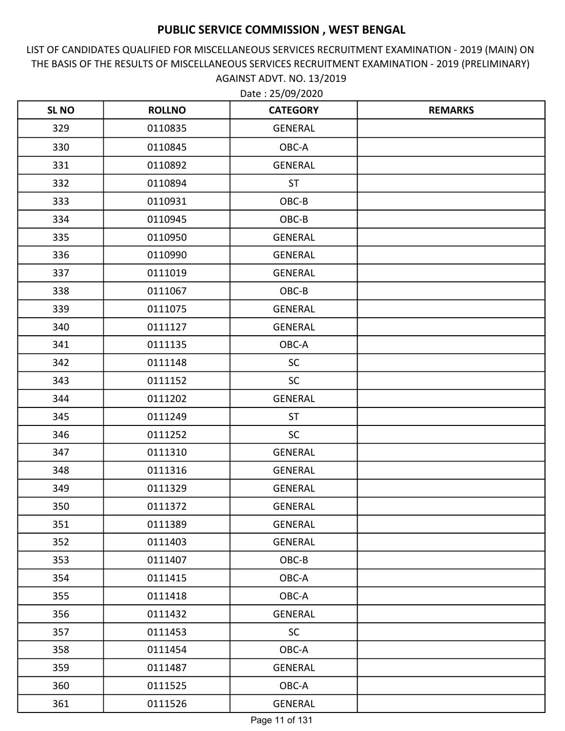LIST OF CANDIDATES QUALIFIED FOR MISCELLANEOUS SERVICES RECRUITMENT EXAMINATION - 2019 (MAIN) ON THE BASIS OF THE RESULTS OF MISCELLANEOUS SERVICES RECRUITMENT EXAMINATION - 2019 (PRELIMINARY) AGAINST ADVT. NO. 13/2019 Date : 25/09/2020

| <b>SLNO</b> | <b>ROLLNO</b> | <b>CATEGORY</b> | <b>REMARKS</b> |
|-------------|---------------|-----------------|----------------|
| 329         | 0110835       | <b>GENERAL</b>  |                |
| 330         | 0110845       | OBC-A           |                |
| 331         | 0110892       | <b>GENERAL</b>  |                |
| 332         | 0110894       | <b>ST</b>       |                |
| 333         | 0110931       | OBC-B           |                |
| 334         | 0110945       | OBC-B           |                |
| 335         | 0110950       | <b>GENERAL</b>  |                |
| 336         | 0110990       | <b>GENERAL</b>  |                |
| 337         | 0111019       | <b>GENERAL</b>  |                |
| 338         | 0111067       | OBC-B           |                |
| 339         | 0111075       | <b>GENERAL</b>  |                |
| 340         | 0111127       | <b>GENERAL</b>  |                |
| 341         | 0111135       | OBC-A           |                |
| 342         | 0111148       | <b>SC</b>       |                |
| 343         | 0111152       | <b>SC</b>       |                |
| 344         | 0111202       | <b>GENERAL</b>  |                |
| 345         | 0111249       | <b>ST</b>       |                |
| 346         | 0111252       | <b>SC</b>       |                |
| 347         | 0111310       | <b>GENERAL</b>  |                |
| 348         | 0111316       | <b>GENERAL</b>  |                |
| 349         | 0111329       | <b>GENERAL</b>  |                |
| 350         | 0111372       | <b>GENERAL</b>  |                |
| 351         | 0111389       | GENERAL         |                |
| 352         | 0111403       | GENERAL         |                |
| 353         | 0111407       | OBC-B           |                |
| 354         | 0111415       | OBC-A           |                |
| 355         | 0111418       | OBC-A           |                |
| 356         | 0111432       | GENERAL         |                |
| 357         | 0111453       | <b>SC</b>       |                |
| 358         | 0111454       | OBC-A           |                |
| 359         | 0111487       | GENERAL         |                |
| 360         | 0111525       | OBC-A           |                |
| 361         | 0111526       | GENERAL         |                |

Page 11 of 131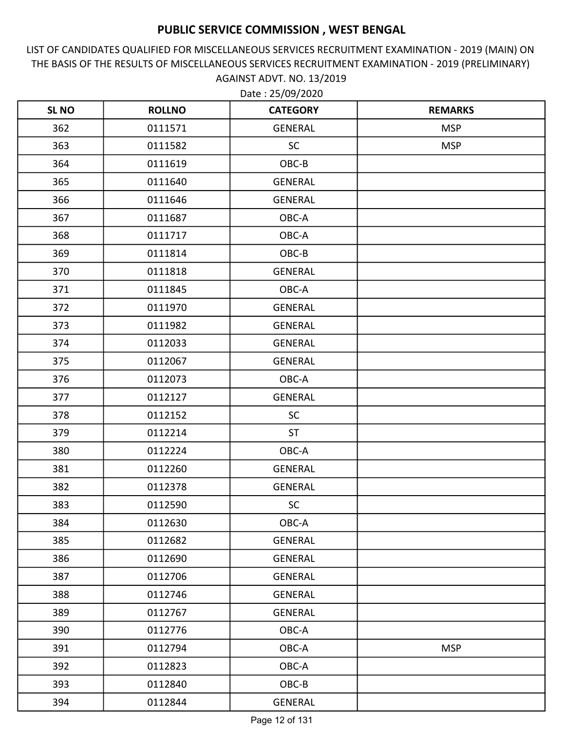LIST OF CANDIDATES QUALIFIED FOR MISCELLANEOUS SERVICES RECRUITMENT EXAMINATION - 2019 (MAIN) ON THE BASIS OF THE RESULTS OF MISCELLANEOUS SERVICES RECRUITMENT EXAMINATION - 2019 (PRELIMINARY) AGAINST ADVT. NO. 13/2019

| <b>SLNO</b> | <b>ROLLNO</b> | <b>CATEGORY</b> | <b>REMARKS</b> |
|-------------|---------------|-----------------|----------------|
| 362         | 0111571       | GENERAL         | <b>MSP</b>     |
| 363         | 0111582       | <b>SC</b>       | <b>MSP</b>     |
| 364         | 0111619       | OBC-B           |                |
| 365         | 0111640       | GENERAL         |                |
| 366         | 0111646       | <b>GENERAL</b>  |                |
| 367         | 0111687       | OBC-A           |                |
| 368         | 0111717       | OBC-A           |                |
| 369         | 0111814       | OBC-B           |                |
| 370         | 0111818       | <b>GENERAL</b>  |                |
| 371         | 0111845       | OBC-A           |                |
| 372         | 0111970       | <b>GENERAL</b>  |                |
| 373         | 0111982       | GENERAL         |                |
| 374         | 0112033       | <b>GENERAL</b>  |                |
| 375         | 0112067       | <b>GENERAL</b>  |                |
| 376         | 0112073       | OBC-A           |                |
| 377         | 0112127       | GENERAL         |                |
| 378         | 0112152       | <b>SC</b>       |                |
| 379         | 0112214       | <b>ST</b>       |                |
| 380         | 0112224       | OBC-A           |                |
| 381         | 0112260       | GENERAL         |                |
| 382         | 0112378       | <b>GENERAL</b>  |                |
| 383         | 0112590       | <b>SC</b>       |                |
| 384         | 0112630       | OBC-A           |                |
| 385         | 0112682       | GENERAL         |                |
| 386         | 0112690       | GENERAL         |                |
| 387         | 0112706       | GENERAL         |                |
| 388         | 0112746       | GENERAL         |                |
| 389         | 0112767       | GENERAL         |                |
| 390         | 0112776       | OBC-A           |                |
| 391         | 0112794       | OBC-A           | <b>MSP</b>     |
| 392         | 0112823       | OBC-A           |                |
| 393         | 0112840       | OBC-B           |                |
| 394         | 0112844       | GENERAL         |                |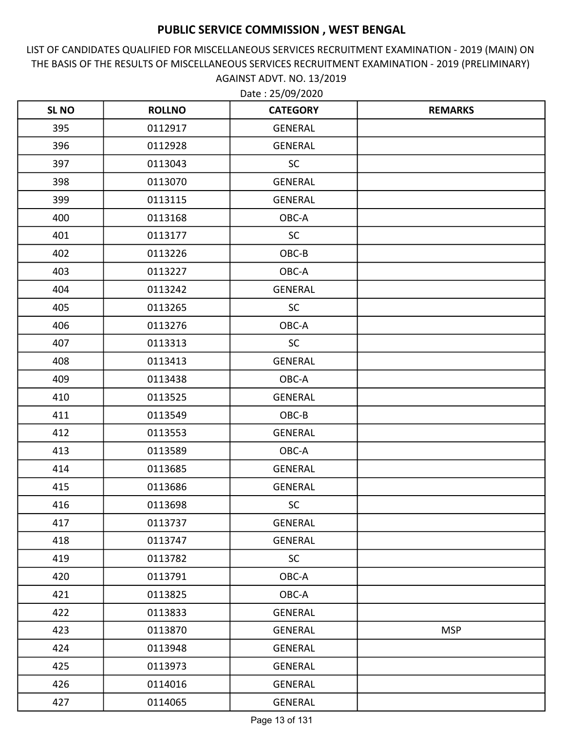LIST OF CANDIDATES QUALIFIED FOR MISCELLANEOUS SERVICES RECRUITMENT EXAMINATION - 2019 (MAIN) ON THE BASIS OF THE RESULTS OF MISCELLANEOUS SERVICES RECRUITMENT EXAMINATION - 2019 (PRELIMINARY) AGAINST ADVT. NO. 13/2019

| <b>SLNO</b> | <b>ROLLNO</b> | <b>CATEGORY</b> | <b>REMARKS</b> |
|-------------|---------------|-----------------|----------------|
| 395         | 0112917       | <b>GENERAL</b>  |                |
| 396         | 0112928       | <b>GENERAL</b>  |                |
| 397         | 0113043       | <b>SC</b>       |                |
| 398         | 0113070       | <b>GENERAL</b>  |                |
| 399         | 0113115       | <b>GENERAL</b>  |                |
| 400         | 0113168       | OBC-A           |                |
| 401         | 0113177       | <b>SC</b>       |                |
| 402         | 0113226       | OBC-B           |                |
| 403         | 0113227       | OBC-A           |                |
| 404         | 0113242       | <b>GENERAL</b>  |                |
| 405         | 0113265       | <b>SC</b>       |                |
| 406         | 0113276       | OBC-A           |                |
| 407         | 0113313       | <b>SC</b>       |                |
| 408         | 0113413       | <b>GENERAL</b>  |                |
| 409         | 0113438       | OBC-A           |                |
| 410         | 0113525       | <b>GENERAL</b>  |                |
| 411         | 0113549       | OBC-B           |                |
| 412         | 0113553       | <b>GENERAL</b>  |                |
| 413         | 0113589       | OBC-A           |                |
| 414         | 0113685       | <b>GENERAL</b>  |                |
| 415         | 0113686       | <b>GENERAL</b>  |                |
| 416         | 0113698       | <b>SC</b>       |                |
| 417         | 0113737       | <b>GENERAL</b>  |                |
| 418         | 0113747       | <b>GENERAL</b>  |                |
| 419         | 0113782       | <b>SC</b>       |                |
| 420         | 0113791       | OBC-A           |                |
| 421         | 0113825       | OBC-A           |                |
| 422         | 0113833       | GENERAL         |                |
| 423         | 0113870       | GENERAL         | <b>MSP</b>     |
| 424         | 0113948       | GENERAL         |                |
| 425         | 0113973       | GENERAL         |                |
| 426         | 0114016       | GENERAL         |                |
| 427         | 0114065       | GENERAL         |                |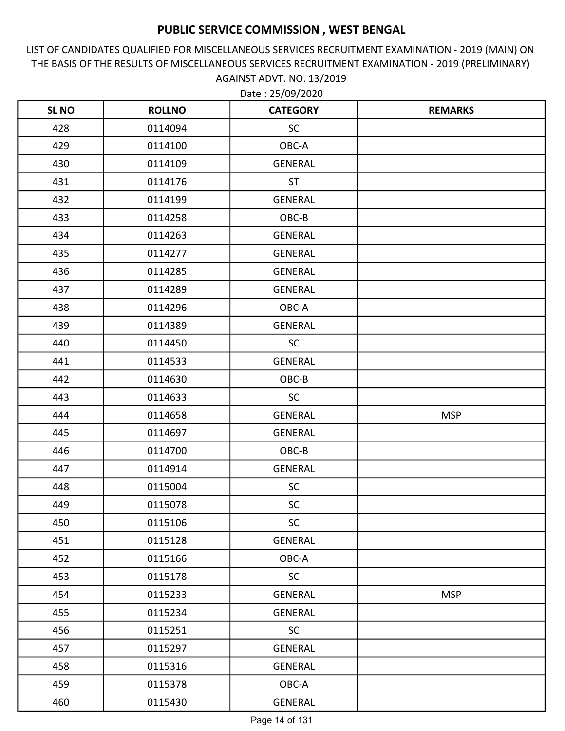LIST OF CANDIDATES QUALIFIED FOR MISCELLANEOUS SERVICES RECRUITMENT EXAMINATION - 2019 (MAIN) ON THE BASIS OF THE RESULTS OF MISCELLANEOUS SERVICES RECRUITMENT EXAMINATION - 2019 (PRELIMINARY) AGAINST ADVT. NO. 13/2019

| <b>SLNO</b> | <b>ROLLNO</b> | <b>CATEGORY</b> | <b>REMARKS</b> |
|-------------|---------------|-----------------|----------------|
| 428         | 0114094       | <b>SC</b>       |                |
| 429         | 0114100       | OBC-A           |                |
| 430         | 0114109       | <b>GENERAL</b>  |                |
| 431         | 0114176       | <b>ST</b>       |                |
| 432         | 0114199       | <b>GENERAL</b>  |                |
| 433         | 0114258       | OBC-B           |                |
| 434         | 0114263       | <b>GENERAL</b>  |                |
| 435         | 0114277       | <b>GENERAL</b>  |                |
| 436         | 0114285       | <b>GENERAL</b>  |                |
| 437         | 0114289       | <b>GENERAL</b>  |                |
| 438         | 0114296       | OBC-A           |                |
| 439         | 0114389       | GENERAL         |                |
| 440         | 0114450       | <b>SC</b>       |                |
| 441         | 0114533       | <b>GENERAL</b>  |                |
| 442         | 0114630       | OBC-B           |                |
| 443         | 0114633       | <b>SC</b>       |                |
| 444         | 0114658       | <b>GENERAL</b>  | <b>MSP</b>     |
| 445         | 0114697       | <b>GENERAL</b>  |                |
| 446         | 0114700       | OBC-B           |                |
| 447         | 0114914       | GENERAL         |                |
| 448         | 0115004       | <b>SC</b>       |                |
| 449         | 0115078       | <b>SC</b>       |                |
| 450         | 0115106       | <b>SC</b>       |                |
| 451         | 0115128       | GENERAL         |                |
| 452         | 0115166       | OBC-A           |                |
| 453         | 0115178       | <b>SC</b>       |                |
| 454         | 0115233       | <b>GENERAL</b>  | <b>MSP</b>     |
| 455         | 0115234       | GENERAL         |                |
| 456         | 0115251       | <b>SC</b>       |                |
| 457         | 0115297       | <b>GENERAL</b>  |                |
| 458         | 0115316       | GENERAL         |                |
| 459         | 0115378       | OBC-A           |                |
| 460         | 0115430       | GENERAL         |                |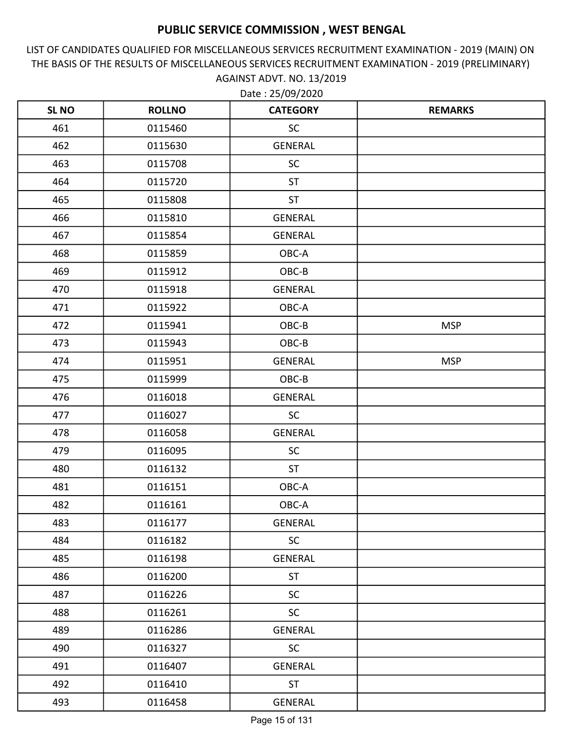LIST OF CANDIDATES QUALIFIED FOR MISCELLANEOUS SERVICES RECRUITMENT EXAMINATION - 2019 (MAIN) ON THE BASIS OF THE RESULTS OF MISCELLANEOUS SERVICES RECRUITMENT EXAMINATION - 2019 (PRELIMINARY) AGAINST ADVT. NO. 13/2019 Date : 25/09/2020

| <b>SLNO</b> | <b>ROLLNO</b> | <b>CATEGORY</b> | <b>REMARKS</b> |
|-------------|---------------|-----------------|----------------|
| 461         | 0115460       | <b>SC</b>       |                |
| 462         | 0115630       | <b>GENERAL</b>  |                |
| 463         | 0115708       | <b>SC</b>       |                |
| 464         | 0115720       | <b>ST</b>       |                |
| 465         | 0115808       | <b>ST</b>       |                |
| 466         | 0115810       | <b>GENERAL</b>  |                |
| 467         | 0115854       | <b>GENERAL</b>  |                |
| 468         | 0115859       | OBC-A           |                |
| 469         | 0115912       | OBC-B           |                |
| 470         | 0115918       | <b>GENERAL</b>  |                |
| 471         | 0115922       | OBC-A           |                |
| 472         | 0115941       | OBC-B           | <b>MSP</b>     |
| 473         | 0115943       | OBC-B           |                |
| 474         | 0115951       | <b>GENERAL</b>  | <b>MSP</b>     |
| 475         | 0115999       | OBC-B           |                |
| 476         | 0116018       | <b>GENERAL</b>  |                |
| 477         | 0116027       | <b>SC</b>       |                |
| 478         | 0116058       | <b>GENERAL</b>  |                |
| 479         | 0116095       | <b>SC</b>       |                |
| 480         | 0116132       | <b>ST</b>       |                |
| 481         | 0116151       | OBC-A           |                |
| 482         | 0116161       | OBC-A           |                |
| 483         | 0116177       | <b>GENERAL</b>  |                |
| 484         | 0116182       | <b>SC</b>       |                |
| 485         | 0116198       | <b>GENERAL</b>  |                |
| 486         | 0116200       | <b>ST</b>       |                |
| 487         | 0116226       | SC              |                |
| 488         | 0116261       | <b>SC</b>       |                |
| 489         | 0116286       | GENERAL         |                |
| 490         | 0116327       | <b>SC</b>       |                |
| 491         | 0116407       | GENERAL         |                |
| 492         | 0116410       | <b>ST</b>       |                |
| 493         | 0116458       | GENERAL         |                |

Page 15 of 131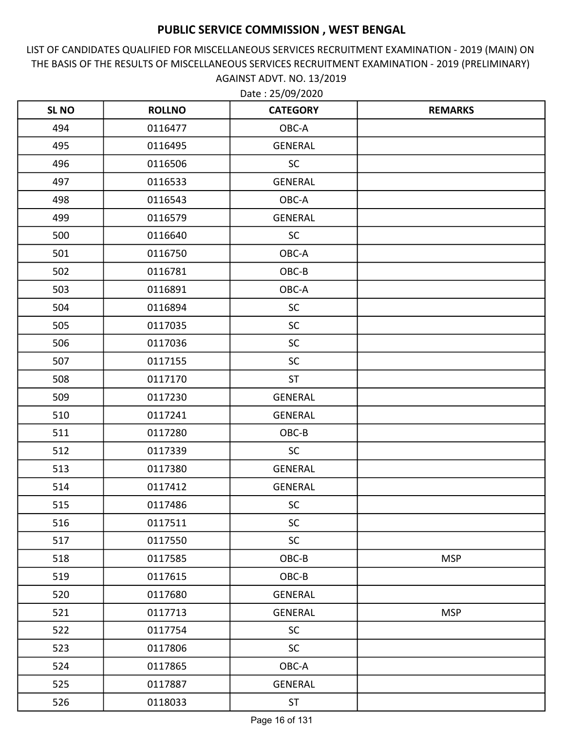LIST OF CANDIDATES QUALIFIED FOR MISCELLANEOUS SERVICES RECRUITMENT EXAMINATION - 2019 (MAIN) ON THE BASIS OF THE RESULTS OF MISCELLANEOUS SERVICES RECRUITMENT EXAMINATION - 2019 (PRELIMINARY) AGAINST ADVT. NO. 13/2019

| <b>SL NO</b> | <b>ROLLNO</b> | <b>CATEGORY</b> | <b>REMARKS</b> |
|--------------|---------------|-----------------|----------------|
| 494          | 0116477       | OBC-A           |                |
| 495          | 0116495       | <b>GENERAL</b>  |                |
| 496          | 0116506       | <b>SC</b>       |                |
| 497          | 0116533       | <b>GENERAL</b>  |                |
| 498          | 0116543       | OBC-A           |                |
| 499          | 0116579       | <b>GENERAL</b>  |                |
| 500          | 0116640       | <b>SC</b>       |                |
| 501          | 0116750       | OBC-A           |                |
| 502          | 0116781       | OBC-B           |                |
| 503          | 0116891       | OBC-A           |                |
| 504          | 0116894       | <b>SC</b>       |                |
| 505          | 0117035       | <b>SC</b>       |                |
| 506          | 0117036       | SC              |                |
| 507          | 0117155       | <b>SC</b>       |                |
| 508          | 0117170       | <b>ST</b>       |                |
| 509          | 0117230       | GENERAL         |                |
| 510          | 0117241       | <b>GENERAL</b>  |                |
| 511          | 0117280       | OBC-B           |                |
| 512          | 0117339       | <b>SC</b>       |                |
| 513          | 0117380       | GENERAL         |                |
| 514          | 0117412       | GENERAL         |                |
| 515          | 0117486       | SC              |                |
| 516          | 0117511       | <b>SC</b>       |                |
| 517          | 0117550       | SC              |                |
| 518          | 0117585       | OBC-B           | <b>MSP</b>     |
| 519          | 0117615       | OBC-B           |                |
| 520          | 0117680       | <b>GENERAL</b>  |                |
| 521          | 0117713       | GENERAL         | <b>MSP</b>     |
| 522          | 0117754       | <b>SC</b>       |                |
| 523          | 0117806       | <b>SC</b>       |                |
| 524          | 0117865       | OBC-A           |                |
| 525          | 0117887       | GENERAL         |                |
| 526          | 0118033       | <b>ST</b>       |                |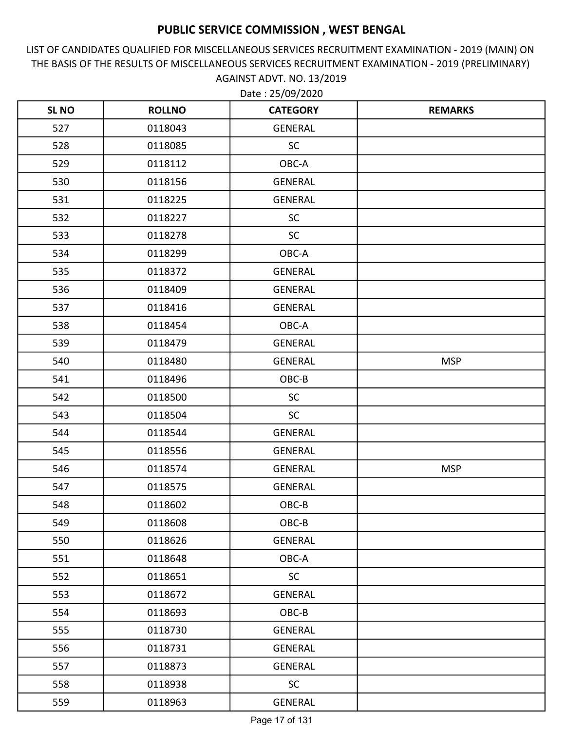LIST OF CANDIDATES QUALIFIED FOR MISCELLANEOUS SERVICES RECRUITMENT EXAMINATION - 2019 (MAIN) ON THE BASIS OF THE RESULTS OF MISCELLANEOUS SERVICES RECRUITMENT EXAMINATION - 2019 (PRELIMINARY) AGAINST ADVT. NO. 13/2019

| <b>SLNO</b> | <b>ROLLNO</b> | <b>CATEGORY</b> | <b>REMARKS</b> |
|-------------|---------------|-----------------|----------------|
| 527         | 0118043       | <b>GENERAL</b>  |                |
| 528         | 0118085       | SC              |                |
| 529         | 0118112       | OBC-A           |                |
| 530         | 0118156       | <b>GENERAL</b>  |                |
| 531         | 0118225       | <b>GENERAL</b>  |                |
| 532         | 0118227       | SC              |                |
| 533         | 0118278       | <b>SC</b>       |                |
| 534         | 0118299       | OBC-A           |                |
| 535         | 0118372       | <b>GENERAL</b>  |                |
| 536         | 0118409       | <b>GENERAL</b>  |                |
| 537         | 0118416       | <b>GENERAL</b>  |                |
| 538         | 0118454       | OBC-A           |                |
| 539         | 0118479       | <b>GENERAL</b>  |                |
| 540         | 0118480       | <b>GENERAL</b>  | <b>MSP</b>     |
| 541         | 0118496       | OBC-B           |                |
| 542         | 0118500       | <b>SC</b>       |                |
| 543         | 0118504       | <b>SC</b>       |                |
| 544         | 0118544       | <b>GENERAL</b>  |                |
| 545         | 0118556       | <b>GENERAL</b>  |                |
| 546         | 0118574       | <b>GENERAL</b>  | <b>MSP</b>     |
| 547         | 0118575       | <b>GENERAL</b>  |                |
| 548         | 0118602       | OBC-B           |                |
| 549         | 0118608       | OBC-B           |                |
| 550         | 0118626       | <b>GENERAL</b>  |                |
| 551         | 0118648       | OBC-A           |                |
| 552         | 0118651       | <b>SC</b>       |                |
| 553         | 0118672       | <b>GENERAL</b>  |                |
| 554         | 0118693       | OBC-B           |                |
| 555         | 0118730       | GENERAL         |                |
| 556         | 0118731       | <b>GENERAL</b>  |                |
| 557         | 0118873       | GENERAL         |                |
| 558         | 0118938       | <b>SC</b>       |                |
| 559         | 0118963       | GENERAL         |                |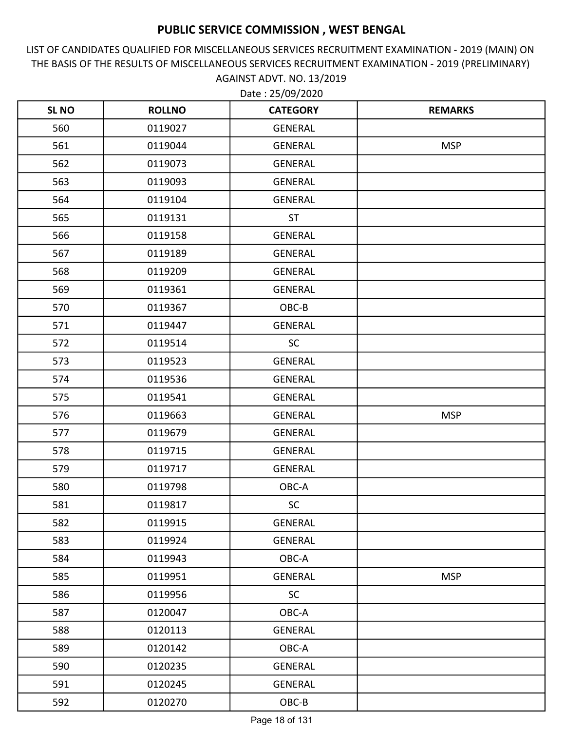LIST OF CANDIDATES QUALIFIED FOR MISCELLANEOUS SERVICES RECRUITMENT EXAMINATION - 2019 (MAIN) ON THE BASIS OF THE RESULTS OF MISCELLANEOUS SERVICES RECRUITMENT EXAMINATION - 2019 (PRELIMINARY) AGAINST ADVT. NO. 13/2019

| <b>SLNO</b> | <b>ROLLNO</b> | <b>CATEGORY</b> | <b>REMARKS</b> |
|-------------|---------------|-----------------|----------------|
| 560         | 0119027       | <b>GENERAL</b>  |                |
| 561         | 0119044       | <b>GENERAL</b>  | <b>MSP</b>     |
| 562         | 0119073       | <b>GENERAL</b>  |                |
| 563         | 0119093       | GENERAL         |                |
| 564         | 0119104       | <b>GENERAL</b>  |                |
| 565         | 0119131       | <b>ST</b>       |                |
| 566         | 0119158       | <b>GENERAL</b>  |                |
| 567         | 0119189       | <b>GENERAL</b>  |                |
| 568         | 0119209       | <b>GENERAL</b>  |                |
| 569         | 0119361       | <b>GENERAL</b>  |                |
| 570         | 0119367       | OBC-B           |                |
| 571         | 0119447       | GENERAL         |                |
| 572         | 0119514       | <b>SC</b>       |                |
| 573         | 0119523       | <b>GENERAL</b>  |                |
| 574         | 0119536       | <b>GENERAL</b>  |                |
| 575         | 0119541       | <b>GENERAL</b>  |                |
| 576         | 0119663       | <b>GENERAL</b>  | <b>MSP</b>     |
| 577         | 0119679       | <b>GENERAL</b>  |                |
| 578         | 0119715       | <b>GENERAL</b>  |                |
| 579         | 0119717       | GENERAL         |                |
| 580         | 0119798       | OBC-A           |                |
| 581         | 0119817       | <b>SC</b>       |                |
| 582         | 0119915       | <b>GENERAL</b>  |                |
| 583         | 0119924       | GENERAL         |                |
| 584         | 0119943       | OBC-A           |                |
| 585         | 0119951       | GENERAL         | <b>MSP</b>     |
| 586         | 0119956       | SC              |                |
| 587         | 0120047       | OBC-A           |                |
| 588         | 0120113       | GENERAL         |                |
| 589         | 0120142       | OBC-A           |                |
| 590         | 0120235       | GENERAL         |                |
| 591         | 0120245       | GENERAL         |                |
| 592         | 0120270       | $OBC-B$         |                |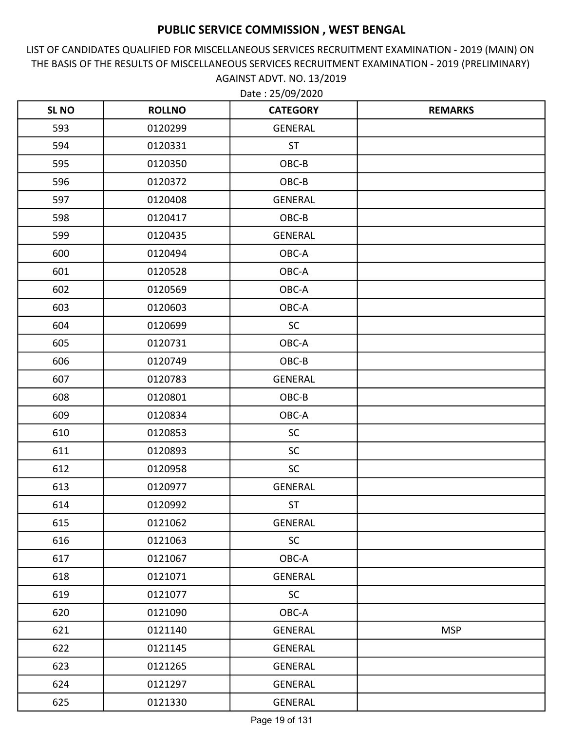LIST OF CANDIDATES QUALIFIED FOR MISCELLANEOUS SERVICES RECRUITMENT EXAMINATION - 2019 (MAIN) ON THE BASIS OF THE RESULTS OF MISCELLANEOUS SERVICES RECRUITMENT EXAMINATION - 2019 (PRELIMINARY) AGAINST ADVT. NO. 13/2019 Date : 25/09/2020

| <b>SLNO</b> | <b>ROLLNO</b> | <b>CATEGORY</b> | <b>REMARKS</b> |
|-------------|---------------|-----------------|----------------|
| 593         | 0120299       | <b>GENERAL</b>  |                |
| 594         | 0120331       | <b>ST</b>       |                |
| 595         | 0120350       | OBC-B           |                |
| 596         | 0120372       | OBC-B           |                |
| 597         | 0120408       | <b>GENERAL</b>  |                |
| 598         | 0120417       | OBC-B           |                |
| 599         | 0120435       | <b>GENERAL</b>  |                |
| 600         | 0120494       | OBC-A           |                |
| 601         | 0120528       | OBC-A           |                |
| 602         | 0120569       | OBC-A           |                |
| 603         | 0120603       | OBC-A           |                |
| 604         | 0120699       | <b>SC</b>       |                |
| 605         | 0120731       | OBC-A           |                |
| 606         | 0120749       | OBC-B           |                |
| 607         | 0120783       | <b>GENERAL</b>  |                |
| 608         | 0120801       | OBC-B           |                |
| 609         | 0120834       | OBC-A           |                |
| 610         | 0120853       | <b>SC</b>       |                |
| 611         | 0120893       | <b>SC</b>       |                |
| 612         | 0120958       | <b>SC</b>       |                |
| 613         | 0120977       | <b>GENERAL</b>  |                |
| 614         | 0120992       | <b>ST</b>       |                |
| 615         | 0121062       | <b>GENERAL</b>  |                |
| 616         | 0121063       | <b>SC</b>       |                |
| 617         | 0121067       | OBC-A           |                |
| 618         | 0121071       | GENERAL         |                |
| 619         | 0121077       | <b>SC</b>       |                |
| 620         | 0121090       | OBC-A           |                |
| 621         | 0121140       | GENERAL         | <b>MSP</b>     |
| 622         | 0121145       | GENERAL         |                |
| 623         | 0121265       | GENERAL         |                |
| 624         | 0121297       | GENERAL         |                |
| 625         | 0121330       | GENERAL         |                |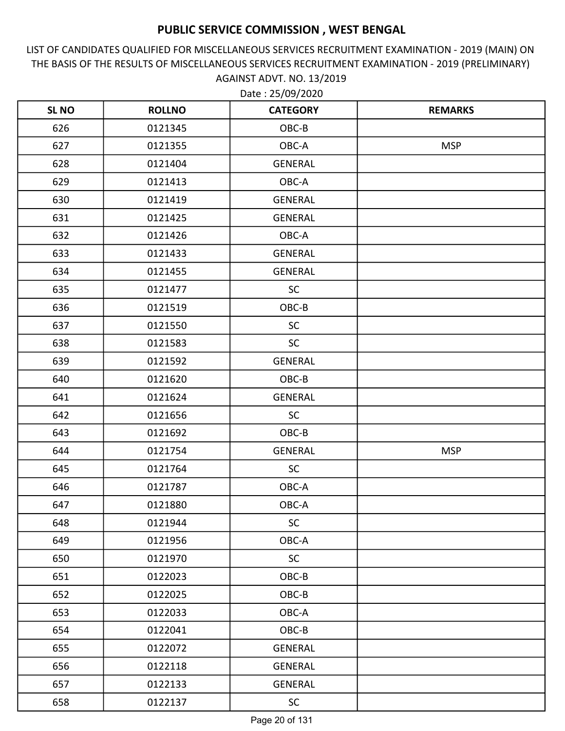LIST OF CANDIDATES QUALIFIED FOR MISCELLANEOUS SERVICES RECRUITMENT EXAMINATION - 2019 (MAIN) ON THE BASIS OF THE RESULTS OF MISCELLANEOUS SERVICES RECRUITMENT EXAMINATION - 2019 (PRELIMINARY) AGAINST ADVT. NO. 13/2019

| <b>SL NO</b> | <b>ROLLNO</b> | <b>CATEGORY</b> | <b>REMARKS</b> |
|--------------|---------------|-----------------|----------------|
| 626          | 0121345       | OBC-B           |                |
| 627          | 0121355       | OBC-A           | <b>MSP</b>     |
| 628          | 0121404       | GENERAL         |                |
| 629          | 0121413       | OBC-A           |                |
| 630          | 0121419       | <b>GENERAL</b>  |                |
| 631          | 0121425       | <b>GENERAL</b>  |                |
| 632          | 0121426       | OBC-A           |                |
| 633          | 0121433       | <b>GENERAL</b>  |                |
| 634          | 0121455       | <b>GENERAL</b>  |                |
| 635          | 0121477       | SC              |                |
| 636          | 0121519       | OBC-B           |                |
| 637          | 0121550       | <b>SC</b>       |                |
| 638          | 0121583       | <b>SC</b>       |                |
| 639          | 0121592       | <b>GENERAL</b>  |                |
| 640          | 0121620       | OBC-B           |                |
| 641          | 0121624       | <b>GENERAL</b>  |                |
| 642          | 0121656       | <b>SC</b>       |                |
| 643          | 0121692       | OBC-B           |                |
| 644          | 0121754       | <b>GENERAL</b>  | <b>MSP</b>     |
| 645          | 0121764       | <b>SC</b>       |                |
| 646          | 0121787       | OBC-A           |                |
| 647          | 0121880       | OBC-A           |                |
| 648          | 0121944       | <b>SC</b>       |                |
| 649          | 0121956       | OBC-A           |                |
| 650          | 0121970       | <b>SC</b>       |                |
| 651          | 0122023       | OBC-B           |                |
| 652          | 0122025       | OBC-B           |                |
| 653          | 0122033       | OBC-A           |                |
| 654          | 0122041       | OBC-B           |                |
| 655          | 0122072       | GENERAL         |                |
| 656          | 0122118       | GENERAL         |                |
| 657          | 0122133       | GENERAL         |                |
| 658          | 0122137       | SC              |                |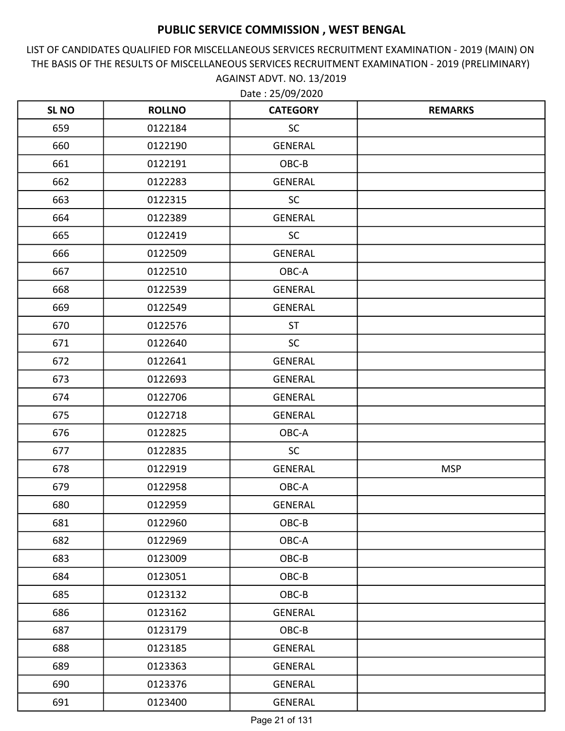LIST OF CANDIDATES QUALIFIED FOR MISCELLANEOUS SERVICES RECRUITMENT EXAMINATION - 2019 (MAIN) ON THE BASIS OF THE RESULTS OF MISCELLANEOUS SERVICES RECRUITMENT EXAMINATION - 2019 (PRELIMINARY) AGAINST ADVT. NO. 13/2019

| <b>SL NO</b> | <b>ROLLNO</b> | <b>CATEGORY</b> | <b>REMARKS</b> |
|--------------|---------------|-----------------|----------------|
| 659          | 0122184       | <b>SC</b>       |                |
| 660          | 0122190       | <b>GENERAL</b>  |                |
| 661          | 0122191       | OBC-B           |                |
| 662          | 0122283       | GENERAL         |                |
| 663          | 0122315       | SC              |                |
| 664          | 0122389       | GENERAL         |                |
| 665          | 0122419       | <b>SC</b>       |                |
| 666          | 0122509       | <b>GENERAL</b>  |                |
| 667          | 0122510       | OBC-A           |                |
| 668          | 0122539       | <b>GENERAL</b>  |                |
| 669          | 0122549       | <b>GENERAL</b>  |                |
| 670          | 0122576       | <b>ST</b>       |                |
| 671          | 0122640       | <b>SC</b>       |                |
| 672          | 0122641       | <b>GENERAL</b>  |                |
| 673          | 0122693       | GENERAL         |                |
| 674          | 0122706       | GENERAL         |                |
| 675          | 0122718       | GENERAL         |                |
| 676          | 0122825       | OBC-A           |                |
| 677          | 0122835       | <b>SC</b>       |                |
| 678          | 0122919       | <b>GENERAL</b>  | <b>MSP</b>     |
| 679          | 0122958       | OBC-A           |                |
| 680          | 0122959       | <b>GENERAL</b>  |                |
| 681          | 0122960       | OBC-B           |                |
| 682          | 0122969       | OBC-A           |                |
| 683          | 0123009       | OBC-B           |                |
| 684          | 0123051       | OBC-B           |                |
| 685          | 0123132       | OBC-B           |                |
| 686          | 0123162       | GENERAL         |                |
| 687          | 0123179       | OBC-B           |                |
| 688          | 0123185       | GENERAL         |                |
| 689          | 0123363       | GENERAL         |                |
| 690          | 0123376       | GENERAL         |                |
| 691          | 0123400       | GENERAL         |                |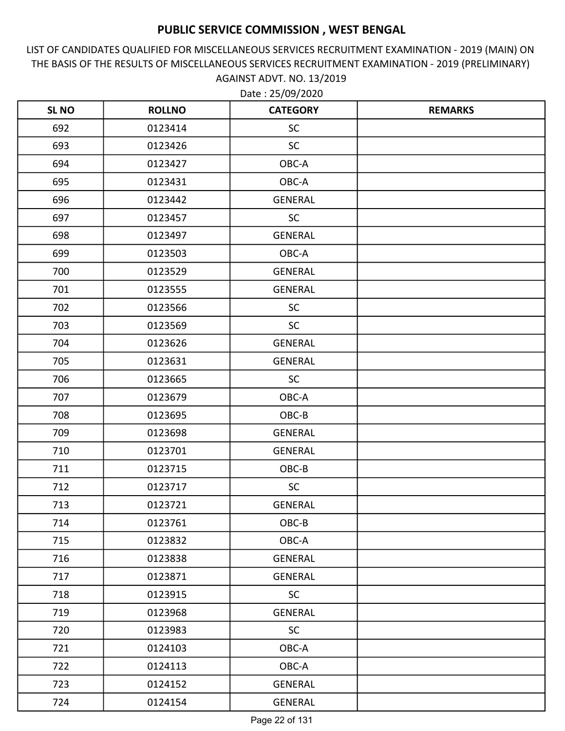LIST OF CANDIDATES QUALIFIED FOR MISCELLANEOUS SERVICES RECRUITMENT EXAMINATION - 2019 (MAIN) ON THE BASIS OF THE RESULTS OF MISCELLANEOUS SERVICES RECRUITMENT EXAMINATION - 2019 (PRELIMINARY) AGAINST ADVT. NO. 13/2019 Date : 25/09/2020

| <b>SLNO</b> | <b>ROLLNO</b> | <b>CATEGORY</b> | <b>REMARKS</b> |
|-------------|---------------|-----------------|----------------|
| 692         | 0123414       | <b>SC</b>       |                |
| 693         | 0123426       | <b>SC</b>       |                |
| 694         | 0123427       | OBC-A           |                |
| 695         | 0123431       | OBC-A           |                |
| 696         | 0123442       | <b>GENERAL</b>  |                |
| 697         | 0123457       | SC              |                |
| 698         | 0123497       | <b>GENERAL</b>  |                |
| 699         | 0123503       | OBC-A           |                |
| 700         | 0123529       | <b>GENERAL</b>  |                |
| 701         | 0123555       | <b>GENERAL</b>  |                |
| 702         | 0123566       | <b>SC</b>       |                |
| 703         | 0123569       | <b>SC</b>       |                |
| 704         | 0123626       | <b>GENERAL</b>  |                |
| 705         | 0123631       | <b>GENERAL</b>  |                |
| 706         | 0123665       | <b>SC</b>       |                |
| 707         | 0123679       | OBC-A           |                |
| 708         | 0123695       | OBC-B           |                |
| 709         | 0123698       | <b>GENERAL</b>  |                |
| 710         | 0123701       | <b>GENERAL</b>  |                |
| 711         | 0123715       | OBC-B           |                |
| 712         | 0123717       | <b>SC</b>       |                |
| 713         | 0123721       | <b>GENERAL</b>  |                |
| 714         | 0123761       | OBC-B           |                |
| 715         | 0123832       | OBC-A           |                |
| 716         | 0123838       | <b>GENERAL</b>  |                |
| 717         | 0123871       | <b>GENERAL</b>  |                |
| 718         | 0123915       | SC              |                |
| 719         | 0123968       | <b>GENERAL</b>  |                |
| 720         | 0123983       | <b>SC</b>       |                |
| 721         | 0124103       | OBC-A           |                |
| 722         | 0124113       | OBC-A           |                |
| 723         | 0124152       | <b>GENERAL</b>  |                |
| 724         | 0124154       | <b>GENERAL</b>  |                |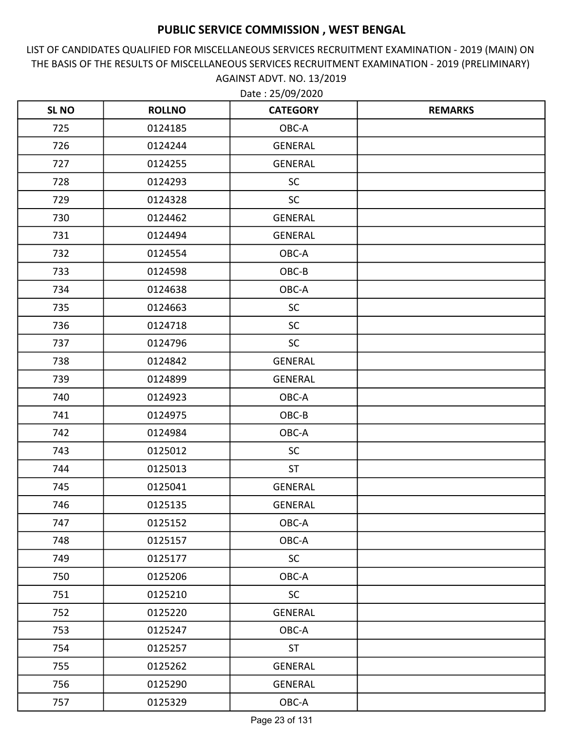LIST OF CANDIDATES QUALIFIED FOR MISCELLANEOUS SERVICES RECRUITMENT EXAMINATION - 2019 (MAIN) ON THE BASIS OF THE RESULTS OF MISCELLANEOUS SERVICES RECRUITMENT EXAMINATION - 2019 (PRELIMINARY) AGAINST ADVT. NO. 13/2019

| <b>SL NO</b> | <b>ROLLNO</b> | <b>CATEGORY</b> | <b>REMARKS</b> |
|--------------|---------------|-----------------|----------------|
| 725          | 0124185       | OBC-A           |                |
| 726          | 0124244       | <b>GENERAL</b>  |                |
| 727          | 0124255       | GENERAL         |                |
| 728          | 0124293       | <b>SC</b>       |                |
| 729          | 0124328       | SC              |                |
| 730          | 0124462       | GENERAL         |                |
| 731          | 0124494       | <b>GENERAL</b>  |                |
| 732          | 0124554       | OBC-A           |                |
| 733          | 0124598       | OBC-B           |                |
| 734          | 0124638       | OBC-A           |                |
| 735          | 0124663       | <b>SC</b>       |                |
| 736          | 0124718       | <b>SC</b>       |                |
| 737          | 0124796       | <b>SC</b>       |                |
| 738          | 0124842       | <b>GENERAL</b>  |                |
| 739          | 0124899       | <b>GENERAL</b>  |                |
| 740          | 0124923       | OBC-A           |                |
| 741          | 0124975       | OBC-B           |                |
| 742          | 0124984       | OBC-A           |                |
| 743          | 0125012       | <b>SC</b>       |                |
| 744          | 0125013       | <b>ST</b>       |                |
| 745          | 0125041       | <b>GENERAL</b>  |                |
| 746          | 0125135       | <b>GENERAL</b>  |                |
| 747          | 0125152       | OBC-A           |                |
| 748          | 0125157       | OBC-A           |                |
| 749          | 0125177       | <b>SC</b>       |                |
| 750          | 0125206       | OBC-A           |                |
| 751          | 0125210       | SC              |                |
| 752          | 0125220       | GENERAL         |                |
| 753          | 0125247       | OBC-A           |                |
| 754          | 0125257       | <b>ST</b>       |                |
| 755          | 0125262       | GENERAL         |                |
| 756          | 0125290       | GENERAL         |                |
| 757          | 0125329       | OBC-A           |                |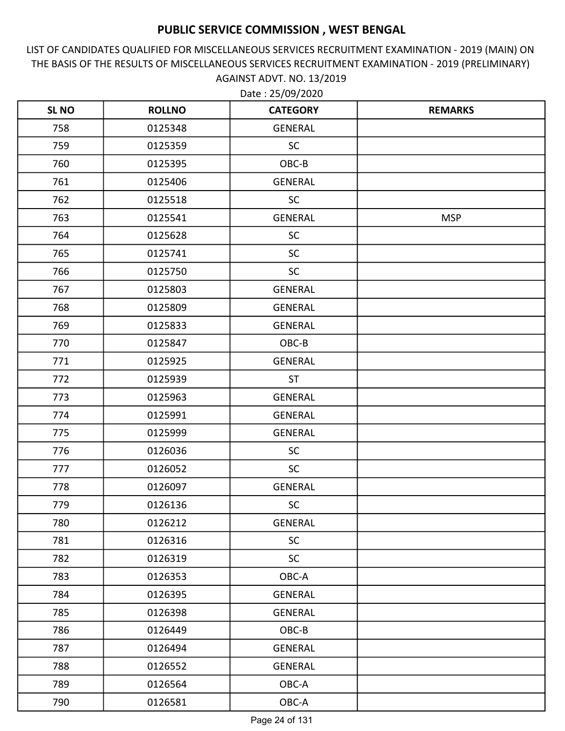LIST OF CANDIDATES QUALIFIED FOR MISCELLANEOUS SERVICES RECRUITMENT EXAMINATION - 2019 (MAIN) ON THE BASIS OF THE RESULTS OF MISCELLANEOUS SERVICES RECRUITMENT EXAMINATION - 2019 (PRELIMINARY) AGAINST ADVT. NO. 13/2019

| <b>SL NO</b> | <b>ROLLNO</b> | <b>CATEGORY</b> | <b>REMARKS</b> |
|--------------|---------------|-----------------|----------------|
| 758          | 0125348       | <b>GENERAL</b>  |                |
| 759          | 0125359       | <b>SC</b>       |                |
| 760          | 0125395       | OBC-B           |                |
| 761          | 0125406       | <b>GENERAL</b>  |                |
| 762          | 0125518       | <b>SC</b>       |                |
| 763          | 0125541       | <b>GENERAL</b>  | <b>MSP</b>     |
| 764          | 0125628       | <b>SC</b>       |                |
| 765          | 0125741       | <b>SC</b>       |                |
| 766          | 0125750       | <b>SC</b>       |                |
| 767          | 0125803       | <b>GENERAL</b>  |                |
| 768          | 0125809       | <b>GENERAL</b>  |                |
| 769          | 0125833       | <b>GENERAL</b>  |                |
| 770          | 0125847       | OBC-B           |                |
| 771          | 0125925       | <b>GENERAL</b>  |                |
| 772          | 0125939       | <b>ST</b>       |                |
| 773          | 0125963       | GENERAL         |                |
| 774          | 0125991       | <b>GENERAL</b>  |                |
| 775          | 0125999       | <b>GENERAL</b>  |                |
| 776          | 0126036       | <b>SC</b>       |                |
| 777          | 0126052       | <b>SC</b>       |                |
| 778          | 0126097       | <b>GENERAL</b>  |                |
| 779          | 0126136       | <b>SC</b>       |                |
| 780          | 0126212       | GENERAL         |                |
| 781          | 0126316       | <b>SC</b>       |                |
| 782          | 0126319       | <b>SC</b>       |                |
| 783          | 0126353       | OBC-A           |                |
| 784          | 0126395       | GENERAL         |                |
| 785          | 0126398       | GENERAL         |                |
| 786          | 0126449       | OBC-B           |                |
| 787          | 0126494       | <b>GENERAL</b>  |                |
| 788          | 0126552       | GENERAL         |                |
| 789          | 0126564       | OBC-A           |                |
| 790          | 0126581       | OBC-A           |                |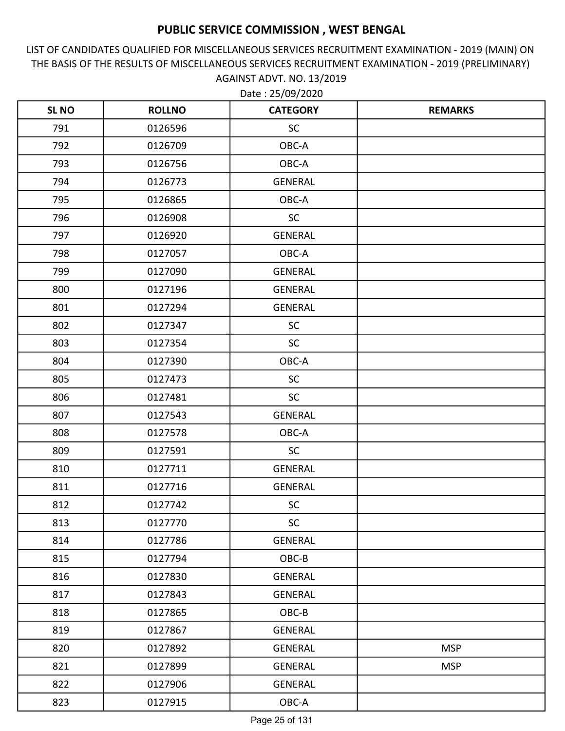LIST OF CANDIDATES QUALIFIED FOR MISCELLANEOUS SERVICES RECRUITMENT EXAMINATION - 2019 (MAIN) ON THE BASIS OF THE RESULTS OF MISCELLANEOUS SERVICES RECRUITMENT EXAMINATION - 2019 (PRELIMINARY) AGAINST ADVT. NO. 13/2019 Date : 25/09/2020

| <b>SLNO</b> | <b>ROLLNO</b> | <b>CATEGORY</b> | <b>REMARKS</b> |
|-------------|---------------|-----------------|----------------|
| 791         | 0126596       | <b>SC</b>       |                |
| 792         | 0126709       | OBC-A           |                |
| 793         | 0126756       | OBC-A           |                |
| 794         | 0126773       | GENERAL         |                |
| 795         | 0126865       | OBC-A           |                |
| 796         | 0126908       | SC              |                |
| 797         | 0126920       | <b>GENERAL</b>  |                |
| 798         | 0127057       | OBC-A           |                |
| 799         | 0127090       | <b>GENERAL</b>  |                |
| 800         | 0127196       | <b>GENERAL</b>  |                |
| 801         | 0127294       | <b>GENERAL</b>  |                |
| 802         | 0127347       | <b>SC</b>       |                |
| 803         | 0127354       | <b>SC</b>       |                |
| 804         | 0127390       | OBC-A           |                |
| 805         | 0127473       | <b>SC</b>       |                |
| 806         | 0127481       | <b>SC</b>       |                |
| 807         | 0127543       | <b>GENERAL</b>  |                |
| 808         | 0127578       | OBC-A           |                |
| 809         | 0127591       | <b>SC</b>       |                |
| 810         | 0127711       | GENERAL         |                |
| 811         | 0127716       | <b>GENERAL</b>  |                |
| 812         | 0127742       | <b>SC</b>       |                |
| 813         | 0127770       | <b>SC</b>       |                |
| 814         | 0127786       | GENERAL         |                |
| 815         | 0127794       | OBC-B           |                |
| 816         | 0127830       | GENERAL         |                |
| 817         | 0127843       | <b>GENERAL</b>  |                |
| 818         | 0127865       | OBC-B           |                |
| 819         | 0127867       | GENERAL         |                |
| 820         | 0127892       | <b>GENERAL</b>  | <b>MSP</b>     |
| 821         | 0127899       | GENERAL         | <b>MSP</b>     |
| 822         | 0127906       | GENERAL         |                |
| 823         | 0127915       | OBC-A           |                |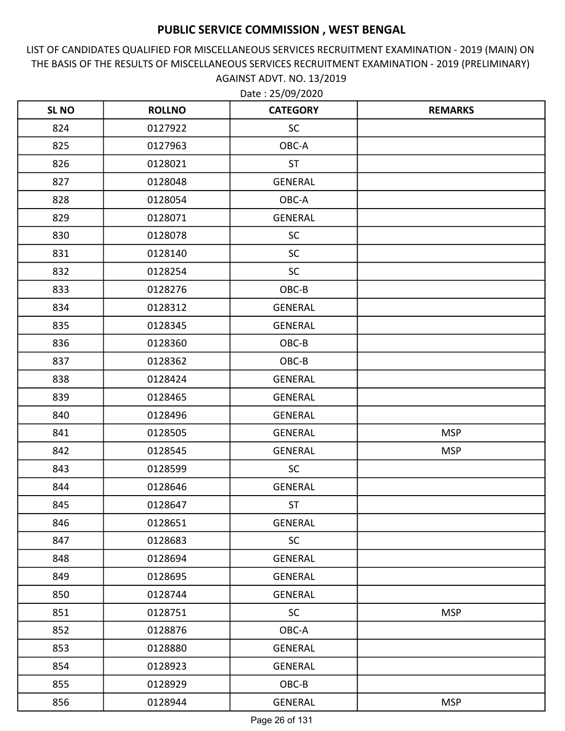LIST OF CANDIDATES QUALIFIED FOR MISCELLANEOUS SERVICES RECRUITMENT EXAMINATION - 2019 (MAIN) ON THE BASIS OF THE RESULTS OF MISCELLANEOUS SERVICES RECRUITMENT EXAMINATION - 2019 (PRELIMINARY) AGAINST ADVT. NO. 13/2019

| <b>SL NO</b> | <b>ROLLNO</b> | <b>CATEGORY</b> | <b>REMARKS</b> |
|--------------|---------------|-----------------|----------------|
| 824          | 0127922       | <b>SC</b>       |                |
| 825          | 0127963       | OBC-A           |                |
| 826          | 0128021       | <b>ST</b>       |                |
| 827          | 0128048       | <b>GENERAL</b>  |                |
| 828          | 0128054       | OBC-A           |                |
| 829          | 0128071       | <b>GENERAL</b>  |                |
| 830          | 0128078       | <b>SC</b>       |                |
| 831          | 0128140       | <b>SC</b>       |                |
| 832          | 0128254       | <b>SC</b>       |                |
| 833          | 0128276       | OBC-B           |                |
| 834          | 0128312       | <b>GENERAL</b>  |                |
| 835          | 0128345       | <b>GENERAL</b>  |                |
| 836          | 0128360       | OBC-B           |                |
| 837          | 0128362       | OBC-B           |                |
| 838          | 0128424       | <b>GENERAL</b>  |                |
| 839          | 0128465       | <b>GENERAL</b>  |                |
| 840          | 0128496       | <b>GENERAL</b>  |                |
| 841          | 0128505       | <b>GENERAL</b>  | <b>MSP</b>     |
| 842          | 0128545       | <b>GENERAL</b>  | <b>MSP</b>     |
| 843          | 0128599       | <b>SC</b>       |                |
| 844          | 0128646       | <b>GENERAL</b>  |                |
| 845          | 0128647       | <b>ST</b>       |                |
| 846          | 0128651       | <b>GENERAL</b>  |                |
| 847          | 0128683       | <b>SC</b>       |                |
| 848          | 0128694       | GENERAL         |                |
| 849          | 0128695       | GENERAL         |                |
| 850          | 0128744       | <b>GENERAL</b>  |                |
| 851          | 0128751       | <b>SC</b>       | <b>MSP</b>     |
| 852          | 0128876       | OBC-A           |                |
| 853          | 0128880       | <b>GENERAL</b>  |                |
| 854          | 0128923       | <b>GENERAL</b>  |                |
| 855          | 0128929       | OBC-B           |                |
| 856          | 0128944       | GENERAL         | <b>MSP</b>     |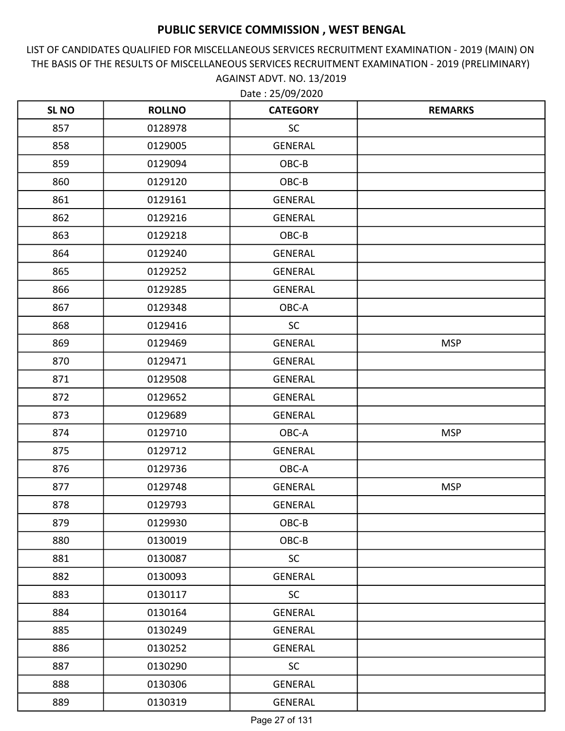LIST OF CANDIDATES QUALIFIED FOR MISCELLANEOUS SERVICES RECRUITMENT EXAMINATION - 2019 (MAIN) ON THE BASIS OF THE RESULTS OF MISCELLANEOUS SERVICES RECRUITMENT EXAMINATION - 2019 (PRELIMINARY) AGAINST ADVT. NO. 13/2019

| <b>SLNO</b> | <b>ROLLNO</b> | <b>CATEGORY</b> | <b>REMARKS</b> |
|-------------|---------------|-----------------|----------------|
| 857         | 0128978       | SC              |                |
| 858         | 0129005       | GENERAL         |                |
| 859         | 0129094       | OBC-B           |                |
| 860         | 0129120       | OBC-B           |                |
| 861         | 0129161       | <b>GENERAL</b>  |                |
| 862         | 0129216       | GENERAL         |                |
| 863         | 0129218       | OBC-B           |                |
| 864         | 0129240       | GENERAL         |                |
| 865         | 0129252       | GENERAL         |                |
| 866         | 0129285       | GENERAL         |                |
| 867         | 0129348       | OBC-A           |                |
| 868         | 0129416       | <b>SC</b>       |                |
| 869         | 0129469       | GENERAL         | <b>MSP</b>     |
| 870         | 0129471       | <b>GENERAL</b>  |                |
| 871         | 0129508       | GENERAL         |                |
| 872         | 0129652       | GENERAL         |                |
| 873         | 0129689       | GENERAL         |                |
| 874         | 0129710       | OBC-A           | <b>MSP</b>     |
| 875         | 0129712       | GENERAL         |                |
| 876         | 0129736       | OBC-A           |                |
| 877         | 0129748       | GENERAL         | <b>MSP</b>     |
| 878         | 0129793       | <b>GENERAL</b>  |                |
| 879         | 0129930       | OBC-B           |                |
| 880         | 0130019       | OBC-B           |                |
| 881         | 0130087       | SC              |                |
| 882         | 0130093       | GENERAL         |                |
| 883         | 0130117       | <b>SC</b>       |                |
| 884         | 0130164       | GENERAL         |                |
| 885         | 0130249       | GENERAL         |                |
| 886         | 0130252       | <b>GENERAL</b>  |                |
| 887         | 0130290       | <b>SC</b>       |                |
| 888         | 0130306       | GENERAL         |                |
| 889         | 0130319       | GENERAL         |                |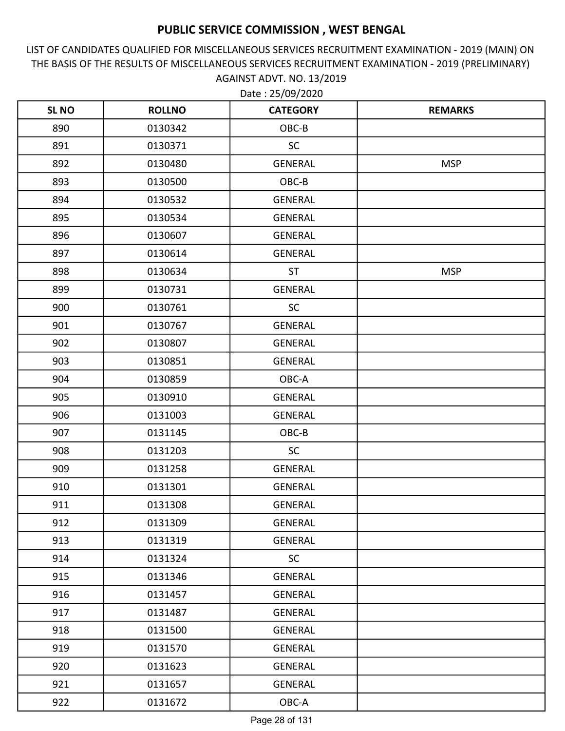LIST OF CANDIDATES QUALIFIED FOR MISCELLANEOUS SERVICES RECRUITMENT EXAMINATION - 2019 (MAIN) ON THE BASIS OF THE RESULTS OF MISCELLANEOUS SERVICES RECRUITMENT EXAMINATION - 2019 (PRELIMINARY) AGAINST ADVT. NO. 13/2019

| <b>SLNO</b> | <b>ROLLNO</b> | <b>CATEGORY</b> | <b>REMARKS</b> |
|-------------|---------------|-----------------|----------------|
| 890         | 0130342       | OBC-B           |                |
| 891         | 0130371       | <b>SC</b>       |                |
| 892         | 0130480       | <b>GENERAL</b>  | <b>MSP</b>     |
| 893         | 0130500       | OBC-B           |                |
| 894         | 0130532       | <b>GENERAL</b>  |                |
| 895         | 0130534       | <b>GENERAL</b>  |                |
| 896         | 0130607       | <b>GENERAL</b>  |                |
| 897         | 0130614       | <b>GENERAL</b>  |                |
| 898         | 0130634       | <b>ST</b>       | <b>MSP</b>     |
| 899         | 0130731       | <b>GENERAL</b>  |                |
| 900         | 0130761       | <b>SC</b>       |                |
| 901         | 0130767       | <b>GENERAL</b>  |                |
| 902         | 0130807       | <b>GENERAL</b>  |                |
| 903         | 0130851       | <b>GENERAL</b>  |                |
| 904         | 0130859       | OBC-A           |                |
| 905         | 0130910       | <b>GENERAL</b>  |                |
| 906         | 0131003       | <b>GENERAL</b>  |                |
| 907         | 0131145       | OBC-B           |                |
| 908         | 0131203       | <b>SC</b>       |                |
| 909         | 0131258       | <b>GENERAL</b>  |                |
| 910         | 0131301       | <b>GENERAL</b>  |                |
| 911         | 0131308       | <b>GENERAL</b>  |                |
| 912         | 0131309       | <b>GENERAL</b>  |                |
| 913         | 0131319       | <b>GENERAL</b>  |                |
| 914         | 0131324       | <b>SC</b>       |                |
| 915         | 0131346       | GENERAL         |                |
| 916         | 0131457       | <b>GENERAL</b>  |                |
| 917         | 0131487       | <b>GENERAL</b>  |                |
| 918         | 0131500       | GENERAL         |                |
| 919         | 0131570       | <b>GENERAL</b>  |                |
| 920         | 0131623       | GENERAL         |                |
| 921         | 0131657       | <b>GENERAL</b>  |                |
| 922         | 0131672       | OBC-A           |                |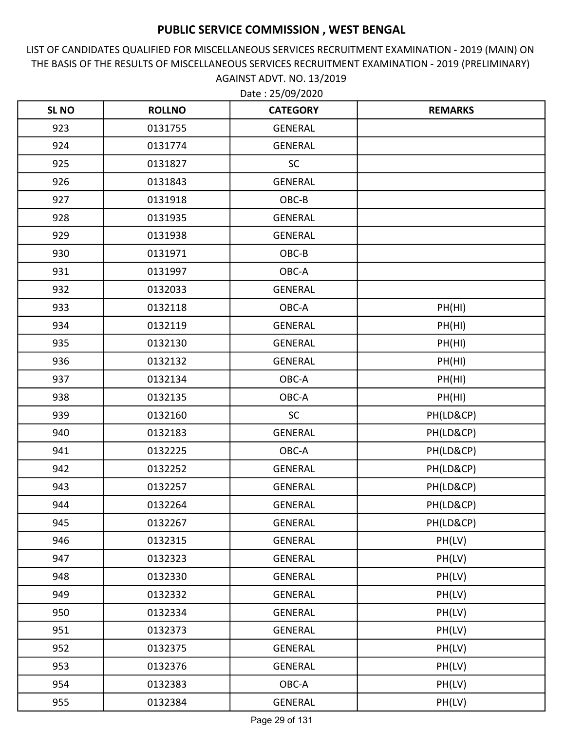LIST OF CANDIDATES QUALIFIED FOR MISCELLANEOUS SERVICES RECRUITMENT EXAMINATION - 2019 (MAIN) ON THE BASIS OF THE RESULTS OF MISCELLANEOUS SERVICES RECRUITMENT EXAMINATION - 2019 (PRELIMINARY) AGAINST ADVT. NO. 13/2019

| <b>SLNO</b> | <b>ROLLNO</b> | <b>CATEGORY</b> | <b>REMARKS</b> |
|-------------|---------------|-----------------|----------------|
| 923         | 0131755       | <b>GENERAL</b>  |                |
| 924         | 0131774       | <b>GENERAL</b>  |                |
| 925         | 0131827       | <b>SC</b>       |                |
| 926         | 0131843       | <b>GENERAL</b>  |                |
| 927         | 0131918       | OBC-B           |                |
| 928         | 0131935       | <b>GENERAL</b>  |                |
| 929         | 0131938       | <b>GENERAL</b>  |                |
| 930         | 0131971       | OBC-B           |                |
| 931         | 0131997       | OBC-A           |                |
| 932         | 0132033       | <b>GENERAL</b>  |                |
| 933         | 0132118       | OBC-A           | PH(HI)         |
| 934         | 0132119       | <b>GENERAL</b>  | PH(HI)         |
| 935         | 0132130       | <b>GENERAL</b>  | PH(HI)         |
| 936         | 0132132       | <b>GENERAL</b>  | PH(HI)         |
| 937         | 0132134       | OBC-A           | PH(HI)         |
| 938         | 0132135       | OBC-A           | PH(HI)         |
| 939         | 0132160       | <b>SC</b>       | PH(LD&CP)      |
| 940         | 0132183       | <b>GENERAL</b>  | PH(LD&CP)      |
| 941         | 0132225       | OBC-A           | PH(LD&CP)      |
| 942         | 0132252       | <b>GENERAL</b>  | PH(LD&CP)      |
| 943         | 0132257       | <b>GENERAL</b>  | PH(LD&CP)      |
| 944         | 0132264       | <b>GENERAL</b>  | PH(LD&CP)      |
| 945         | 0132267       | <b>GENERAL</b>  | PH(LD&CP)      |
| 946         | 0132315       | <b>GENERAL</b>  | PH(LV)         |
| 947         | 0132323       | GENERAL         | PH(LV)         |
| 948         | 0132330       | GENERAL         | PH(LV)         |
| 949         | 0132332       | <b>GENERAL</b>  | PH(LV)         |
| 950         | 0132334       | <b>GENERAL</b>  | PH(LV)         |
| 951         | 0132373       | GENERAL         | PH(LV)         |
| 952         | 0132375       | <b>GENERAL</b>  | PH(LV)         |
| 953         | 0132376       | GENERAL         | PH(LV)         |
| 954         | 0132383       | OBC-A           | PH(LV)         |
| 955         | 0132384       | GENERAL         | PH(LV)         |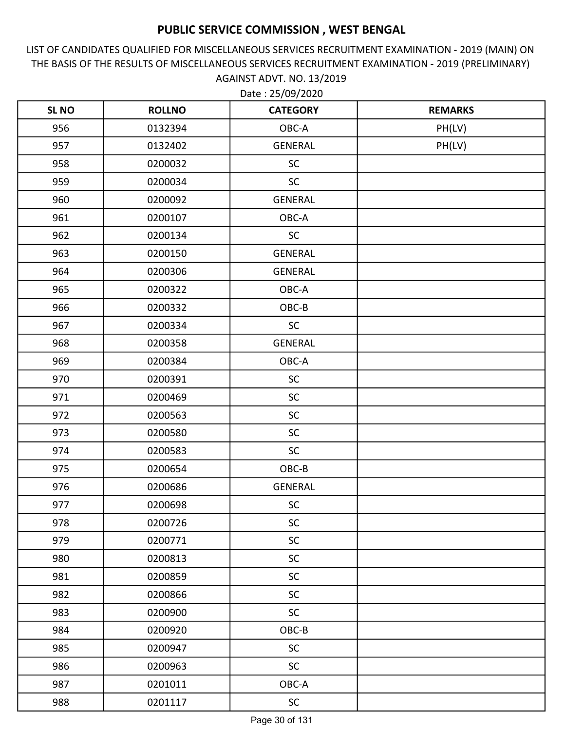LIST OF CANDIDATES QUALIFIED FOR MISCELLANEOUS SERVICES RECRUITMENT EXAMINATION - 2019 (MAIN) ON THE BASIS OF THE RESULTS OF MISCELLANEOUS SERVICES RECRUITMENT EXAMINATION - 2019 (PRELIMINARY) AGAINST ADVT. NO. 13/2019

| <b>SL NO</b> | <b>ROLLNO</b> | <b>CATEGORY</b> | <b>REMARKS</b> |
|--------------|---------------|-----------------|----------------|
| 956          | 0132394       | OBC-A           | PH(LV)         |
| 957          | 0132402       | <b>GENERAL</b>  | PH(LV)         |
| 958          | 0200032       | <b>SC</b>       |                |
| 959          | 0200034       | <b>SC</b>       |                |
| 960          | 0200092       | <b>GENERAL</b>  |                |
| 961          | 0200107       | OBC-A           |                |
| 962          | 0200134       | <b>SC</b>       |                |
| 963          | 0200150       | GENERAL         |                |
| 964          | 0200306       | <b>GENERAL</b>  |                |
| 965          | 0200322       | OBC-A           |                |
| 966          | 0200332       | OBC-B           |                |
| 967          | 0200334       | <b>SC</b>       |                |
| 968          | 0200358       | <b>GENERAL</b>  |                |
| 969          | 0200384       | OBC-A           |                |
| 970          | 0200391       | <b>SC</b>       |                |
| 971          | 0200469       | <b>SC</b>       |                |
| 972          | 0200563       | SC              |                |
| 973          | 0200580       | <b>SC</b>       |                |
| 974          | 0200583       | <b>SC</b>       |                |
| 975          | 0200654       | OBC-B           |                |
| 976          | 0200686       | <b>GENERAL</b>  |                |
| 977          | 0200698       | <b>SC</b>       |                |
| 978          | 0200726       | <b>SC</b>       |                |
| 979          | 0200771       | <b>SC</b>       |                |
| 980          | 0200813       | <b>SC</b>       |                |
| 981          | 0200859       | <b>SC</b>       |                |
| 982          | 0200866       | SC              |                |
| 983          | 0200900       | <b>SC</b>       |                |
| 984          | 0200920       | $OBC-B$         |                |
| 985          | 0200947       | <b>SC</b>       |                |
| 986          | 0200963       | SC              |                |
| 987          | 0201011       | OBC-A           |                |
| 988          | 0201117       | SC              |                |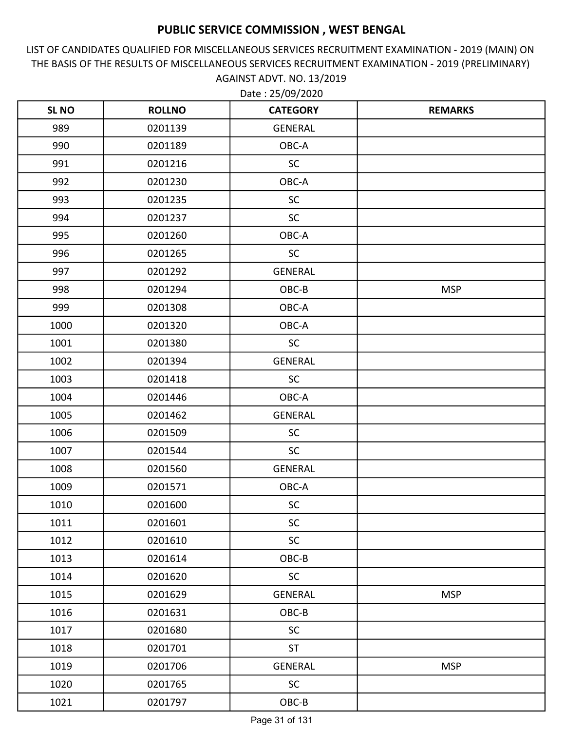LIST OF CANDIDATES QUALIFIED FOR MISCELLANEOUS SERVICES RECRUITMENT EXAMINATION - 2019 (MAIN) ON THE BASIS OF THE RESULTS OF MISCELLANEOUS SERVICES RECRUITMENT EXAMINATION - 2019 (PRELIMINARY) AGAINST ADVT. NO. 13/2019

| <b>SLNO</b> | <b>ROLLNO</b> | <b>CATEGORY</b> | <b>REMARKS</b> |
|-------------|---------------|-----------------|----------------|
| 989         | 0201139       | <b>GENERAL</b>  |                |
| 990         | 0201189       | OBC-A           |                |
| 991         | 0201216       | <b>SC</b>       |                |
| 992         | 0201230       | OBC-A           |                |
| 993         | 0201235       | <b>SC</b>       |                |
| 994         | 0201237       | <b>SC</b>       |                |
| 995         | 0201260       | OBC-A           |                |
| 996         | 0201265       | <b>SC</b>       |                |
| 997         | 0201292       | <b>GENERAL</b>  |                |
| 998         | 0201294       | OBC-B           | <b>MSP</b>     |
| 999         | 0201308       | OBC-A           |                |
| 1000        | 0201320       | OBC-A           |                |
| 1001        | 0201380       | <b>SC</b>       |                |
| 1002        | 0201394       | <b>GENERAL</b>  |                |
| 1003        | 0201418       | <b>SC</b>       |                |
| 1004        | 0201446       | OBC-A           |                |
| 1005        | 0201462       | <b>GENERAL</b>  |                |
| 1006        | 0201509       | <b>SC</b>       |                |
| 1007        | 0201544       | <b>SC</b>       |                |
| 1008        | 0201560       | <b>GENERAL</b>  |                |
| 1009        | 0201571       | OBC-A           |                |
| 1010        | 0201600       | <b>SC</b>       |                |
| 1011        | 0201601       | <b>SC</b>       |                |
| 1012        | 0201610       | <b>SC</b>       |                |
| 1013        | 0201614       | OBC-B           |                |
| 1014        | 0201620       | <b>SC</b>       |                |
| 1015        | 0201629       | <b>GENERAL</b>  | <b>MSP</b>     |
| 1016        | 0201631       | OBC-B           |                |
| 1017        | 0201680       | <b>SC</b>       |                |
| 1018        | 0201701       | <b>ST</b>       |                |
| 1019        | 0201706       | <b>GENERAL</b>  | <b>MSP</b>     |
| 1020        | 0201765       | <b>SC</b>       |                |
| 1021        | 0201797       | $OBC-B$         |                |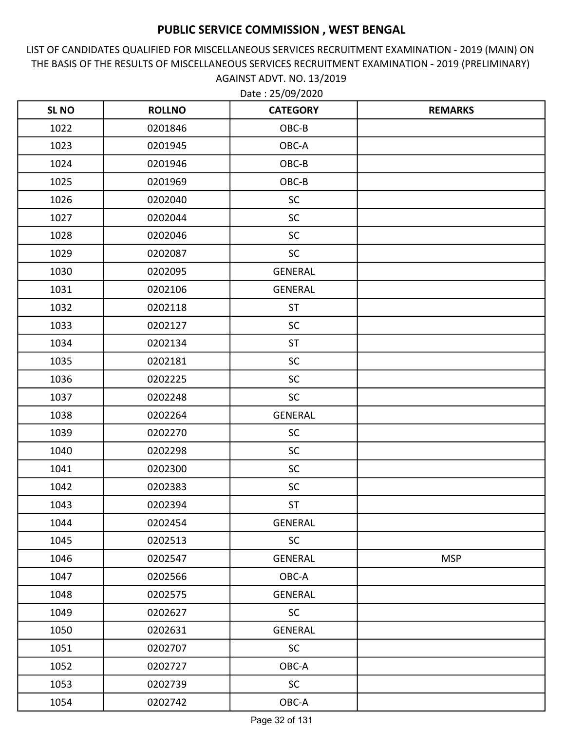LIST OF CANDIDATES QUALIFIED FOR MISCELLANEOUS SERVICES RECRUITMENT EXAMINATION - 2019 (MAIN) ON THE BASIS OF THE RESULTS OF MISCELLANEOUS SERVICES RECRUITMENT EXAMINATION - 2019 (PRELIMINARY) AGAINST ADVT. NO. 13/2019

| <b>SLNO</b> | <b>ROLLNO</b> | <b>CATEGORY</b> | <b>REMARKS</b> |
|-------------|---------------|-----------------|----------------|
| 1022        | 0201846       | OBC-B           |                |
| 1023        | 0201945       | OBC-A           |                |
| 1024        | 0201946       | OBC-B           |                |
| 1025        | 0201969       | OBC-B           |                |
| 1026        | 0202040       | <b>SC</b>       |                |
| 1027        | 0202044       | <b>SC</b>       |                |
| 1028        | 0202046       | <b>SC</b>       |                |
| 1029        | 0202087       | <b>SC</b>       |                |
| 1030        | 0202095       | <b>GENERAL</b>  |                |
| 1031        | 0202106       | <b>GENERAL</b>  |                |
| 1032        | 0202118       | <b>ST</b>       |                |
| 1033        | 0202127       | <b>SC</b>       |                |
| 1034        | 0202134       | ST              |                |
| 1035        | 0202181       | <b>SC</b>       |                |
| 1036        | 0202225       | <b>SC</b>       |                |
| 1037        | 0202248       | <b>SC</b>       |                |
| 1038        | 0202264       | <b>GENERAL</b>  |                |
| 1039        | 0202270       | <b>SC</b>       |                |
| 1040        | 0202298       | <b>SC</b>       |                |
| 1041        | 0202300       | <b>SC</b>       |                |
| 1042        | 0202383       | <b>SC</b>       |                |
| 1043        | 0202394       | ST              |                |
| 1044        | 0202454       | <b>GENERAL</b>  |                |
| 1045        | 0202513       | <b>SC</b>       |                |
| 1046        | 0202547       | GENERAL         | <b>MSP</b>     |
| 1047        | 0202566       | OBC-A           |                |
| 1048        | 0202575       | <b>GENERAL</b>  |                |
| 1049        | 0202627       | <b>SC</b>       |                |
| 1050        | 0202631       | GENERAL         |                |
| 1051        | 0202707       | <b>SC</b>       |                |
| 1052        | 0202727       | OBC-A           |                |
| 1053        | 0202739       | <b>SC</b>       |                |
| 1054        | 0202742       | OBC-A           |                |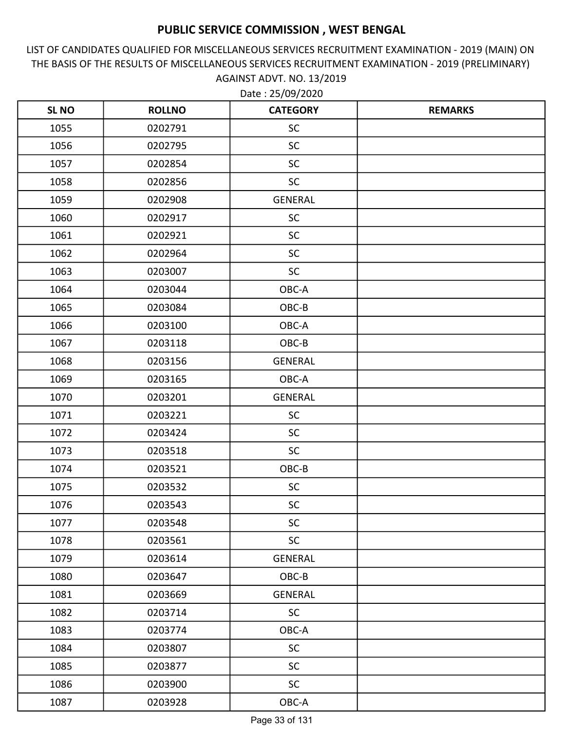LIST OF CANDIDATES QUALIFIED FOR MISCELLANEOUS SERVICES RECRUITMENT EXAMINATION - 2019 (MAIN) ON THE BASIS OF THE RESULTS OF MISCELLANEOUS SERVICES RECRUITMENT EXAMINATION - 2019 (PRELIMINARY) AGAINST ADVT. NO. 13/2019

| <b>SL NO</b> | <b>ROLLNO</b> | <b>CATEGORY</b> | <b>REMARKS</b> |
|--------------|---------------|-----------------|----------------|
| 1055         | 0202791       | <b>SC</b>       |                |
| 1056         | 0202795       | <b>SC</b>       |                |
| 1057         | 0202854       | <b>SC</b>       |                |
| 1058         | 0202856       | <b>SC</b>       |                |
| 1059         | 0202908       | <b>GENERAL</b>  |                |
| 1060         | 0202917       | <b>SC</b>       |                |
| 1061         | 0202921       | <b>SC</b>       |                |
| 1062         | 0202964       | <b>SC</b>       |                |
| 1063         | 0203007       | <b>SC</b>       |                |
| 1064         | 0203044       | OBC-A           |                |
| 1065         | 0203084       | OBC-B           |                |
| 1066         | 0203100       | OBC-A           |                |
| 1067         | 0203118       | OBC-B           |                |
| 1068         | 0203156       | <b>GENERAL</b>  |                |
| 1069         | 0203165       | OBC-A           |                |
| 1070         | 0203201       | <b>GENERAL</b>  |                |
| 1071         | 0203221       | <b>SC</b>       |                |
| 1072         | 0203424       | <b>SC</b>       |                |
| 1073         | 0203518       | <b>SC</b>       |                |
| 1074         | 0203521       | OBC-B           |                |
| 1075         | 0203532       | <b>SC</b>       |                |
| 1076         | 0203543       | <b>SC</b>       |                |
| 1077         | 0203548       | <b>SC</b>       |                |
| 1078         | 0203561       | <b>SC</b>       |                |
| 1079         | 0203614       | <b>GENERAL</b>  |                |
| 1080         | 0203647       | OBC-B           |                |
| 1081         | 0203669       | <b>GENERAL</b>  |                |
| 1082         | 0203714       | <b>SC</b>       |                |
| 1083         | 0203774       | OBC-A           |                |
| 1084         | 0203807       | <b>SC</b>       |                |
| 1085         | 0203877       | <b>SC</b>       |                |
| 1086         | 0203900       | <b>SC</b>       |                |
| 1087         | 0203928       | $OBC-A$         |                |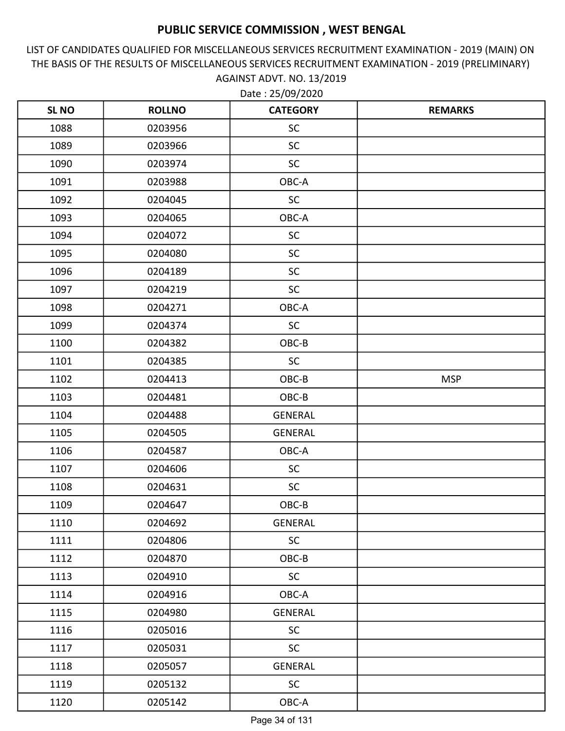LIST OF CANDIDATES QUALIFIED FOR MISCELLANEOUS SERVICES RECRUITMENT EXAMINATION - 2019 (MAIN) ON THE BASIS OF THE RESULTS OF MISCELLANEOUS SERVICES RECRUITMENT EXAMINATION - 2019 (PRELIMINARY) AGAINST ADVT. NO. 13/2019

| <b>SLNO</b> | <b>ROLLNO</b> | <b>CATEGORY</b> | <b>REMARKS</b> |
|-------------|---------------|-----------------|----------------|
| 1088        | 0203956       | <b>SC</b>       |                |
| 1089        | 0203966       | <b>SC</b>       |                |
| 1090        | 0203974       | <b>SC</b>       |                |
| 1091        | 0203988       | OBC-A           |                |
| 1092        | 0204045       | <b>SC</b>       |                |
| 1093        | 0204065       | OBC-A           |                |
| 1094        | 0204072       | <b>SC</b>       |                |
| 1095        | 0204080       | <b>SC</b>       |                |
| 1096        | 0204189       | <b>SC</b>       |                |
| 1097        | 0204219       | <b>SC</b>       |                |
| 1098        | 0204271       | OBC-A           |                |
| 1099        | 0204374       | <b>SC</b>       |                |
| 1100        | 0204382       | OBC-B           |                |
| 1101        | 0204385       | SC              |                |
| 1102        | 0204413       | OBC-B           | <b>MSP</b>     |
| 1103        | 0204481       | OBC-B           |                |
| 1104        | 0204488       | <b>GENERAL</b>  |                |
| 1105        | 0204505       | <b>GENERAL</b>  |                |
| 1106        | 0204587       | OBC-A           |                |
| 1107        | 0204606       | <b>SC</b>       |                |
| 1108        | 0204631       | <b>SC</b>       |                |
| 1109        | 0204647       | OBC-B           |                |
| 1110        | 0204692       | <b>GENERAL</b>  |                |
| 1111        | 0204806       | <b>SC</b>       |                |
| 1112        | 0204870       | OBC-B           |                |
| 1113        | 0204910       | <b>SC</b>       |                |
| 1114        | 0204916       | OBC-A           |                |
| 1115        | 0204980       | <b>GENERAL</b>  |                |
| 1116        | 0205016       | <b>SC</b>       |                |
| 1117        | 0205031       | <b>SC</b>       |                |
| 1118        | 0205057       | <b>GENERAL</b>  |                |
| 1119        | 0205132       | <b>SC</b>       |                |
| 1120        | 0205142       | OBC-A           |                |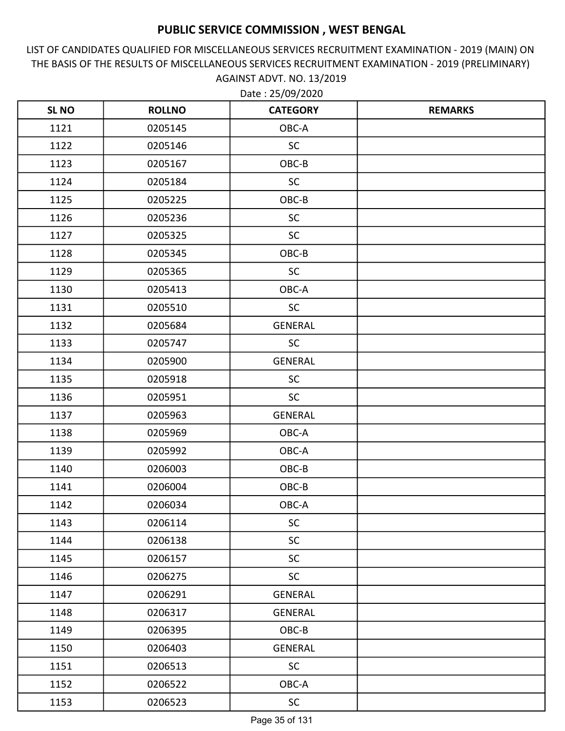LIST OF CANDIDATES QUALIFIED FOR MISCELLANEOUS SERVICES RECRUITMENT EXAMINATION - 2019 (MAIN) ON THE BASIS OF THE RESULTS OF MISCELLANEOUS SERVICES RECRUITMENT EXAMINATION - 2019 (PRELIMINARY) AGAINST ADVT. NO. 13/2019

| <b>SLNO</b> | <b>ROLLNO</b> | <b>CATEGORY</b> | <b>REMARKS</b> |
|-------------|---------------|-----------------|----------------|
| 1121        | 0205145       | OBC-A           |                |
| 1122        | 0205146       | SC              |                |
| 1123        | 0205167       | OBC-B           |                |
| 1124        | 0205184       | <b>SC</b>       |                |
| 1125        | 0205225       | OBC-B           |                |
| 1126        | 0205236       | <b>SC</b>       |                |
| 1127        | 0205325       | <b>SC</b>       |                |
| 1128        | 0205345       | OBC-B           |                |
| 1129        | 0205365       | <b>SC</b>       |                |
| 1130        | 0205413       | OBC-A           |                |
| 1131        | 0205510       | <b>SC</b>       |                |
| 1132        | 0205684       | <b>GENERAL</b>  |                |
| 1133        | 0205747       | <b>SC</b>       |                |
| 1134        | 0205900       | <b>GENERAL</b>  |                |
| 1135        | 0205918       | <b>SC</b>       |                |
| 1136        | 0205951       | <b>SC</b>       |                |
| 1137        | 0205963       | <b>GENERAL</b>  |                |
| 1138        | 0205969       | OBC-A           |                |
| 1139        | 0205992       | OBC-A           |                |
| 1140        | 0206003       | OBC-B           |                |
| 1141        | 0206004       | OBC-B           |                |
| 1142        | 0206034       | OBC-A           |                |
| 1143        | 0206114       | <b>SC</b>       |                |
| 1144        | 0206138       | <b>SC</b>       |                |
| 1145        | 0206157       | <b>SC</b>       |                |
| 1146        | 0206275       | <b>SC</b>       |                |
| 1147        | 0206291       | <b>GENERAL</b>  |                |
| 1148        | 0206317       | GENERAL         |                |
| 1149        | 0206395       | OBC-B           |                |
| 1150        | 0206403       | <b>GENERAL</b>  |                |
| 1151        | 0206513       | SC              |                |
| 1152        | 0206522       | OBC-A           |                |
| 1153        | 0206523       | <b>SC</b>       |                |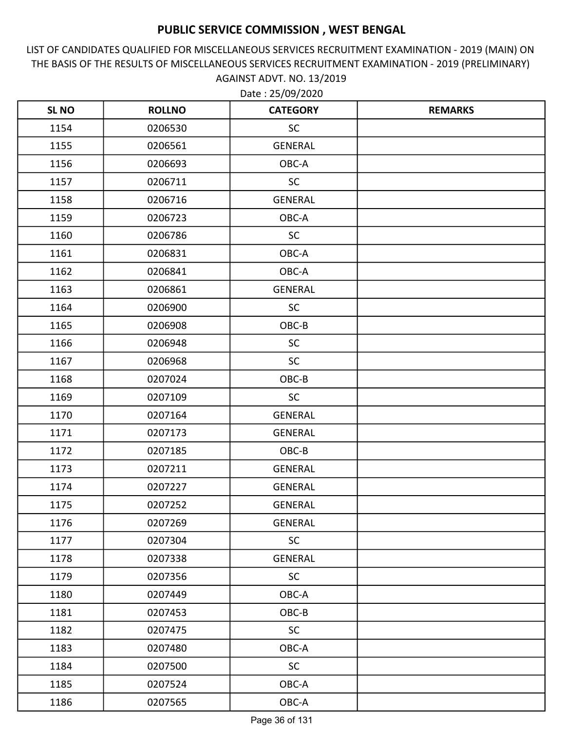LIST OF CANDIDATES QUALIFIED FOR MISCELLANEOUS SERVICES RECRUITMENT EXAMINATION - 2019 (MAIN) ON THE BASIS OF THE RESULTS OF MISCELLANEOUS SERVICES RECRUITMENT EXAMINATION - 2019 (PRELIMINARY) AGAINST ADVT. NO. 13/2019

| <b>SL NO</b> | <b>ROLLNO</b> | <b>CATEGORY</b> | <b>REMARKS</b> |
|--------------|---------------|-----------------|----------------|
| 1154         | 0206530       | SC              |                |
| 1155         | 0206561       | <b>GENERAL</b>  |                |
| 1156         | 0206693       | OBC-A           |                |
| 1157         | 0206711       | <b>SC</b>       |                |
| 1158         | 0206716       | <b>GENERAL</b>  |                |
| 1159         | 0206723       | OBC-A           |                |
| 1160         | 0206786       | <b>SC</b>       |                |
| 1161         | 0206831       | OBC-A           |                |
| 1162         | 0206841       | OBC-A           |                |
| 1163         | 0206861       | <b>GENERAL</b>  |                |
| 1164         | 0206900       | <b>SC</b>       |                |
| 1165         | 0206908       | OBC-B           |                |
| 1166         | 0206948       | <b>SC</b>       |                |
| 1167         | 0206968       | <b>SC</b>       |                |
| 1168         | 0207024       | OBC-B           |                |
| 1169         | 0207109       | <b>SC</b>       |                |
| 1170         | 0207164       | <b>GENERAL</b>  |                |
| 1171         | 0207173       | <b>GENERAL</b>  |                |
| 1172         | 0207185       | OBC-B           |                |
| 1173         | 0207211       | GENERAL         |                |
| 1174         | 0207227       | <b>GENERAL</b>  |                |
| 1175         | 0207252       | <b>GENERAL</b>  |                |
| 1176         | 0207269       | GENERAL         |                |
| 1177         | 0207304       | <b>SC</b>       |                |
| 1178         | 0207338       | <b>GENERAL</b>  |                |
| 1179         | 0207356       | SC              |                |
| 1180         | 0207449       | OBC-A           |                |
| 1181         | 0207453       | OBC-B           |                |
| 1182         | 0207475       | <b>SC</b>       |                |
| 1183         | 0207480       | OBC-A           |                |
| 1184         | 0207500       | <b>SC</b>       |                |
| 1185         | 0207524       | OBC-A           |                |
| 1186         | 0207565       | OBC-A           |                |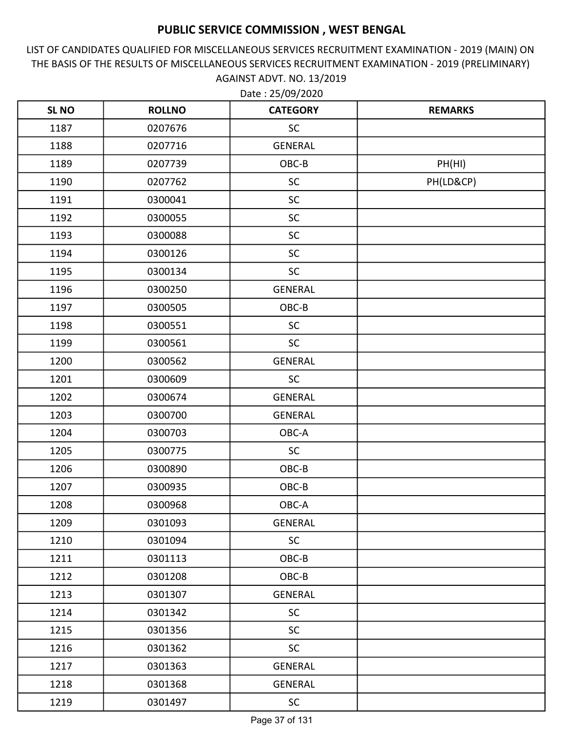LIST OF CANDIDATES QUALIFIED FOR MISCELLANEOUS SERVICES RECRUITMENT EXAMINATION - 2019 (MAIN) ON THE BASIS OF THE RESULTS OF MISCELLANEOUS SERVICES RECRUITMENT EXAMINATION - 2019 (PRELIMINARY) AGAINST ADVT. NO. 13/2019

| <b>SL NO</b> | <b>ROLLNO</b> | <b>CATEGORY</b> | <b>REMARKS</b> |
|--------------|---------------|-----------------|----------------|
| 1187         | 0207676       | <b>SC</b>       |                |
| 1188         | 0207716       | <b>GENERAL</b>  |                |
| 1189         | 0207739       | OBC-B           | PH(HI)         |
| 1190         | 0207762       | <b>SC</b>       | PH(LD&CP)      |
| 1191         | 0300041       | <b>SC</b>       |                |
| 1192         | 0300055       | <b>SC</b>       |                |
| 1193         | 0300088       | <b>SC</b>       |                |
| 1194         | 0300126       | <b>SC</b>       |                |
| 1195         | 0300134       | <b>SC</b>       |                |
| 1196         | 0300250       | <b>GENERAL</b>  |                |
| 1197         | 0300505       | OBC-B           |                |
| 1198         | 0300551       | <b>SC</b>       |                |
| 1199         | 0300561       | <b>SC</b>       |                |
| 1200         | 0300562       | <b>GENERAL</b>  |                |
| 1201         | 0300609       | <b>SC</b>       |                |
| 1202         | 0300674       | <b>GENERAL</b>  |                |
| 1203         | 0300700       | <b>GENERAL</b>  |                |
| 1204         | 0300703       | OBC-A           |                |
| 1205         | 0300775       | <b>SC</b>       |                |
| 1206         | 0300890       | OBC-B           |                |
| 1207         | 0300935       | OBC-B           |                |
| 1208         | 0300968       | OBC-A           |                |
| 1209         | 0301093       | <b>GENERAL</b>  |                |
| 1210         | 0301094       | <b>SC</b>       |                |
| 1211         | 0301113       | OBC-B           |                |
| 1212         | 0301208       | OBC-B           |                |
| 1213         | 0301307       | <b>GENERAL</b>  |                |
| 1214         | 0301342       | <b>SC</b>       |                |
| 1215         | 0301356       | <b>SC</b>       |                |
| 1216         | 0301362       | <b>SC</b>       |                |
| 1217         | 0301363       | <b>GENERAL</b>  |                |
| 1218         | 0301368       | <b>GENERAL</b>  |                |
| 1219         | 0301497       | <b>SC</b>       |                |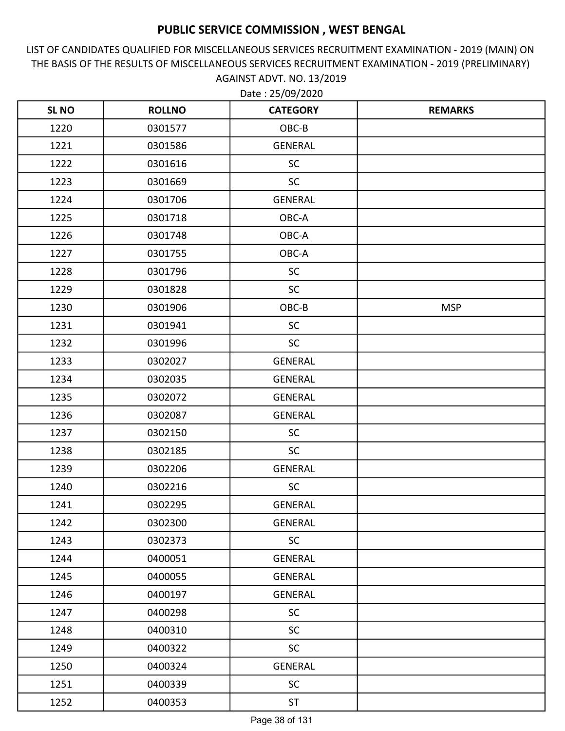LIST OF CANDIDATES QUALIFIED FOR MISCELLANEOUS SERVICES RECRUITMENT EXAMINATION - 2019 (MAIN) ON THE BASIS OF THE RESULTS OF MISCELLANEOUS SERVICES RECRUITMENT EXAMINATION - 2019 (PRELIMINARY) AGAINST ADVT. NO. 13/2019

| <b>SL NO</b> | <b>ROLLNO</b> | <b>CATEGORY</b> | <b>REMARKS</b> |
|--------------|---------------|-----------------|----------------|
| 1220         | 0301577       | OBC-B           |                |
| 1221         | 0301586       | <b>GENERAL</b>  |                |
| 1222         | 0301616       | <b>SC</b>       |                |
| 1223         | 0301669       | <b>SC</b>       |                |
| 1224         | 0301706       | <b>GENERAL</b>  |                |
| 1225         | 0301718       | OBC-A           |                |
| 1226         | 0301748       | OBC-A           |                |
| 1227         | 0301755       | OBC-A           |                |
| 1228         | 0301796       | <b>SC</b>       |                |
| 1229         | 0301828       | SC              |                |
| 1230         | 0301906       | OBC-B           | <b>MSP</b>     |
| 1231         | 0301941       | <b>SC</b>       |                |
| 1232         | 0301996       | <b>SC</b>       |                |
| 1233         | 0302027       | <b>GENERAL</b>  |                |
| 1234         | 0302035       | <b>GENERAL</b>  |                |
| 1235         | 0302072       | GENERAL         |                |
| 1236         | 0302087       | <b>GENERAL</b>  |                |
| 1237         | 0302150       | <b>SC</b>       |                |
| 1238         | 0302185       | <b>SC</b>       |                |
| 1239         | 0302206       | GENERAL         |                |
| 1240         | 0302216       | <b>SC</b>       |                |
| 1241         | 0302295       | <b>GENERAL</b>  |                |
| 1242         | 0302300       | <b>GENERAL</b>  |                |
| 1243         | 0302373       | <b>SC</b>       |                |
| 1244         | 0400051       | GENERAL         |                |
| 1245         | 0400055       | GENERAL         |                |
| 1246         | 0400197       | <b>GENERAL</b>  |                |
| 1247         | 0400298       | <b>SC</b>       |                |
| 1248         | 0400310       | <b>SC</b>       |                |
| 1249         | 0400322       | <b>SC</b>       |                |
| 1250         | 0400324       | GENERAL         |                |
| 1251         | 0400339       | <b>SC</b>       |                |
| 1252         | 0400353       | <b>ST</b>       |                |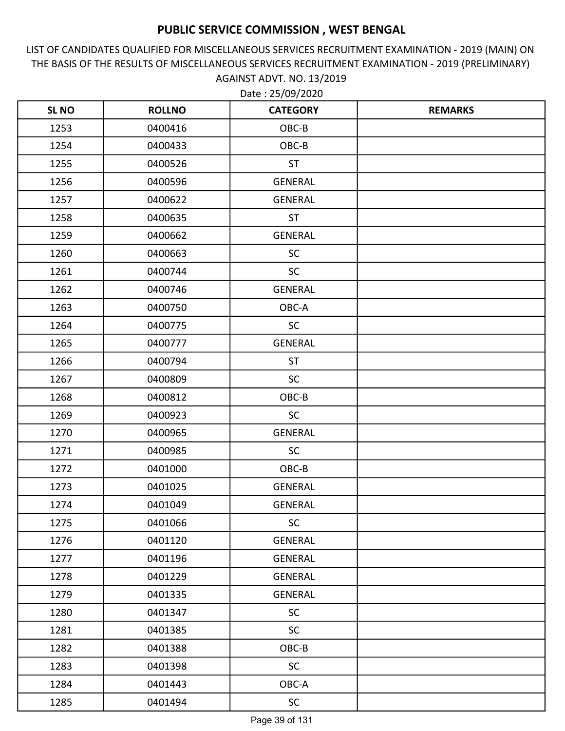LIST OF CANDIDATES QUALIFIED FOR MISCELLANEOUS SERVICES RECRUITMENT EXAMINATION - 2019 (MAIN) ON THE BASIS OF THE RESULTS OF MISCELLANEOUS SERVICES RECRUITMENT EXAMINATION - 2019 (PRELIMINARY) AGAINST ADVT. NO. 13/2019

| <b>SLNO</b> | <b>ROLLNO</b> | <b>CATEGORY</b> | <b>REMARKS</b> |
|-------------|---------------|-----------------|----------------|
| 1253        | 0400416       | OBC-B           |                |
| 1254        | 0400433       | OBC-B           |                |
| 1255        | 0400526       | <b>ST</b>       |                |
| 1256        | 0400596       | <b>GENERAL</b>  |                |
| 1257        | 0400622       | <b>GENERAL</b>  |                |
| 1258        | 0400635       | <b>ST</b>       |                |
| 1259        | 0400662       | <b>GENERAL</b>  |                |
| 1260        | 0400663       | <b>SC</b>       |                |
| 1261        | 0400744       | <b>SC</b>       |                |
| 1262        | 0400746       | <b>GENERAL</b>  |                |
| 1263        | 0400750       | OBC-A           |                |
| 1264        | 0400775       | <b>SC</b>       |                |
| 1265        | 0400777       | <b>GENERAL</b>  |                |
| 1266        | 0400794       | <b>ST</b>       |                |
| 1267        | 0400809       | <b>SC</b>       |                |
| 1268        | 0400812       | OBC-B           |                |
| 1269        | 0400923       | <b>SC</b>       |                |
| 1270        | 0400965       | <b>GENERAL</b>  |                |
| 1271        | 0400985       | <b>SC</b>       |                |
| 1272        | 0401000       | OBC-B           |                |
| 1273        | 0401025       | GENERAL         |                |
| 1274        | 0401049       | <b>GENERAL</b>  |                |
| 1275        | 0401066       | <b>SC</b>       |                |
| 1276        | 0401120       | <b>GENERAL</b>  |                |
| 1277        | 0401196       | GENERAL         |                |
| 1278        | 0401229       | GENERAL         |                |
| 1279        | 0401335       | <b>GENERAL</b>  |                |
| 1280        | 0401347       | <b>SC</b>       |                |
| 1281        | 0401385       | SC              |                |
| 1282        | 0401388       | OBC-B           |                |
| 1283        | 0401398       | <b>SC</b>       |                |
| 1284        | 0401443       | OBC-A           |                |
| 1285        | 0401494       | <b>SC</b>       |                |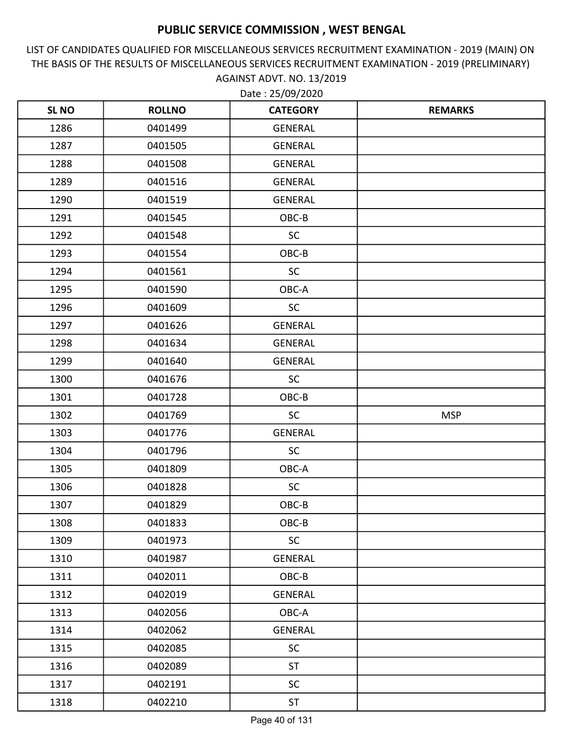LIST OF CANDIDATES QUALIFIED FOR MISCELLANEOUS SERVICES RECRUITMENT EXAMINATION - 2019 (MAIN) ON THE BASIS OF THE RESULTS OF MISCELLANEOUS SERVICES RECRUITMENT EXAMINATION - 2019 (PRELIMINARY) AGAINST ADVT. NO. 13/2019

| <b>SL NO</b> | <b>ROLLNO</b> | <b>CATEGORY</b> | <b>REMARKS</b> |
|--------------|---------------|-----------------|----------------|
| 1286         | 0401499       | <b>GENERAL</b>  |                |
| 1287         | 0401505       | <b>GENERAL</b>  |                |
| 1288         | 0401508       | GENERAL         |                |
| 1289         | 0401516       | <b>GENERAL</b>  |                |
| 1290         | 0401519       | <b>GENERAL</b>  |                |
| 1291         | 0401545       | OBC-B           |                |
| 1292         | 0401548       | <b>SC</b>       |                |
| 1293         | 0401554       | OBC-B           |                |
| 1294         | 0401561       | <b>SC</b>       |                |
| 1295         | 0401590       | OBC-A           |                |
| 1296         | 0401609       | <b>SC</b>       |                |
| 1297         | 0401626       | <b>GENERAL</b>  |                |
| 1298         | 0401634       | <b>GENERAL</b>  |                |
| 1299         | 0401640       | <b>GENERAL</b>  |                |
| 1300         | 0401676       | <b>SC</b>       |                |
| 1301         | 0401728       | OBC-B           |                |
| 1302         | 0401769       | <b>SC</b>       | <b>MSP</b>     |
| 1303         | 0401776       | <b>GENERAL</b>  |                |
| 1304         | 0401796       | <b>SC</b>       |                |
| 1305         | 0401809       | OBC-A           |                |
| 1306         | 0401828       | <b>SC</b>       |                |
| 1307         | 0401829       | OBC-B           |                |
| 1308         | 0401833       | OBC-B           |                |
| 1309         | 0401973       | <b>SC</b>       |                |
| 1310         | 0401987       | <b>GENERAL</b>  |                |
| 1311         | 0402011       | OBC-B           |                |
| 1312         | 0402019       | <b>GENERAL</b>  |                |
| 1313         | 0402056       | OBC-A           |                |
| 1314         | 0402062       | GENERAL         |                |
| 1315         | 0402085       | <b>SC</b>       |                |
| 1316         | 0402089       | <b>ST</b>       |                |
| 1317         | 0402191       | <b>SC</b>       |                |
| 1318         | 0402210       | <b>ST</b>       |                |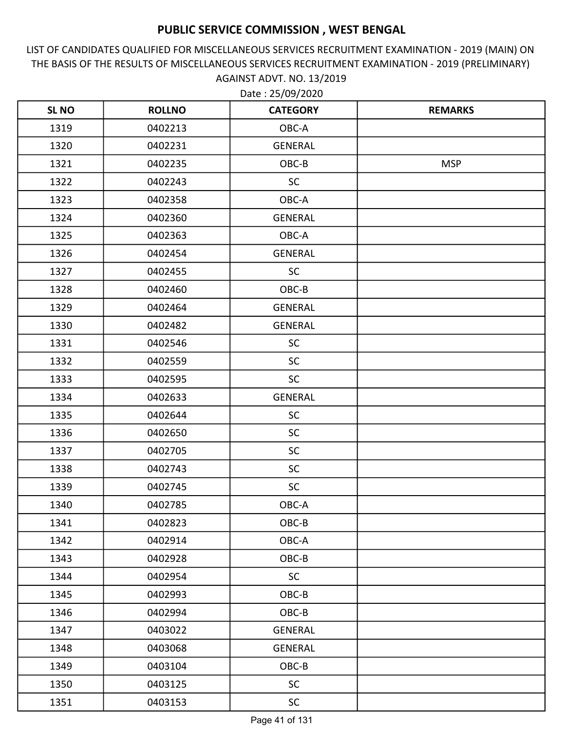LIST OF CANDIDATES QUALIFIED FOR MISCELLANEOUS SERVICES RECRUITMENT EXAMINATION - 2019 (MAIN) ON THE BASIS OF THE RESULTS OF MISCELLANEOUS SERVICES RECRUITMENT EXAMINATION - 2019 (PRELIMINARY) AGAINST ADVT. NO. 13/2019

| <b>SL NO</b> | <b>ROLLNO</b> | <b>CATEGORY</b> | <b>REMARKS</b> |
|--------------|---------------|-----------------|----------------|
| 1319         | 0402213       | OBC-A           |                |
| 1320         | 0402231       | GENERAL         |                |
| 1321         | 0402235       | OBC-B           | <b>MSP</b>     |
| 1322         | 0402243       | <b>SC</b>       |                |
| 1323         | 0402358       | OBC-A           |                |
| 1324         | 0402360       | GENERAL         |                |
| 1325         | 0402363       | OBC-A           |                |
| 1326         | 0402454       | <b>GENERAL</b>  |                |
| 1327         | 0402455       | SC              |                |
| 1328         | 0402460       | OBC-B           |                |
| 1329         | 0402464       | GENERAL         |                |
| 1330         | 0402482       | <b>GENERAL</b>  |                |
| 1331         | 0402546       | SC              |                |
| 1332         | 0402559       | <b>SC</b>       |                |
| 1333         | 0402595       | <b>SC</b>       |                |
| 1334         | 0402633       | <b>GENERAL</b>  |                |
| 1335         | 0402644       | <b>SC</b>       |                |
| 1336         | 0402650       | <b>SC</b>       |                |
| 1337         | 0402705       | <b>SC</b>       |                |
| 1338         | 0402743       | <b>SC</b>       |                |
| 1339         | 0402745       | <b>SC</b>       |                |
| 1340         | 0402785       | OBC-A           |                |
| 1341         | 0402823       | OBC-B           |                |
| 1342         | 0402914       | OBC-A           |                |
| 1343         | 0402928       | OBC-B           |                |
| 1344         | 0402954       | <b>SC</b>       |                |
| 1345         | 0402993       | OBC-B           |                |
| 1346         | 0402994       | OBC-B           |                |
| 1347         | 0403022       | GENERAL         |                |
| 1348         | 0403068       | GENERAL         |                |
| 1349         | 0403104       | OBC-B           |                |
| 1350         | 0403125       | <b>SC</b>       |                |
| 1351         | 0403153       | <b>SC</b>       |                |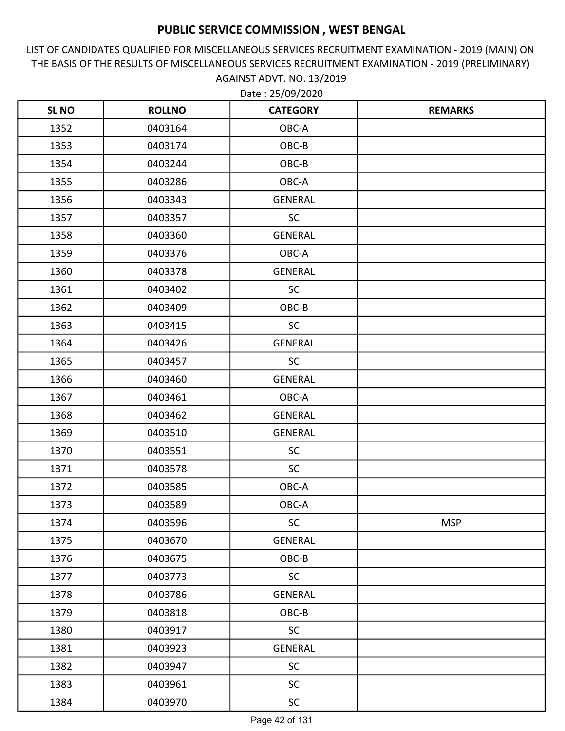LIST OF CANDIDATES QUALIFIED FOR MISCELLANEOUS SERVICES RECRUITMENT EXAMINATION - 2019 (MAIN) ON THE BASIS OF THE RESULTS OF MISCELLANEOUS SERVICES RECRUITMENT EXAMINATION - 2019 (PRELIMINARY) AGAINST ADVT. NO. 13/2019

| <b>SLNO</b> | <b>ROLLNO</b> | <b>CATEGORY</b> | <b>REMARKS</b> |
|-------------|---------------|-----------------|----------------|
| 1352        | 0403164       | OBC-A           |                |
| 1353        | 0403174       | OBC-B           |                |
| 1354        | 0403244       | OBC-B           |                |
| 1355        | 0403286       | OBC-A           |                |
| 1356        | 0403343       | <b>GENERAL</b>  |                |
| 1357        | 0403357       | <b>SC</b>       |                |
| 1358        | 0403360       | <b>GENERAL</b>  |                |
| 1359        | 0403376       | OBC-A           |                |
| 1360        | 0403378       | <b>GENERAL</b>  |                |
| 1361        | 0403402       | <b>SC</b>       |                |
| 1362        | 0403409       | OBC-B           |                |
| 1363        | 0403415       | <b>SC</b>       |                |
| 1364        | 0403426       | <b>GENERAL</b>  |                |
| 1365        | 0403457       | <b>SC</b>       |                |
| 1366        | 0403460       | <b>GENERAL</b>  |                |
| 1367        | 0403461       | OBC-A           |                |
| 1368        | 0403462       | <b>GENERAL</b>  |                |
| 1369        | 0403510       | <b>GENERAL</b>  |                |
| 1370        | 0403551       | <b>SC</b>       |                |
| 1371        | 0403578       | <b>SC</b>       |                |
| 1372        | 0403585       | OBC-A           |                |
| 1373        | 0403589       | OBC-A           |                |
| 1374        | 0403596       | <b>SC</b>       | <b>MSP</b>     |
| 1375        | 0403670       | GENERAL         |                |
| 1376        | 0403675       | OBC-B           |                |
| 1377        | 0403773       | <b>SC</b>       |                |
| 1378        | 0403786       | <b>GENERAL</b>  |                |
| 1379        | 0403818       | OBC-B           |                |
| 1380        | 0403917       | <b>SC</b>       |                |
| 1381        | 0403923       | <b>GENERAL</b>  |                |
| 1382        | 0403947       | <b>SC</b>       |                |
| 1383        | 0403961       | <b>SC</b>       |                |
| 1384        | 0403970       | <b>SC</b>       |                |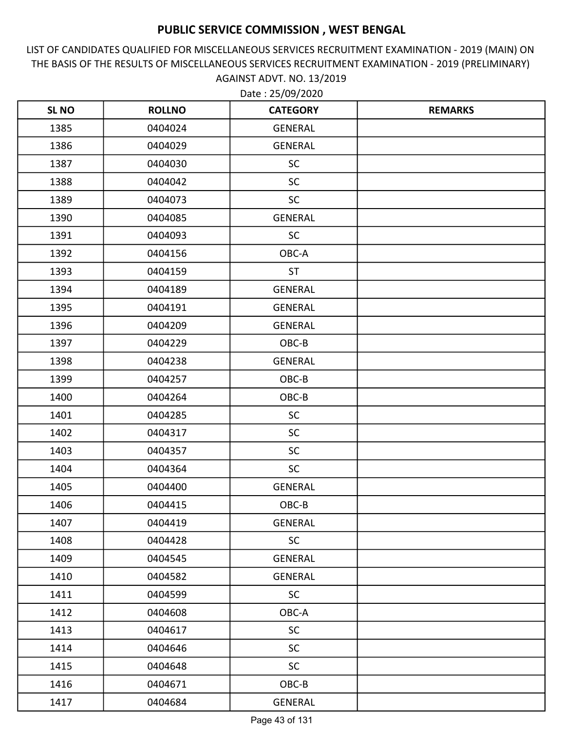LIST OF CANDIDATES QUALIFIED FOR MISCELLANEOUS SERVICES RECRUITMENT EXAMINATION - 2019 (MAIN) ON THE BASIS OF THE RESULTS OF MISCELLANEOUS SERVICES RECRUITMENT EXAMINATION - 2019 (PRELIMINARY) AGAINST ADVT. NO. 13/2019

| <b>SL NO</b> | <b>ROLLNO</b> | <b>CATEGORY</b> | <b>REMARKS</b> |
|--------------|---------------|-----------------|----------------|
| 1385         | 0404024       | <b>GENERAL</b>  |                |
| 1386         | 0404029       | <b>GENERAL</b>  |                |
| 1387         | 0404030       | <b>SC</b>       |                |
| 1388         | 0404042       | <b>SC</b>       |                |
| 1389         | 0404073       | SC              |                |
| 1390         | 0404085       | <b>GENERAL</b>  |                |
| 1391         | 0404093       | <b>SC</b>       |                |
| 1392         | 0404156       | OBC-A           |                |
| 1393         | 0404159       | <b>ST</b>       |                |
| 1394         | 0404189       | <b>GENERAL</b>  |                |
| 1395         | 0404191       | <b>GENERAL</b>  |                |
| 1396         | 0404209       | <b>GENERAL</b>  |                |
| 1397         | 0404229       | OBC-B           |                |
| 1398         | 0404238       | <b>GENERAL</b>  |                |
| 1399         | 0404257       | OBC-B           |                |
| 1400         | 0404264       | OBC-B           |                |
| 1401         | 0404285       | <b>SC</b>       |                |
| 1402         | 0404317       | SC              |                |
| 1403         | 0404357       | <b>SC</b>       |                |
| 1404         | 0404364       | SC              |                |
| 1405         | 0404400       | <b>GENERAL</b>  |                |
| 1406         | 0404415       | OBC-B           |                |
| 1407         | 0404419       | <b>GENERAL</b>  |                |
| 1408         | 0404428       | <b>SC</b>       |                |
| 1409         | 0404545       | <b>GENERAL</b>  |                |
| 1410         | 0404582       | GENERAL         |                |
| 1411         | 0404599       | <b>SC</b>       |                |
| 1412         | 0404608       | OBC-A           |                |
| 1413         | 0404617       | <b>SC</b>       |                |
| 1414         | 0404646       | <b>SC</b>       |                |
| 1415         | 0404648       | <b>SC</b>       |                |
| 1416         | 0404671       | $OBC-B$         |                |
| 1417         | 0404684       | GENERAL         |                |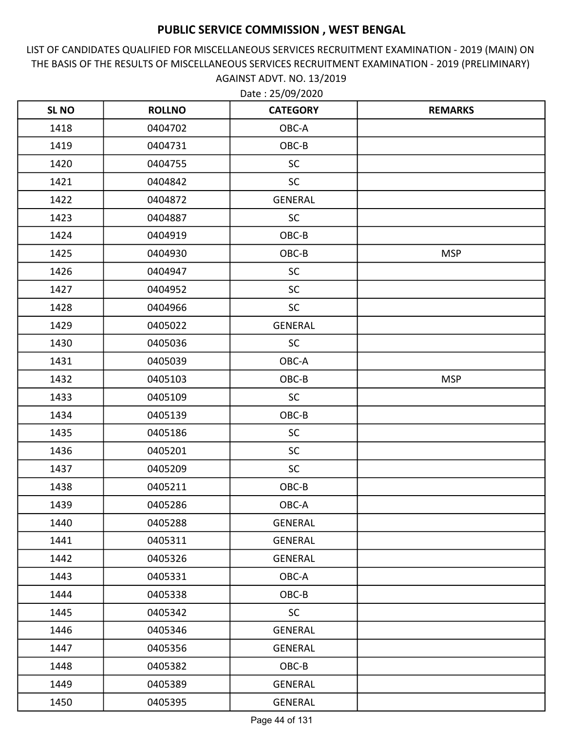LIST OF CANDIDATES QUALIFIED FOR MISCELLANEOUS SERVICES RECRUITMENT EXAMINATION - 2019 (MAIN) ON THE BASIS OF THE RESULTS OF MISCELLANEOUS SERVICES RECRUITMENT EXAMINATION - 2019 (PRELIMINARY) AGAINST ADVT. NO. 13/2019

| <b>SLNO</b> | <b>ROLLNO</b> | <b>CATEGORY</b> | <b>REMARKS</b> |
|-------------|---------------|-----------------|----------------|
| 1418        | 0404702       | OBC-A           |                |
| 1419        | 0404731       | OBC-B           |                |
| 1420        | 0404755       | <b>SC</b>       |                |
| 1421        | 0404842       | <b>SC</b>       |                |
| 1422        | 0404872       | <b>GENERAL</b>  |                |
| 1423        | 0404887       | SC              |                |
| 1424        | 0404919       | OBC-B           |                |
| 1425        | 0404930       | OBC-B           | <b>MSP</b>     |
| 1426        | 0404947       | <b>SC</b>       |                |
| 1427        | 0404952       | SC              |                |
| 1428        | 0404966       | <b>SC</b>       |                |
| 1429        | 0405022       | <b>GENERAL</b>  |                |
| 1430        | 0405036       | <b>SC</b>       |                |
| 1431        | 0405039       | OBC-A           |                |
| 1432        | 0405103       | OBC-B           | <b>MSP</b>     |
| 1433        | 0405109       | <b>SC</b>       |                |
| 1434        | 0405139       | OBC-B           |                |
| 1435        | 0405186       | <b>SC</b>       |                |
| 1436        | 0405201       | <b>SC</b>       |                |
| 1437        | 0405209       | <b>SC</b>       |                |
| 1438        | 0405211       | OBC-B           |                |
| 1439        | 0405286       | OBC-A           |                |
| 1440        | 0405288       | <b>GENERAL</b>  |                |
| 1441        | 0405311       | GENERAL         |                |
| 1442        | 0405326       | GENERAL         |                |
| 1443        | 0405331       | OBC-A           |                |
| 1444        | 0405338       | OBC-B           |                |
| 1445        | 0405342       | <b>SC</b>       |                |
| 1446        | 0405346       | GENERAL         |                |
| 1447        | 0405356       | GENERAL         |                |
| 1448        | 0405382       | OBC-B           |                |
| 1449        | 0405389       | GENERAL         |                |
| 1450        | 0405395       | GENERAL         |                |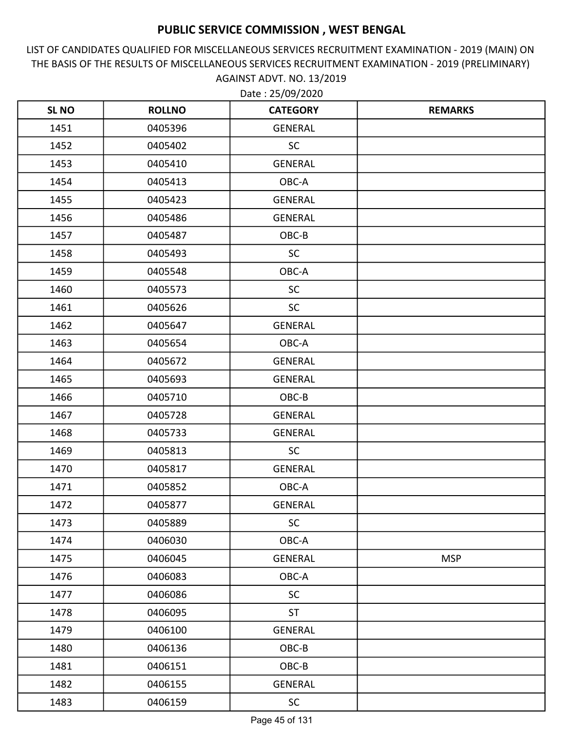LIST OF CANDIDATES QUALIFIED FOR MISCELLANEOUS SERVICES RECRUITMENT EXAMINATION - 2019 (MAIN) ON THE BASIS OF THE RESULTS OF MISCELLANEOUS SERVICES RECRUITMENT EXAMINATION - 2019 (PRELIMINARY) AGAINST ADVT. NO. 13/2019

| <b>SL NO</b> | <b>ROLLNO</b> | <b>CATEGORY</b> | <b>REMARKS</b> |
|--------------|---------------|-----------------|----------------|
| 1451         | 0405396       | GENERAL         |                |
| 1452         | 0405402       | <b>SC</b>       |                |
| 1453         | 0405410       | GENERAL         |                |
| 1454         | 0405413       | OBC-A           |                |
| 1455         | 0405423       | <b>GENERAL</b>  |                |
| 1456         | 0405486       | <b>GENERAL</b>  |                |
| 1457         | 0405487       | OBC-B           |                |
| 1458         | 0405493       | <b>SC</b>       |                |
| 1459         | 0405548       | OBC-A           |                |
| 1460         | 0405573       | <b>SC</b>       |                |
| 1461         | 0405626       | <b>SC</b>       |                |
| 1462         | 0405647       | <b>GENERAL</b>  |                |
| 1463         | 0405654       | OBC-A           |                |
| 1464         | 0405672       | <b>GENERAL</b>  |                |
| 1465         | 0405693       | GENERAL         |                |
| 1466         | 0405710       | OBC-B           |                |
| 1467         | 0405728       | GENERAL         |                |
| 1468         | 0405733       | <b>GENERAL</b>  |                |
| 1469         | 0405813       | <b>SC</b>       |                |
| 1470         | 0405817       | GENERAL         |                |
| 1471         | 0405852       | OBC-A           |                |
| 1472         | 0405877       | <b>GENERAL</b>  |                |
| 1473         | 0405889       | <b>SC</b>       |                |
| 1474         | 0406030       | OBC-A           |                |
| 1475         | 0406045       | <b>GENERAL</b>  | <b>MSP</b>     |
| 1476         | 0406083       | OBC-A           |                |
| 1477         | 0406086       | <b>SC</b>       |                |
| 1478         | 0406095       | <b>ST</b>       |                |
| 1479         | 0406100       | GENERAL         |                |
| 1480         | 0406136       | OBC-B           |                |
| 1481         | 0406151       | OBC-B           |                |
| 1482         | 0406155       | GENERAL         |                |
| 1483         | 0406159       | <b>SC</b>       |                |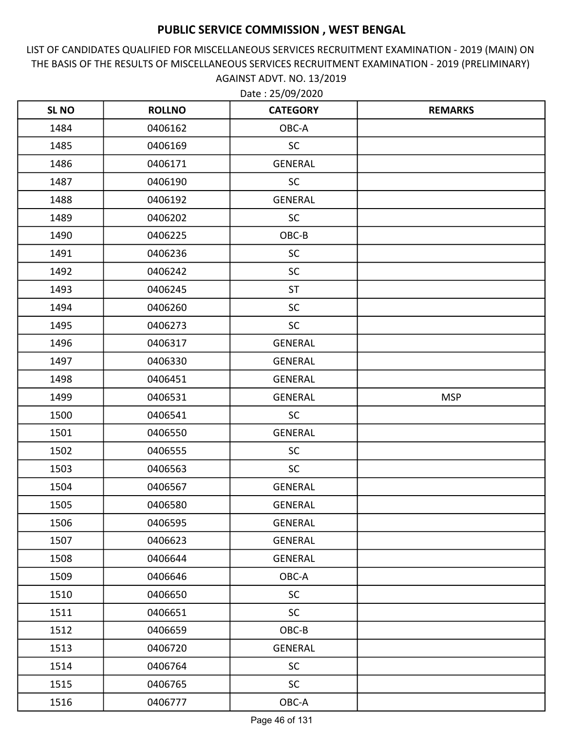LIST OF CANDIDATES QUALIFIED FOR MISCELLANEOUS SERVICES RECRUITMENT EXAMINATION - 2019 (MAIN) ON THE BASIS OF THE RESULTS OF MISCELLANEOUS SERVICES RECRUITMENT EXAMINATION - 2019 (PRELIMINARY) AGAINST ADVT. NO. 13/2019

| <b>SLNO</b> | <b>ROLLNO</b> | <b>CATEGORY</b> | <b>REMARKS</b> |
|-------------|---------------|-----------------|----------------|
| 1484        | 0406162       | OBC-A           |                |
| 1485        | 0406169       | <b>SC</b>       |                |
| 1486        | 0406171       | <b>GENERAL</b>  |                |
| 1487        | 0406190       | <b>SC</b>       |                |
| 1488        | 0406192       | <b>GENERAL</b>  |                |
| 1489        | 0406202       | <b>SC</b>       |                |
| 1490        | 0406225       | OBC-B           |                |
| 1491        | 0406236       | <b>SC</b>       |                |
| 1492        | 0406242       | <b>SC</b>       |                |
| 1493        | 0406245       | <b>ST</b>       |                |
| 1494        | 0406260       | <b>SC</b>       |                |
| 1495        | 0406273       | <b>SC</b>       |                |
| 1496        | 0406317       | <b>GENERAL</b>  |                |
| 1497        | 0406330       | <b>GENERAL</b>  |                |
| 1498        | 0406451       | <b>GENERAL</b>  |                |
| 1499        | 0406531       | <b>GENERAL</b>  | <b>MSP</b>     |
| 1500        | 0406541       | <b>SC</b>       |                |
| 1501        | 0406550       | <b>GENERAL</b>  |                |
| 1502        | 0406555       | <b>SC</b>       |                |
| 1503        | 0406563       | <b>SC</b>       |                |
| 1504        | 0406567       | <b>GENERAL</b>  |                |
| 1505        | 0406580       | <b>GENERAL</b>  |                |
| 1506        | 0406595       | GENERAL         |                |
| 1507        | 0406623       | GENERAL         |                |
| 1508        | 0406644       | GENERAL         |                |
| 1509        | 0406646       | OBC-A           |                |
| 1510        | 0406650       | <b>SC</b>       |                |
| 1511        | 0406651       | <b>SC</b>       |                |
| 1512        | 0406659       | OBC-B           |                |
| 1513        | 0406720       | <b>GENERAL</b>  |                |
| 1514        | 0406764       | <b>SC</b>       |                |
| 1515        | 0406765       | <b>SC</b>       |                |
| 1516        | 0406777       | OBC-A           |                |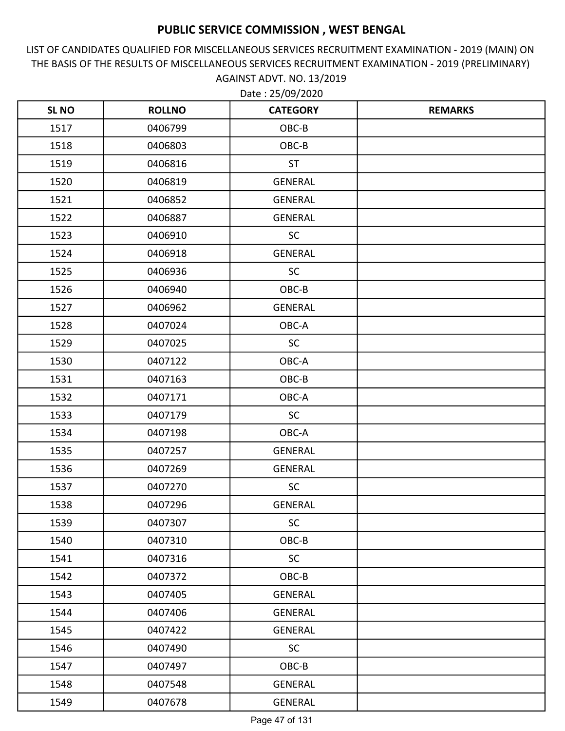LIST OF CANDIDATES QUALIFIED FOR MISCELLANEOUS SERVICES RECRUITMENT EXAMINATION - 2019 (MAIN) ON THE BASIS OF THE RESULTS OF MISCELLANEOUS SERVICES RECRUITMENT EXAMINATION - 2019 (PRELIMINARY) AGAINST ADVT. NO. 13/2019

| <b>SLNO</b> | <b>ROLLNO</b> | <b>CATEGORY</b> | <b>REMARKS</b> |
|-------------|---------------|-----------------|----------------|
| 1517        | 0406799       | OBC-B           |                |
| 1518        | 0406803       | OBC-B           |                |
| 1519        | 0406816       | <b>ST</b>       |                |
| 1520        | 0406819       | <b>GENERAL</b>  |                |
| 1521        | 0406852       | <b>GENERAL</b>  |                |
| 1522        | 0406887       | <b>GENERAL</b>  |                |
| 1523        | 0406910       | <b>SC</b>       |                |
| 1524        | 0406918       | <b>GENERAL</b>  |                |
| 1525        | 0406936       | <b>SC</b>       |                |
| 1526        | 0406940       | OBC-B           |                |
| 1527        | 0406962       | GENERAL         |                |
| 1528        | 0407024       | OBC-A           |                |
| 1529        | 0407025       | <b>SC</b>       |                |
| 1530        | 0407122       | OBC-A           |                |
| 1531        | 0407163       | OBC-B           |                |
| 1532        | 0407171       | OBC-A           |                |
| 1533        | 0407179       | <b>SC</b>       |                |
| 1534        | 0407198       | OBC-A           |                |
| 1535        | 0407257       | <b>GENERAL</b>  |                |
| 1536        | 0407269       | <b>GENERAL</b>  |                |
| 1537        | 0407270       | <b>SC</b>       |                |
| 1538        | 0407296       | <b>GENERAL</b>  |                |
| 1539        | 0407307       | <b>SC</b>       |                |
| 1540        | 0407310       | OBC-B           |                |
| 1541        | 0407316       | <b>SC</b>       |                |
| 1542        | 0407372       | OBC-B           |                |
| 1543        | 0407405       | <b>GENERAL</b>  |                |
| 1544        | 0407406       | GENERAL         |                |
| 1545        | 0407422       | <b>GENERAL</b>  |                |
| 1546        | 0407490       | <b>SC</b>       |                |
| 1547        | 0407497       | OBC-B           |                |
| 1548        | 0407548       | GENERAL         |                |
| 1549        | 0407678       | <b>GENERAL</b>  |                |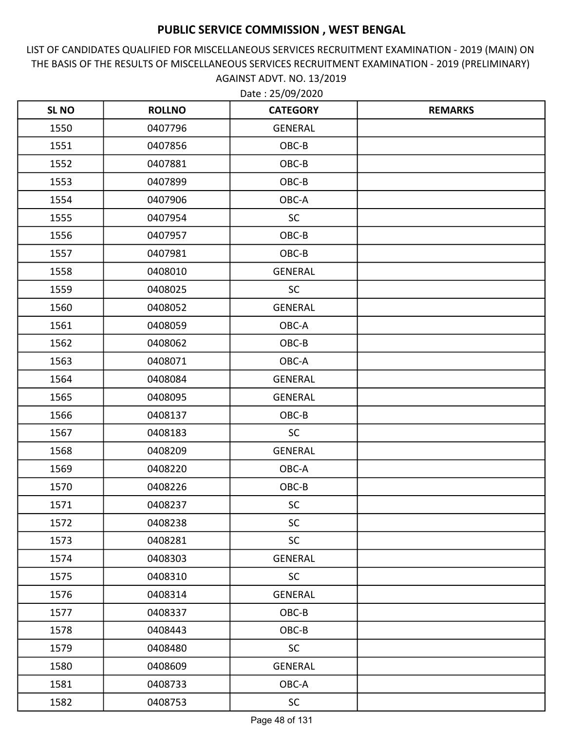LIST OF CANDIDATES QUALIFIED FOR MISCELLANEOUS SERVICES RECRUITMENT EXAMINATION - 2019 (MAIN) ON THE BASIS OF THE RESULTS OF MISCELLANEOUS SERVICES RECRUITMENT EXAMINATION - 2019 (PRELIMINARY) AGAINST ADVT. NO. 13/2019

| <b>SLNO</b> | <b>ROLLNO</b> | <b>CATEGORY</b> | <b>REMARKS</b> |
|-------------|---------------|-----------------|----------------|
| 1550        | 0407796       | <b>GENERAL</b>  |                |
| 1551        | 0407856       | OBC-B           |                |
| 1552        | 0407881       | OBC-B           |                |
| 1553        | 0407899       | OBC-B           |                |
| 1554        | 0407906       | OBC-A           |                |
| 1555        | 0407954       | <b>SC</b>       |                |
| 1556        | 0407957       | OBC-B           |                |
| 1557        | 0407981       | OBC-B           |                |
| 1558        | 0408010       | <b>GENERAL</b>  |                |
| 1559        | 0408025       | <b>SC</b>       |                |
| 1560        | 0408052       | GENERAL         |                |
| 1561        | 0408059       | OBC-A           |                |
| 1562        | 0408062       | OBC-B           |                |
| 1563        | 0408071       | OBC-A           |                |
| 1564        | 0408084       | <b>GENERAL</b>  |                |
| 1565        | 0408095       | <b>GENERAL</b>  |                |
| 1566        | 0408137       | OBC-B           |                |
| 1567        | 0408183       | <b>SC</b>       |                |
| 1568        | 0408209       | <b>GENERAL</b>  |                |
| 1569        | 0408220       | OBC-A           |                |
| 1570        | 0408226       | OBC-B           |                |
| 1571        | 0408237       | <b>SC</b>       |                |
| 1572        | 0408238       | <b>SC</b>       |                |
| 1573        | 0408281       | <b>SC</b>       |                |
| 1574        | 0408303       | <b>GENERAL</b>  |                |
| 1575        | 0408310       | <b>SC</b>       |                |
| 1576        | 0408314       | <b>GENERAL</b>  |                |
| 1577        | 0408337       | OBC-B           |                |
| 1578        | 0408443       | OBC-B           |                |
| 1579        | 0408480       | <b>SC</b>       |                |
| 1580        | 0408609       | <b>GENERAL</b>  |                |
| 1581        | 0408733       | OBC-A           |                |
| 1582        | 0408753       | <b>SC</b>       |                |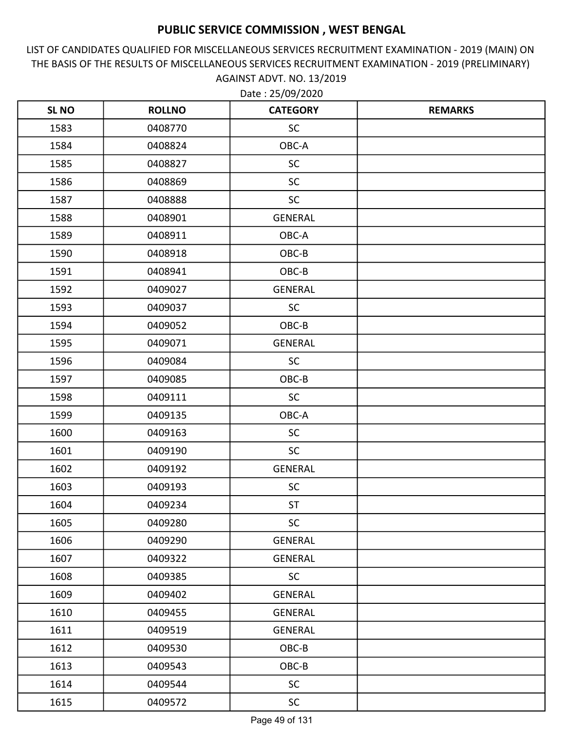LIST OF CANDIDATES QUALIFIED FOR MISCELLANEOUS SERVICES RECRUITMENT EXAMINATION - 2019 (MAIN) ON THE BASIS OF THE RESULTS OF MISCELLANEOUS SERVICES RECRUITMENT EXAMINATION - 2019 (PRELIMINARY) AGAINST ADVT. NO. 13/2019 Date : 25/09/2020

| <b>SLNO</b> | <b>ROLLNO</b> | <b>CATEGORY</b> | <b>REMARKS</b> |
|-------------|---------------|-----------------|----------------|
| 1583        | 0408770       | <b>SC</b>       |                |
| 1584        | 0408824       | OBC-A           |                |
| 1585        | 0408827       | <b>SC</b>       |                |
| 1586        | 0408869       | <b>SC</b>       |                |
| 1587        | 0408888       | <b>SC</b>       |                |
| 1588        | 0408901       | <b>GENERAL</b>  |                |
| 1589        | 0408911       | OBC-A           |                |
| 1590        | 0408918       | OBC-B           |                |
| 1591        | 0408941       | OBC-B           |                |
| 1592        | 0409027       | <b>GENERAL</b>  |                |
| 1593        | 0409037       | <b>SC</b>       |                |
| 1594        | 0409052       | OBC-B           |                |
| 1595        | 0409071       | <b>GENERAL</b>  |                |
| 1596        | 0409084       | <b>SC</b>       |                |
| 1597        | 0409085       | OBC-B           |                |
| 1598        | 0409111       | <b>SC</b>       |                |
| 1599        | 0409135       | OBC-A           |                |
| 1600        | 0409163       | <b>SC</b>       |                |
| 1601        | 0409190       | <b>SC</b>       |                |
| 1602        | 0409192       | GENERAL         |                |
| 1603        | 0409193       | <b>SC</b>       |                |
| 1604        | 0409234       | <b>ST</b>       |                |
| 1605        | 0409280       | <b>SC</b>       |                |
| 1606        | 0409290       | GENERAL         |                |
| 1607        | 0409322       | <b>GENERAL</b>  |                |
| 1608        | 0409385       | <b>SC</b>       |                |
| 1609        | 0409402       | <b>GENERAL</b>  |                |
| 1610        | 0409455       | GENERAL         |                |
| 1611        | 0409519       | GENERAL         |                |
| 1612        | 0409530       | OBC-B           |                |
| 1613        | 0409543       | OBC-B           |                |
| 1614        | 0409544       | <b>SC</b>       |                |
| 1615        | 0409572       | <b>SC</b>       |                |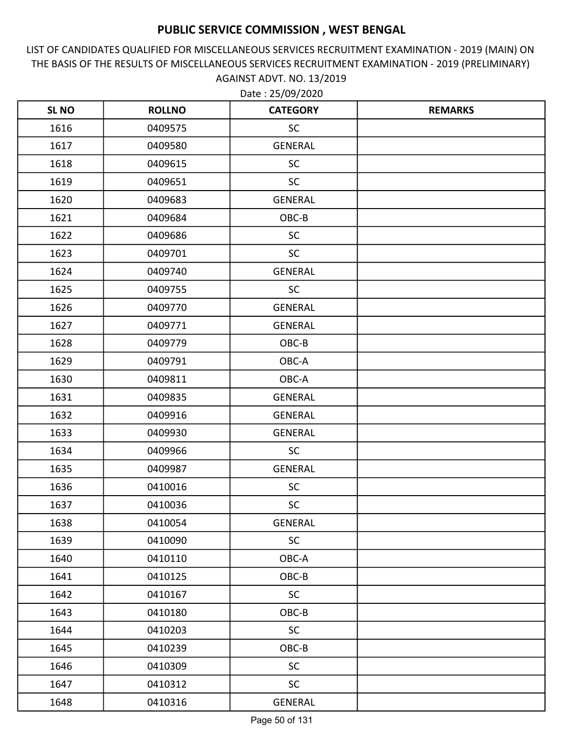LIST OF CANDIDATES QUALIFIED FOR MISCELLANEOUS SERVICES RECRUITMENT EXAMINATION - 2019 (MAIN) ON THE BASIS OF THE RESULTS OF MISCELLANEOUS SERVICES RECRUITMENT EXAMINATION - 2019 (PRELIMINARY) AGAINST ADVT. NO. 13/2019 Date : 25/09/2020

| <b>SL NO</b> | <b>ROLLNO</b> | <b>CATEGORY</b> | <b>REMARKS</b> |
|--------------|---------------|-----------------|----------------|
| 1616         | 0409575       | <b>SC</b>       |                |
| 1617         | 0409580       | <b>GENERAL</b>  |                |
| 1618         | 0409615       | <b>SC</b>       |                |
| 1619         | 0409651       | <b>SC</b>       |                |
| 1620         | 0409683       | <b>GENERAL</b>  |                |
| 1621         | 0409684       | OBC-B           |                |
| 1622         | 0409686       | <b>SC</b>       |                |
| 1623         | 0409701       | <b>SC</b>       |                |
| 1624         | 0409740       | <b>GENERAL</b>  |                |
| 1625         | 0409755       | <b>SC</b>       |                |
| 1626         | 0409770       | <b>GENERAL</b>  |                |
| 1627         | 0409771       | <b>GENERAL</b>  |                |
| 1628         | 0409779       | OBC-B           |                |
| 1629         | 0409791       | OBC-A           |                |
| 1630         | 0409811       | OBC-A           |                |
| 1631         | 0409835       | <b>GENERAL</b>  |                |
| 1632         | 0409916       | <b>GENERAL</b>  |                |
| 1633         | 0409930       | <b>GENERAL</b>  |                |
| 1634         | 0409966       | <b>SC</b>       |                |
| 1635         | 0409987       | <b>GENERAL</b>  |                |
| 1636         | 0410016       | <b>SC</b>       |                |
| 1637         | 0410036       | <b>SC</b>       |                |
| 1638         | 0410054       | GENERAL         |                |
| 1639         | 0410090       | <b>SC</b>       |                |
| 1640         | 0410110       | OBC-A           |                |
| 1641         | 0410125       | OBC-B           |                |
| 1642         | 0410167       | <b>SC</b>       |                |
| 1643         | 0410180       | OBC-B           |                |
| 1644         | 0410203       | <b>SC</b>       |                |
| 1645         | 0410239       | OBC-B           |                |
| 1646         | 0410309       | <b>SC</b>       |                |
| 1647         | 0410312       | <b>SC</b>       |                |
| 1648         | 0410316       | <b>GENERAL</b>  |                |

Page 50 of 131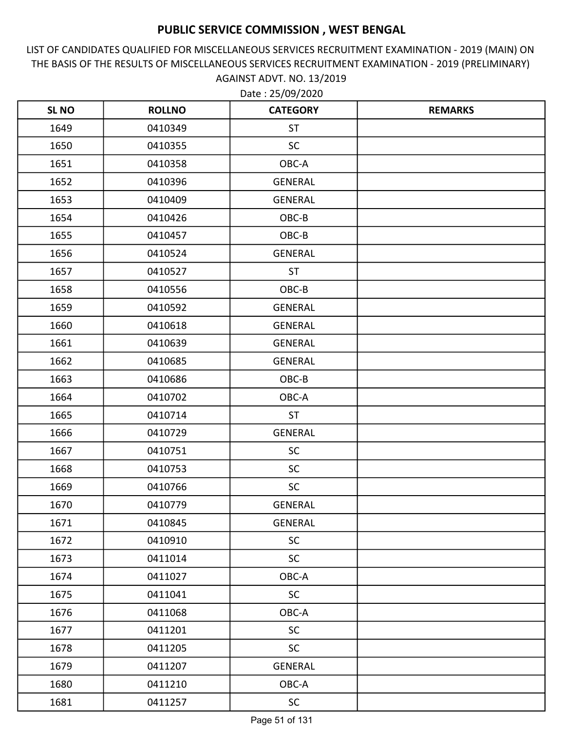LIST OF CANDIDATES QUALIFIED FOR MISCELLANEOUS SERVICES RECRUITMENT EXAMINATION - 2019 (MAIN) ON THE BASIS OF THE RESULTS OF MISCELLANEOUS SERVICES RECRUITMENT EXAMINATION - 2019 (PRELIMINARY) AGAINST ADVT. NO. 13/2019

| <b>SLNO</b> | <b>ROLLNO</b> | <b>CATEGORY</b> | <b>REMARKS</b> |
|-------------|---------------|-----------------|----------------|
| 1649        | 0410349       | <b>ST</b>       |                |
| 1650        | 0410355       | <b>SC</b>       |                |
| 1651        | 0410358       | OBC-A           |                |
| 1652        | 0410396       | <b>GENERAL</b>  |                |
| 1653        | 0410409       | <b>GENERAL</b>  |                |
| 1654        | 0410426       | OBC-B           |                |
| 1655        | 0410457       | OBC-B           |                |
| 1656        | 0410524       | <b>GENERAL</b>  |                |
| 1657        | 0410527       | <b>ST</b>       |                |
| 1658        | 0410556       | OBC-B           |                |
| 1659        | 0410592       | <b>GENERAL</b>  |                |
| 1660        | 0410618       | <b>GENERAL</b>  |                |
| 1661        | 0410639       | <b>GENERAL</b>  |                |
| 1662        | 0410685       | <b>GENERAL</b>  |                |
| 1663        | 0410686       | OBC-B           |                |
| 1664        | 0410702       | OBC-A           |                |
| 1665        | 0410714       | <b>ST</b>       |                |
| 1666        | 0410729       | <b>GENERAL</b>  |                |
| 1667        | 0410751       | <b>SC</b>       |                |
| 1668        | 0410753       | <b>SC</b>       |                |
| 1669        | 0410766       | <b>SC</b>       |                |
| 1670        | 0410779       | <b>GENERAL</b>  |                |
| 1671        | 0410845       | <b>GENERAL</b>  |                |
| 1672        | 0410910       | <b>SC</b>       |                |
| 1673        | 0411014       | <b>SC</b>       |                |
| 1674        | 0411027       | OBC-A           |                |
| 1675        | 0411041       | SC              |                |
| 1676        | 0411068       | OBC-A           |                |
| 1677        | 0411201       | <b>SC</b>       |                |
| 1678        | 0411205       | <b>SC</b>       |                |
| 1679        | 0411207       | <b>GENERAL</b>  |                |
| 1680        | 0411210       | OBC-A           |                |
| 1681        | 0411257       | <b>SC</b>       |                |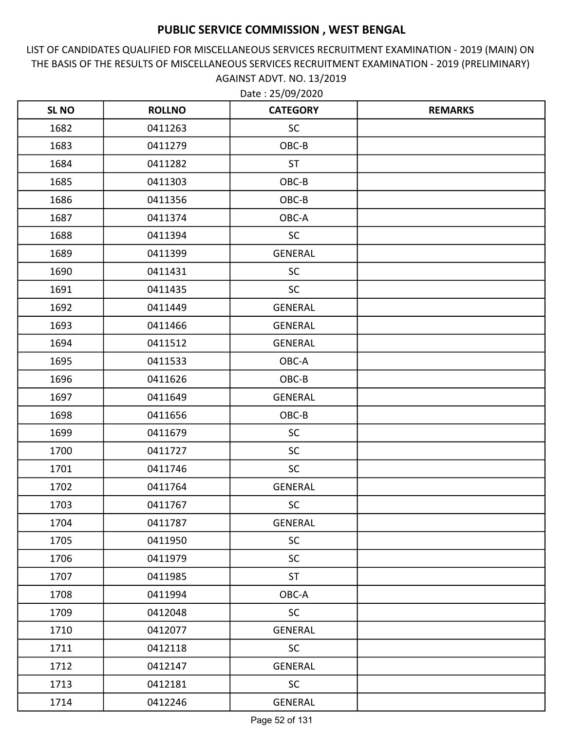LIST OF CANDIDATES QUALIFIED FOR MISCELLANEOUS SERVICES RECRUITMENT EXAMINATION - 2019 (MAIN) ON THE BASIS OF THE RESULTS OF MISCELLANEOUS SERVICES RECRUITMENT EXAMINATION - 2019 (PRELIMINARY) AGAINST ADVT. NO. 13/2019

| <b>SLNO</b> | <b>ROLLNO</b> | <b>CATEGORY</b> | <b>REMARKS</b> |
|-------------|---------------|-----------------|----------------|
| 1682        | 0411263       | <b>SC</b>       |                |
| 1683        | 0411279       | OBC-B           |                |
| 1684        | 0411282       | <b>ST</b>       |                |
| 1685        | 0411303       | OBC-B           |                |
| 1686        | 0411356       | OBC-B           |                |
| 1687        | 0411374       | OBC-A           |                |
| 1688        | 0411394       | <b>SC</b>       |                |
| 1689        | 0411399       | <b>GENERAL</b>  |                |
| 1690        | 0411431       | <b>SC</b>       |                |
| 1691        | 0411435       | <b>SC</b>       |                |
| 1692        | 0411449       | <b>GENERAL</b>  |                |
| 1693        | 0411466       | <b>GENERAL</b>  |                |
| 1694        | 0411512       | <b>GENERAL</b>  |                |
| 1695        | 0411533       | OBC-A           |                |
| 1696        | 0411626       | OBC-B           |                |
| 1697        | 0411649       | <b>GENERAL</b>  |                |
| 1698        | 0411656       | OBC-B           |                |
| 1699        | 0411679       | <b>SC</b>       |                |
| 1700        | 0411727       | <b>SC</b>       |                |
| 1701        | 0411746       | <b>SC</b>       |                |
| 1702        | 0411764       | <b>GENERAL</b>  |                |
| 1703        | 0411767       | <b>SC</b>       |                |
| 1704        | 0411787       | <b>GENERAL</b>  |                |
| 1705        | 0411950       | <b>SC</b>       |                |
| 1706        | 0411979       | <b>SC</b>       |                |
| 1707        | 0411985       | ST              |                |
| 1708        | 0411994       | OBC-A           |                |
| 1709        | 0412048       | <b>SC</b>       |                |
| 1710        | 0412077       | <b>GENERAL</b>  |                |
| 1711        | 0412118       | <b>SC</b>       |                |
| 1712        | 0412147       | <b>GENERAL</b>  |                |
| 1713        | 0412181       | <b>SC</b>       |                |
| 1714        | 0412246       | GENERAL         |                |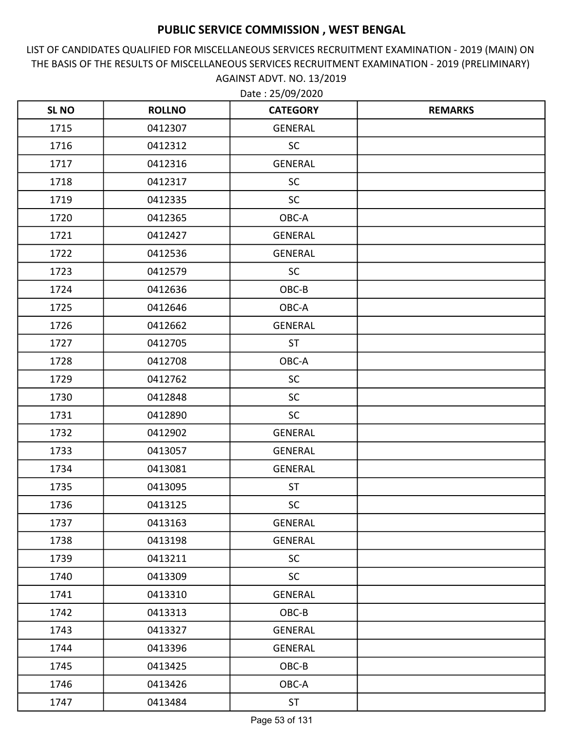LIST OF CANDIDATES QUALIFIED FOR MISCELLANEOUS SERVICES RECRUITMENT EXAMINATION - 2019 (MAIN) ON THE BASIS OF THE RESULTS OF MISCELLANEOUS SERVICES RECRUITMENT EXAMINATION - 2019 (PRELIMINARY) AGAINST ADVT. NO. 13/2019

| <b>SL NO</b> | <b>ROLLNO</b> | <b>CATEGORY</b> | <b>REMARKS</b> |
|--------------|---------------|-----------------|----------------|
| 1715         | 0412307       | <b>GENERAL</b>  |                |
| 1716         | 0412312       | SC              |                |
| 1717         | 0412316       | <b>GENERAL</b>  |                |
| 1718         | 0412317       | <b>SC</b>       |                |
| 1719         | 0412335       | <b>SC</b>       |                |
| 1720         | 0412365       | OBC-A           |                |
| 1721         | 0412427       | <b>GENERAL</b>  |                |
| 1722         | 0412536       | <b>GENERAL</b>  |                |
| 1723         | 0412579       | <b>SC</b>       |                |
| 1724         | 0412636       | OBC-B           |                |
| 1725         | 0412646       | OBC-A           |                |
| 1726         | 0412662       | <b>GENERAL</b>  |                |
| 1727         | 0412705       | <b>ST</b>       |                |
| 1728         | 0412708       | OBC-A           |                |
| 1729         | 0412762       | <b>SC</b>       |                |
| 1730         | 0412848       | <b>SC</b>       |                |
| 1731         | 0412890       | <b>SC</b>       |                |
| 1732         | 0412902       | <b>GENERAL</b>  |                |
| 1733         | 0413057       | <b>GENERAL</b>  |                |
| 1734         | 0413081       | <b>GENERAL</b>  |                |
| 1735         | 0413095       | <b>ST</b>       |                |
| 1736         | 0413125       | <b>SC</b>       |                |
| 1737         | 0413163       | <b>GENERAL</b>  |                |
| 1738         | 0413198       | <b>GENERAL</b>  |                |
| 1739         | 0413211       | <b>SC</b>       |                |
| 1740         | 0413309       | <b>SC</b>       |                |
| 1741         | 0413310       | <b>GENERAL</b>  |                |
| 1742         | 0413313       | OBC-B           |                |
| 1743         | 0413327       | <b>GENERAL</b>  |                |
| 1744         | 0413396       | <b>GENERAL</b>  |                |
| 1745         | 0413425       | OBC-B           |                |
| 1746         | 0413426       | OBC-A           |                |
| 1747         | 0413484       | <b>ST</b>       |                |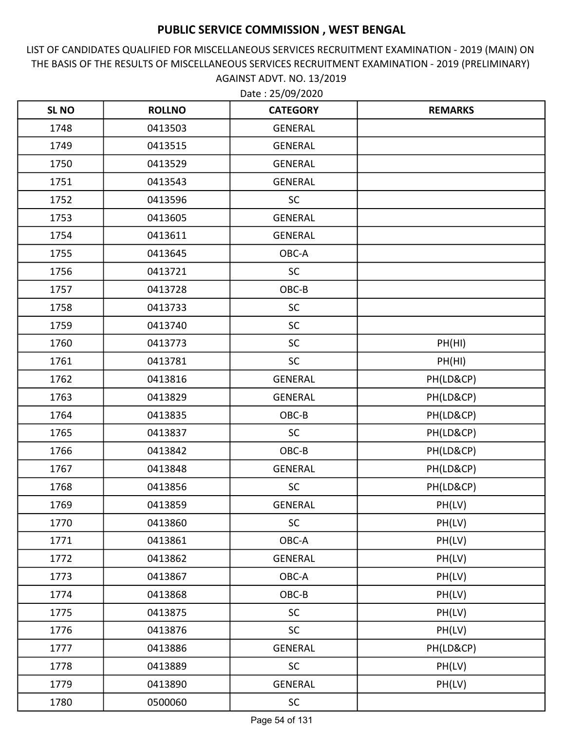LIST OF CANDIDATES QUALIFIED FOR MISCELLANEOUS SERVICES RECRUITMENT EXAMINATION - 2019 (MAIN) ON THE BASIS OF THE RESULTS OF MISCELLANEOUS SERVICES RECRUITMENT EXAMINATION - 2019 (PRELIMINARY) AGAINST ADVT. NO. 13/2019

| <b>SL NO</b> | <b>ROLLNO</b> | <b>CATEGORY</b> | <b>REMARKS</b> |
|--------------|---------------|-----------------|----------------|
| 1748         | 0413503       | <b>GENERAL</b>  |                |
| 1749         | 0413515       | <b>GENERAL</b>  |                |
| 1750         | 0413529       | <b>GENERAL</b>  |                |
| 1751         | 0413543       | <b>GENERAL</b>  |                |
| 1752         | 0413596       | <b>SC</b>       |                |
| 1753         | 0413605       | <b>GENERAL</b>  |                |
| 1754         | 0413611       | GENERAL         |                |
| 1755         | 0413645       | OBC-A           |                |
| 1756         | 0413721       | <b>SC</b>       |                |
| 1757         | 0413728       | OBC-B           |                |
| 1758         | 0413733       | <b>SC</b>       |                |
| 1759         | 0413740       | SC              |                |
| 1760         | 0413773       | <b>SC</b>       | PH(HI)         |
| 1761         | 0413781       | SC              | PH(HI)         |
| 1762         | 0413816       | <b>GENERAL</b>  | PH(LD&CP)      |
| 1763         | 0413829       | <b>GENERAL</b>  | PH(LD&CP)      |
| 1764         | 0413835       | OBC-B           | PH(LD&CP)      |
| 1765         | 0413837       | SC              | PH(LD&CP)      |
| 1766         | 0413842       | OBC-B           | PH(LD&CP)      |
| 1767         | 0413848       | <b>GENERAL</b>  | PH(LD&CP)      |
| 1768         | 0413856       | <b>SC</b>       | PH(LD&CP)      |
| 1769         | 0413859       | <b>GENERAL</b>  | PH(LV)         |
| 1770         | 0413860       | <b>SC</b>       | PH(LV)         |
| 1771         | 0413861       | OBC-A           | PH(LV)         |
| 1772         | 0413862       | <b>GENERAL</b>  | PH(LV)         |
| 1773         | 0413867       | OBC-A           | PH(LV)         |
| 1774         | 0413868       | $OBC-B$         | PH(LV)         |
| 1775         | 0413875       | <b>SC</b>       | PH(LV)         |
| 1776         | 0413876       | <b>SC</b>       | PH(LV)         |
| 1777         | 0413886       | <b>GENERAL</b>  | PH(LD&CP)      |
| 1778         | 0413889       | SC              | PH(LV)         |
| 1779         | 0413890       | GENERAL         | PH(LV)         |
| 1780         | 0500060       | <b>SC</b>       |                |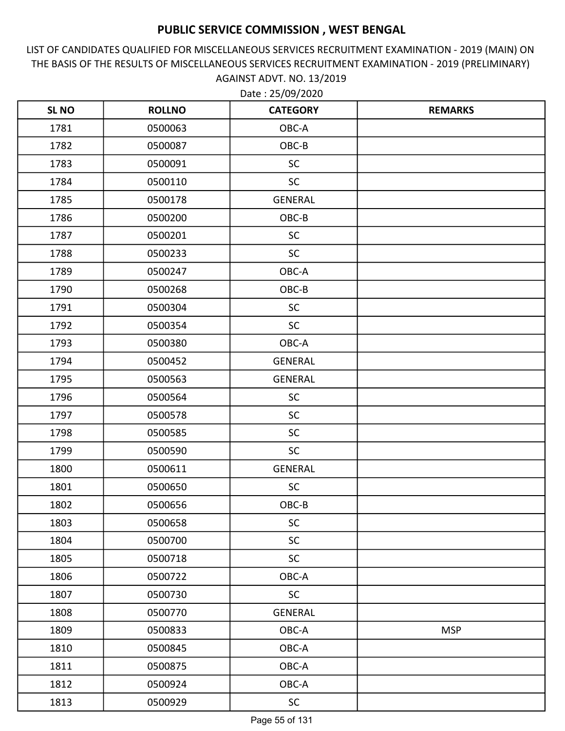LIST OF CANDIDATES QUALIFIED FOR MISCELLANEOUS SERVICES RECRUITMENT EXAMINATION - 2019 (MAIN) ON THE BASIS OF THE RESULTS OF MISCELLANEOUS SERVICES RECRUITMENT EXAMINATION - 2019 (PRELIMINARY) AGAINST ADVT. NO. 13/2019

| <b>SLNO</b> | <b>ROLLNO</b> | <b>CATEGORY</b> | <b>REMARKS</b> |
|-------------|---------------|-----------------|----------------|
| 1781        | 0500063       | OBC-A           |                |
| 1782        | 0500087       | OBC-B           |                |
| 1783        | 0500091       | <b>SC</b>       |                |
| 1784        | 0500110       | <b>SC</b>       |                |
| 1785        | 0500178       | <b>GENERAL</b>  |                |
| 1786        | 0500200       | OBC-B           |                |
| 1787        | 0500201       | <b>SC</b>       |                |
| 1788        | 0500233       | <b>SC</b>       |                |
| 1789        | 0500247       | OBC-A           |                |
| 1790        | 0500268       | OBC-B           |                |
| 1791        | 0500304       | <b>SC</b>       |                |
| 1792        | 0500354       | <b>SC</b>       |                |
| 1793        | 0500380       | OBC-A           |                |
| 1794        | 0500452       | <b>GENERAL</b>  |                |
| 1795        | 0500563       | <b>GENERAL</b>  |                |
| 1796        | 0500564       | <b>SC</b>       |                |
| 1797        | 0500578       | <b>SC</b>       |                |
| 1798        | 0500585       | <b>SC</b>       |                |
| 1799        | 0500590       | <b>SC</b>       |                |
| 1800        | 0500611       | <b>GENERAL</b>  |                |
| 1801        | 0500650       | <b>SC</b>       |                |
| 1802        | 0500656       | OBC-B           |                |
| 1803        | 0500658       | <b>SC</b>       |                |
| 1804        | 0500700       | <b>SC</b>       |                |
| 1805        | 0500718       | <b>SC</b>       |                |
| 1806        | 0500722       | OBC-A           |                |
| 1807        | 0500730       | <b>SC</b>       |                |
| 1808        | 0500770       | <b>GENERAL</b>  |                |
| 1809        | 0500833       | OBC-A           | <b>MSP</b>     |
| 1810        | 0500845       | OBC-A           |                |
| 1811        | 0500875       | OBC-A           |                |
| 1812        | 0500924       | OBC-A           |                |
| 1813        | 0500929       | SC              |                |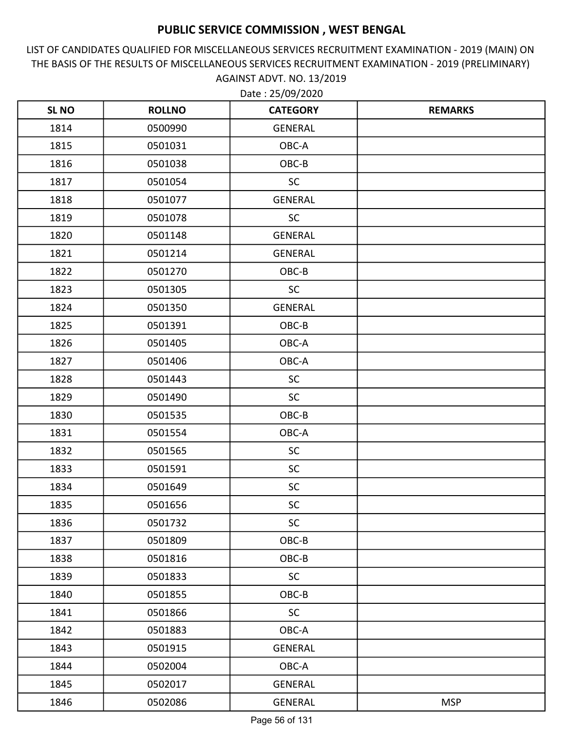LIST OF CANDIDATES QUALIFIED FOR MISCELLANEOUS SERVICES RECRUITMENT EXAMINATION - 2019 (MAIN) ON THE BASIS OF THE RESULTS OF MISCELLANEOUS SERVICES RECRUITMENT EXAMINATION - 2019 (PRELIMINARY) AGAINST ADVT. NO. 13/2019

| <b>SL NO</b> | <b>ROLLNO</b> | <b>CATEGORY</b> | <b>REMARKS</b> |
|--------------|---------------|-----------------|----------------|
| 1814         | 0500990       | GENERAL         |                |
| 1815         | 0501031       | OBC-A           |                |
| 1816         | 0501038       | OBC-B           |                |
| 1817         | 0501054       | <b>SC</b>       |                |
| 1818         | 0501077       | <b>GENERAL</b>  |                |
| 1819         | 0501078       | <b>SC</b>       |                |
| 1820         | 0501148       | <b>GENERAL</b>  |                |
| 1821         | 0501214       | <b>GENERAL</b>  |                |
| 1822         | 0501270       | OBC-B           |                |
| 1823         | 0501305       | <b>SC</b>       |                |
| 1824         | 0501350       | GENERAL         |                |
| 1825         | 0501391       | OBC-B           |                |
| 1826         | 0501405       | OBC-A           |                |
| 1827         | 0501406       | OBC-A           |                |
| 1828         | 0501443       | <b>SC</b>       |                |
| 1829         | 0501490       | <b>SC</b>       |                |
| 1830         | 0501535       | OBC-B           |                |
| 1831         | 0501554       | OBC-A           |                |
| 1832         | 0501565       | <b>SC</b>       |                |
| 1833         | 0501591       | <b>SC</b>       |                |
| 1834         | 0501649       | <b>SC</b>       |                |
| 1835         | 0501656       | $\sf SC$        |                |
| 1836         | 0501732       | <b>SC</b>       |                |
| 1837         | 0501809       | OBC-B           |                |
| 1838         | 0501816       | OBC-B           |                |
| 1839         | 0501833       | <b>SC</b>       |                |
| 1840         | 0501855       | OBC-B           |                |
| 1841         | 0501866       | <b>SC</b>       |                |
| 1842         | 0501883       | OBC-A           |                |
| 1843         | 0501915       | GENERAL         |                |
| 1844         | 0502004       | OBC-A           |                |
| 1845         | 0502017       | GENERAL         |                |
| 1846         | 0502086       | GENERAL         | <b>MSP</b>     |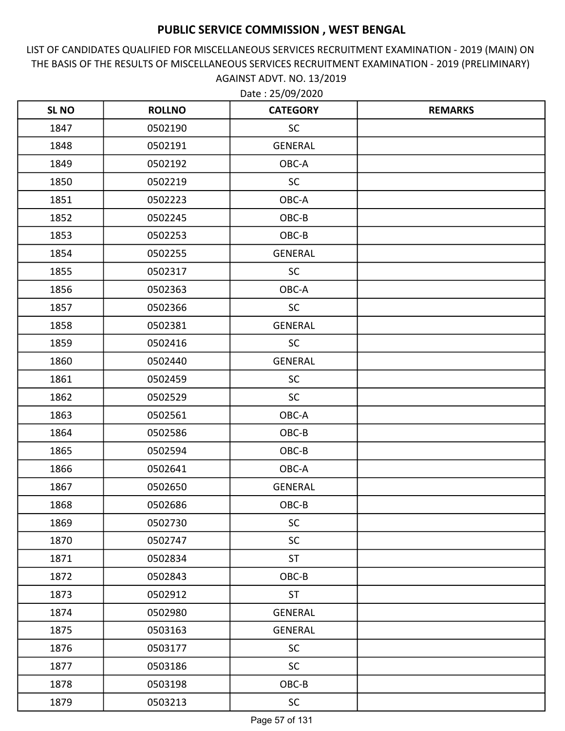LIST OF CANDIDATES QUALIFIED FOR MISCELLANEOUS SERVICES RECRUITMENT EXAMINATION - 2019 (MAIN) ON THE BASIS OF THE RESULTS OF MISCELLANEOUS SERVICES RECRUITMENT EXAMINATION - 2019 (PRELIMINARY) AGAINST ADVT. NO. 13/2019

| <b>SL NO</b> | <b>ROLLNO</b> | <b>CATEGORY</b> | <b>REMARKS</b> |
|--------------|---------------|-----------------|----------------|
| 1847         | 0502190       | <b>SC</b>       |                |
| 1848         | 0502191       | <b>GENERAL</b>  |                |
| 1849         | 0502192       | OBC-A           |                |
| 1850         | 0502219       | <b>SC</b>       |                |
| 1851         | 0502223       | OBC-A           |                |
| 1852         | 0502245       | OBC-B           |                |
| 1853         | 0502253       | OBC-B           |                |
| 1854         | 0502255       | GENERAL         |                |
| 1855         | 0502317       | <b>SC</b>       |                |
| 1856         | 0502363       | OBC-A           |                |
| 1857         | 0502366       | <b>SC</b>       |                |
| 1858         | 0502381       | <b>GENERAL</b>  |                |
| 1859         | 0502416       | <b>SC</b>       |                |
| 1860         | 0502440       | <b>GENERAL</b>  |                |
| 1861         | 0502459       | <b>SC</b>       |                |
| 1862         | 0502529       | <b>SC</b>       |                |
| 1863         | 0502561       | OBC-A           |                |
| 1864         | 0502586       | OBC-B           |                |
| 1865         | 0502594       | OBC-B           |                |
| 1866         | 0502641       | OBC-A           |                |
| 1867         | 0502650       | <b>GENERAL</b>  |                |
| 1868         | 0502686       | OBC-B           |                |
| 1869         | 0502730       | <b>SC</b>       |                |
| 1870         | 0502747       | <b>SC</b>       |                |
| 1871         | 0502834       | <b>ST</b>       |                |
| 1872         | 0502843       | OBC-B           |                |
| 1873         | 0502912       | <b>ST</b>       |                |
| 1874         | 0502980       | GENERAL         |                |
| 1875         | 0503163       | GENERAL         |                |
| 1876         | 0503177       | <b>SC</b>       |                |
| 1877         | 0503186       | SC              |                |
| 1878         | 0503198       | OBC-B           |                |
| 1879         | 0503213       | SC              |                |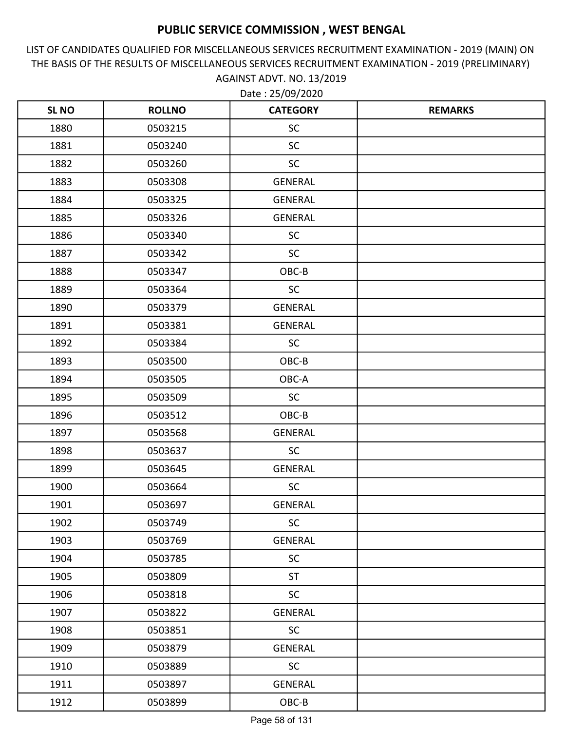LIST OF CANDIDATES QUALIFIED FOR MISCELLANEOUS SERVICES RECRUITMENT EXAMINATION - 2019 (MAIN) ON THE BASIS OF THE RESULTS OF MISCELLANEOUS SERVICES RECRUITMENT EXAMINATION - 2019 (PRELIMINARY) AGAINST ADVT. NO. 13/2019 Date : 25/09/2020

| <b>SLNO</b> | <b>ROLLNO</b> | <b>CATEGORY</b> | <b>REMARKS</b> |
|-------------|---------------|-----------------|----------------|
| 1880        | 0503215       | <b>SC</b>       |                |
| 1881        | 0503240       | <b>SC</b>       |                |
| 1882        | 0503260       | <b>SC</b>       |                |
| 1883        | 0503308       | <b>GENERAL</b>  |                |
| 1884        | 0503325       | <b>GENERAL</b>  |                |
| 1885        | 0503326       | <b>GENERAL</b>  |                |
| 1886        | 0503340       | <b>SC</b>       |                |
| 1887        | 0503342       | <b>SC</b>       |                |
| 1888        | 0503347       | OBC-B           |                |
| 1889        | 0503364       | <b>SC</b>       |                |
| 1890        | 0503379       | <b>GENERAL</b>  |                |
| 1891        | 0503381       | <b>GENERAL</b>  |                |
| 1892        | 0503384       | <b>SC</b>       |                |
| 1893        | 0503500       | OBC-B           |                |
| 1894        | 0503505       | OBC-A           |                |
| 1895        | 0503509       | <b>SC</b>       |                |
| 1896        | 0503512       | OBC-B           |                |
| 1897        | 0503568       | <b>GENERAL</b>  |                |
| 1898        | 0503637       | <b>SC</b>       |                |
| 1899        | 0503645       | GENERAL         |                |
| 1900        | 0503664       | <b>SC</b>       |                |
| 1901        | 0503697       | <b>GENERAL</b>  |                |
| 1902        | 0503749       | <b>SC</b>       |                |
| 1903        | 0503769       | <b>GENERAL</b>  |                |
| 1904        | 0503785       | <b>SC</b>       |                |
| 1905        | 0503809       | <b>ST</b>       |                |
| 1906        | 0503818       | <b>SC</b>       |                |
| 1907        | 0503822       | GENERAL         |                |
| 1908        | 0503851       | <b>SC</b>       |                |
| 1909        | 0503879       | <b>GENERAL</b>  |                |
| 1910        | 0503889       | <b>SC</b>       |                |
| 1911        | 0503897       | GENERAL         |                |
| 1912        | 0503899       | OBC-B           |                |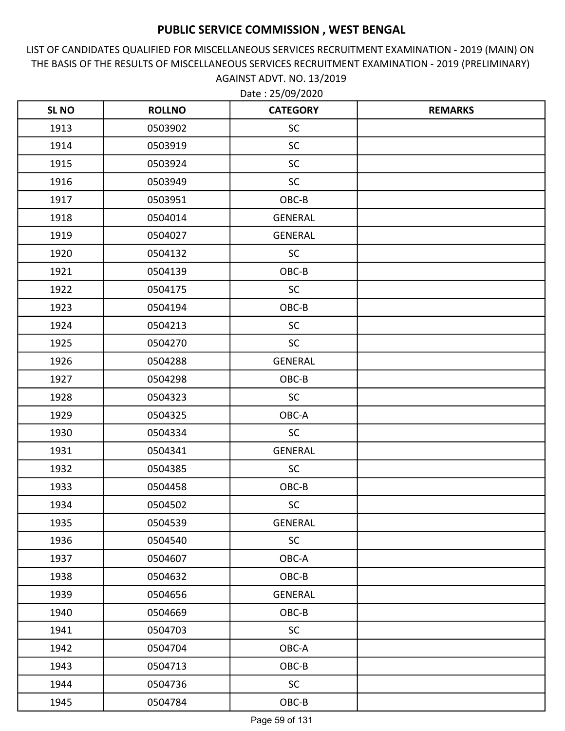LIST OF CANDIDATES QUALIFIED FOR MISCELLANEOUS SERVICES RECRUITMENT EXAMINATION - 2019 (MAIN) ON THE BASIS OF THE RESULTS OF MISCELLANEOUS SERVICES RECRUITMENT EXAMINATION - 2019 (PRELIMINARY) AGAINST ADVT. NO. 13/2019

| <b>SLNO</b> | <b>ROLLNO</b> | <b>CATEGORY</b> | <b>REMARKS</b> |
|-------------|---------------|-----------------|----------------|
| 1913        | 0503902       | <b>SC</b>       |                |
| 1914        | 0503919       | <b>SC</b>       |                |
| 1915        | 0503924       | <b>SC</b>       |                |
| 1916        | 0503949       | <b>SC</b>       |                |
| 1917        | 0503951       | OBC-B           |                |
| 1918        | 0504014       | <b>GENERAL</b>  |                |
| 1919        | 0504027       | <b>GENERAL</b>  |                |
| 1920        | 0504132       | <b>SC</b>       |                |
| 1921        | 0504139       | OBC-B           |                |
| 1922        | 0504175       | SC              |                |
| 1923        | 0504194       | OBC-B           |                |
| 1924        | 0504213       | <b>SC</b>       |                |
| 1925        | 0504270       | <b>SC</b>       |                |
| 1926        | 0504288       | <b>GENERAL</b>  |                |
| 1927        | 0504298       | OBC-B           |                |
| 1928        | 0504323       | <b>SC</b>       |                |
| 1929        | 0504325       | OBC-A           |                |
| 1930        | 0504334       | <b>SC</b>       |                |
| 1931        | 0504341       | <b>GENERAL</b>  |                |
| 1932        | 0504385       | <b>SC</b>       |                |
| 1933        | 0504458       | OBC-B           |                |
| 1934        | 0504502       | <b>SC</b>       |                |
| 1935        | 0504539       | <b>GENERAL</b>  |                |
| 1936        | 0504540       | <b>SC</b>       |                |
| 1937        | 0504607       | OBC-A           |                |
| 1938        | 0504632       | OBC-B           |                |
| 1939        | 0504656       | <b>GENERAL</b>  |                |
| 1940        | 0504669       | OBC-B           |                |
| 1941        | 0504703       | <b>SC</b>       |                |
| 1942        | 0504704       | OBC-A           |                |
| 1943        | 0504713       | OBC-B           |                |
| 1944        | 0504736       | <b>SC</b>       |                |
| 1945        | 0504784       | $OBC-B$         |                |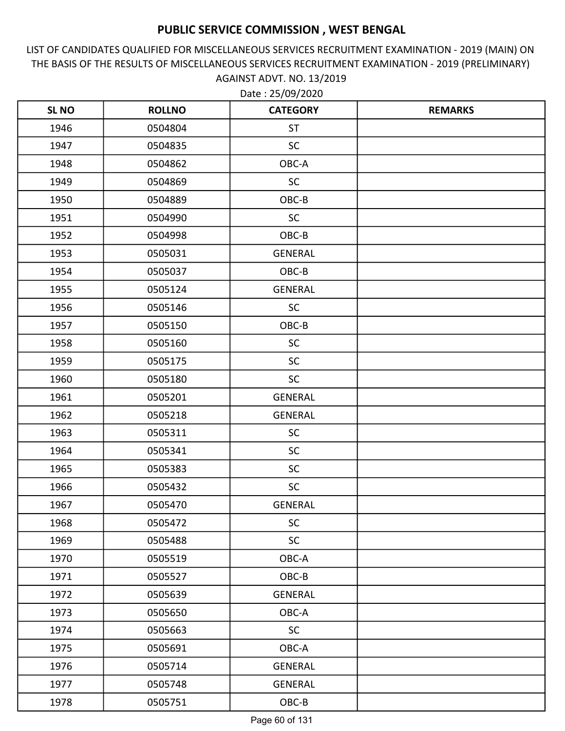LIST OF CANDIDATES QUALIFIED FOR MISCELLANEOUS SERVICES RECRUITMENT EXAMINATION - 2019 (MAIN) ON THE BASIS OF THE RESULTS OF MISCELLANEOUS SERVICES RECRUITMENT EXAMINATION - 2019 (PRELIMINARY) AGAINST ADVT. NO. 13/2019 Date : 25/09/2020

| <b>SLNO</b> | <b>ROLLNO</b> | <b>CATEGORY</b> | <b>REMARKS</b> |
|-------------|---------------|-----------------|----------------|
| 1946        | 0504804       | <b>ST</b>       |                |
| 1947        | 0504835       | <b>SC</b>       |                |
| 1948        | 0504862       | OBC-A           |                |
| 1949        | 0504869       | <b>SC</b>       |                |
| 1950        | 0504889       | OBC-B           |                |
| 1951        | 0504990       | <b>SC</b>       |                |
| 1952        | 0504998       | OBC-B           |                |
| 1953        | 0505031       | <b>GENERAL</b>  |                |
| 1954        | 0505037       | OBC-B           |                |
| 1955        | 0505124       | <b>GENERAL</b>  |                |
| 1956        | 0505146       | <b>SC</b>       |                |
| 1957        | 0505150       | OBC-B           |                |
| 1958        | 0505160       | <b>SC</b>       |                |
| 1959        | 0505175       | <b>SC</b>       |                |
| 1960        | 0505180       | <b>SC</b>       |                |
| 1961        | 0505201       | <b>GENERAL</b>  |                |
| 1962        | 0505218       | <b>GENERAL</b>  |                |
| 1963        | 0505311       | <b>SC</b>       |                |
| 1964        | 0505341       | <b>SC</b>       |                |
| 1965        | 0505383       | <b>SC</b>       |                |
| 1966        | 0505432       | <b>SC</b>       |                |
| 1967        | 0505470       | <b>GENERAL</b>  |                |
| 1968        | 0505472       | <b>SC</b>       |                |
| 1969        | 0505488       | <b>SC</b>       |                |
| 1970        | 0505519       | OBC-A           |                |
| 1971        | 0505527       | OBC-B           |                |
| 1972        | 0505639       | GENERAL         |                |
| 1973        | 0505650       | OBC-A           |                |
| 1974        | 0505663       | <b>SC</b>       |                |
| 1975        | 0505691       | OBC-A           |                |
| 1976        | 0505714       | <b>GENERAL</b>  |                |
| 1977        | 0505748       | GENERAL         |                |
| 1978        | 0505751       | OBC-B           |                |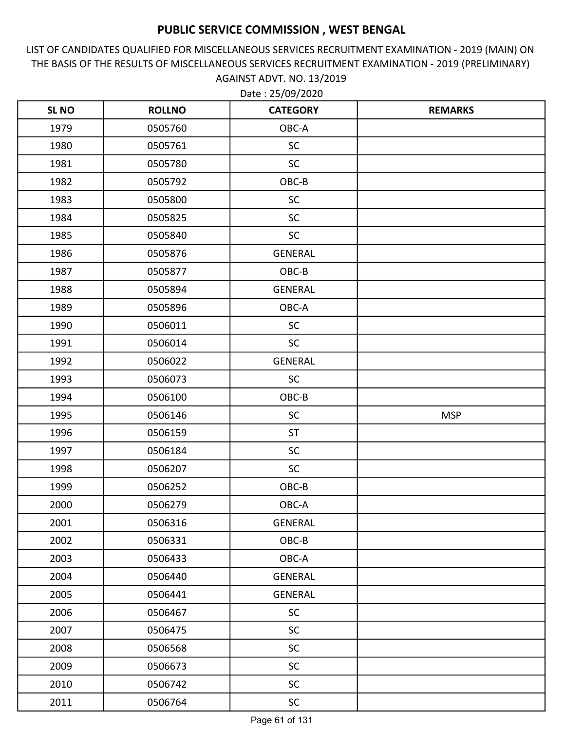LIST OF CANDIDATES QUALIFIED FOR MISCELLANEOUS SERVICES RECRUITMENT EXAMINATION - 2019 (MAIN) ON THE BASIS OF THE RESULTS OF MISCELLANEOUS SERVICES RECRUITMENT EXAMINATION - 2019 (PRELIMINARY) AGAINST ADVT. NO. 13/2019

| <b>SL NO</b> | <b>ROLLNO</b> | <b>CATEGORY</b> | <b>REMARKS</b> |
|--------------|---------------|-----------------|----------------|
| 1979         | 0505760       | OBC-A           |                |
| 1980         | 0505761       | <b>SC</b>       |                |
| 1981         | 0505780       | <b>SC</b>       |                |
| 1982         | 0505792       | OBC-B           |                |
| 1983         | 0505800       | <b>SC</b>       |                |
| 1984         | 0505825       | <b>SC</b>       |                |
| 1985         | 0505840       | <b>SC</b>       |                |
| 1986         | 0505876       | <b>GENERAL</b>  |                |
| 1987         | 0505877       | OBC-B           |                |
| 1988         | 0505894       | <b>GENERAL</b>  |                |
| 1989         | 0505896       | OBC-A           |                |
| 1990         | 0506011       | <b>SC</b>       |                |
| 1991         | 0506014       | <b>SC</b>       |                |
| 1992         | 0506022       | <b>GENERAL</b>  |                |
| 1993         | 0506073       | <b>SC</b>       |                |
| 1994         | 0506100       | OBC-B           |                |
| 1995         | 0506146       | <b>SC</b>       | <b>MSP</b>     |
| 1996         | 0506159       | <b>ST</b>       |                |
| 1997         | 0506184       | <b>SC</b>       |                |
| 1998         | 0506207       | <b>SC</b>       |                |
| 1999         | 0506252       | OBC-B           |                |
| 2000         | 0506279       | OBC-A           |                |
| 2001         | 0506316       | <b>GENERAL</b>  |                |
| 2002         | 0506331       | OBC-B           |                |
| 2003         | 0506433       | OBC-A           |                |
| 2004         | 0506440       | GENERAL         |                |
| 2005         | 0506441       | <b>GENERAL</b>  |                |
| 2006         | 0506467       | <b>SC</b>       |                |
| 2007         | 0506475       | <b>SC</b>       |                |
| 2008         | 0506568       | <b>SC</b>       |                |
| 2009         | 0506673       | SC              |                |
| 2010         | 0506742       | <b>SC</b>       |                |
| 2011         | 0506764       | SC              |                |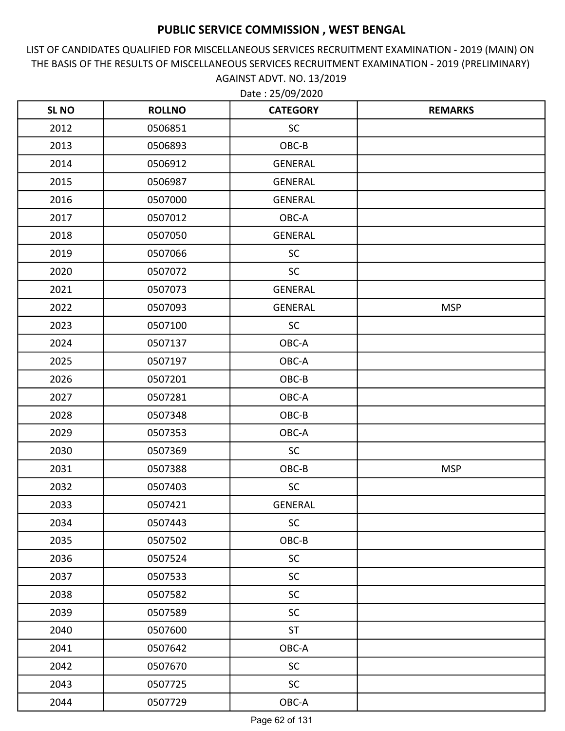LIST OF CANDIDATES QUALIFIED FOR MISCELLANEOUS SERVICES RECRUITMENT EXAMINATION - 2019 (MAIN) ON THE BASIS OF THE RESULTS OF MISCELLANEOUS SERVICES RECRUITMENT EXAMINATION - 2019 (PRELIMINARY) AGAINST ADVT. NO. 13/2019

| <b>SL NO</b> | <b>ROLLNO</b> | <b>CATEGORY</b> | <b>REMARKS</b> |
|--------------|---------------|-----------------|----------------|
| 2012         | 0506851       | SC              |                |
| 2013         | 0506893       | OBC-B           |                |
| 2014         | 0506912       | GENERAL         |                |
| 2015         | 0506987       | <b>GENERAL</b>  |                |
| 2016         | 0507000       | <b>GENERAL</b>  |                |
| 2017         | 0507012       | OBC-A           |                |
| 2018         | 0507050       | GENERAL         |                |
| 2019         | 0507066       | <b>SC</b>       |                |
| 2020         | 0507072       | <b>SC</b>       |                |
| 2021         | 0507073       | <b>GENERAL</b>  |                |
| 2022         | 0507093       | <b>GENERAL</b>  | <b>MSP</b>     |
| 2023         | 0507100       | <b>SC</b>       |                |
| 2024         | 0507137       | OBC-A           |                |
| 2025         | 0507197       | OBC-A           |                |
| 2026         | 0507201       | OBC-B           |                |
| 2027         | 0507281       | OBC-A           |                |
| 2028         | 0507348       | OBC-B           |                |
| 2029         | 0507353       | OBC-A           |                |
| 2030         | 0507369       | <b>SC</b>       |                |
| 2031         | 0507388       | OBC-B           | <b>MSP</b>     |
| 2032         | 0507403       | <b>SC</b>       |                |
| 2033         | 0507421       | <b>GENERAL</b>  |                |
| 2034         | 0507443       | <b>SC</b>       |                |
| 2035         | 0507502       | $OBC-B$         |                |
| 2036         | 0507524       | <b>SC</b>       |                |
| 2037         | 0507533       | SC              |                |
| 2038         | 0507582       | <b>SC</b>       |                |
| 2039         | 0507589       | <b>SC</b>       |                |
| 2040         | 0507600       | <b>ST</b>       |                |
| 2041         | 0507642       | OBC-A           |                |
| 2042         | 0507670       | <b>SC</b>       |                |
| 2043         | 0507725       | SC              |                |
| 2044         | 0507729       | OBC-A           |                |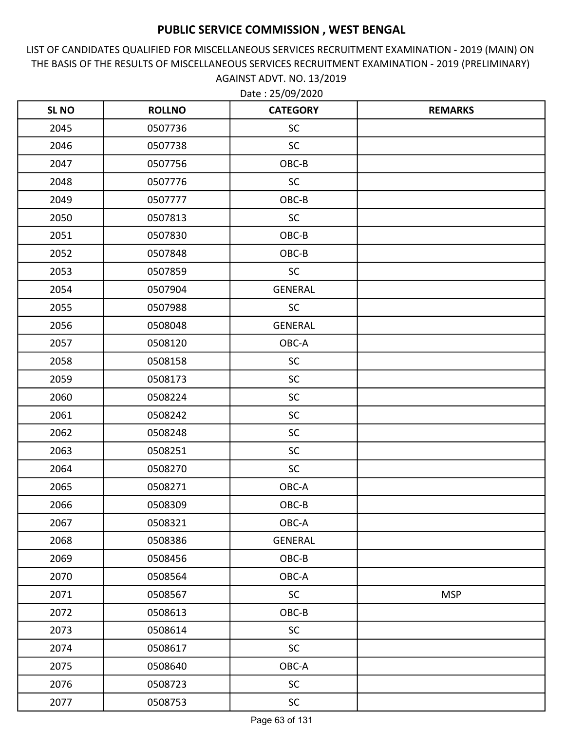LIST OF CANDIDATES QUALIFIED FOR MISCELLANEOUS SERVICES RECRUITMENT EXAMINATION - 2019 (MAIN) ON THE BASIS OF THE RESULTS OF MISCELLANEOUS SERVICES RECRUITMENT EXAMINATION - 2019 (PRELIMINARY) AGAINST ADVT. NO. 13/2019

| <b>SL NO</b> | <b>ROLLNO</b> | <b>CATEGORY</b> | <b>REMARKS</b> |
|--------------|---------------|-----------------|----------------|
| 2045         | 0507736       | <b>SC</b>       |                |
| 2046         | 0507738       | <b>SC</b>       |                |
| 2047         | 0507756       | OBC-B           |                |
| 2048         | 0507776       | <b>SC</b>       |                |
| 2049         | 0507777       | OBC-B           |                |
| 2050         | 0507813       | SC              |                |
| 2051         | 0507830       | OBC-B           |                |
| 2052         | 0507848       | OBC-B           |                |
| 2053         | 0507859       | <b>SC</b>       |                |
| 2054         | 0507904       | <b>GENERAL</b>  |                |
| 2055         | 0507988       | <b>SC</b>       |                |
| 2056         | 0508048       | GENERAL         |                |
| 2057         | 0508120       | OBC-A           |                |
| 2058         | 0508158       | <b>SC</b>       |                |
| 2059         | 0508173       | <b>SC</b>       |                |
| 2060         | 0508224       | <b>SC</b>       |                |
| 2061         | 0508242       | <b>SC</b>       |                |
| 2062         | 0508248       | SC              |                |
| 2063         | 0508251       | <b>SC</b>       |                |
| 2064         | 0508270       | SC              |                |
| 2065         | 0508271       | OBC-A           |                |
| 2066         | 0508309       | OBC-B           |                |
| 2067         | 0508321       | OBC-A           |                |
| 2068         | 0508386       | GENERAL         |                |
| 2069         | 0508456       | OBC-B           |                |
| 2070         | 0508564       | OBC-A           |                |
| 2071         | 0508567       | <b>SC</b>       | <b>MSP</b>     |
| 2072         | 0508613       | OBC-B           |                |
| 2073         | 0508614       | <b>SC</b>       |                |
| 2074         | 0508617       | <b>SC</b>       |                |
| 2075         | 0508640       | OBC-A           |                |
| 2076         | 0508723       | <b>SC</b>       |                |
| 2077         | 0508753       | SC              |                |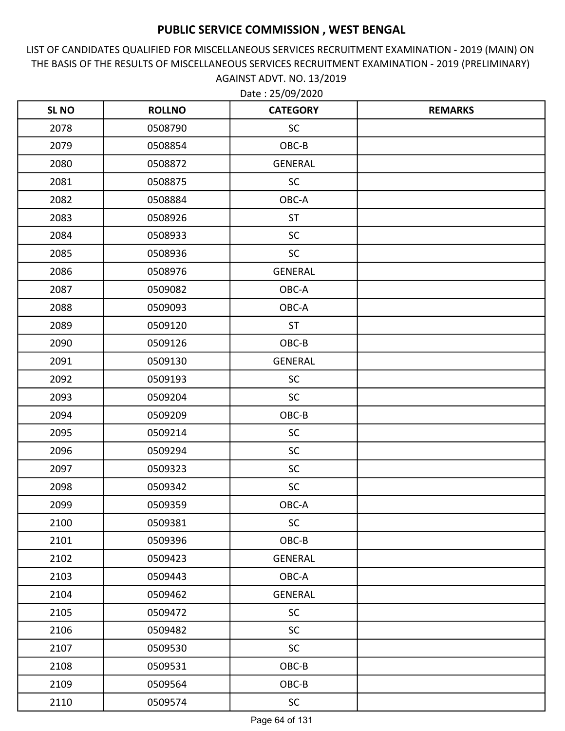LIST OF CANDIDATES QUALIFIED FOR MISCELLANEOUS SERVICES RECRUITMENT EXAMINATION - 2019 (MAIN) ON THE BASIS OF THE RESULTS OF MISCELLANEOUS SERVICES RECRUITMENT EXAMINATION - 2019 (PRELIMINARY) AGAINST ADVT. NO. 13/2019

| <b>SL NO</b> | <b>ROLLNO</b> | <b>CATEGORY</b> | <b>REMARKS</b> |
|--------------|---------------|-----------------|----------------|
| 2078         | 0508790       | <b>SC</b>       |                |
| 2079         | 0508854       | OBC-B           |                |
| 2080         | 0508872       | GENERAL         |                |
| 2081         | 0508875       | <b>SC</b>       |                |
| 2082         | 0508884       | OBC-A           |                |
| 2083         | 0508926       | <b>ST</b>       |                |
| 2084         | 0508933       | <b>SC</b>       |                |
| 2085         | 0508936       | <b>SC</b>       |                |
| 2086         | 0508976       | <b>GENERAL</b>  |                |
| 2087         | 0509082       | OBC-A           |                |
| 2088         | 0509093       | OBC-A           |                |
| 2089         | 0509120       | <b>ST</b>       |                |
| 2090         | 0509126       | OBC-B           |                |
| 2091         | 0509130       | <b>GENERAL</b>  |                |
| 2092         | 0509193       | <b>SC</b>       |                |
| 2093         | 0509204       | <b>SC</b>       |                |
| 2094         | 0509209       | OBC-B           |                |
| 2095         | 0509214       | <b>SC</b>       |                |
| 2096         | 0509294       | <b>SC</b>       |                |
| 2097         | 0509323       | <b>SC</b>       |                |
| 2098         | 0509342       | <b>SC</b>       |                |
| 2099         | 0509359       | OBC-A           |                |
| 2100         | 0509381       | <b>SC</b>       |                |
| 2101         | 0509396       | OBC-B           |                |
| 2102         | 0509423       | <b>GENERAL</b>  |                |
| 2103         | 0509443       | OBC-A           |                |
| 2104         | 0509462       | <b>GENERAL</b>  |                |
| 2105         | 0509472       | <b>SC</b>       |                |
| 2106         | 0509482       | <b>SC</b>       |                |
| 2107         | 0509530       | <b>SC</b>       |                |
| 2108         | 0509531       | OBC-B           |                |
| 2109         | 0509564       | OBC-B           |                |
| 2110         | 0509574       | SC              |                |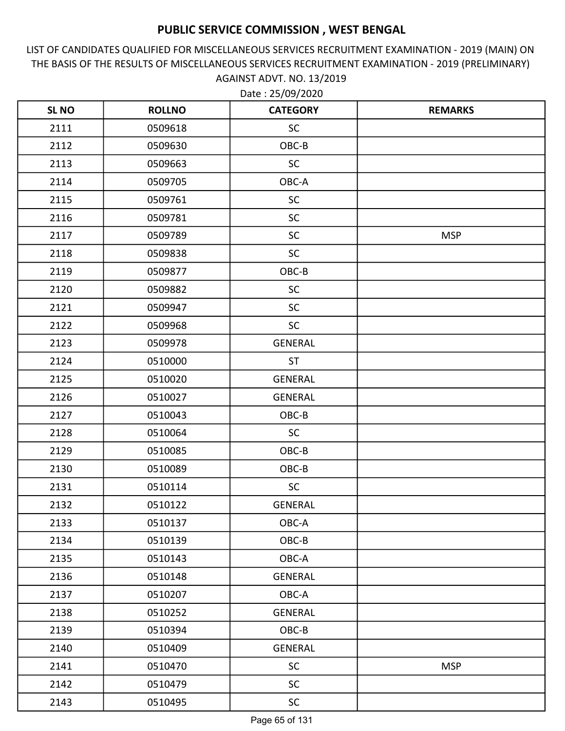LIST OF CANDIDATES QUALIFIED FOR MISCELLANEOUS SERVICES RECRUITMENT EXAMINATION - 2019 (MAIN) ON THE BASIS OF THE RESULTS OF MISCELLANEOUS SERVICES RECRUITMENT EXAMINATION - 2019 (PRELIMINARY) AGAINST ADVT. NO. 13/2019

| <b>SL NO</b> | <b>ROLLNO</b> | <b>CATEGORY</b> | <b>REMARKS</b> |
|--------------|---------------|-----------------|----------------|
| 2111         | 0509618       | <b>SC</b>       |                |
| 2112         | 0509630       | OBC-B           |                |
| 2113         | 0509663       | <b>SC</b>       |                |
| 2114         | 0509705       | OBC-A           |                |
| 2115         | 0509761       | <b>SC</b>       |                |
| 2116         | 0509781       | <b>SC</b>       |                |
| 2117         | 0509789       | <b>SC</b>       | <b>MSP</b>     |
| 2118         | 0509838       | <b>SC</b>       |                |
| 2119         | 0509877       | OBC-B           |                |
| 2120         | 0509882       | <b>SC</b>       |                |
| 2121         | 0509947       | <b>SC</b>       |                |
| 2122         | 0509968       | <b>SC</b>       |                |
| 2123         | 0509978       | <b>GENERAL</b>  |                |
| 2124         | 0510000       | <b>ST</b>       |                |
| 2125         | 0510020       | <b>GENERAL</b>  |                |
| 2126         | 0510027       | <b>GENERAL</b>  |                |
| 2127         | 0510043       | OBC-B           |                |
| 2128         | 0510064       | SC              |                |
| 2129         | 0510085       | OBC-B           |                |
| 2130         | 0510089       | OBC-B           |                |
| 2131         | 0510114       | <b>SC</b>       |                |
| 2132         | 0510122       | <b>GENERAL</b>  |                |
| 2133         | 0510137       | OBC-A           |                |
| 2134         | 0510139       | OBC-B           |                |
| 2135         | 0510143       | OBC-A           |                |
| 2136         | 0510148       | GENERAL         |                |
| 2137         | 0510207       | OBC-A           |                |
| 2138         | 0510252       | GENERAL         |                |
| 2139         | 0510394       | $OBC-B$         |                |
| 2140         | 0510409       | <b>GENERAL</b>  |                |
| 2141         | 0510470       | SC              | <b>MSP</b>     |
| 2142         | 0510479       | <b>SC</b>       |                |
| 2143         | 0510495       | <b>SC</b>       |                |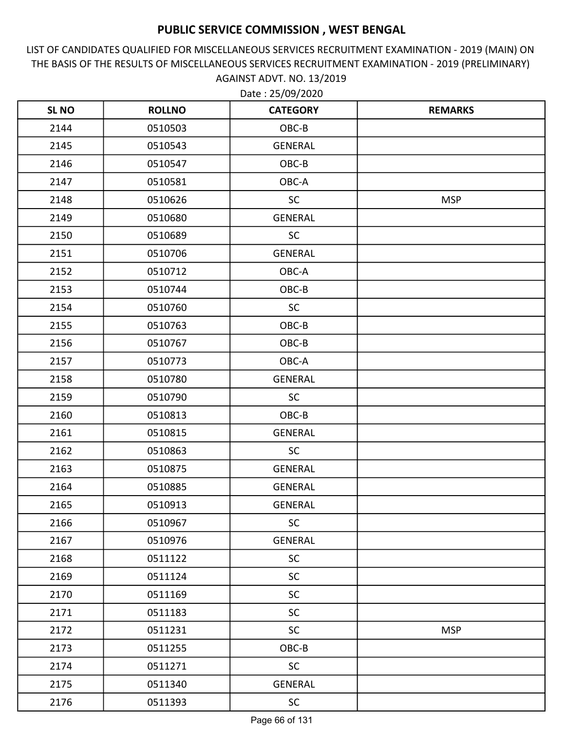LIST OF CANDIDATES QUALIFIED FOR MISCELLANEOUS SERVICES RECRUITMENT EXAMINATION - 2019 (MAIN) ON THE BASIS OF THE RESULTS OF MISCELLANEOUS SERVICES RECRUITMENT EXAMINATION - 2019 (PRELIMINARY) AGAINST ADVT. NO. 13/2019

| <b>SL NO</b> | <b>ROLLNO</b> | <b>CATEGORY</b> | <b>REMARKS</b> |
|--------------|---------------|-----------------|----------------|
| 2144         | 0510503       | OBC-B           |                |
| 2145         | 0510543       | <b>GENERAL</b>  |                |
| 2146         | 0510547       | OBC-B           |                |
| 2147         | 0510581       | OBC-A           |                |
| 2148         | 0510626       | <b>SC</b>       | <b>MSP</b>     |
| 2149         | 0510680       | <b>GENERAL</b>  |                |
| 2150         | 0510689       | <b>SC</b>       |                |
| 2151         | 0510706       | <b>GENERAL</b>  |                |
| 2152         | 0510712       | OBC-A           |                |
| 2153         | 0510744       | OBC-B           |                |
| 2154         | 0510760       | <b>SC</b>       |                |
| 2155         | 0510763       | OBC-B           |                |
| 2156         | 0510767       | OBC-B           |                |
| 2157         | 0510773       | OBC-A           |                |
| 2158         | 0510780       | <b>GENERAL</b>  |                |
| 2159         | 0510790       | <b>SC</b>       |                |
| 2160         | 0510813       | OBC-B           |                |
| 2161         | 0510815       | <b>GENERAL</b>  |                |
| 2162         | 0510863       | <b>SC</b>       |                |
| 2163         | 0510875       | <b>GENERAL</b>  |                |
| 2164         | 0510885       | <b>GENERAL</b>  |                |
| 2165         | 0510913       | <b>GENERAL</b>  |                |
| 2166         | 0510967       | <b>SC</b>       |                |
| 2167         | 0510976       | GENERAL         |                |
| 2168         | 0511122       | <b>SC</b>       |                |
| 2169         | 0511124       | <b>SC</b>       |                |
| 2170         | 0511169       | SC              |                |
| 2171         | 0511183       | <b>SC</b>       |                |
| 2172         | 0511231       | <b>SC</b>       | <b>MSP</b>     |
| 2173         | 0511255       | $OBC-B$         |                |
| 2174         | 0511271       | SC              |                |
| 2175         | 0511340       | GENERAL         |                |
| 2176         | 0511393       | SC              |                |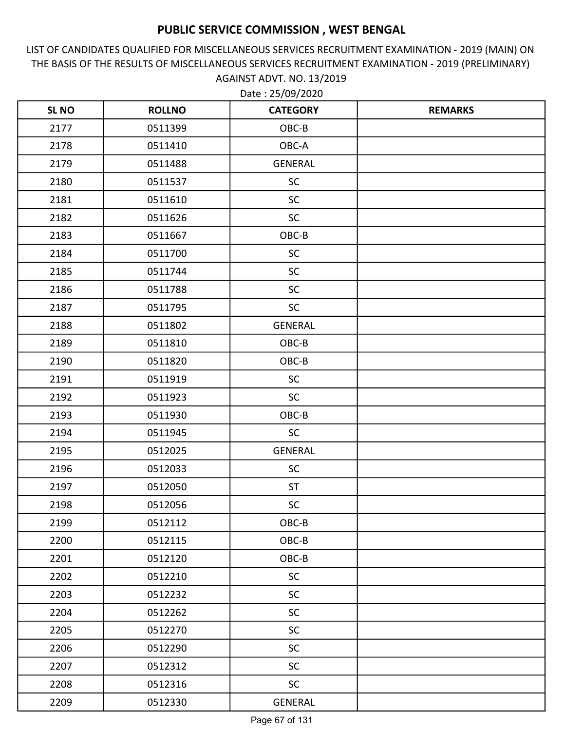LIST OF CANDIDATES QUALIFIED FOR MISCELLANEOUS SERVICES RECRUITMENT EXAMINATION - 2019 (MAIN) ON THE BASIS OF THE RESULTS OF MISCELLANEOUS SERVICES RECRUITMENT EXAMINATION - 2019 (PRELIMINARY) AGAINST ADVT. NO. 13/2019

| <b>SL NO</b> | <b>ROLLNO</b> | <b>CATEGORY</b> | <b>REMARKS</b> |
|--------------|---------------|-----------------|----------------|
| 2177         | 0511399       | OBC-B           |                |
| 2178         | 0511410       | OBC-A           |                |
| 2179         | 0511488       | GENERAL         |                |
| 2180         | 0511537       | <b>SC</b>       |                |
| 2181         | 0511610       | <b>SC</b>       |                |
| 2182         | 0511626       | <b>SC</b>       |                |
| 2183         | 0511667       | OBC-B           |                |
| 2184         | 0511700       | <b>SC</b>       |                |
| 2185         | 0511744       | <b>SC</b>       |                |
| 2186         | 0511788       | <b>SC</b>       |                |
| 2187         | 0511795       | <b>SC</b>       |                |
| 2188         | 0511802       | <b>GENERAL</b>  |                |
| 2189         | 0511810       | OBC-B           |                |
| 2190         | 0511820       | OBC-B           |                |
| 2191         | 0511919       | <b>SC</b>       |                |
| 2192         | 0511923       | <b>SC</b>       |                |
| 2193         | 0511930       | OBC-B           |                |
| 2194         | 0511945       | <b>SC</b>       |                |
| 2195         | 0512025       | <b>GENERAL</b>  |                |
| 2196         | 0512033       | <b>SC</b>       |                |
| 2197         | 0512050       | <b>ST</b>       |                |
| 2198         | 0512056       | <b>SC</b>       |                |
| 2199         | 0512112       | OBC-B           |                |
| 2200         | 0512115       | OBC-B           |                |
| 2201         | 0512120       | OBC-B           |                |
| 2202         | 0512210       | <b>SC</b>       |                |
| 2203         | 0512232       | <b>SC</b>       |                |
| 2204         | 0512262       | <b>SC</b>       |                |
| 2205         | 0512270       | <b>SC</b>       |                |
| 2206         | 0512290       | <b>SC</b>       |                |
| 2207         | 0512312       | <b>SC</b>       |                |
| 2208         | 0512316       | <b>SC</b>       |                |
| 2209         | 0512330       | <b>GENERAL</b>  |                |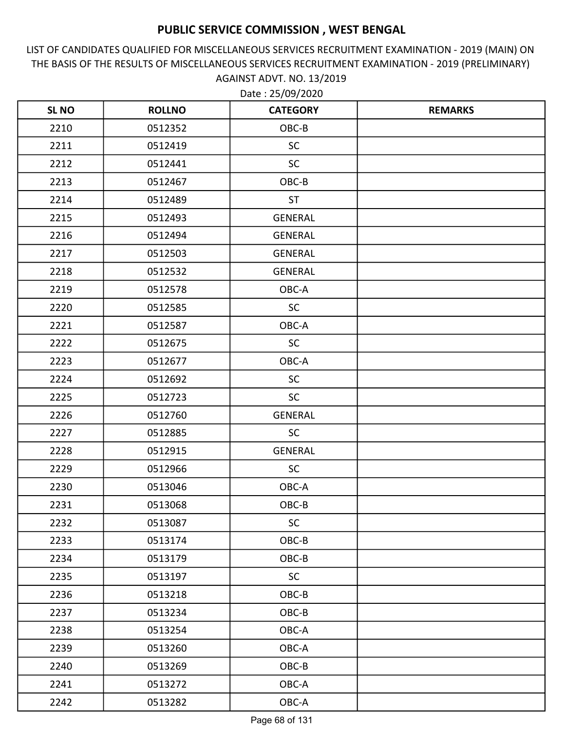LIST OF CANDIDATES QUALIFIED FOR MISCELLANEOUS SERVICES RECRUITMENT EXAMINATION - 2019 (MAIN) ON THE BASIS OF THE RESULTS OF MISCELLANEOUS SERVICES RECRUITMENT EXAMINATION - 2019 (PRELIMINARY) AGAINST ADVT. NO. 13/2019 Date : 25/09/2020

| <b>SLNO</b> | <b>ROLLNO</b> | <b>CATEGORY</b> | <b>REMARKS</b> |
|-------------|---------------|-----------------|----------------|
| 2210        | 0512352       | OBC-B           |                |
| 2211        | 0512419       | <b>SC</b>       |                |
| 2212        | 0512441       | <b>SC</b>       |                |
| 2213        | 0512467       | OBC-B           |                |
| 2214        | 0512489       | <b>ST</b>       |                |
| 2215        | 0512493       | <b>GENERAL</b>  |                |
| 2216        | 0512494       | <b>GENERAL</b>  |                |
| 2217        | 0512503       | <b>GENERAL</b>  |                |
| 2218        | 0512532       | <b>GENERAL</b>  |                |
| 2219        | 0512578       | OBC-A           |                |
| 2220        | 0512585       | <b>SC</b>       |                |
| 2221        | 0512587       | OBC-A           |                |
| 2222        | 0512675       | <b>SC</b>       |                |
| 2223        | 0512677       | OBC-A           |                |
| 2224        | 0512692       | <b>SC</b>       |                |
| 2225        | 0512723       | <b>SC</b>       |                |
| 2226        | 0512760       | <b>GENERAL</b>  |                |
| 2227        | 0512885       | <b>SC</b>       |                |
| 2228        | 0512915       | <b>GENERAL</b>  |                |
| 2229        | 0512966       | <b>SC</b>       |                |
| 2230        | 0513046       | OBC-A           |                |
| 2231        | 0513068       | OBC-B           |                |
| 2232        | 0513087       | <b>SC</b>       |                |
| 2233        | 0513174       | OBC-B           |                |
| 2234        | 0513179       | OBC-B           |                |
| 2235        | 0513197       | <b>SC</b>       |                |
| 2236        | 0513218       | OBC-B           |                |
| 2237        | 0513234       | OBC-B           |                |
| 2238        | 0513254       | OBC-A           |                |
| 2239        | 0513260       | OBC-A           |                |
| 2240        | 0513269       | OBC-B           |                |
| 2241        | 0513272       | OBC-A           |                |
| 2242        | 0513282       | OBC-A           |                |

Page 68 of 131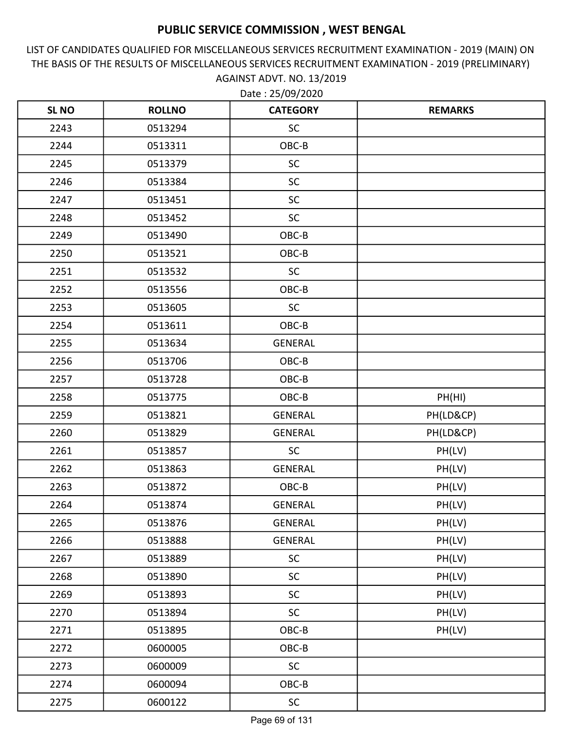LIST OF CANDIDATES QUALIFIED FOR MISCELLANEOUS SERVICES RECRUITMENT EXAMINATION - 2019 (MAIN) ON THE BASIS OF THE RESULTS OF MISCELLANEOUS SERVICES RECRUITMENT EXAMINATION - 2019 (PRELIMINARY) AGAINST ADVT. NO. 13/2019

| <b>SL NO</b> | <b>ROLLNO</b> | <b>CATEGORY</b> | <b>REMARKS</b> |
|--------------|---------------|-----------------|----------------|
| 2243         | 0513294       | <b>SC</b>       |                |
| 2244         | 0513311       | OBC-B           |                |
| 2245         | 0513379       | <b>SC</b>       |                |
| 2246         | 0513384       | <b>SC</b>       |                |
| 2247         | 0513451       | <b>SC</b>       |                |
| 2248         | 0513452       | <b>SC</b>       |                |
| 2249         | 0513490       | OBC-B           |                |
| 2250         | 0513521       | OBC-B           |                |
| 2251         | 0513532       | <b>SC</b>       |                |
| 2252         | 0513556       | OBC-B           |                |
| 2253         | 0513605       | <b>SC</b>       |                |
| 2254         | 0513611       | OBC-B           |                |
| 2255         | 0513634       | <b>GENERAL</b>  |                |
| 2256         | 0513706       | OBC-B           |                |
| 2257         | 0513728       | OBC-B           |                |
| 2258         | 0513775       | OBC-B           | PH(HI)         |
| 2259         | 0513821       | <b>GENERAL</b>  | PH(LD&CP)      |
| 2260         | 0513829       | <b>GENERAL</b>  | PH(LD&CP)      |
| 2261         | 0513857       | SC              | PH(LV)         |
| 2262         | 0513863       | <b>GENERAL</b>  | PH(LV)         |
| 2263         | 0513872       | OBC-B           | PH(LV)         |
| 2264         | 0513874       | <b>GENERAL</b>  | PH(LV)         |
| 2265         | 0513876       | <b>GENERAL</b>  | PH(LV)         |
| 2266         | 0513888       | <b>GENERAL</b>  | PH(LV)         |
| 2267         | 0513889       | <b>SC</b>       | PH(LV)         |
| 2268         | 0513890       | <b>SC</b>       | PH(LV)         |
| 2269         | 0513893       | <b>SC</b>       | PH(LV)         |
| 2270         | 0513894       | <b>SC</b>       | PH(LV)         |
| 2271         | 0513895       | OBC-B           | PH(LV)         |
| 2272         | 0600005       | OBC-B           |                |
| 2273         | 0600009       | <b>SC</b>       |                |
| 2274         | 0600094       | OBC-B           |                |
| 2275         | 0600122       | SC              |                |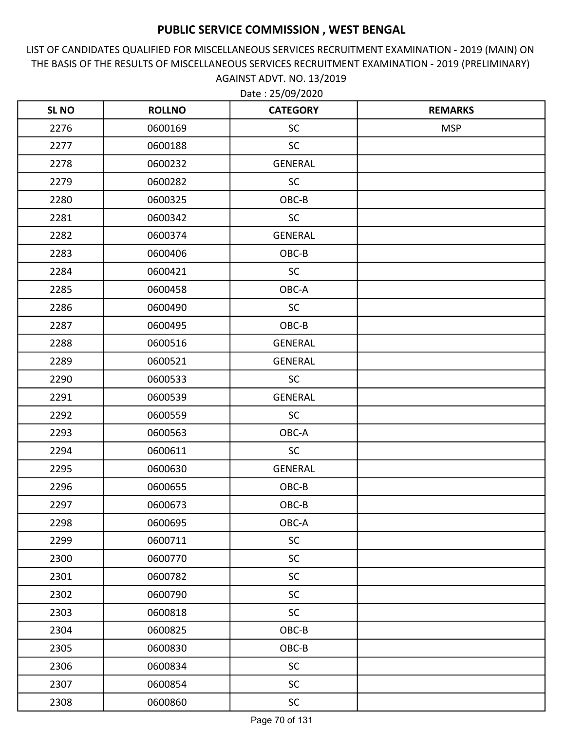LIST OF CANDIDATES QUALIFIED FOR MISCELLANEOUS SERVICES RECRUITMENT EXAMINATION - 2019 (MAIN) ON THE BASIS OF THE RESULTS OF MISCELLANEOUS SERVICES RECRUITMENT EXAMINATION - 2019 (PRELIMINARY) AGAINST ADVT. NO. 13/2019

| <b>SL NO</b> | <b>ROLLNO</b> | <b>CATEGORY</b> | <b>REMARKS</b> |
|--------------|---------------|-----------------|----------------|
| 2276         | 0600169       | <b>SC</b>       | <b>MSP</b>     |
| 2277         | 0600188       | <b>SC</b>       |                |
| 2278         | 0600232       | <b>GENERAL</b>  |                |
| 2279         | 0600282       | <b>SC</b>       |                |
| 2280         | 0600325       | OBC-B           |                |
| 2281         | 0600342       | <b>SC</b>       |                |
| 2282         | 0600374       | GENERAL         |                |
| 2283         | 0600406       | OBC-B           |                |
| 2284         | 0600421       | <b>SC</b>       |                |
| 2285         | 0600458       | OBC-A           |                |
| 2286         | 0600490       | <b>SC</b>       |                |
| 2287         | 0600495       | OBC-B           |                |
| 2288         | 0600516       | <b>GENERAL</b>  |                |
| 2289         | 0600521       | <b>GENERAL</b>  |                |
| 2290         | 0600533       | <b>SC</b>       |                |
| 2291         | 0600539       | <b>GENERAL</b>  |                |
| 2292         | 0600559       | <b>SC</b>       |                |
| 2293         | 0600563       | OBC-A           |                |
| 2294         | 0600611       | <b>SC</b>       |                |
| 2295         | 0600630       | GENERAL         |                |
| 2296         | 0600655       | OBC-B           |                |
| 2297         | 0600673       | OBC-B           |                |
| 2298         | 0600695       | OBC-A           |                |
| 2299         | 0600711       | <b>SC</b>       |                |
| 2300         | 0600770       | <b>SC</b>       |                |
| 2301         | 0600782       | <b>SC</b>       |                |
| 2302         | 0600790       | <b>SC</b>       |                |
| 2303         | 0600818       | <b>SC</b>       |                |
| 2304         | 0600825       | OBC-B           |                |
| 2305         | 0600830       | OBC-B           |                |
| 2306         | 0600834       | <b>SC</b>       |                |
| 2307         | 0600854       | <b>SC</b>       |                |
| 2308         | 0600860       | SC              |                |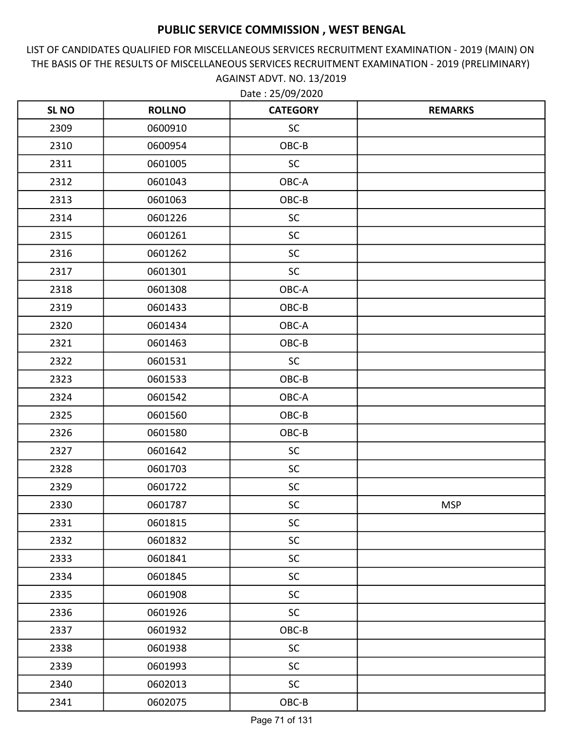LIST OF CANDIDATES QUALIFIED FOR MISCELLANEOUS SERVICES RECRUITMENT EXAMINATION - 2019 (MAIN) ON THE BASIS OF THE RESULTS OF MISCELLANEOUS SERVICES RECRUITMENT EXAMINATION - 2019 (PRELIMINARY) AGAINST ADVT. NO. 13/2019 Date : 25/09/2020

| <b>SL NO</b> | <b>ROLLNO</b> | <b>CATEGORY</b> | <b>REMARKS</b> |
|--------------|---------------|-----------------|----------------|
| 2309         | 0600910       | <b>SC</b>       |                |
| 2310         | 0600954       | OBC-B           |                |
| 2311         | 0601005       | <b>SC</b>       |                |
| 2312         | 0601043       | OBC-A           |                |
| 2313         | 0601063       | OBC-B           |                |
| 2314         | 0601226       | SC              |                |
| 2315         | 0601261       | <b>SC</b>       |                |
| 2316         | 0601262       | <b>SC</b>       |                |
| 2317         | 0601301       | <b>SC</b>       |                |
| 2318         | 0601308       | OBC-A           |                |
| 2319         | 0601433       | OBC-B           |                |
| 2320         | 0601434       | OBC-A           |                |
| 2321         | 0601463       | OBC-B           |                |
| 2322         | 0601531       | SC              |                |
| 2323         | 0601533       | OBC-B           |                |
| 2324         | 0601542       | OBC-A           |                |
| 2325         | 0601560       | OBC-B           |                |
| 2326         | 0601580       | OBC-B           |                |
| 2327         | 0601642       | <b>SC</b>       |                |
| 2328         | 0601703       | <b>SC</b>       |                |
| 2329         | 0601722       | <b>SC</b>       |                |
| 2330         | 0601787       | <b>SC</b>       | <b>MSP</b>     |
| 2331         | 0601815       | <b>SC</b>       |                |
| 2332         | 0601832       | <b>SC</b>       |                |
| 2333         | 0601841       | <b>SC</b>       |                |
| 2334         | 0601845       | <b>SC</b>       |                |
| 2335         | 0601908       | <b>SC</b>       |                |
| 2336         | 0601926       | <b>SC</b>       |                |
| 2337         | 0601932       | $OBC-B$         |                |
| 2338         | 0601938       | <b>SC</b>       |                |
| 2339         | 0601993       | <b>SC</b>       |                |
| 2340         | 0602013       | <b>SC</b>       |                |
| 2341         | 0602075       | $OBC-B$         |                |

Page 71 of 131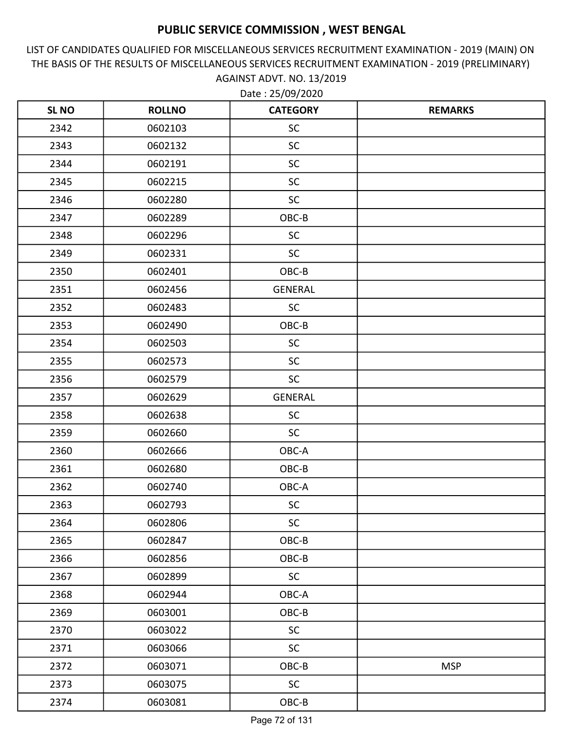LIST OF CANDIDATES QUALIFIED FOR MISCELLANEOUS SERVICES RECRUITMENT EXAMINATION - 2019 (MAIN) ON THE BASIS OF THE RESULTS OF MISCELLANEOUS SERVICES RECRUITMENT EXAMINATION - 2019 (PRELIMINARY) AGAINST ADVT. NO. 13/2019

| <b>SL NO</b> | <b>ROLLNO</b> | <b>CATEGORY</b> | <b>REMARKS</b> |
|--------------|---------------|-----------------|----------------|
| 2342         | 0602103       | <b>SC</b>       |                |
| 2343         | 0602132       | <b>SC</b>       |                |
| 2344         | 0602191       | <b>SC</b>       |                |
| 2345         | 0602215       | <b>SC</b>       |                |
| 2346         | 0602280       | <b>SC</b>       |                |
| 2347         | 0602289       | OBC-B           |                |
| 2348         | 0602296       | <b>SC</b>       |                |
| 2349         | 0602331       | <b>SC</b>       |                |
| 2350         | 0602401       | OBC-B           |                |
| 2351         | 0602456       | <b>GENERAL</b>  |                |
| 2352         | 0602483       | <b>SC</b>       |                |
| 2353         | 0602490       | OBC-B           |                |
| 2354         | 0602503       | <b>SC</b>       |                |
| 2355         | 0602573       | <b>SC</b>       |                |
| 2356         | 0602579       | <b>SC</b>       |                |
| 2357         | 0602629       | <b>GENERAL</b>  |                |
| 2358         | 0602638       | <b>SC</b>       |                |
| 2359         | 0602660       | <b>SC</b>       |                |
| 2360         | 0602666       | OBC-A           |                |
| 2361         | 0602680       | OBC-B           |                |
| 2362         | 0602740       | OBC-A           |                |
| 2363         | 0602793       | <b>SC</b>       |                |
| 2364         | 0602806       | <b>SC</b>       |                |
| 2365         | 0602847       | OBC-B           |                |
| 2366         | 0602856       | OBC-B           |                |
| 2367         | 0602899       | <b>SC</b>       |                |
| 2368         | 0602944       | OBC-A           |                |
| 2369         | 0603001       | OBC-B           |                |
| 2370         | 0603022       | <b>SC</b>       |                |
| 2371         | 0603066       | <b>SC</b>       |                |
| 2372         | 0603071       | OBC-B           | <b>MSP</b>     |
| 2373         | 0603075       | <b>SC</b>       |                |
| 2374         | 0603081       | $OBC-B$         |                |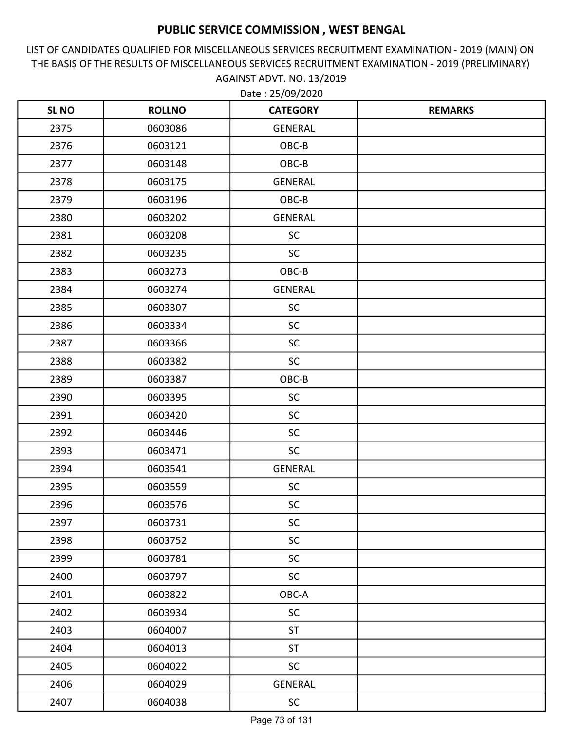LIST OF CANDIDATES QUALIFIED FOR MISCELLANEOUS SERVICES RECRUITMENT EXAMINATION - 2019 (MAIN) ON THE BASIS OF THE RESULTS OF MISCELLANEOUS SERVICES RECRUITMENT EXAMINATION - 2019 (PRELIMINARY) AGAINST ADVT. NO. 13/2019

| <b>SL NO</b> | <b>ROLLNO</b> | <b>CATEGORY</b> | <b>REMARKS</b> |
|--------------|---------------|-----------------|----------------|
| 2375         | 0603086       | <b>GENERAL</b>  |                |
| 2376         | 0603121       | OBC-B           |                |
| 2377         | 0603148       | OBC-B           |                |
| 2378         | 0603175       | GENERAL         |                |
| 2379         | 0603196       | OBC-B           |                |
| 2380         | 0603202       | GENERAL         |                |
| 2381         | 0603208       | <b>SC</b>       |                |
| 2382         | 0603235       | <b>SC</b>       |                |
| 2383         | 0603273       | OBC-B           |                |
| 2384         | 0603274       | <b>GENERAL</b>  |                |
| 2385         | 0603307       | SC              |                |
| 2386         | 0603334       | <b>SC</b>       |                |
| 2387         | 0603366       | <b>SC</b>       |                |
| 2388         | 0603382       | <b>SC</b>       |                |
| 2389         | 0603387       | OBC-B           |                |
| 2390         | 0603395       | <b>SC</b>       |                |
| 2391         | 0603420       | <b>SC</b>       |                |
| 2392         | 0603446       | <b>SC</b>       |                |
| 2393         | 0603471       | SC              |                |
| 2394         | 0603541       | <b>GENERAL</b>  |                |
| 2395         | 0603559       | <b>SC</b>       |                |
| 2396         | 0603576       | <b>SC</b>       |                |
| 2397         | 0603731       | $\sf SC$        |                |
| 2398         | 0603752       | SC              |                |
| 2399         | 0603781       | <b>SC</b>       |                |
| 2400         | 0603797       | <b>SC</b>       |                |
| 2401         | 0603822       | OBC-A           |                |
| 2402         | 0603934       | <b>SC</b>       |                |
| 2403         | 0604007       | <b>ST</b>       |                |
| 2404         | 0604013       | <b>ST</b>       |                |
| 2405         | 0604022       | <b>SC</b>       |                |
| 2406         | 0604029       | <b>GENERAL</b>  |                |
| 2407         | 0604038       | SC              |                |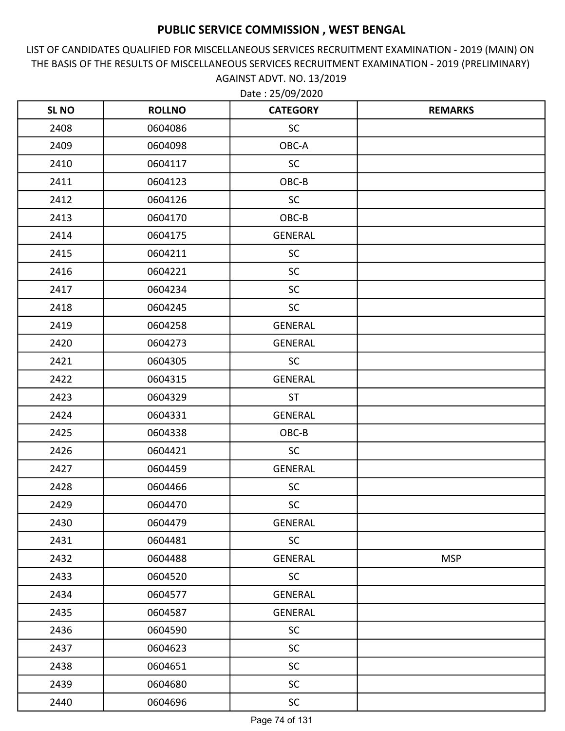LIST OF CANDIDATES QUALIFIED FOR MISCELLANEOUS SERVICES RECRUITMENT EXAMINATION - 2019 (MAIN) ON THE BASIS OF THE RESULTS OF MISCELLANEOUS SERVICES RECRUITMENT EXAMINATION - 2019 (PRELIMINARY) AGAINST ADVT. NO. 13/2019

| <b>SL NO</b> | <b>ROLLNO</b> | <b>CATEGORY</b> | <b>REMARKS</b> |
|--------------|---------------|-----------------|----------------|
| 2408         | 0604086       | <b>SC</b>       |                |
| 2409         | 0604098       | OBC-A           |                |
| 2410         | 0604117       | <b>SC</b>       |                |
| 2411         | 0604123       | OBC-B           |                |
| 2412         | 0604126       | <b>SC</b>       |                |
| 2413         | 0604170       | OBC-B           |                |
| 2414         | 0604175       | <b>GENERAL</b>  |                |
| 2415         | 0604211       | <b>SC</b>       |                |
| 2416         | 0604221       | <b>SC</b>       |                |
| 2417         | 0604234       | <b>SC</b>       |                |
| 2418         | 0604245       | <b>SC</b>       |                |
| 2419         | 0604258       | GENERAL         |                |
| 2420         | 0604273       | <b>GENERAL</b>  |                |
| 2421         | 0604305       | <b>SC</b>       |                |
| 2422         | 0604315       | <b>GENERAL</b>  |                |
| 2423         | 0604329       | <b>ST</b>       |                |
| 2424         | 0604331       | <b>GENERAL</b>  |                |
| 2425         | 0604338       | OBC-B           |                |
| 2426         | 0604421       | <b>SC</b>       |                |
| 2427         | 0604459       | <b>GENERAL</b>  |                |
| 2428         | 0604466       | <b>SC</b>       |                |
| 2429         | 0604470       | <b>SC</b>       |                |
| 2430         | 0604479       | GENERAL         |                |
| 2431         | 0604481       | <b>SC</b>       |                |
| 2432         | 0604488       | <b>GENERAL</b>  | <b>MSP</b>     |
| 2433         | 0604520       | <b>SC</b>       |                |
| 2434         | 0604577       | <b>GENERAL</b>  |                |
| 2435         | 0604587       | GENERAL         |                |
| 2436         | 0604590       | <b>SC</b>       |                |
| 2437         | 0604623       | <b>SC</b>       |                |
| 2438         | 0604651       | <b>SC</b>       |                |
| 2439         | 0604680       | <b>SC</b>       |                |
| 2440         | 0604696       | <b>SC</b>       |                |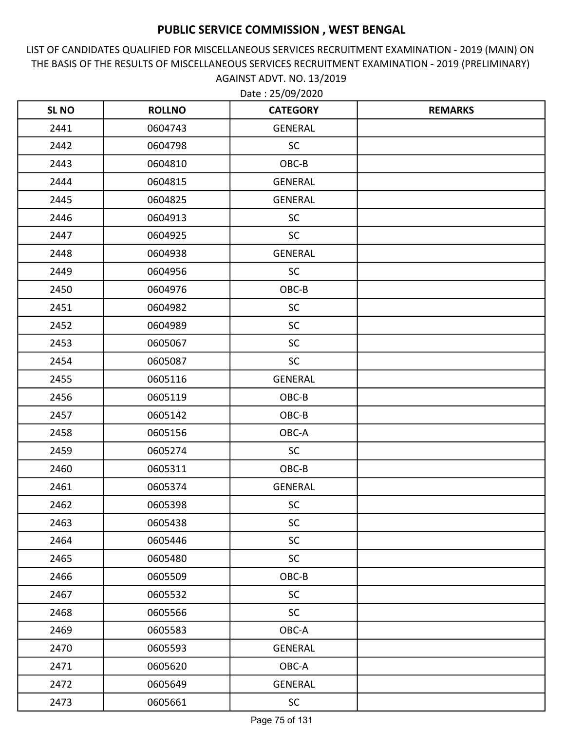LIST OF CANDIDATES QUALIFIED FOR MISCELLANEOUS SERVICES RECRUITMENT EXAMINATION - 2019 (MAIN) ON THE BASIS OF THE RESULTS OF MISCELLANEOUS SERVICES RECRUITMENT EXAMINATION - 2019 (PRELIMINARY) AGAINST ADVT. NO. 13/2019

| <b>SL NO</b> | <b>ROLLNO</b> | <b>CATEGORY</b> | <b>REMARKS</b> |
|--------------|---------------|-----------------|----------------|
| 2441         | 0604743       | GENERAL         |                |
| 2442         | 0604798       | SC              |                |
| 2443         | 0604810       | OBC-B           |                |
| 2444         | 0604815       | GENERAL         |                |
| 2445         | 0604825       | <b>GENERAL</b>  |                |
| 2446         | 0604913       | SC              |                |
| 2447         | 0604925       | <b>SC</b>       |                |
| 2448         | 0604938       | GENERAL         |                |
| 2449         | 0604956       | <b>SC</b>       |                |
| 2450         | 0604976       | OBC-B           |                |
| 2451         | 0604982       | <b>SC</b>       |                |
| 2452         | 0604989       | <b>SC</b>       |                |
| 2453         | 0605067       | <b>SC</b>       |                |
| 2454         | 0605087       | <b>SC</b>       |                |
| 2455         | 0605116       | <b>GENERAL</b>  |                |
| 2456         | 0605119       | OBC-B           |                |
| 2457         | 0605142       | OBC-B           |                |
| 2458         | 0605156       | OBC-A           |                |
| 2459         | 0605274       | <b>SC</b>       |                |
| 2460         | 0605311       | OBC-B           |                |
| 2461         | 0605374       | <b>GENERAL</b>  |                |
| 2462         | 0605398       | <b>SC</b>       |                |
| 2463         | 0605438       | <b>SC</b>       |                |
| 2464         | 0605446       | SC              |                |
| 2465         | 0605480       | <b>SC</b>       |                |
| 2466         | 0605509       | OBC-B           |                |
| 2467         | 0605532       | SC              |                |
| 2468         | 0605566       | <b>SC</b>       |                |
| 2469         | 0605583       | OBC-A           |                |
| 2470         | 0605593       | <b>GENERAL</b>  |                |
| 2471         | 0605620       | OBC-A           |                |
| 2472         | 0605649       | GENERAL         |                |
| 2473         | 0605661       | SC              |                |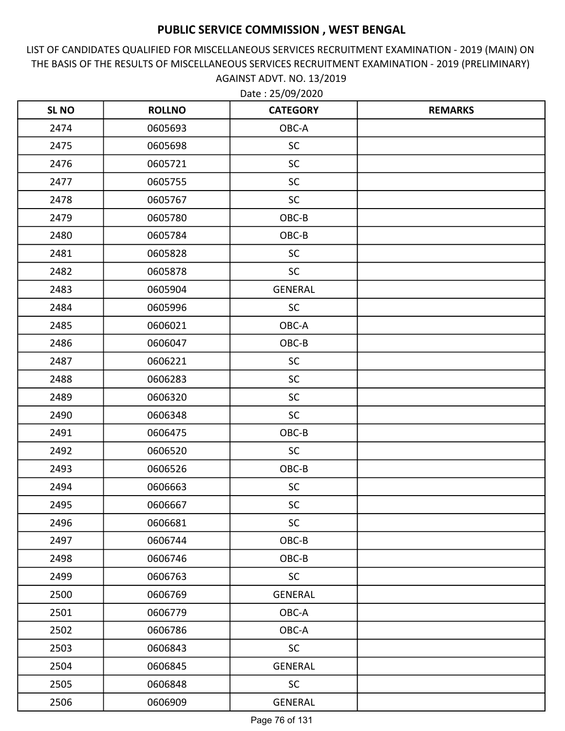LIST OF CANDIDATES QUALIFIED FOR MISCELLANEOUS SERVICES RECRUITMENT EXAMINATION - 2019 (MAIN) ON THE BASIS OF THE RESULTS OF MISCELLANEOUS SERVICES RECRUITMENT EXAMINATION - 2019 (PRELIMINARY) AGAINST ADVT. NO. 13/2019

| <b>SL NO</b> | <b>ROLLNO</b> | <b>CATEGORY</b> | <b>REMARKS</b> |
|--------------|---------------|-----------------|----------------|
| 2474         | 0605693       | OBC-A           |                |
| 2475         | 0605698       | <b>SC</b>       |                |
| 2476         | 0605721       | <b>SC</b>       |                |
| 2477         | 0605755       | <b>SC</b>       |                |
| 2478         | 0605767       | <b>SC</b>       |                |
| 2479         | 0605780       | OBC-B           |                |
| 2480         | 0605784       | OBC-B           |                |
| 2481         | 0605828       | <b>SC</b>       |                |
| 2482         | 0605878       | <b>SC</b>       |                |
| 2483         | 0605904       | <b>GENERAL</b>  |                |
| 2484         | 0605996       | <b>SC</b>       |                |
| 2485         | 0606021       | OBC-A           |                |
| 2486         | 0606047       | OBC-B           |                |
| 2487         | 0606221       | <b>SC</b>       |                |
| 2488         | 0606283       | <b>SC</b>       |                |
| 2489         | 0606320       | <b>SC</b>       |                |
| 2490         | 0606348       | <b>SC</b>       |                |
| 2491         | 0606475       | OBC-B           |                |
| 2492         | 0606520       | <b>SC</b>       |                |
| 2493         | 0606526       | OBC-B           |                |
| 2494         | 0606663       | <b>SC</b>       |                |
| 2495         | 0606667       | <b>SC</b>       |                |
| 2496         | 0606681       | <b>SC</b>       |                |
| 2497         | 0606744       | OBC-B           |                |
| 2498         | 0606746       | OBC-B           |                |
| 2499         | 0606763       | <b>SC</b>       |                |
| 2500         | 0606769       | <b>GENERAL</b>  |                |
| 2501         | 0606779       | OBC-A           |                |
| 2502         | 0606786       | OBC-A           |                |
| 2503         | 0606843       | <b>SC</b>       |                |
| 2504         | 0606845       | <b>GENERAL</b>  |                |
| 2505         | 0606848       | <b>SC</b>       |                |
| 2506         | 0606909       | <b>GENERAL</b>  |                |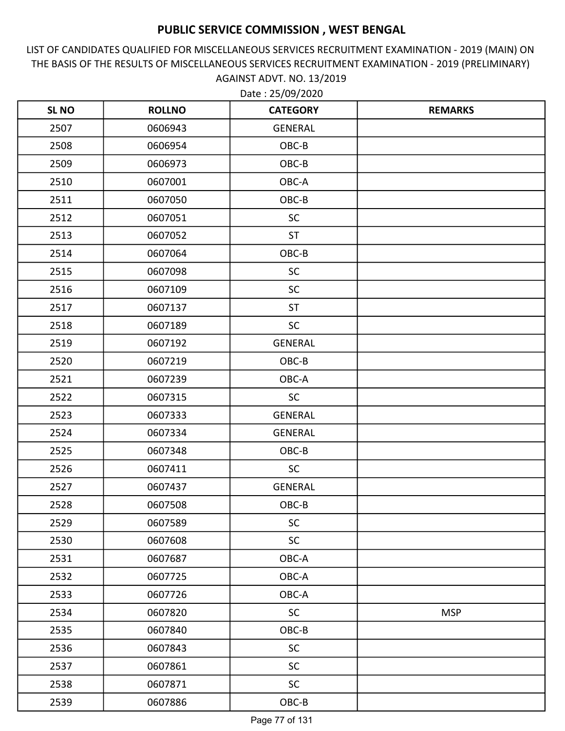LIST OF CANDIDATES QUALIFIED FOR MISCELLANEOUS SERVICES RECRUITMENT EXAMINATION - 2019 (MAIN) ON THE BASIS OF THE RESULTS OF MISCELLANEOUS SERVICES RECRUITMENT EXAMINATION - 2019 (PRELIMINARY) AGAINST ADVT. NO. 13/2019

| <b>SLNO</b> | <b>ROLLNO</b> | <b>CATEGORY</b> | <b>REMARKS</b> |
|-------------|---------------|-----------------|----------------|
| 2507        | 0606943       | <b>GENERAL</b>  |                |
| 2508        | 0606954       | OBC-B           |                |
| 2509        | 0606973       | OBC-B           |                |
| 2510        | 0607001       | OBC-A           |                |
| 2511        | 0607050       | OBC-B           |                |
| 2512        | 0607051       | <b>SC</b>       |                |
| 2513        | 0607052       | <b>ST</b>       |                |
| 2514        | 0607064       | OBC-B           |                |
| 2515        | 0607098       | <b>SC</b>       |                |
| 2516        | 0607109       | <b>SC</b>       |                |
| 2517        | 0607137       | <b>ST</b>       |                |
| 2518        | 0607189       | <b>SC</b>       |                |
| 2519        | 0607192       | <b>GENERAL</b>  |                |
| 2520        | 0607219       | OBC-B           |                |
| 2521        | 0607239       | OBC-A           |                |
| 2522        | 0607315       | <b>SC</b>       |                |
| 2523        | 0607333       | <b>GENERAL</b>  |                |
| 2524        | 0607334       | <b>GENERAL</b>  |                |
| 2525        | 0607348       | OBC-B           |                |
| 2526        | 0607411       | <b>SC</b>       |                |
| 2527        | 0607437       | <b>GENERAL</b>  |                |
| 2528        | 0607508       | OBC-B           |                |
| 2529        | 0607589       | <b>SC</b>       |                |
| 2530        | 0607608       | <b>SC</b>       |                |
| 2531        | 0607687       | OBC-A           |                |
| 2532        | 0607725       | OBC-A           |                |
| 2533        | 0607726       | OBC-A           |                |
| 2534        | 0607820       | <b>SC</b>       | <b>MSP</b>     |
| 2535        | 0607840       | $OBC-B$         |                |
| 2536        | 0607843       | <b>SC</b>       |                |
| 2537        | 0607861       | <b>SC</b>       |                |
| 2538        | 0607871       | <b>SC</b>       |                |
| 2539        | 0607886       | $OBC-B$         |                |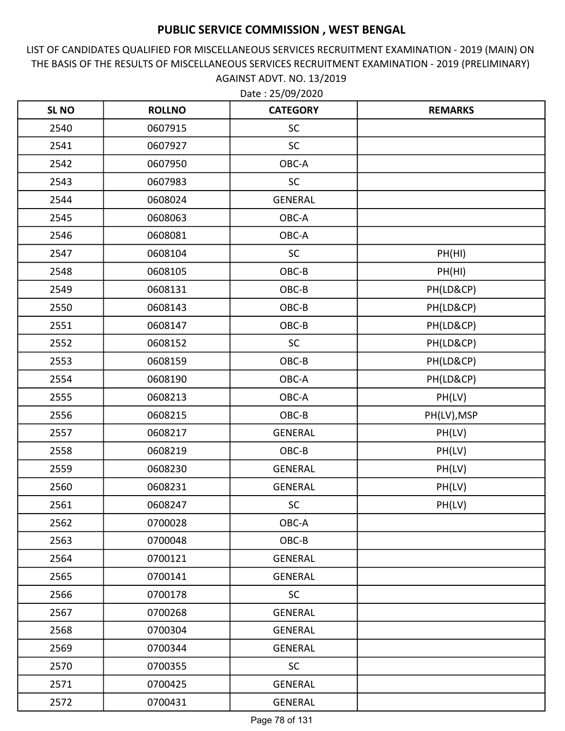LIST OF CANDIDATES QUALIFIED FOR MISCELLANEOUS SERVICES RECRUITMENT EXAMINATION - 2019 (MAIN) ON THE BASIS OF THE RESULTS OF MISCELLANEOUS SERVICES RECRUITMENT EXAMINATION - 2019 (PRELIMINARY) AGAINST ADVT. NO. 13/2019

| <b>SLNO</b> | <b>ROLLNO</b> | <b>CATEGORY</b> | <b>REMARKS</b> |
|-------------|---------------|-----------------|----------------|
| 2540        | 0607915       | <b>SC</b>       |                |
| 2541        | 0607927       | <b>SC</b>       |                |
| 2542        | 0607950       | OBC-A           |                |
| 2543        | 0607983       | <b>SC</b>       |                |
| 2544        | 0608024       | <b>GENERAL</b>  |                |
| 2545        | 0608063       | OBC-A           |                |
| 2546        | 0608081       | OBC-A           |                |
| 2547        | 0608104       | <b>SC</b>       | PH(HI)         |
| 2548        | 0608105       | OBC-B           | PH(HI)         |
| 2549        | 0608131       | OBC-B           | PH(LD&CP)      |
| 2550        | 0608143       | OBC-B           | PH(LD&CP)      |
| 2551        | 0608147       | OBC-B           | PH(LD&CP)      |
| 2552        | 0608152       | <b>SC</b>       | PH(LD&CP)      |
| 2553        | 0608159       | OBC-B           | PH(LD&CP)      |
| 2554        | 0608190       | OBC-A           | PH(LD&CP)      |
| 2555        | 0608213       | OBC-A           | PH(LV)         |
| 2556        | 0608215       | OBC-B           | PH(LV), MSP    |
| 2557        | 0608217       | <b>GENERAL</b>  | PH(LV)         |
| 2558        | 0608219       | OBC-B           | PH(LV)         |
| 2559        | 0608230       | <b>GENERAL</b>  | PH(LV)         |
| 2560        | 0608231       | <b>GENERAL</b>  | PH(LV)         |
| 2561        | 0608247       | <b>SC</b>       | PH(LV)         |
| 2562        | 0700028       | OBC-A           |                |
| 2563        | 0700048       | OBC-B           |                |
| 2564        | 0700121       | <b>GENERAL</b>  |                |
| 2565        | 0700141       | <b>GENERAL</b>  |                |
| 2566        | 0700178       | <b>SC</b>       |                |
| 2567        | 0700268       | <b>GENERAL</b>  |                |
| 2568        | 0700304       | <b>GENERAL</b>  |                |
| 2569        | 0700344       | <b>GENERAL</b>  |                |
| 2570        | 0700355       | <b>SC</b>       |                |
| 2571        | 0700425       | GENERAL         |                |
| 2572        | 0700431       | GENERAL         |                |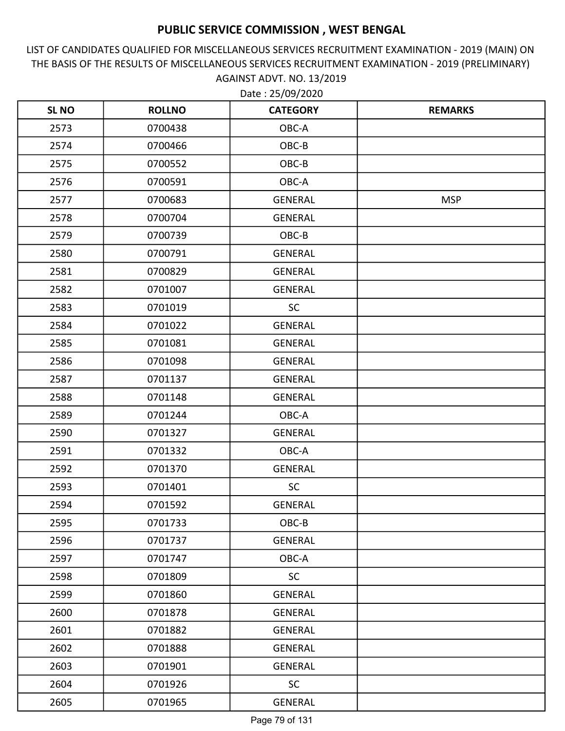LIST OF CANDIDATES QUALIFIED FOR MISCELLANEOUS SERVICES RECRUITMENT EXAMINATION - 2019 (MAIN) ON THE BASIS OF THE RESULTS OF MISCELLANEOUS SERVICES RECRUITMENT EXAMINATION - 2019 (PRELIMINARY) AGAINST ADVT. NO. 13/2019

| <b>SLNO</b> | <b>ROLLNO</b> | <b>CATEGORY</b> | <b>REMARKS</b> |
|-------------|---------------|-----------------|----------------|
| 2573        | 0700438       | OBC-A           |                |
| 2574        | 0700466       | OBC-B           |                |
| 2575        | 0700552       | OBC-B           |                |
| 2576        | 0700591       | OBC-A           |                |
| 2577        | 0700683       | <b>GENERAL</b>  | <b>MSP</b>     |
| 2578        | 0700704       | <b>GENERAL</b>  |                |
| 2579        | 0700739       | OBC-B           |                |
| 2580        | 0700791       | <b>GENERAL</b>  |                |
| 2581        | 0700829       | <b>GENERAL</b>  |                |
| 2582        | 0701007       | <b>GENERAL</b>  |                |
| 2583        | 0701019       | <b>SC</b>       |                |
| 2584        | 0701022       | <b>GENERAL</b>  |                |
| 2585        | 0701081       | <b>GENERAL</b>  |                |
| 2586        | 0701098       | <b>GENERAL</b>  |                |
| 2587        | 0701137       | <b>GENERAL</b>  |                |
| 2588        | 0701148       | <b>GENERAL</b>  |                |
| 2589        | 0701244       | OBC-A           |                |
| 2590        | 0701327       | <b>GENERAL</b>  |                |
| 2591        | 0701332       | OBC-A           |                |
| 2592        | 0701370       | <b>GENERAL</b>  |                |
| 2593        | 0701401       | <b>SC</b>       |                |
| 2594        | 0701592       | <b>GENERAL</b>  |                |
| 2595        | 0701733       | OBC-B           |                |
| 2596        | 0701737       | <b>GENERAL</b>  |                |
| 2597        | 0701747       | OBC-A           |                |
| 2598        | 0701809       | <b>SC</b>       |                |
| 2599        | 0701860       | <b>GENERAL</b>  |                |
| 2600        | 0701878       | <b>GENERAL</b>  |                |
| 2601        | 0701882       | <b>GENERAL</b>  |                |
| 2602        | 0701888       | <b>GENERAL</b>  |                |
| 2603        | 0701901       | <b>GENERAL</b>  |                |
| 2604        | 0701926       | <b>SC</b>       |                |
| 2605        | 0701965       | <b>GENERAL</b>  |                |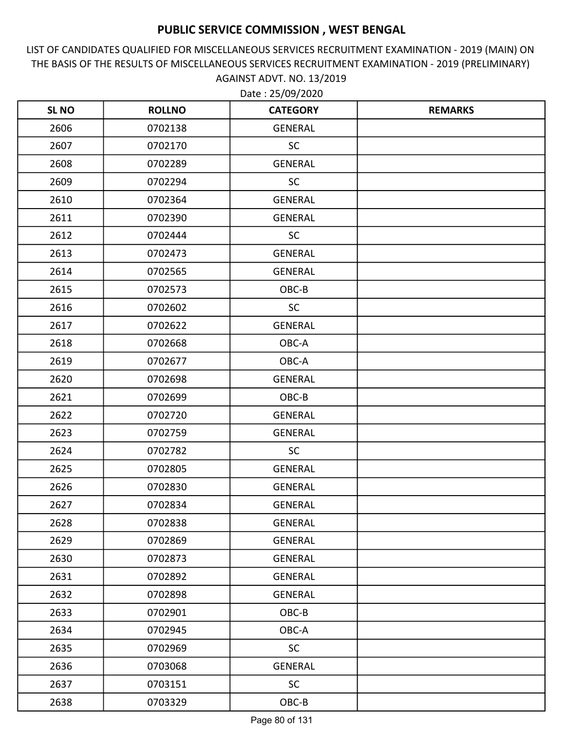LIST OF CANDIDATES QUALIFIED FOR MISCELLANEOUS SERVICES RECRUITMENT EXAMINATION - 2019 (MAIN) ON THE BASIS OF THE RESULTS OF MISCELLANEOUS SERVICES RECRUITMENT EXAMINATION - 2019 (PRELIMINARY) AGAINST ADVT. NO. 13/2019

| <b>SL NO</b> | <b>ROLLNO</b> | <b>CATEGORY</b> | <b>REMARKS</b> |
|--------------|---------------|-----------------|----------------|
| 2606         | 0702138       | <b>GENERAL</b>  |                |
| 2607         | 0702170       | <b>SC</b>       |                |
| 2608         | 0702289       | GENERAL         |                |
| 2609         | 0702294       | <b>SC</b>       |                |
| 2610         | 0702364       | <b>GENERAL</b>  |                |
| 2611         | 0702390       | <b>GENERAL</b>  |                |
| 2612         | 0702444       | <b>SC</b>       |                |
| 2613         | 0702473       | <b>GENERAL</b>  |                |
| 2614         | 0702565       | <b>GENERAL</b>  |                |
| 2615         | 0702573       | OBC-B           |                |
| 2616         | 0702602       | <b>SC</b>       |                |
| 2617         | 0702622       | <b>GENERAL</b>  |                |
| 2618         | 0702668       | OBC-A           |                |
| 2619         | 0702677       | OBC-A           |                |
| 2620         | 0702698       | <b>GENERAL</b>  |                |
| 2621         | 0702699       | OBC-B           |                |
| 2622         | 0702720       | <b>GENERAL</b>  |                |
| 2623         | 0702759       | <b>GENERAL</b>  |                |
| 2624         | 0702782       | <b>SC</b>       |                |
| 2625         | 0702805       | GENERAL         |                |
| 2626         | 0702830       | GENERAL         |                |
| 2627         | 0702834       | <b>GENERAL</b>  |                |
| 2628         | 0702838       | GENERAL         |                |
| 2629         | 0702869       | GENERAL         |                |
| 2630         | 0702873       | GENERAL         |                |
| 2631         | 0702892       | GENERAL         |                |
| 2632         | 0702898       | GENERAL         |                |
| 2633         | 0702901       | OBC-B           |                |
| 2634         | 0702945       | OBC-A           |                |
| 2635         | 0702969       | <b>SC</b>       |                |
| 2636         | 0703068       | GENERAL         |                |
| 2637         | 0703151       | <b>SC</b>       |                |
| 2638         | 0703329       | OBC-B           |                |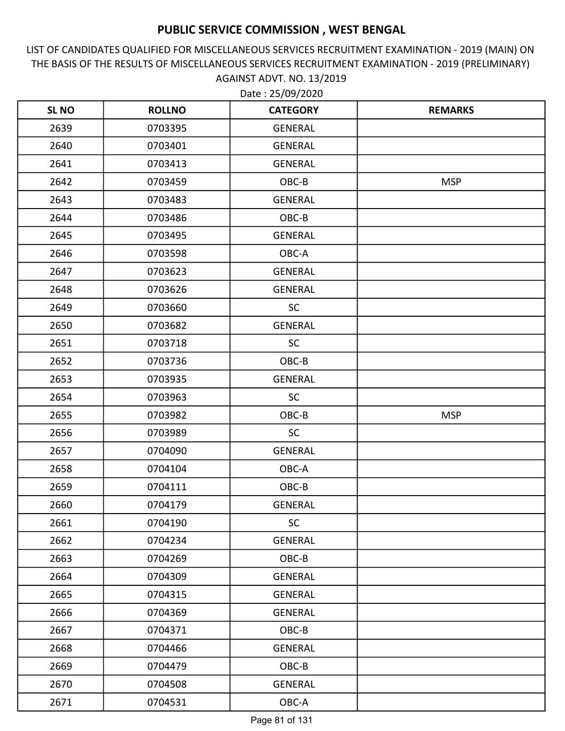LIST OF CANDIDATES QUALIFIED FOR MISCELLANEOUS SERVICES RECRUITMENT EXAMINATION - 2019 (MAIN) ON THE BASIS OF THE RESULTS OF MISCELLANEOUS SERVICES RECRUITMENT EXAMINATION - 2019 (PRELIMINARY) AGAINST ADVT. NO. 13/2019

| <b>SL NO</b> | <b>ROLLNO</b> | <b>CATEGORY</b> | <b>REMARKS</b> |
|--------------|---------------|-----------------|----------------|
| 2639         | 0703395       | <b>GENERAL</b>  |                |
| 2640         | 0703401       | GENERAL         |                |
| 2641         | 0703413       | <b>GENERAL</b>  |                |
| 2642         | 0703459       | OBC-B           | <b>MSP</b>     |
| 2643         | 0703483       | <b>GENERAL</b>  |                |
| 2644         | 0703486       | OBC-B           |                |
| 2645         | 0703495       | GENERAL         |                |
| 2646         | 0703598       | OBC-A           |                |
| 2647         | 0703623       | <b>GENERAL</b>  |                |
| 2648         | 0703626       | <b>GENERAL</b>  |                |
| 2649         | 0703660       | <b>SC</b>       |                |
| 2650         | 0703682       | <b>GENERAL</b>  |                |
| 2651         | 0703718       | SC              |                |
| 2652         | 0703736       | OBC-B           |                |
| 2653         | 0703935       | GENERAL         |                |
| 2654         | 0703963       | <b>SC</b>       |                |
| 2655         | 0703982       | OBC-B           | <b>MSP</b>     |
| 2656         | 0703989       | <b>SC</b>       |                |
| 2657         | 0704090       | <b>GENERAL</b>  |                |
| 2658         | 0704104       | OBC-A           |                |
| 2659         | 0704111       | OBC-B           |                |
| 2660         | 0704179       | <b>GENERAL</b>  |                |
| 2661         | 0704190       | <b>SC</b>       |                |
| 2662         | 0704234       | GENERAL         |                |
| 2663         | 0704269       | OBC-B           |                |
| 2664         | 0704309       | GENERAL         |                |
| 2665         | 0704315       | GENERAL         |                |
| 2666         | 0704369       | GENERAL         |                |
| 2667         | 0704371       | OBC-B           |                |
| 2668         | 0704466       | <b>GENERAL</b>  |                |
| 2669         | 0704479       | OBC-B           |                |
| 2670         | 0704508       | GENERAL         |                |
| 2671         | 0704531       | OBC-A           |                |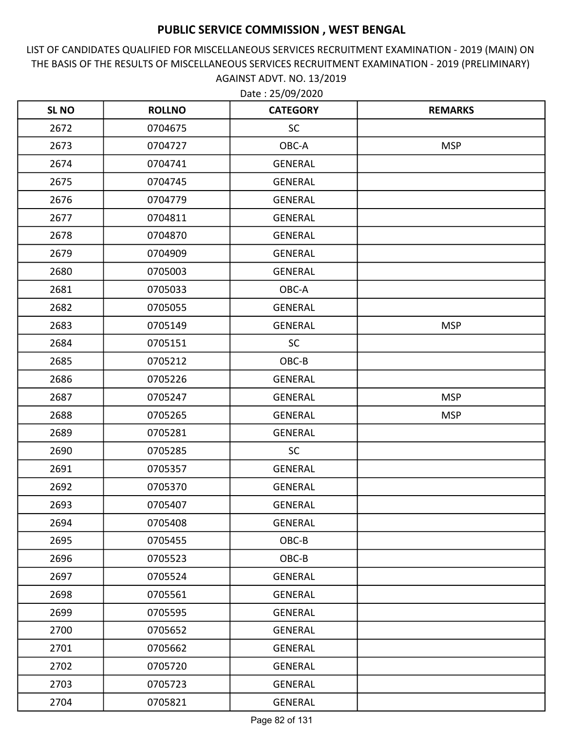LIST OF CANDIDATES QUALIFIED FOR MISCELLANEOUS SERVICES RECRUITMENT EXAMINATION - 2019 (MAIN) ON THE BASIS OF THE RESULTS OF MISCELLANEOUS SERVICES RECRUITMENT EXAMINATION - 2019 (PRELIMINARY) AGAINST ADVT. NO. 13/2019

| <b>SL NO</b> | <b>ROLLNO</b> | <b>CATEGORY</b> | <b>REMARKS</b> |
|--------------|---------------|-----------------|----------------|
| 2672         | 0704675       | <b>SC</b>       |                |
| 2673         | 0704727       | OBC-A           | <b>MSP</b>     |
| 2674         | 0704741       | GENERAL         |                |
| 2675         | 0704745       | GENERAL         |                |
| 2676         | 0704779       | <b>GENERAL</b>  |                |
| 2677         | 0704811       | <b>GENERAL</b>  |                |
| 2678         | 0704870       | GENERAL         |                |
| 2679         | 0704909       | GENERAL         |                |
| 2680         | 0705003       | GENERAL         |                |
| 2681         | 0705033       | OBC-A           |                |
| 2682         | 0705055       | <b>GENERAL</b>  |                |
| 2683         | 0705149       | GENERAL         | <b>MSP</b>     |
| 2684         | 0705151       | SC              |                |
| 2685         | 0705212       | OBC-B           |                |
| 2686         | 0705226       | <b>GENERAL</b>  |                |
| 2687         | 0705247       | GENERAL         | <b>MSP</b>     |
| 2688         | 0705265       | <b>GENERAL</b>  | <b>MSP</b>     |
| 2689         | 0705281       | <b>GENERAL</b>  |                |
| 2690         | 0705285       | SC              |                |
| 2691         | 0705357       | GENERAL         |                |
| 2692         | 0705370       | <b>GENERAL</b>  |                |
| 2693         | 0705407       | <b>GENERAL</b>  |                |
| 2694         | 0705408       | <b>GENERAL</b>  |                |
| 2695         | 0705455       | OBC-B           |                |
| 2696         | 0705523       | OBC-B           |                |
| 2697         | 0705524       | GENERAL         |                |
| 2698         | 0705561       | GENERAL         |                |
| 2699         | 0705595       | GENERAL         |                |
| 2700         | 0705652       | GENERAL         |                |
| 2701         | 0705662       | GENERAL         |                |
| 2702         | 0705720       | GENERAL         |                |
| 2703         | 0705723       | GENERAL         |                |
| 2704         | 0705821       | GENERAL         |                |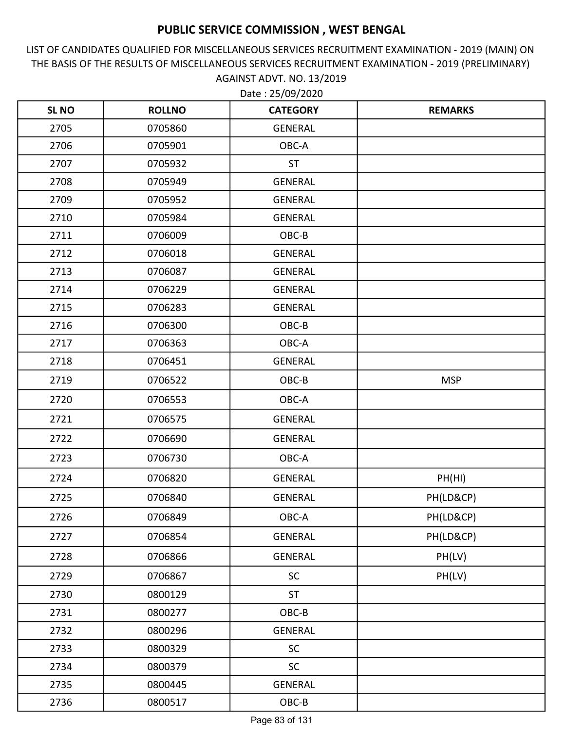LIST OF CANDIDATES QUALIFIED FOR MISCELLANEOUS SERVICES RECRUITMENT EXAMINATION - 2019 (MAIN) ON THE BASIS OF THE RESULTS OF MISCELLANEOUS SERVICES RECRUITMENT EXAMINATION - 2019 (PRELIMINARY) AGAINST ADVT. NO. 13/2019

| <b>SLNO</b> | <b>ROLLNO</b> | <b>CATEGORY</b> | <b>REMARKS</b> |
|-------------|---------------|-----------------|----------------|
| 2705        | 0705860       | <b>GENERAL</b>  |                |
| 2706        | 0705901       | OBC-A           |                |
| 2707        | 0705932       | <b>ST</b>       |                |
| 2708        | 0705949       | <b>GENERAL</b>  |                |
| 2709        | 0705952       | <b>GENERAL</b>  |                |
| 2710        | 0705984       | <b>GENERAL</b>  |                |
| 2711        | 0706009       | OBC-B           |                |
| 2712        | 0706018       | <b>GENERAL</b>  |                |
| 2713        | 0706087       | <b>GENERAL</b>  |                |
| 2714        | 0706229       | <b>GENERAL</b>  |                |
| 2715        | 0706283       | <b>GENERAL</b>  |                |
| 2716        | 0706300       | OBC-B           |                |
| 2717        | 0706363       | OBC-A           |                |
| 2718        | 0706451       | <b>GENERAL</b>  |                |
| 2719        | 0706522       | OBC-B           | <b>MSP</b>     |
| 2720        | 0706553       | OBC-A           |                |
| 2721        | 0706575       | <b>GENERAL</b>  |                |
| 2722        | 0706690       | <b>GENERAL</b>  |                |
| 2723        | 0706730       | OBC-A           |                |
| 2724        | 0706820       | <b>GENERAL</b>  | PH(HI)         |
| 2725        | 0706840       | <b>GENERAL</b>  | PH(LD&CP)      |
| 2726        | 0706849       | OBC-A           | PH(LD&CP)      |
| 2727        | 0706854       | <b>GENERAL</b>  | PH(LD&CP)      |
| 2728        | 0706866       | GENERAL         | PH(LV)         |
| 2729        | 0706867       | <b>SC</b>       | PH(LV)         |
| 2730        | 0800129       | <b>ST</b>       |                |
| 2731        | 0800277       | OBC-B           |                |
| 2732        | 0800296       | GENERAL         |                |
| 2733        | 0800329       | <b>SC</b>       |                |
| 2734        | 0800379       | SC              |                |
| 2735        | 0800445       | <b>GENERAL</b>  |                |
| 2736        | 0800517       | OBC-B           |                |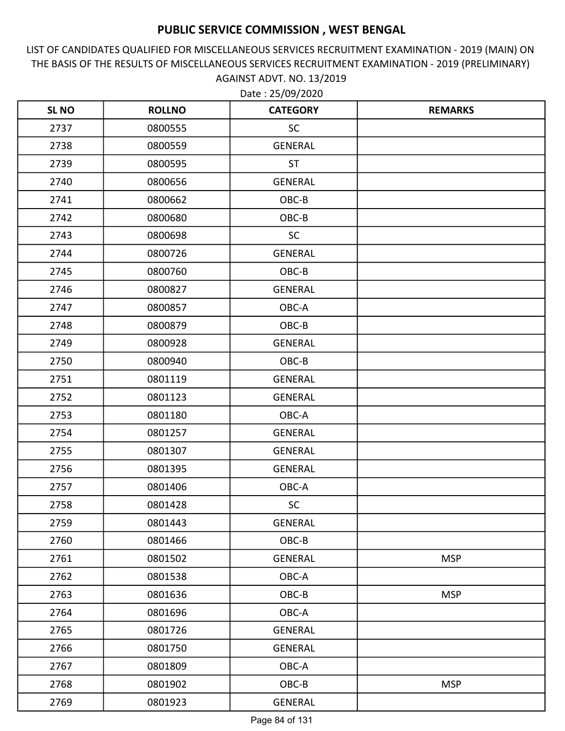LIST OF CANDIDATES QUALIFIED FOR MISCELLANEOUS SERVICES RECRUITMENT EXAMINATION - 2019 (MAIN) ON THE BASIS OF THE RESULTS OF MISCELLANEOUS SERVICES RECRUITMENT EXAMINATION - 2019 (PRELIMINARY) AGAINST ADVT. NO. 13/2019 Date : 25/09/2020

| <b>SL NO</b> | <b>ROLLNO</b> | <b>CATEGORY</b> | <b>REMARKS</b> |
|--------------|---------------|-----------------|----------------|
| 2737         | 0800555       | SC              |                |
| 2738         | 0800559       | <b>GENERAL</b>  |                |
| 2739         | 0800595       | <b>ST</b>       |                |
| 2740         | 0800656       | <b>GENERAL</b>  |                |
| 2741         | 0800662       | OBC-B           |                |
| 2742         | 0800680       | OBC-B           |                |
| 2743         | 0800698       | <b>SC</b>       |                |
| 2744         | 0800726       | <b>GENERAL</b>  |                |
| 2745         | 0800760       | OBC-B           |                |
| 2746         | 0800827       | <b>GENERAL</b>  |                |
| 2747         | 0800857       | OBC-A           |                |
| 2748         | 0800879       | OBC-B           |                |
| 2749         | 0800928       | <b>GENERAL</b>  |                |
| 2750         | 0800940       | OBC-B           |                |
| 2751         | 0801119       | GENERAL         |                |
| 2752         | 0801123       | <b>GENERAL</b>  |                |
| 2753         | 0801180       | OBC-A           |                |
| 2754         | 0801257       | <b>GENERAL</b>  |                |
| 2755         | 0801307       | <b>GENERAL</b>  |                |
| 2756         | 0801395       | <b>GENERAL</b>  |                |
| 2757         | 0801406       | OBC-A           |                |
| 2758         | 0801428       | <b>SC</b>       |                |
| 2759         | 0801443       | GENERAL         |                |
| 2760         | 0801466       | OBC-B           |                |
| 2761         | 0801502       | <b>GENERAL</b>  | <b>MSP</b>     |
| 2762         | 0801538       | OBC-A           |                |
| 2763         | 0801636       | OBC-B           | <b>MSP</b>     |
| 2764         | 0801696       | OBC-A           |                |
| 2765         | 0801726       | GENERAL         |                |
| 2766         | 0801750       | <b>GENERAL</b>  |                |
| 2767         | 0801809       | OBC-A           |                |
| 2768         | 0801902       | OBC-B           | <b>MSP</b>     |
| 2769         | 0801923       | <b>GENERAL</b>  |                |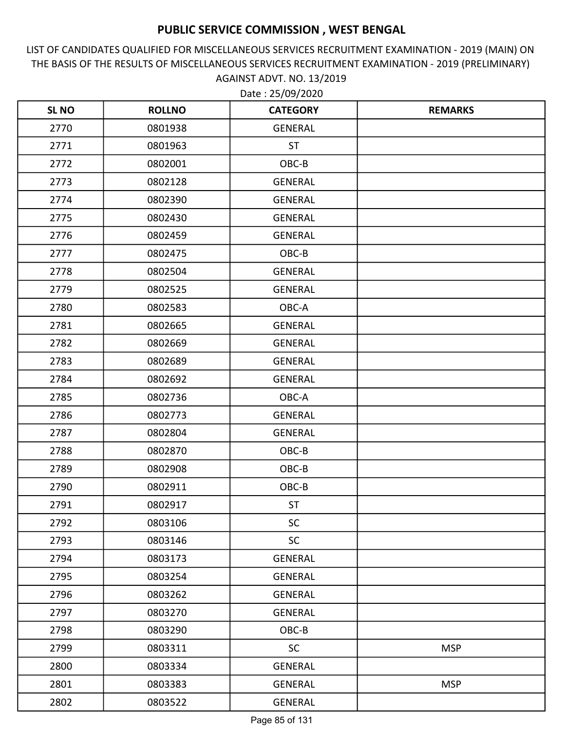LIST OF CANDIDATES QUALIFIED FOR MISCELLANEOUS SERVICES RECRUITMENT EXAMINATION - 2019 (MAIN) ON THE BASIS OF THE RESULTS OF MISCELLANEOUS SERVICES RECRUITMENT EXAMINATION - 2019 (PRELIMINARY) AGAINST ADVT. NO. 13/2019

| <b>SLNO</b> | <b>ROLLNO</b> | <b>CATEGORY</b> | <b>REMARKS</b> |
|-------------|---------------|-----------------|----------------|
| 2770        | 0801938       | <b>GENERAL</b>  |                |
| 2771        | 0801963       | <b>ST</b>       |                |
| 2772        | 0802001       | OBC-B           |                |
| 2773        | 0802128       | GENERAL         |                |
| 2774        | 0802390       | <b>GENERAL</b>  |                |
| 2775        | 0802430       | <b>GENERAL</b>  |                |
| 2776        | 0802459       | <b>GENERAL</b>  |                |
| 2777        | 0802475       | OBC-B           |                |
| 2778        | 0802504       | <b>GENERAL</b>  |                |
| 2779        | 0802525       | <b>GENERAL</b>  |                |
| 2780        | 0802583       | OBC-A           |                |
| 2781        | 0802665       | GENERAL         |                |
| 2782        | 0802669       | <b>GENERAL</b>  |                |
| 2783        | 0802689       | <b>GENERAL</b>  |                |
| 2784        | 0802692       | <b>GENERAL</b>  |                |
| 2785        | 0802736       | OBC-A           |                |
| 2786        | 0802773       | <b>GENERAL</b>  |                |
| 2787        | 0802804       | <b>GENERAL</b>  |                |
| 2788        | 0802870       | OBC-B           |                |
| 2789        | 0802908       | OBC-B           |                |
| 2790        | 0802911       | OBC-B           |                |
| 2791        | 0802917       | <b>ST</b>       |                |
| 2792        | 0803106       | <b>SC</b>       |                |
| 2793        | 0803146       | <b>SC</b>       |                |
| 2794        | 0803173       | GENERAL         |                |
| 2795        | 0803254       | GENERAL         |                |
| 2796        | 0803262       | GENERAL         |                |
| 2797        | 0803270       | GENERAL         |                |
| 2798        | 0803290       | OBC-B           |                |
| 2799        | 0803311       | <b>SC</b>       | <b>MSP</b>     |
| 2800        | 0803334       | GENERAL         |                |
| 2801        | 0803383       | GENERAL         | <b>MSP</b>     |
| 2802        | 0803522       | GENERAL         |                |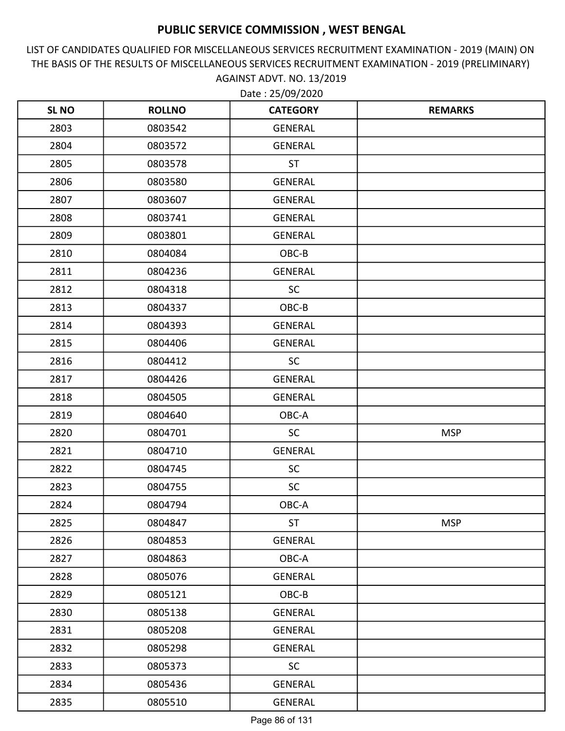LIST OF CANDIDATES QUALIFIED FOR MISCELLANEOUS SERVICES RECRUITMENT EXAMINATION - 2019 (MAIN) ON THE BASIS OF THE RESULTS OF MISCELLANEOUS SERVICES RECRUITMENT EXAMINATION - 2019 (PRELIMINARY) AGAINST ADVT. NO. 13/2019 Date : 25/09/2020

| <b>SL NO</b> | <b>ROLLNO</b> | <b>CATEGORY</b> | <b>REMARKS</b> |
|--------------|---------------|-----------------|----------------|
| 2803         | 0803542       | GENERAL         |                |
| 2804         | 0803572       | <b>GENERAL</b>  |                |
| 2805         | 0803578       | <b>ST</b>       |                |
| 2806         | 0803580       | <b>GENERAL</b>  |                |
| 2807         | 0803607       | <b>GENERAL</b>  |                |
| 2808         | 0803741       | <b>GENERAL</b>  |                |
| 2809         | 0803801       | GENERAL         |                |
| 2810         | 0804084       | OBC-B           |                |
| 2811         | 0804236       | GENERAL         |                |
| 2812         | 0804318       | <b>SC</b>       |                |
| 2813         | 0804337       | OBC-B           |                |
| 2814         | 0804393       | GENERAL         |                |
| 2815         | 0804406       | <b>GENERAL</b>  |                |
| 2816         | 0804412       | <b>SC</b>       |                |
| 2817         | 0804426       | GENERAL         |                |
| 2818         | 0804505       | <b>GENERAL</b>  |                |
| 2819         | 0804640       | OBC-A           |                |
| 2820         | 0804701       | <b>SC</b>       | <b>MSP</b>     |
| 2821         | 0804710       | <b>GENERAL</b>  |                |
| 2822         | 0804745       | <b>SC</b>       |                |
| 2823         | 0804755       | <b>SC</b>       |                |
| 2824         | 0804794       | OBC-A           |                |
| 2825         | 0804847       | <b>ST</b>       | <b>MSP</b>     |
| 2826         | 0804853       | <b>GENERAL</b>  |                |
| 2827         | 0804863       | OBC-A           |                |
| 2828         | 0805076       | GENERAL         |                |
| 2829         | 0805121       | OBC-B           |                |
| 2830         | 0805138       | GENERAL         |                |
| 2831         | 0805208       | GENERAL         |                |
| 2832         | 0805298       | <b>GENERAL</b>  |                |
| 2833         | 0805373       | <b>SC</b>       |                |
| 2834         | 0805436       | GENERAL         |                |
| 2835         | 0805510       | GENERAL         |                |

Page 86 of 131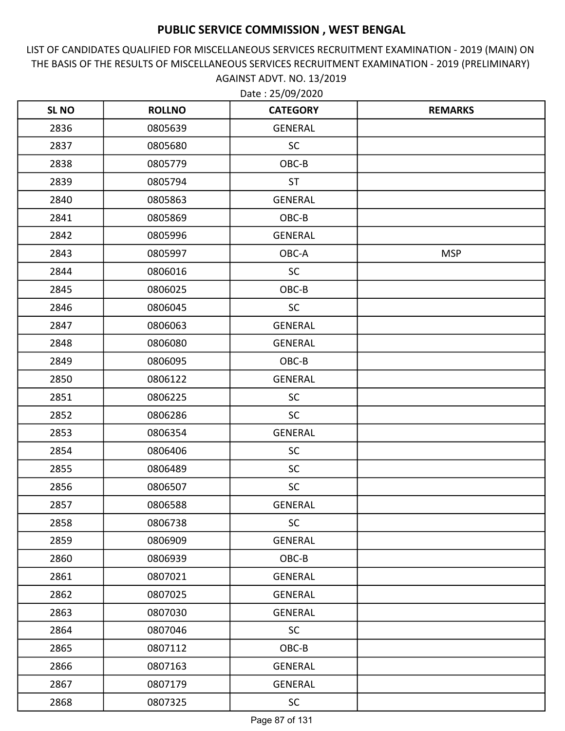LIST OF CANDIDATES QUALIFIED FOR MISCELLANEOUS SERVICES RECRUITMENT EXAMINATION - 2019 (MAIN) ON THE BASIS OF THE RESULTS OF MISCELLANEOUS SERVICES RECRUITMENT EXAMINATION - 2019 (PRELIMINARY) AGAINST ADVT. NO. 13/2019

| <b>SL NO</b> | <b>ROLLNO</b> | <b>CATEGORY</b> | <b>REMARKS</b> |
|--------------|---------------|-----------------|----------------|
| 2836         | 0805639       | GENERAL         |                |
| 2837         | 0805680       | <b>SC</b>       |                |
| 2838         | 0805779       | OBC-B           |                |
| 2839         | 0805794       | <b>ST</b>       |                |
| 2840         | 0805863       | <b>GENERAL</b>  |                |
| 2841         | 0805869       | OBC-B           |                |
| 2842         | 0805996       | GENERAL         |                |
| 2843         | 0805997       | OBC-A           | <b>MSP</b>     |
| 2844         | 0806016       | <b>SC</b>       |                |
| 2845         | 0806025       | OBC-B           |                |
| 2846         | 0806045       | <b>SC</b>       |                |
| 2847         | 0806063       | GENERAL         |                |
| 2848         | 0806080       | <b>GENERAL</b>  |                |
| 2849         | 0806095       | OBC-B           |                |
| 2850         | 0806122       | GENERAL         |                |
| 2851         | 0806225       | <b>SC</b>       |                |
| 2852         | 0806286       | <b>SC</b>       |                |
| 2853         | 0806354       | <b>GENERAL</b>  |                |
| 2854         | 0806406       | <b>SC</b>       |                |
| 2855         | 0806489       | <b>SC</b>       |                |
| 2856         | 0806507       | <b>SC</b>       |                |
| 2857         | 0806588       | <b>GENERAL</b>  |                |
| 2858         | 0806738       | <b>SC</b>       |                |
| 2859         | 0806909       | GENERAL         |                |
| 2860         | 0806939       | OBC-B           |                |
| 2861         | 0807021       | GENERAL         |                |
| 2862         | 0807025       | <b>GENERAL</b>  |                |
| 2863         | 0807030       | GENERAL         |                |
| 2864         | 0807046       | <b>SC</b>       |                |
| 2865         | 0807112       | OBC-B           |                |
| 2866         | 0807163       | <b>GENERAL</b>  |                |
| 2867         | 0807179       | GENERAL         |                |
| 2868         | 0807325       | SC              |                |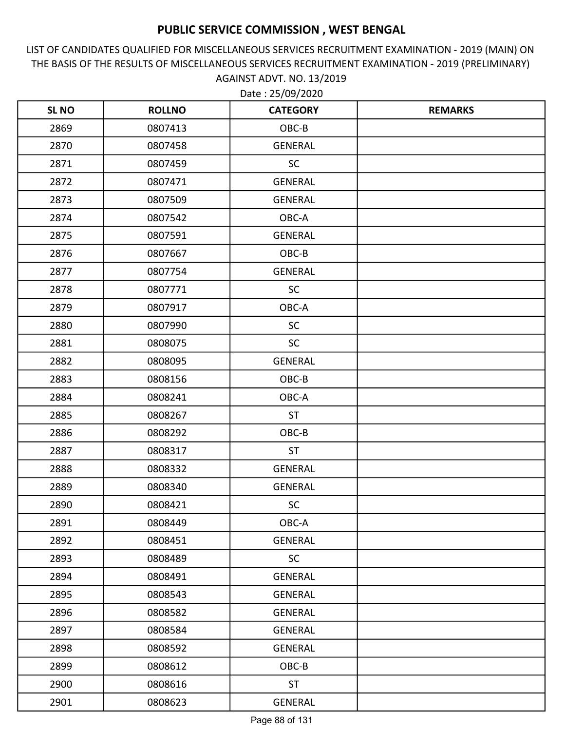LIST OF CANDIDATES QUALIFIED FOR MISCELLANEOUS SERVICES RECRUITMENT EXAMINATION - 2019 (MAIN) ON THE BASIS OF THE RESULTS OF MISCELLANEOUS SERVICES RECRUITMENT EXAMINATION - 2019 (PRELIMINARY) AGAINST ADVT. NO. 13/2019

| <b>SL NO</b> | <b>ROLLNO</b> | <b>CATEGORY</b> | <b>REMARKS</b> |
|--------------|---------------|-----------------|----------------|
| 2869         | 0807413       | OBC-B           |                |
| 2870         | 0807458       | GENERAL         |                |
| 2871         | 0807459       | <b>SC</b>       |                |
| 2872         | 0807471       | <b>GENERAL</b>  |                |
| 2873         | 0807509       | <b>GENERAL</b>  |                |
| 2874         | 0807542       | OBC-A           |                |
| 2875         | 0807591       | GENERAL         |                |
| 2876         | 0807667       | OBC-B           |                |
| 2877         | 0807754       | <b>GENERAL</b>  |                |
| 2878         | 0807771       | <b>SC</b>       |                |
| 2879         | 0807917       | OBC-A           |                |
| 2880         | 0807990       | <b>SC</b>       |                |
| 2881         | 0808075       | <b>SC</b>       |                |
| 2882         | 0808095       | <b>GENERAL</b>  |                |
| 2883         | 0808156       | OBC-B           |                |
| 2884         | 0808241       | OBC-A           |                |
| 2885         | 0808267       | <b>ST</b>       |                |
| 2886         | 0808292       | OBC-B           |                |
| 2887         | 0808317       | <b>ST</b>       |                |
| 2888         | 0808332       | GENERAL         |                |
| 2889         | 0808340       | GENERAL         |                |
| 2890         | 0808421       | SC              |                |
| 2891         | 0808449       | OBC-A           |                |
| 2892         | 0808451       | GENERAL         |                |
| 2893         | 0808489       | <b>SC</b>       |                |
| 2894         | 0808491       | GENERAL         |                |
| 2895         | 0808543       | GENERAL         |                |
| 2896         | 0808582       | GENERAL         |                |
| 2897         | 0808584       | <b>GENERAL</b>  |                |
| 2898         | 0808592       | <b>GENERAL</b>  |                |
| 2899         | 0808612       | OBC-B           |                |
| 2900         | 0808616       | <b>ST</b>       |                |
| 2901         | 0808623       | <b>GENERAL</b>  |                |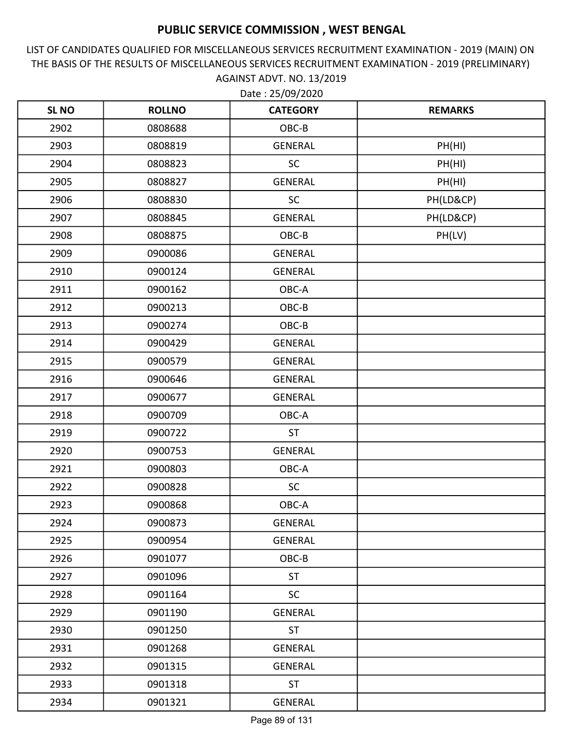LIST OF CANDIDATES QUALIFIED FOR MISCELLANEOUS SERVICES RECRUITMENT EXAMINATION - 2019 (MAIN) ON THE BASIS OF THE RESULTS OF MISCELLANEOUS SERVICES RECRUITMENT EXAMINATION - 2019 (PRELIMINARY) AGAINST ADVT. NO. 13/2019

| <b>SL NO</b> | <b>ROLLNO</b> | <b>CATEGORY</b> | <b>REMARKS</b> |
|--------------|---------------|-----------------|----------------|
| 2902         | 0808688       | OBC-B           |                |
| 2903         | 0808819       | <b>GENERAL</b>  | PH(HI)         |
| 2904         | 0808823       | <b>SC</b>       | PH(HI)         |
| 2905         | 0808827       | <b>GENERAL</b>  | PH(HI)         |
| 2906         | 0808830       | <b>SC</b>       | PH(LD&CP)      |
| 2907         | 0808845       | GENERAL         | PH(LD&CP)      |
| 2908         | 0808875       | OBC-B           | PH(LV)         |
| 2909         | 0900086       | <b>GENERAL</b>  |                |
| 2910         | 0900124       | <b>GENERAL</b>  |                |
| 2911         | 0900162       | OBC-A           |                |
| 2912         | 0900213       | OBC-B           |                |
| 2913         | 0900274       | OBC-B           |                |
| 2914         | 0900429       | GENERAL         |                |
| 2915         | 0900579       | <b>GENERAL</b>  |                |
| 2916         | 0900646       | <b>GENERAL</b>  |                |
| 2917         | 0900677       | <b>GENERAL</b>  |                |
| 2918         | 0900709       | OBC-A           |                |
| 2919         | 0900722       | <b>ST</b>       |                |
| 2920         | 0900753       | <b>GENERAL</b>  |                |
| 2921         | 0900803       | OBC-A           |                |
| 2922         | 0900828       | <b>SC</b>       |                |
| 2923         | 0900868       | OBC-A           |                |
| 2924         | 0900873       | GENERAL         |                |
| 2925         | 0900954       | <b>GENERAL</b>  |                |
| 2926         | 0901077       | OBC-B           |                |
| 2927         | 0901096       | <b>ST</b>       |                |
| 2928         | 0901164       | <b>SC</b>       |                |
| 2929         | 0901190       | GENERAL         |                |
| 2930         | 0901250       | <b>ST</b>       |                |
| 2931         | 0901268       | GENERAL         |                |
| 2932         | 0901315       | GENERAL         |                |
| 2933         | 0901318       | <b>ST</b>       |                |
| 2934         | 0901321       | GENERAL         |                |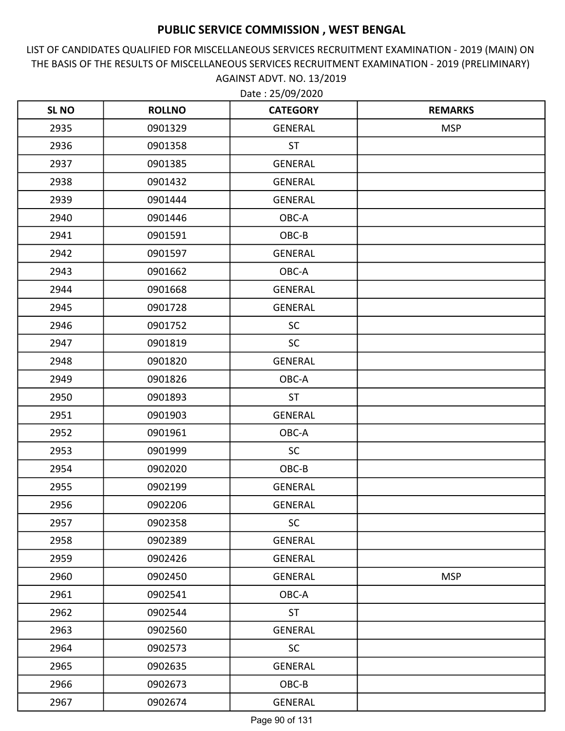LIST OF CANDIDATES QUALIFIED FOR MISCELLANEOUS SERVICES RECRUITMENT EXAMINATION - 2019 (MAIN) ON THE BASIS OF THE RESULTS OF MISCELLANEOUS SERVICES RECRUITMENT EXAMINATION - 2019 (PRELIMINARY) AGAINST ADVT. NO. 13/2019

| <b>SLNO</b> | <b>ROLLNO</b> | <b>CATEGORY</b> | <b>REMARKS</b> |
|-------------|---------------|-----------------|----------------|
| 2935        | 0901329       | <b>GENERAL</b>  | <b>MSP</b>     |
| 2936        | 0901358       | <b>ST</b>       |                |
| 2937        | 0901385       | <b>GENERAL</b>  |                |
| 2938        | 0901432       | <b>GENERAL</b>  |                |
| 2939        | 0901444       | <b>GENERAL</b>  |                |
| 2940        | 0901446       | OBC-A           |                |
| 2941        | 0901591       | OBC-B           |                |
| 2942        | 0901597       | <b>GENERAL</b>  |                |
| 2943        | 0901662       | OBC-A           |                |
| 2944        | 0901668       | <b>GENERAL</b>  |                |
| 2945        | 0901728       | <b>GENERAL</b>  |                |
| 2946        | 0901752       | <b>SC</b>       |                |
| 2947        | 0901819       | <b>SC</b>       |                |
| 2948        | 0901820       | <b>GENERAL</b>  |                |
| 2949        | 0901826       | OBC-A           |                |
| 2950        | 0901893       | <b>ST</b>       |                |
| 2951        | 0901903       | <b>GENERAL</b>  |                |
| 2952        | 0901961       | OBC-A           |                |
| 2953        | 0901999       | <b>SC</b>       |                |
| 2954        | 0902020       | OBC-B           |                |
| 2955        | 0902199       | <b>GENERAL</b>  |                |
| 2956        | 0902206       | <b>GENERAL</b>  |                |
| 2957        | 0902358       | <b>SC</b>       |                |
| 2958        | 0902389       | <b>GENERAL</b>  |                |
| 2959        | 0902426       | GENERAL         |                |
| 2960        | 0902450       | GENERAL         | <b>MSP</b>     |
| 2961        | 0902541       | OBC-A           |                |
| 2962        | 0902544       | <b>ST</b>       |                |
| 2963        | 0902560       | GENERAL         |                |
| 2964        | 0902573       | <b>SC</b>       |                |
| 2965        | 0902635       | GENERAL         |                |
| 2966        | 0902673       | OBC-B           |                |
| 2967        | 0902674       | <b>GENERAL</b>  |                |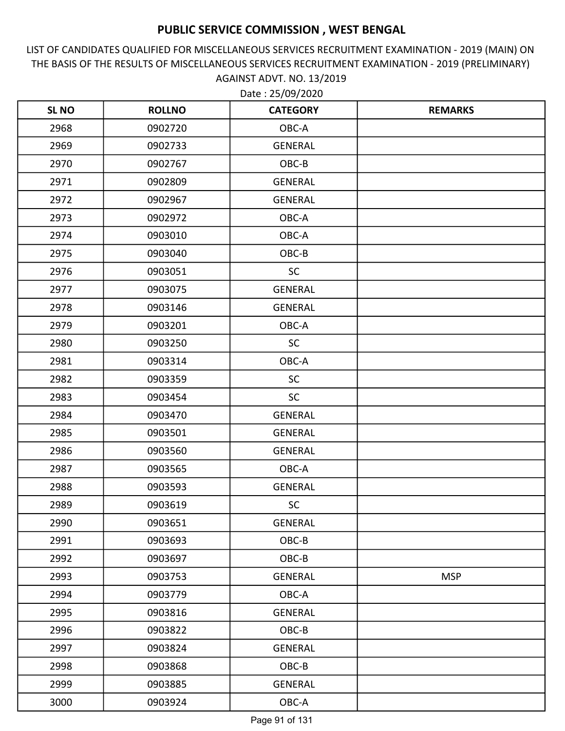LIST OF CANDIDATES QUALIFIED FOR MISCELLANEOUS SERVICES RECRUITMENT EXAMINATION - 2019 (MAIN) ON THE BASIS OF THE RESULTS OF MISCELLANEOUS SERVICES RECRUITMENT EXAMINATION - 2019 (PRELIMINARY) AGAINST ADVT. NO. 13/2019

| <b>SL NO</b> | <b>ROLLNO</b> | <b>CATEGORY</b> | <b>REMARKS</b> |
|--------------|---------------|-----------------|----------------|
| 2968         | 0902720       | OBC-A           |                |
| 2969         | 0902733       | <b>GENERAL</b>  |                |
| 2970         | 0902767       | OBC-B           |                |
| 2971         | 0902809       | <b>GENERAL</b>  |                |
| 2972         | 0902967       | <b>GENERAL</b>  |                |
| 2973         | 0902972       | OBC-A           |                |
| 2974         | 0903010       | OBC-A           |                |
| 2975         | 0903040       | OBC-B           |                |
| 2976         | 0903051       | <b>SC</b>       |                |
| 2977         | 0903075       | <b>GENERAL</b>  |                |
| 2978         | 0903146       | <b>GENERAL</b>  |                |
| 2979         | 0903201       | OBC-A           |                |
| 2980         | 0903250       | <b>SC</b>       |                |
| 2981         | 0903314       | OBC-A           |                |
| 2982         | 0903359       | <b>SC</b>       |                |
| 2983         | 0903454       | <b>SC</b>       |                |
| 2984         | 0903470       | <b>GENERAL</b>  |                |
| 2985         | 0903501       | <b>GENERAL</b>  |                |
| 2986         | 0903560       | <b>GENERAL</b>  |                |
| 2987         | 0903565       | OBC-A           |                |
| 2988         | 0903593       | <b>GENERAL</b>  |                |
| 2989         | 0903619       | <b>SC</b>       |                |
| 2990         | 0903651       | GENERAL         |                |
| 2991         | 0903693       | OBC-B           |                |
| 2992         | 0903697       | OBC-B           |                |
| 2993         | 0903753       | GENERAL         | <b>MSP</b>     |
| 2994         | 0903779       | OBC-A           |                |
| 2995         | 0903816       | <b>GENERAL</b>  |                |
| 2996         | 0903822       | OBC-B           |                |
| 2997         | 0903824       | GENERAL         |                |
| 2998         | 0903868       | OBC-B           |                |
| 2999         | 0903885       | GENERAL         |                |
| 3000         | 0903924       | OBC-A           |                |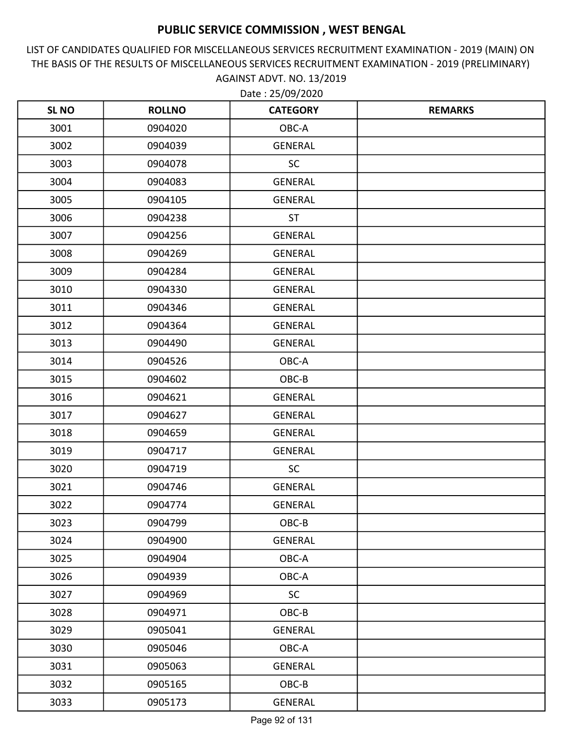LIST OF CANDIDATES QUALIFIED FOR MISCELLANEOUS SERVICES RECRUITMENT EXAMINATION - 2019 (MAIN) ON THE BASIS OF THE RESULTS OF MISCELLANEOUS SERVICES RECRUITMENT EXAMINATION - 2019 (PRELIMINARY) AGAINST ADVT. NO. 13/2019 Date : 25/09/2020

| <b>SL NO</b> | <b>ROLLNO</b> | <b>CATEGORY</b> | <b>REMARKS</b> |
|--------------|---------------|-----------------|----------------|
| 3001         | 0904020       | OBC-A           |                |
| 3002         | 0904039       | <b>GENERAL</b>  |                |
| 3003         | 0904078       | <b>SC</b>       |                |
| 3004         | 0904083       | <b>GENERAL</b>  |                |
| 3005         | 0904105       | <b>GENERAL</b>  |                |
| 3006         | 0904238       | <b>ST</b>       |                |
| 3007         | 0904256       | <b>GENERAL</b>  |                |
| 3008         | 0904269       | <b>GENERAL</b>  |                |
| 3009         | 0904284       | <b>GENERAL</b>  |                |
| 3010         | 0904330       | <b>GENERAL</b>  |                |
| 3011         | 0904346       | <b>GENERAL</b>  |                |
| 3012         | 0904364       | <b>GENERAL</b>  |                |
| 3013         | 0904490       | <b>GENERAL</b>  |                |
| 3014         | 0904526       | OBC-A           |                |
| 3015         | 0904602       | OBC-B           |                |
| 3016         | 0904621       | <b>GENERAL</b>  |                |
| 3017         | 0904627       | <b>GENERAL</b>  |                |
| 3018         | 0904659       | <b>GENERAL</b>  |                |
| 3019         | 0904717       | <b>GENERAL</b>  |                |
| 3020         | 0904719       | <b>SC</b>       |                |
| 3021         | 0904746       | <b>GENERAL</b>  |                |
| 3022         | 0904774       | <b>GENERAL</b>  |                |
| 3023         | 0904799       | OBC-B           |                |
| 3024         | 0904900       | <b>GENERAL</b>  |                |
| 3025         | 0904904       | OBC-A           |                |
| 3026         | 0904939       | OBC-A           |                |
| 3027         | 0904969       | <b>SC</b>       |                |
| 3028         | 0904971       | OBC-B           |                |
| 3029         | 0905041       | <b>GENERAL</b>  |                |
| 3030         | 0905046       | OBC-A           |                |
| 3031         | 0905063       | <b>GENERAL</b>  |                |
| 3032         | 0905165       | OBC-B           |                |
| 3033         | 0905173       | <b>GENERAL</b>  |                |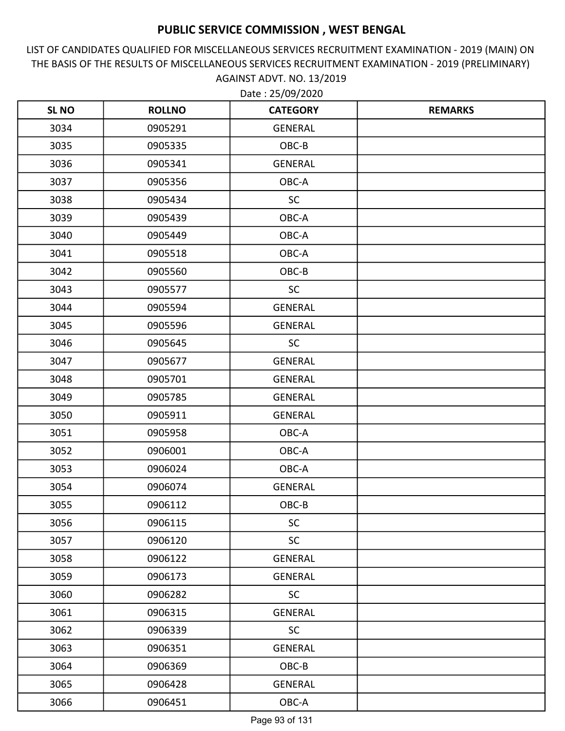LIST OF CANDIDATES QUALIFIED FOR MISCELLANEOUS SERVICES RECRUITMENT EXAMINATION - 2019 (MAIN) ON THE BASIS OF THE RESULTS OF MISCELLANEOUS SERVICES RECRUITMENT EXAMINATION - 2019 (PRELIMINARY) AGAINST ADVT. NO. 13/2019

| <b>SLNO</b> | <b>ROLLNO</b> | <b>CATEGORY</b> | <b>REMARKS</b> |
|-------------|---------------|-----------------|----------------|
| 3034        | 0905291       | <b>GENERAL</b>  |                |
| 3035        | 0905335       | OBC-B           |                |
| 3036        | 0905341       | GENERAL         |                |
| 3037        | 0905356       | OBC-A           |                |
| 3038        | 0905434       | SC              |                |
| 3039        | 0905439       | OBC-A           |                |
| 3040        | 0905449       | OBC-A           |                |
| 3041        | 0905518       | OBC-A           |                |
| 3042        | 0905560       | OBC-B           |                |
| 3043        | 0905577       | <b>SC</b>       |                |
| 3044        | 0905594       | <b>GENERAL</b>  |                |
| 3045        | 0905596       | <b>GENERAL</b>  |                |
| 3046        | 0905645       | <b>SC</b>       |                |
| 3047        | 0905677       | <b>GENERAL</b>  |                |
| 3048        | 0905701       | <b>GENERAL</b>  |                |
| 3049        | 0905785       | <b>GENERAL</b>  |                |
| 3050        | 0905911       | <b>GENERAL</b>  |                |
| 3051        | 0905958       | OBC-A           |                |
| 3052        | 0906001       | OBC-A           |                |
| 3053        | 0906024       | OBC-A           |                |
| 3054        | 0906074       | <b>GENERAL</b>  |                |
| 3055        | 0906112       | OBC-B           |                |
| 3056        | 0906115       | <b>SC</b>       |                |
| 3057        | 0906120       | <b>SC</b>       |                |
| 3058        | 0906122       | <b>GENERAL</b>  |                |
| 3059        | 0906173       | GENERAL         |                |
| 3060        | 0906282       | <b>SC</b>       |                |
| 3061        | 0906315       | GENERAL         |                |
| 3062        | 0906339       | <b>SC</b>       |                |
| 3063        | 0906351       | <b>GENERAL</b>  |                |
| 3064        | 0906369       | OBC-B           |                |
| 3065        | 0906428       | GENERAL         |                |
| 3066        | 0906451       | OBC-A           |                |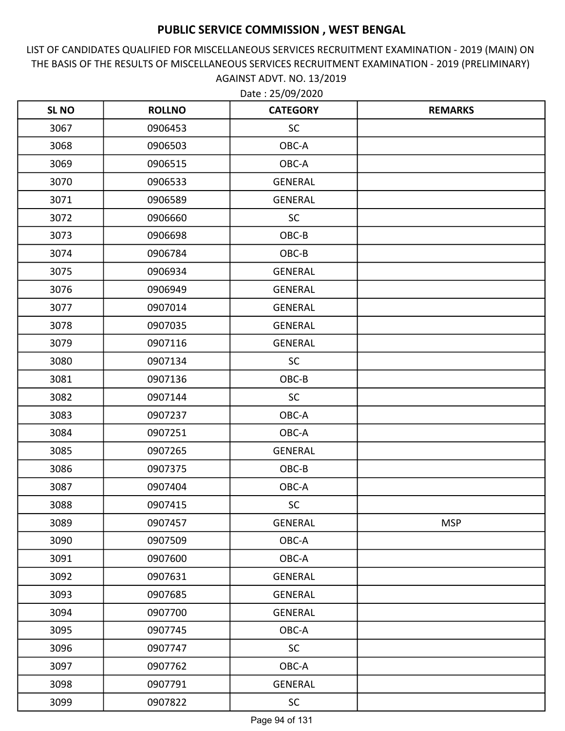LIST OF CANDIDATES QUALIFIED FOR MISCELLANEOUS SERVICES RECRUITMENT EXAMINATION - 2019 (MAIN) ON THE BASIS OF THE RESULTS OF MISCELLANEOUS SERVICES RECRUITMENT EXAMINATION - 2019 (PRELIMINARY) AGAINST ADVT. NO. 13/2019 Date : 25/09/2020

| <b>SL NO</b> | <b>ROLLNO</b> | <b>CATEGORY</b> | <b>REMARKS</b> |
|--------------|---------------|-----------------|----------------|
| 3067         | 0906453       | SC              |                |
| 3068         | 0906503       | OBC-A           |                |
| 3069         | 0906515       | OBC-A           |                |
| 3070         | 0906533       | GENERAL         |                |
| 3071         | 0906589       | <b>GENERAL</b>  |                |
| 3072         | 0906660       | <b>SC</b>       |                |
| 3073         | 0906698       | OBC-B           |                |
| 3074         | 0906784       | OBC-B           |                |
| 3075         | 0906934       | GENERAL         |                |
| 3076         | 0906949       | <b>GENERAL</b>  |                |
| 3077         | 0907014       | GENERAL         |                |
| 3078         | 0907035       | GENERAL         |                |
| 3079         | 0907116       | GENERAL         |                |
| 3080         | 0907134       | <b>SC</b>       |                |
| 3081         | 0907136       | OBC-B           |                |
| 3082         | 0907144       | SC              |                |
| 3083         | 0907237       | OBC-A           |                |
| 3084         | 0907251       | OBC-A           |                |
| 3085         | 0907265       | GENERAL         |                |
| 3086         | 0907375       | OBC-B           |                |
| 3087         | 0907404       | OBC-A           |                |
| 3088         | 0907415       | $\sf SC$        |                |
| 3089         | 0907457       | GENERAL         | <b>MSP</b>     |
| 3090         | 0907509       | OBC-A           |                |
| 3091         | 0907600       | OBC-A           |                |
| 3092         | 0907631       | GENERAL         |                |
| 3093         | 0907685       | <b>GENERAL</b>  |                |
| 3094         | 0907700       | GENERAL         |                |
| 3095         | 0907745       | OBC-A           |                |
| 3096         | 0907747       | SC              |                |
| 3097         | 0907762       | OBC-A           |                |
| 3098         | 0907791       | GENERAL         |                |
| 3099         | 0907822       | <b>SC</b>       |                |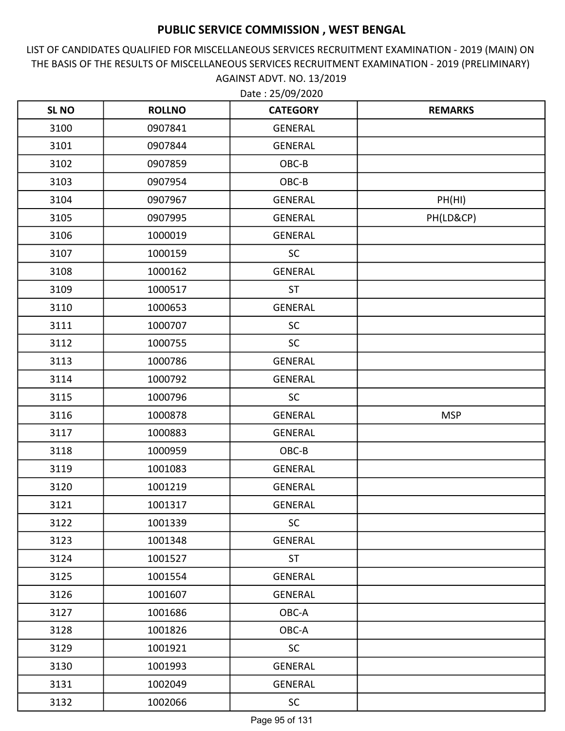LIST OF CANDIDATES QUALIFIED FOR MISCELLANEOUS SERVICES RECRUITMENT EXAMINATION - 2019 (MAIN) ON THE BASIS OF THE RESULTS OF MISCELLANEOUS SERVICES RECRUITMENT EXAMINATION - 2019 (PRELIMINARY) AGAINST ADVT. NO. 13/2019

| <b>SL NO</b> | <b>ROLLNO</b> | <b>CATEGORY</b> | <b>REMARKS</b> |
|--------------|---------------|-----------------|----------------|
| 3100         | 0907841       | <b>GENERAL</b>  |                |
| 3101         | 0907844       | <b>GENERAL</b>  |                |
| 3102         | 0907859       | OBC-B           |                |
| 3103         | 0907954       | OBC-B           |                |
| 3104         | 0907967       | <b>GENERAL</b>  | PH(HI)         |
| 3105         | 0907995       | <b>GENERAL</b>  | PH(LD&CP)      |
| 3106         | 1000019       | GENERAL         |                |
| 3107         | 1000159       | <b>SC</b>       |                |
| 3108         | 1000162       | <b>GENERAL</b>  |                |
| 3109         | 1000517       | <b>ST</b>       |                |
| 3110         | 1000653       | <b>GENERAL</b>  |                |
| 3111         | 1000707       | <b>SC</b>       |                |
| 3112         | 1000755       | <b>SC</b>       |                |
| 3113         | 1000786       | <b>GENERAL</b>  |                |
| 3114         | 1000792       | GENERAL         |                |
| 3115         | 1000796       | <b>SC</b>       |                |
| 3116         | 1000878       | <b>GENERAL</b>  | <b>MSP</b>     |
| 3117         | 1000883       | <b>GENERAL</b>  |                |
| 3118         | 1000959       | OBC-B           |                |
| 3119         | 1001083       | <b>GENERAL</b>  |                |
| 3120         | 1001219       | <b>GENERAL</b>  |                |
| 3121         | 1001317       | <b>GENERAL</b>  |                |
| 3122         | 1001339       | <b>SC</b>       |                |
| 3123         | 1001348       | <b>GENERAL</b>  |                |
| 3124         | 1001527       | <b>ST</b>       |                |
| 3125         | 1001554       | GENERAL         |                |
| 3126         | 1001607       | GENERAL         |                |
| 3127         | 1001686       | OBC-A           |                |
| 3128         | 1001826       | OBC-A           |                |
| 3129         | 1001921       | SC              |                |
| 3130         | 1001993       | GENERAL         |                |
| 3131         | 1002049       | GENERAL         |                |
| 3132         | 1002066       | <b>SC</b>       |                |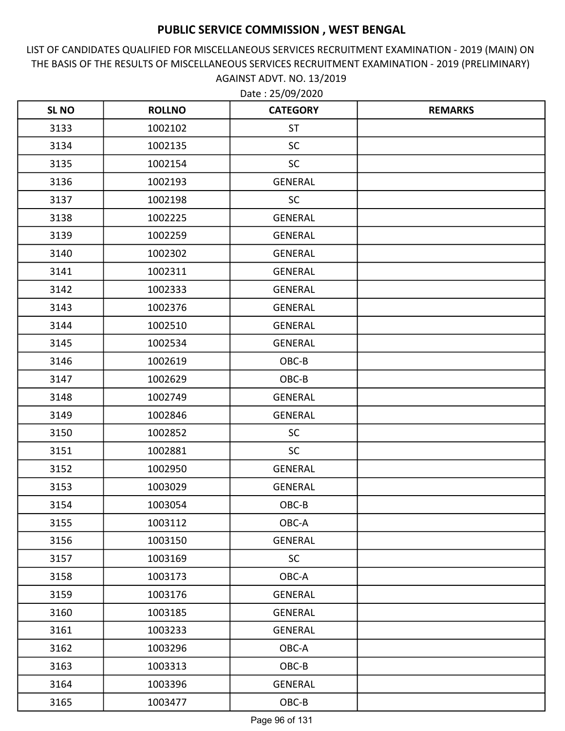LIST OF CANDIDATES QUALIFIED FOR MISCELLANEOUS SERVICES RECRUITMENT EXAMINATION - 2019 (MAIN) ON THE BASIS OF THE RESULTS OF MISCELLANEOUS SERVICES RECRUITMENT EXAMINATION - 2019 (PRELIMINARY) AGAINST ADVT. NO. 13/2019 Date : 25/09/2020

| <b>SLNO</b> | <b>ROLLNO</b> | <b>CATEGORY</b> | <b>REMARKS</b> |
|-------------|---------------|-----------------|----------------|
| 3133        | 1002102       | <b>ST</b>       |                |
| 3134        | 1002135       | <b>SC</b>       |                |
| 3135        | 1002154       | <b>SC</b>       |                |
| 3136        | 1002193       | <b>GENERAL</b>  |                |
| 3137        | 1002198       | <b>SC</b>       |                |
| 3138        | 1002225       | <b>GENERAL</b>  |                |
| 3139        | 1002259       | <b>GENERAL</b>  |                |
| 3140        | 1002302       | <b>GENERAL</b>  |                |
| 3141        | 1002311       | <b>GENERAL</b>  |                |
| 3142        | 1002333       | <b>GENERAL</b>  |                |
| 3143        | 1002376       | <b>GENERAL</b>  |                |
| 3144        | 1002510       | <b>GENERAL</b>  |                |
| 3145        | 1002534       | <b>GENERAL</b>  |                |
| 3146        | 1002619       | OBC-B           |                |
| 3147        | 1002629       | OBC-B           |                |
| 3148        | 1002749       | <b>GENERAL</b>  |                |
| 3149        | 1002846       | <b>GENERAL</b>  |                |
| 3150        | 1002852       | <b>SC</b>       |                |
| 3151        | 1002881       | <b>SC</b>       |                |
| 3152        | 1002950       | <b>GENERAL</b>  |                |
| 3153        | 1003029       | <b>GENERAL</b>  |                |
| 3154        | 1003054       | OBC-B           |                |
| 3155        | 1003112       | OBC-A           |                |
| 3156        | 1003150       | <b>GENERAL</b>  |                |
| 3157        | 1003169       | <b>SC</b>       |                |
| 3158        | 1003173       | OBC-A           |                |
| 3159        | 1003176       | GENERAL         |                |
| 3160        | 1003185       | <b>GENERAL</b>  |                |
| 3161        | 1003233       | GENERAL         |                |
| 3162        | 1003296       | OBC-A           |                |
| 3163        | 1003313       | OBC-B           |                |
| 3164        | 1003396       | <b>GENERAL</b>  |                |
| 3165        | 1003477       | OBC-B           |                |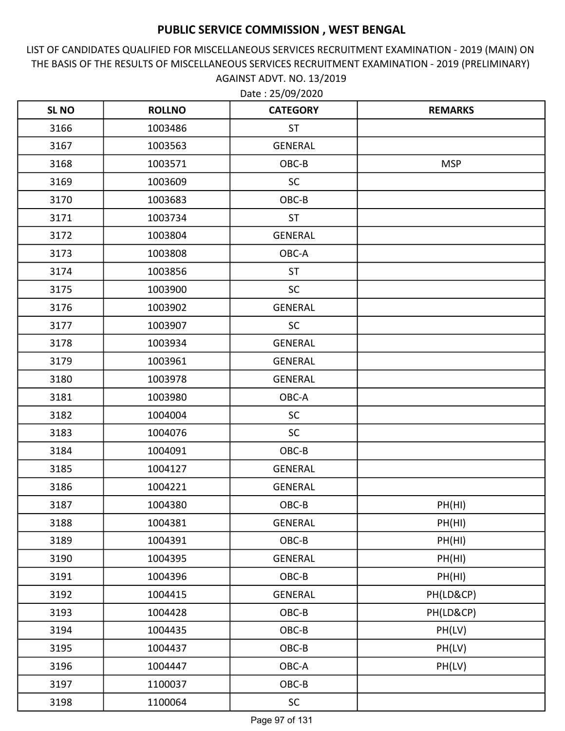LIST OF CANDIDATES QUALIFIED FOR MISCELLANEOUS SERVICES RECRUITMENT EXAMINATION - 2019 (MAIN) ON THE BASIS OF THE RESULTS OF MISCELLANEOUS SERVICES RECRUITMENT EXAMINATION - 2019 (PRELIMINARY) AGAINST ADVT. NO. 13/2019

| <b>SLNO</b> | <b>ROLLNO</b> | <b>CATEGORY</b> | <b>REMARKS</b> |
|-------------|---------------|-----------------|----------------|
| 3166        | 1003486       | <b>ST</b>       |                |
| 3167        | 1003563       | <b>GENERAL</b>  |                |
| 3168        | 1003571       | OBC-B           | <b>MSP</b>     |
| 3169        | 1003609       | <b>SC</b>       |                |
| 3170        | 1003683       | OBC-B           |                |
| 3171        | 1003734       | <b>ST</b>       |                |
| 3172        | 1003804       | <b>GENERAL</b>  |                |
| 3173        | 1003808       | OBC-A           |                |
| 3174        | 1003856       | <b>ST</b>       |                |
| 3175        | 1003900       | SC              |                |
| 3176        | 1003902       | <b>GENERAL</b>  |                |
| 3177        | 1003907       | <b>SC</b>       |                |
| 3178        | 1003934       | <b>GENERAL</b>  |                |
| 3179        | 1003961       | <b>GENERAL</b>  |                |
| 3180        | 1003978       | <b>GENERAL</b>  |                |
| 3181        | 1003980       | OBC-A           |                |
| 3182        | 1004004       | <b>SC</b>       |                |
| 3183        | 1004076       | <b>SC</b>       |                |
| 3184        | 1004091       | OBC-B           |                |
| 3185        | 1004127       | GENERAL         |                |
| 3186        | 1004221       | <b>GENERAL</b>  |                |
| 3187        | 1004380       | OBC-B           | PH(HI)         |
| 3188        | 1004381       | <b>GENERAL</b>  | PH(HI)         |
| 3189        | 1004391       | OBC-B           | PH(HI)         |
| 3190        | 1004395       | GENERAL         | PH(HI)         |
| 3191        | 1004396       | OBC-B           | PH(HI)         |
| 3192        | 1004415       | <b>GENERAL</b>  | PH(LD&CP)      |
| 3193        | 1004428       | OBC-B           | PH(LD&CP)      |
| 3194        | 1004435       | OBC-B           | PH(LV)         |
| 3195        | 1004437       | OBC-B           | PH(LV)         |
| 3196        | 1004447       | OBC-A           | PH(LV)         |
| 3197        | 1100037       | OBC-B           |                |
| 3198        | 1100064       | SC              |                |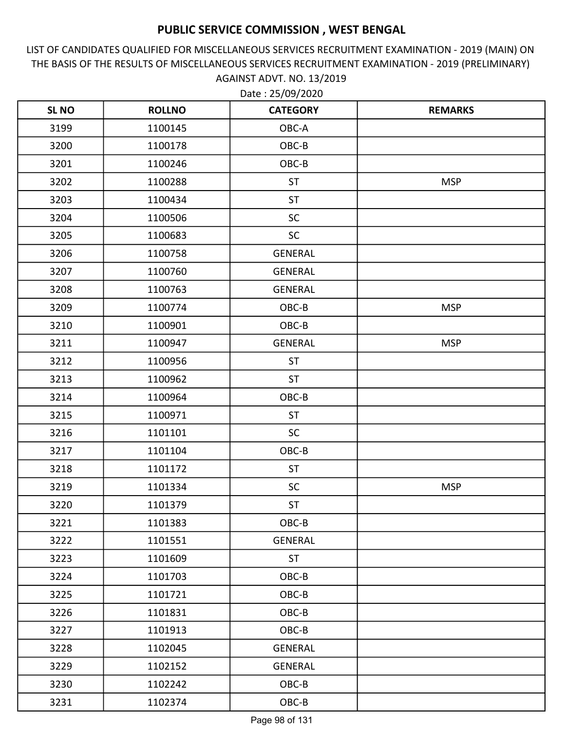LIST OF CANDIDATES QUALIFIED FOR MISCELLANEOUS SERVICES RECRUITMENT EXAMINATION - 2019 (MAIN) ON THE BASIS OF THE RESULTS OF MISCELLANEOUS SERVICES RECRUITMENT EXAMINATION - 2019 (PRELIMINARY) AGAINST ADVT. NO. 13/2019

| <b>SL NO</b> | <b>ROLLNO</b> | <b>CATEGORY</b> | <b>REMARKS</b> |
|--------------|---------------|-----------------|----------------|
| 3199         | 1100145       | OBC-A           |                |
| 3200         | 1100178       | OBC-B           |                |
| 3201         | 1100246       | OBC-B           |                |
| 3202         | 1100288       | <b>ST</b>       | <b>MSP</b>     |
| 3203         | 1100434       | <b>ST</b>       |                |
| 3204         | 1100506       | SC              |                |
| 3205         | 1100683       | <b>SC</b>       |                |
| 3206         | 1100758       | <b>GENERAL</b>  |                |
| 3207         | 1100760       | <b>GENERAL</b>  |                |
| 3208         | 1100763       | <b>GENERAL</b>  |                |
| 3209         | 1100774       | OBC-B           | <b>MSP</b>     |
| 3210         | 1100901       | OBC-B           |                |
| 3211         | 1100947       | <b>GENERAL</b>  | <b>MSP</b>     |
| 3212         | 1100956       | <b>ST</b>       |                |
| 3213         | 1100962       | <b>ST</b>       |                |
| 3214         | 1100964       | OBC-B           |                |
| 3215         | 1100971       | <b>ST</b>       |                |
| 3216         | 1101101       | <b>SC</b>       |                |
| 3217         | 1101104       | OBC-B           |                |
| 3218         | 1101172       | <b>ST</b>       |                |
| 3219         | 1101334       | <b>SC</b>       | <b>MSP</b>     |
| 3220         | 1101379       | <b>ST</b>       |                |
| 3221         | 1101383       | OBC-B           |                |
| 3222         | 1101551       | GENERAL         |                |
| 3223         | 1101609       | <b>ST</b>       |                |
| 3224         | 1101703       | OBC-B           |                |
| 3225         | 1101721       | OBC-B           |                |
| 3226         | 1101831       | OBC-B           |                |
| 3227         | 1101913       | $OBC-B$         |                |
| 3228         | 1102045       | GENERAL         |                |
| 3229         | 1102152       | GENERAL         |                |
| 3230         | 1102242       | OBC-B           |                |
| 3231         | 1102374       | $OBC-B$         |                |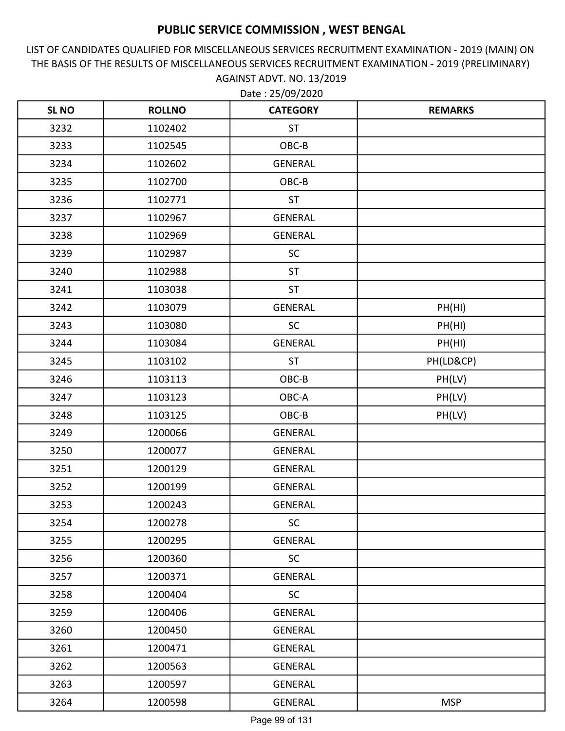LIST OF CANDIDATES QUALIFIED FOR MISCELLANEOUS SERVICES RECRUITMENT EXAMINATION - 2019 (MAIN) ON THE BASIS OF THE RESULTS OF MISCELLANEOUS SERVICES RECRUITMENT EXAMINATION - 2019 (PRELIMINARY) AGAINST ADVT. NO. 13/2019 Date : 25/09/2020

| <b>SLNO</b> | <b>ROLLNO</b> | <b>CATEGORY</b> | <b>REMARKS</b> |
|-------------|---------------|-----------------|----------------|
| 3232        | 1102402       | <b>ST</b>       |                |
| 3233        | 1102545       | OBC-B           |                |
| 3234        | 1102602       | <b>GENERAL</b>  |                |
| 3235        | 1102700       | OBC-B           |                |
| 3236        | 1102771       | <b>ST</b>       |                |
| 3237        | 1102967       | <b>GENERAL</b>  |                |
| 3238        | 1102969       | <b>GENERAL</b>  |                |
| 3239        | 1102987       | <b>SC</b>       |                |
| 3240        | 1102988       | <b>ST</b>       |                |
| 3241        | 1103038       | <b>ST</b>       |                |
| 3242        | 1103079       | <b>GENERAL</b>  | PH(HI)         |
| 3243        | 1103080       | <b>SC</b>       | PH(HI)         |
| 3244        | 1103084       | <b>GENERAL</b>  | PH(HI)         |
| 3245        | 1103102       | <b>ST</b>       | PH(LD&CP)      |
| 3246        | 1103113       | OBC-B           | PH(LV)         |
| 3247        | 1103123       | OBC-A           | PH(LV)         |
| 3248        | 1103125       | OBC-B           | PH(LV)         |
| 3249        | 1200066       | <b>GENERAL</b>  |                |
| 3250        | 1200077       | <b>GENERAL</b>  |                |
| 3251        | 1200129       | <b>GENERAL</b>  |                |
| 3252        | 1200199       | <b>GENERAL</b>  |                |
| 3253        | 1200243       | <b>GENERAL</b>  |                |
| 3254        | 1200278       | <b>SC</b>       |                |
| 3255        | 1200295       | <b>GENERAL</b>  |                |
| 3256        | 1200360       | <b>SC</b>       |                |
| 3257        | 1200371       | GENERAL         |                |
| 3258        | 1200404       | <b>SC</b>       |                |
| 3259        | 1200406       | GENERAL         |                |
| 3260        | 1200450       | GENERAL         |                |
| 3261        | 1200471       | <b>GENERAL</b>  |                |
| 3262        | 1200563       | GENERAL         |                |
| 3263        | 1200597       | <b>GENERAL</b>  |                |
| 3264        | 1200598       | GENERAL         | <b>MSP</b>     |

Page 99 of 131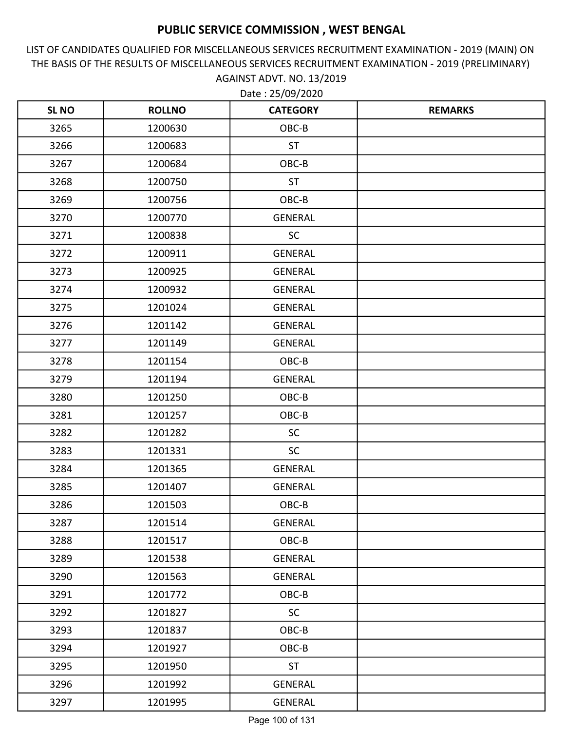LIST OF CANDIDATES QUALIFIED FOR MISCELLANEOUS SERVICES RECRUITMENT EXAMINATION - 2019 (MAIN) ON THE BASIS OF THE RESULTS OF MISCELLANEOUS SERVICES RECRUITMENT EXAMINATION - 2019 (PRELIMINARY) AGAINST ADVT. NO. 13/2019 Date : 25/09/2020

| <b>SLNO</b> | <b>ROLLNO</b> | <b>CATEGORY</b> | <b>REMARKS</b> |
|-------------|---------------|-----------------|----------------|
| 3265        | 1200630       | OBC-B           |                |
| 3266        | 1200683       | <b>ST</b>       |                |
| 3267        | 1200684       | OBC-B           |                |
| 3268        | 1200750       | <b>ST</b>       |                |
| 3269        | 1200756       | OBC-B           |                |
| 3270        | 1200770       | <b>GENERAL</b>  |                |
| 3271        | 1200838       | <b>SC</b>       |                |
| 3272        | 1200911       | <b>GENERAL</b>  |                |
| 3273        | 1200925       | <b>GENERAL</b>  |                |
| 3274        | 1200932       | <b>GENERAL</b>  |                |
| 3275        | 1201024       | <b>GENERAL</b>  |                |
| 3276        | 1201142       | <b>GENERAL</b>  |                |
| 3277        | 1201149       | <b>GENERAL</b>  |                |
| 3278        | 1201154       | OBC-B           |                |
| 3279        | 1201194       | <b>GENERAL</b>  |                |
| 3280        | 1201250       | OBC-B           |                |
| 3281        | 1201257       | OBC-B           |                |
| 3282        | 1201282       | <b>SC</b>       |                |
| 3283        | 1201331       | <b>SC</b>       |                |
| 3284        | 1201365       | <b>GENERAL</b>  |                |
| 3285        | 1201407       | <b>GENERAL</b>  |                |
| 3286        | 1201503       | OBC-B           |                |
| 3287        | 1201514       | <b>GENERAL</b>  |                |
| 3288        | 1201517       | OBC-B           |                |
| 3289        | 1201538       | GENERAL         |                |
| 3290        | 1201563       | <b>GENERAL</b>  |                |
| 3291        | 1201772       | OBC-B           |                |
| 3292        | 1201827       | <b>SC</b>       |                |
| 3293        | 1201837       | OBC-B           |                |
| 3294        | 1201927       | OBC-B           |                |
| 3295        | 1201950       | <b>ST</b>       |                |
| 3296        | 1201992       | GENERAL         |                |
| 3297        | 1201995       | GENERAL         |                |

Page 100 of 131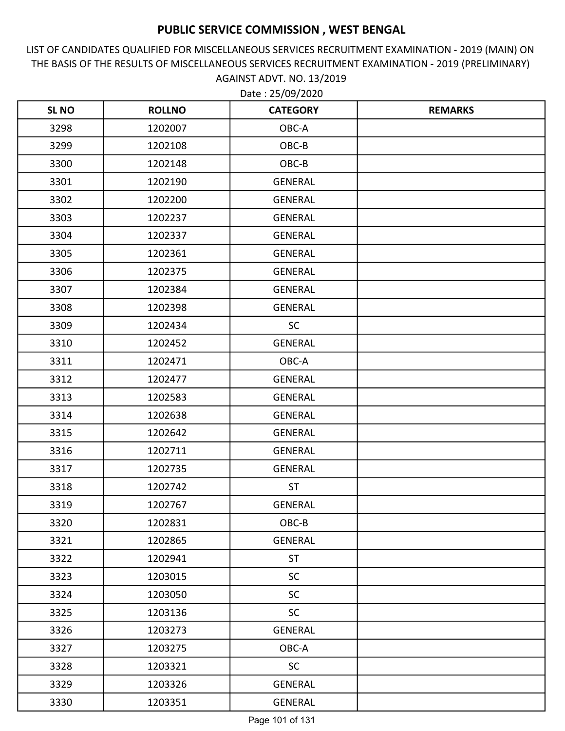LIST OF CANDIDATES QUALIFIED FOR MISCELLANEOUS SERVICES RECRUITMENT EXAMINATION - 2019 (MAIN) ON THE BASIS OF THE RESULTS OF MISCELLANEOUS SERVICES RECRUITMENT EXAMINATION - 2019 (PRELIMINARY) AGAINST ADVT. NO. 13/2019 Date : 25/09/2020

| <b>SLNO</b> | <b>ROLLNO</b> | <b>CATEGORY</b> | <b>REMARKS</b> |
|-------------|---------------|-----------------|----------------|
| 3298        | 1202007       | OBC-A           |                |
| 3299        | 1202108       | OBC-B           |                |
| 3300        | 1202148       | OBC-B           |                |
| 3301        | 1202190       | <b>GENERAL</b>  |                |
| 3302        | 1202200       | <b>GENERAL</b>  |                |
| 3303        | 1202237       | <b>GENERAL</b>  |                |
| 3304        | 1202337       | <b>GENERAL</b>  |                |
| 3305        | 1202361       | <b>GENERAL</b>  |                |
| 3306        | 1202375       | <b>GENERAL</b>  |                |
| 3307        | 1202384       | <b>GENERAL</b>  |                |
| 3308        | 1202398       | <b>GENERAL</b>  |                |
| 3309        | 1202434       | <b>SC</b>       |                |
| 3310        | 1202452       | <b>GENERAL</b>  |                |
| 3311        | 1202471       | OBC-A           |                |
| 3312        | 1202477       | <b>GENERAL</b>  |                |
| 3313        | 1202583       | <b>GENERAL</b>  |                |
| 3314        | 1202638       | <b>GENERAL</b>  |                |
| 3315        | 1202642       | <b>GENERAL</b>  |                |
| 3316        | 1202711       | <b>GENERAL</b>  |                |
| 3317        | 1202735       | <b>GENERAL</b>  |                |
| 3318        | 1202742       | <b>ST</b>       |                |
| 3319        | 1202767       | <b>GENERAL</b>  |                |
| 3320        | 1202831       | OBC-B           |                |
| 3321        | 1202865       | <b>GENERAL</b>  |                |
| 3322        | 1202941       | <b>ST</b>       |                |
| 3323        | 1203015       | <b>SC</b>       |                |
| 3324        | 1203050       | <b>SC</b>       |                |
| 3325        | 1203136       | <b>SC</b>       |                |
| 3326        | 1203273       | GENERAL         |                |
| 3327        | 1203275       | OBC-A           |                |
| 3328        | 1203321       | <b>SC</b>       |                |
| 3329        | 1203326       | GENERAL         |                |
| 3330        | 1203351       | GENERAL         |                |

Page 101 of 131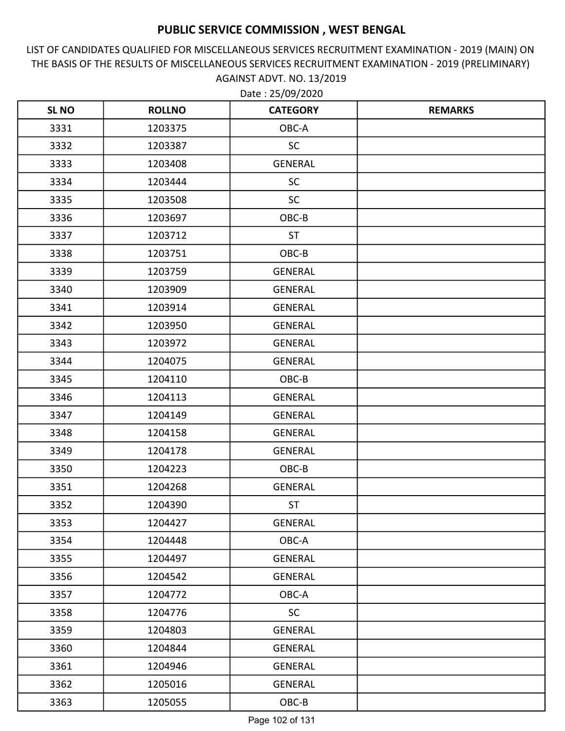LIST OF CANDIDATES QUALIFIED FOR MISCELLANEOUS SERVICES RECRUITMENT EXAMINATION - 2019 (MAIN) ON THE BASIS OF THE RESULTS OF MISCELLANEOUS SERVICES RECRUITMENT EXAMINATION - 2019 (PRELIMINARY) AGAINST ADVT. NO. 13/2019 Date : 25/09/2020

| <b>SLNO</b> | <b>ROLLNO</b> | <b>CATEGORY</b> | <b>REMARKS</b> |
|-------------|---------------|-----------------|----------------|
| 3331        | 1203375       | OBC-A           |                |
| 3332        | 1203387       | <b>SC</b>       |                |
| 3333        | 1203408       | <b>GENERAL</b>  |                |
| 3334        | 1203444       | <b>SC</b>       |                |
| 3335        | 1203508       | <b>SC</b>       |                |
| 3336        | 1203697       | OBC-B           |                |
| 3337        | 1203712       | <b>ST</b>       |                |
| 3338        | 1203751       | OBC-B           |                |
| 3339        | 1203759       | <b>GENERAL</b>  |                |
| 3340        | 1203909       | <b>GENERAL</b>  |                |
| 3341        | 1203914       | <b>GENERAL</b>  |                |
| 3342        | 1203950       | <b>GENERAL</b>  |                |
| 3343        | 1203972       | <b>GENERAL</b>  |                |
| 3344        | 1204075       | <b>GENERAL</b>  |                |
| 3345        | 1204110       | OBC-B           |                |
| 3346        | 1204113       | <b>GENERAL</b>  |                |
| 3347        | 1204149       | <b>GENERAL</b>  |                |
| 3348        | 1204158       | <b>GENERAL</b>  |                |
| 3349        | 1204178       | <b>GENERAL</b>  |                |
| 3350        | 1204223       | OBC-B           |                |
| 3351        | 1204268       | <b>GENERAL</b>  |                |
| 3352        | 1204390       | <b>ST</b>       |                |
| 3353        | 1204427       | GENERAL         |                |
| 3354        | 1204448       | OBC-A           |                |
| 3355        | 1204497       | GENERAL         |                |
| 3356        | 1204542       | <b>GENERAL</b>  |                |
| 3357        | 1204772       | OBC-A           |                |
| 3358        | 1204776       | <b>SC</b>       |                |
| 3359        | 1204803       | GENERAL         |                |
| 3360        | 1204844       | <b>GENERAL</b>  |                |
| 3361        | 1204946       | GENERAL         |                |
| 3362        | 1205016       | <b>GENERAL</b>  |                |
| 3363        | 1205055       | OBC-B           |                |

Page 102 of 131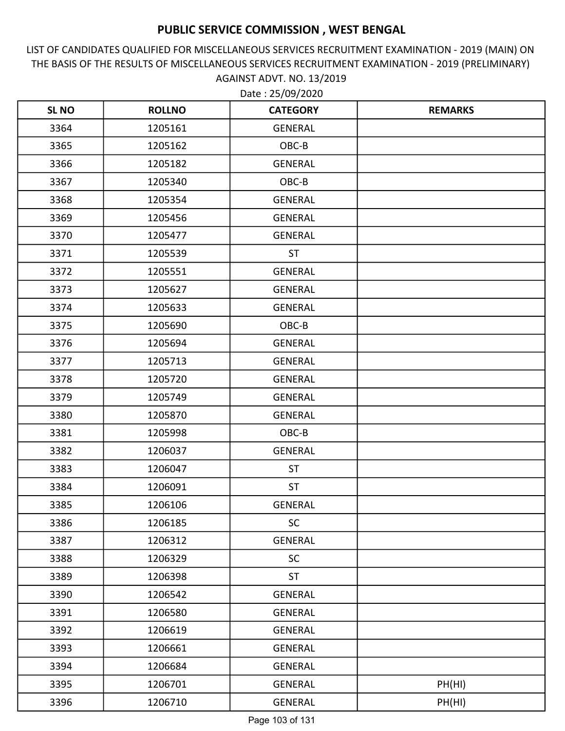LIST OF CANDIDATES QUALIFIED FOR MISCELLANEOUS SERVICES RECRUITMENT EXAMINATION - 2019 (MAIN) ON THE BASIS OF THE RESULTS OF MISCELLANEOUS SERVICES RECRUITMENT EXAMINATION - 2019 (PRELIMINARY) AGAINST ADVT. NO. 13/2019

| <b>SL NO</b> | <b>ROLLNO</b> | <b>CATEGORY</b> | <b>REMARKS</b> |
|--------------|---------------|-----------------|----------------|
| 3364         | 1205161       | <b>GENERAL</b>  |                |
| 3365         | 1205162       | OBC-B           |                |
| 3366         | 1205182       | GENERAL         |                |
| 3367         | 1205340       | OBC-B           |                |
| 3368         | 1205354       | <b>GENERAL</b>  |                |
| 3369         | 1205456       | <b>GENERAL</b>  |                |
| 3370         | 1205477       | <b>GENERAL</b>  |                |
| 3371         | 1205539       | <b>ST</b>       |                |
| 3372         | 1205551       | <b>GENERAL</b>  |                |
| 3373         | 1205627       | <b>GENERAL</b>  |                |
| 3374         | 1205633       | <b>GENERAL</b>  |                |
| 3375         | 1205690       | OBC-B           |                |
| 3376         | 1205694       | <b>GENERAL</b>  |                |
| 3377         | 1205713       | <b>GENERAL</b>  |                |
| 3378         | 1205720       | <b>GENERAL</b>  |                |
| 3379         | 1205749       | <b>GENERAL</b>  |                |
| 3380         | 1205870       | <b>GENERAL</b>  |                |
| 3381         | 1205998       | OBC-B           |                |
| 3382         | 1206037       | <b>GENERAL</b>  |                |
| 3383         | 1206047       | <b>ST</b>       |                |
| 3384         | 1206091       | <b>ST</b>       |                |
| 3385         | 1206106       | <b>GENERAL</b>  |                |
| 3386         | 1206185       | <b>SC</b>       |                |
| 3387         | 1206312       | GENERAL         |                |
| 3388         | 1206329       | <b>SC</b>       |                |
| 3389         | 1206398       | <b>ST</b>       |                |
| 3390         | 1206542       | <b>GENERAL</b>  |                |
| 3391         | 1206580       | GENERAL         |                |
| 3392         | 1206619       | GENERAL         |                |
| 3393         | 1206661       | <b>GENERAL</b>  |                |
| 3394         | 1206684       | GENERAL         |                |
| 3395         | 1206701       | GENERAL         | PH(HI)         |
| 3396         | 1206710       | GENERAL         | PH(HI)         |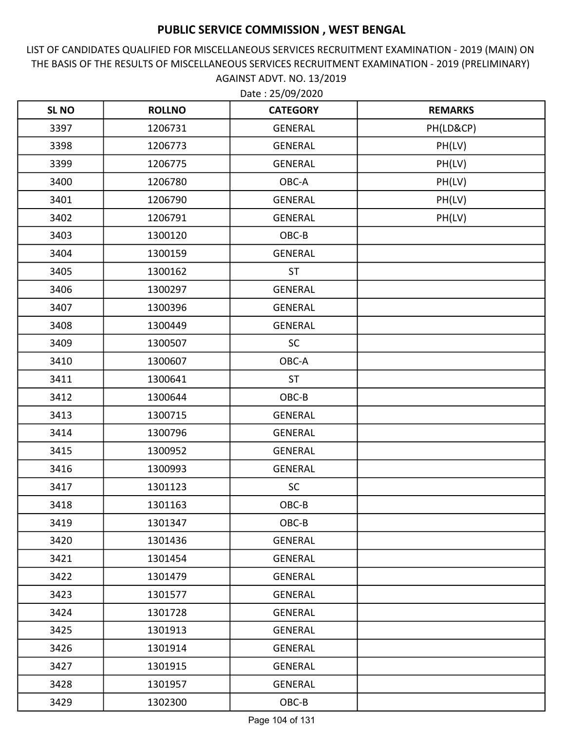LIST OF CANDIDATES QUALIFIED FOR MISCELLANEOUS SERVICES RECRUITMENT EXAMINATION - 2019 (MAIN) ON THE BASIS OF THE RESULTS OF MISCELLANEOUS SERVICES RECRUITMENT EXAMINATION - 2019 (PRELIMINARY) AGAINST ADVT. NO. 13/2019

| <b>SL NO</b> | <b>ROLLNO</b> | <b>CATEGORY</b> | <b>REMARKS</b> |
|--------------|---------------|-----------------|----------------|
| 3397         | 1206731       | GENERAL         | PH(LD&CP)      |
| 3398         | 1206773       | <b>GENERAL</b>  | PH(LV)         |
| 3399         | 1206775       | GENERAL         | PH(LV)         |
| 3400         | 1206780       | OBC-A           | PH(LV)         |
| 3401         | 1206790       | <b>GENERAL</b>  | PH(LV)         |
| 3402         | 1206791       | <b>GENERAL</b>  | PH(LV)         |
| 3403         | 1300120       | OBC-B           |                |
| 3404         | 1300159       | GENERAL         |                |
| 3405         | 1300162       | <b>ST</b>       |                |
| 3406         | 1300297       | <b>GENERAL</b>  |                |
| 3407         | 1300396       | <b>GENERAL</b>  |                |
| 3408         | 1300449       | <b>GENERAL</b>  |                |
| 3409         | 1300507       | <b>SC</b>       |                |
| 3410         | 1300607       | OBC-A           |                |
| 3411         | 1300641       | <b>ST</b>       |                |
| 3412         | 1300644       | OBC-B           |                |
| 3413         | 1300715       | <b>GENERAL</b>  |                |
| 3414         | 1300796       | <b>GENERAL</b>  |                |
| 3415         | 1300952       | <b>GENERAL</b>  |                |
| 3416         | 1300993       | GENERAL         |                |
| 3417         | 1301123       | <b>SC</b>       |                |
| 3418         | 1301163       | OBC-B           |                |
| 3419         | 1301347       | OBC-B           |                |
| 3420         | 1301436       | GENERAL         |                |
| 3421         | 1301454       | GENERAL         |                |
| 3422         | 1301479       | GENERAL         |                |
| 3423         | 1301577       | GENERAL         |                |
| 3424         | 1301728       | GENERAL         |                |
| 3425         | 1301913       | GENERAL         |                |
| 3426         | 1301914       | GENERAL         |                |
| 3427         | 1301915       | GENERAL         |                |
| 3428         | 1301957       | GENERAL         |                |
| 3429         | 1302300       | OBC-B           |                |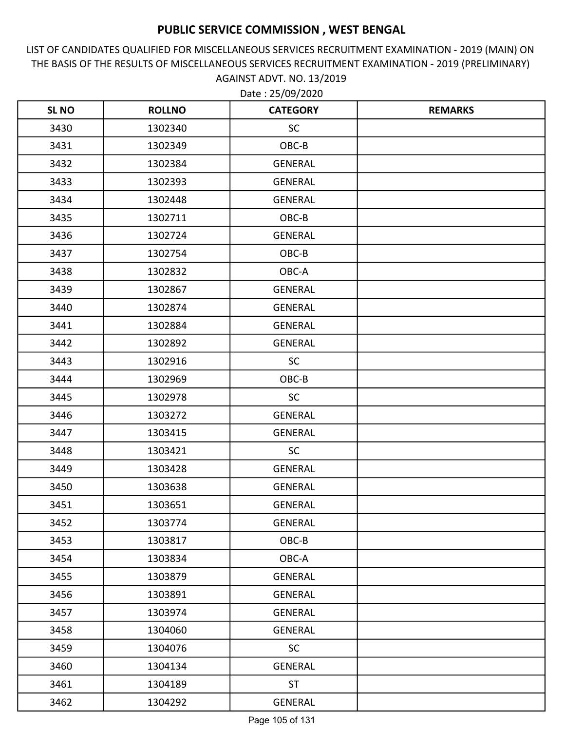LIST OF CANDIDATES QUALIFIED FOR MISCELLANEOUS SERVICES RECRUITMENT EXAMINATION - 2019 (MAIN) ON THE BASIS OF THE RESULTS OF MISCELLANEOUS SERVICES RECRUITMENT EXAMINATION - 2019 (PRELIMINARY) AGAINST ADVT. NO. 13/2019

| <b>SLNO</b> | <b>ROLLNO</b> | <b>CATEGORY</b> | <b>REMARKS</b> |
|-------------|---------------|-----------------|----------------|
| 3430        | 1302340       | <b>SC</b>       |                |
| 3431        | 1302349       | OBC-B           |                |
| 3432        | 1302384       | <b>GENERAL</b>  |                |
| 3433        | 1302393       | <b>GENERAL</b>  |                |
| 3434        | 1302448       | <b>GENERAL</b>  |                |
| 3435        | 1302711       | OBC-B           |                |
| 3436        | 1302724       | <b>GENERAL</b>  |                |
| 3437        | 1302754       | OBC-B           |                |
| 3438        | 1302832       | OBC-A           |                |
| 3439        | 1302867       | <b>GENERAL</b>  |                |
| 3440        | 1302874       | <b>GENERAL</b>  |                |
| 3441        | 1302884       | <b>GENERAL</b>  |                |
| 3442        | 1302892       | <b>GENERAL</b>  |                |
| 3443        | 1302916       | <b>SC</b>       |                |
| 3444        | 1302969       | OBC-B           |                |
| 3445        | 1302978       | <b>SC</b>       |                |
| 3446        | 1303272       | <b>GENERAL</b>  |                |
| 3447        | 1303415       | <b>GENERAL</b>  |                |
| 3448        | 1303421       | <b>SC</b>       |                |
| 3449        | 1303428       | <b>GENERAL</b>  |                |
| 3450        | 1303638       | <b>GENERAL</b>  |                |
| 3451        | 1303651       | <b>GENERAL</b>  |                |
| 3452        | 1303774       | GENERAL         |                |
| 3453        | 1303817       | OBC-B           |                |
| 3454        | 1303834       | OBC-A           |                |
| 3455        | 1303879       | GENERAL         |                |
| 3456        | 1303891       | <b>GENERAL</b>  |                |
| 3457        | 1303974       | GENERAL         |                |
| 3458        | 1304060       | GENERAL         |                |
| 3459        | 1304076       | <b>SC</b>       |                |
| 3460        | 1304134       | <b>GENERAL</b>  |                |
| 3461        | 1304189       | <b>ST</b>       |                |
| 3462        | 1304292       | GENERAL         |                |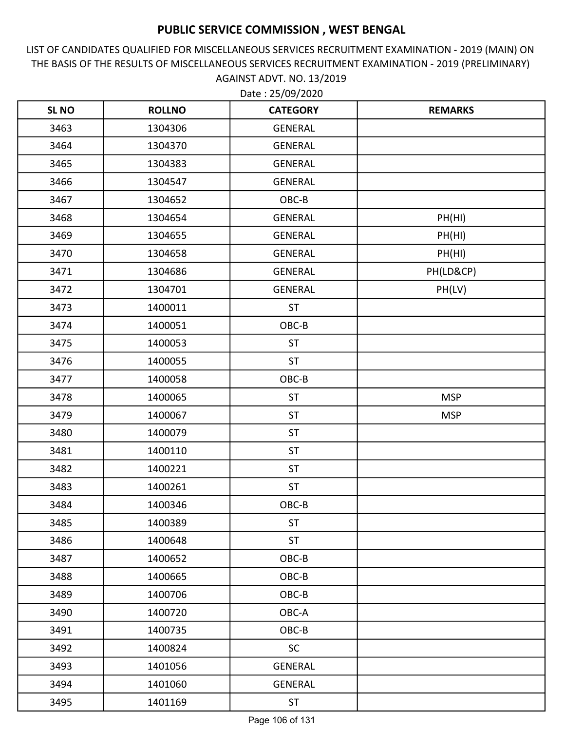LIST OF CANDIDATES QUALIFIED FOR MISCELLANEOUS SERVICES RECRUITMENT EXAMINATION - 2019 (MAIN) ON THE BASIS OF THE RESULTS OF MISCELLANEOUS SERVICES RECRUITMENT EXAMINATION - 2019 (PRELIMINARY) AGAINST ADVT. NO. 13/2019

| <b>SL NO</b> | <b>ROLLNO</b> | <b>CATEGORY</b> | <b>REMARKS</b> |
|--------------|---------------|-----------------|----------------|
| 3463         | 1304306       | <b>GENERAL</b>  |                |
| 3464         | 1304370       | <b>GENERAL</b>  |                |
| 3465         | 1304383       | <b>GENERAL</b>  |                |
| 3466         | 1304547       | GENERAL         |                |
| 3467         | 1304652       | OBC-B           |                |
| 3468         | 1304654       | <b>GENERAL</b>  | PH(HI)         |
| 3469         | 1304655       | <b>GENERAL</b>  | PH(HI)         |
| 3470         | 1304658       | GENERAL         | PH(HI)         |
| 3471         | 1304686       | <b>GENERAL</b>  | PH(LD&CP)      |
| 3472         | 1304701       | <b>GENERAL</b>  | PH(LV)         |
| 3473         | 1400011       | <b>ST</b>       |                |
| 3474         | 1400051       | OBC-B           |                |
| 3475         | 1400053       | <b>ST</b>       |                |
| 3476         | 1400055       | <b>ST</b>       |                |
| 3477         | 1400058       | OBC-B           |                |
| 3478         | 1400065       | <b>ST</b>       | <b>MSP</b>     |
| 3479         | 1400067       | <b>ST</b>       | <b>MSP</b>     |
| 3480         | 1400079       | ST              |                |
| 3481         | 1400110       | <b>ST</b>       |                |
| 3482         | 1400221       | <b>ST</b>       |                |
| 3483         | 1400261       | <b>ST</b>       |                |
| 3484         | 1400346       | OBC-B           |                |
| 3485         | 1400389       | <b>ST</b>       |                |
| 3486         | 1400648       | <b>ST</b>       |                |
| 3487         | 1400652       | OBC-B           |                |
| 3488         | 1400665       | OBC-B           |                |
| 3489         | 1400706       | OBC-B           |                |
| 3490         | 1400720       | OBC-A           |                |
| 3491         | 1400735       | OBC-B           |                |
| 3492         | 1400824       | <b>SC</b>       |                |
| 3493         | 1401056       | GENERAL         |                |
| 3494         | 1401060       | GENERAL         |                |
| 3495         | 1401169       | <b>ST</b>       |                |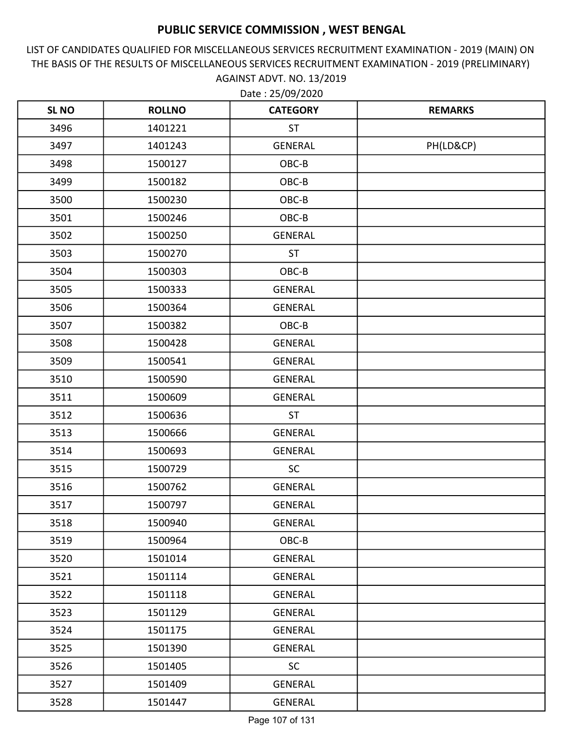LIST OF CANDIDATES QUALIFIED FOR MISCELLANEOUS SERVICES RECRUITMENT EXAMINATION - 2019 (MAIN) ON THE BASIS OF THE RESULTS OF MISCELLANEOUS SERVICES RECRUITMENT EXAMINATION - 2019 (PRELIMINARY) AGAINST ADVT. NO. 13/2019

| <b>SL NO</b> | <b>ROLLNO</b> | <b>CATEGORY</b> | <b>REMARKS</b> |
|--------------|---------------|-----------------|----------------|
| 3496         | 1401221       | <b>ST</b>       |                |
| 3497         | 1401243       | <b>GENERAL</b>  | PH(LD&CP)      |
| 3498         | 1500127       | OBC-B           |                |
| 3499         | 1500182       | OBC-B           |                |
| 3500         | 1500230       | OBC-B           |                |
| 3501         | 1500246       | OBC-B           |                |
| 3502         | 1500250       | <b>GENERAL</b>  |                |
| 3503         | 1500270       | <b>ST</b>       |                |
| 3504         | 1500303       | OBC-B           |                |
| 3505         | 1500333       | <b>GENERAL</b>  |                |
| 3506         | 1500364       | <b>GENERAL</b>  |                |
| 3507         | 1500382       | OBC-B           |                |
| 3508         | 1500428       | <b>GENERAL</b>  |                |
| 3509         | 1500541       | <b>GENERAL</b>  |                |
| 3510         | 1500590       | <b>GENERAL</b>  |                |
| 3511         | 1500609       | <b>GENERAL</b>  |                |
| 3512         | 1500636       | <b>ST</b>       |                |
| 3513         | 1500666       | <b>GENERAL</b>  |                |
| 3514         | 1500693       | <b>GENERAL</b>  |                |
| 3515         | 1500729       | SC              |                |
| 3516         | 1500762       | <b>GENERAL</b>  |                |
| 3517         | 1500797       | <b>GENERAL</b>  |                |
| 3518         | 1500940       | <b>GENERAL</b>  |                |
| 3519         | 1500964       | OBC-B           |                |
| 3520         | 1501014       | <b>GENERAL</b>  |                |
| 3521         | 1501114       | GENERAL         |                |
| 3522         | 1501118       | <b>GENERAL</b>  |                |
| 3523         | 1501129       | GENERAL         |                |
| 3524         | 1501175       | GENERAL         |                |
| 3525         | 1501390       | <b>GENERAL</b>  |                |
| 3526         | 1501405       | <b>SC</b>       |                |
| 3527         | 1501409       | GENERAL         |                |
| 3528         | 1501447       | GENERAL         |                |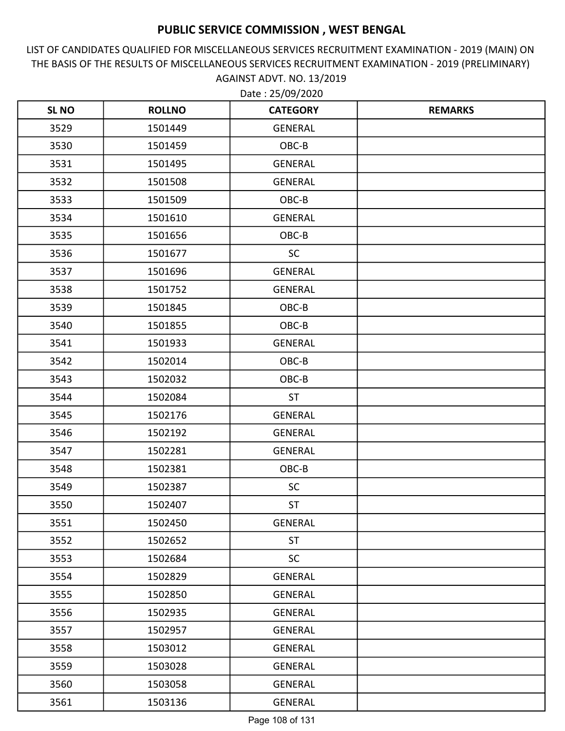LIST OF CANDIDATES QUALIFIED FOR MISCELLANEOUS SERVICES RECRUITMENT EXAMINATION - 2019 (MAIN) ON THE BASIS OF THE RESULTS OF MISCELLANEOUS SERVICES RECRUITMENT EXAMINATION - 2019 (PRELIMINARY) AGAINST ADVT. NO. 13/2019 Date : 25/09/2020

| <b>SLNO</b> | <b>ROLLNO</b> | <b>CATEGORY</b> | <b>REMARKS</b> |
|-------------|---------------|-----------------|----------------|
| 3529        | 1501449       | <b>GENERAL</b>  |                |
| 3530        | 1501459       | OBC-B           |                |
| 3531        | 1501495       | <b>GENERAL</b>  |                |
| 3532        | 1501508       | <b>GENERAL</b>  |                |
| 3533        | 1501509       | OBC-B           |                |
| 3534        | 1501610       | <b>GENERAL</b>  |                |
| 3535        | 1501656       | OBC-B           |                |
| 3536        | 1501677       | <b>SC</b>       |                |
| 3537        | 1501696       | <b>GENERAL</b>  |                |
| 3538        | 1501752       | <b>GENERAL</b>  |                |
| 3539        | 1501845       | OBC-B           |                |
| 3540        | 1501855       | OBC-B           |                |
| 3541        | 1501933       | <b>GENERAL</b>  |                |
| 3542        | 1502014       | OBC-B           |                |
| 3543        | 1502032       | OBC-B           |                |
| 3544        | 1502084       | <b>ST</b>       |                |
| 3545        | 1502176       | <b>GENERAL</b>  |                |
| 3546        | 1502192       | <b>GENERAL</b>  |                |
| 3547        | 1502281       | <b>GENERAL</b>  |                |
| 3548        | 1502381       | OBC-B           |                |
| 3549        | 1502387       | <b>SC</b>       |                |
| 3550        | 1502407       | <b>ST</b>       |                |
| 3551        | 1502450       | GENERAL         |                |
| 3552        | 1502652       | <b>ST</b>       |                |
| 3553        | 1502684       | <b>SC</b>       |                |
| 3554        | 1502829       | GENERAL         |                |
| 3555        | 1502850       | GENERAL         |                |
| 3556        | 1502935       | GENERAL         |                |
| 3557        | 1502957       | GENERAL         |                |
| 3558        | 1503012       | GENERAL         |                |
| 3559        | 1503028       | GENERAL         |                |
| 3560        | 1503058       | GENERAL         |                |
| 3561        | 1503136       | GENERAL         |                |

Page 108 of 131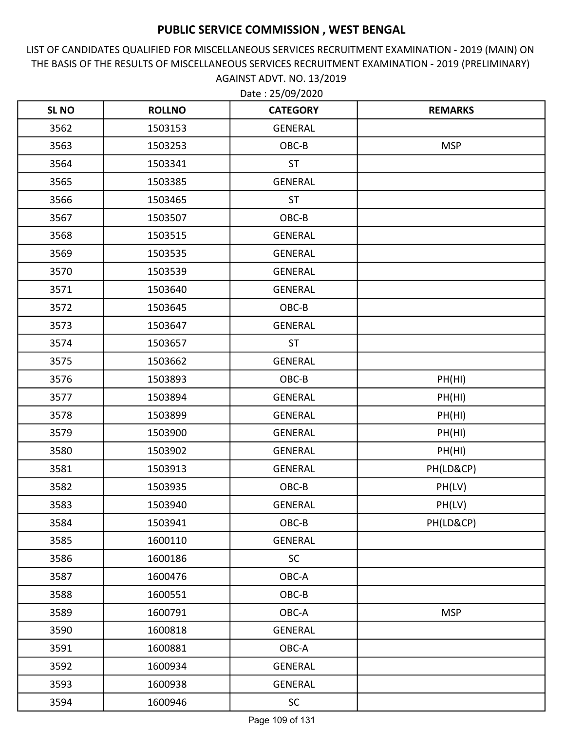LIST OF CANDIDATES QUALIFIED FOR MISCELLANEOUS SERVICES RECRUITMENT EXAMINATION - 2019 (MAIN) ON THE BASIS OF THE RESULTS OF MISCELLANEOUS SERVICES RECRUITMENT EXAMINATION - 2019 (PRELIMINARY) AGAINST ADVT. NO. 13/2019 Date : 25/09/2020

| <b>SL NO</b> | <b>ROLLNO</b> | <b>CATEGORY</b> | <b>REMARKS</b> |
|--------------|---------------|-----------------|----------------|
| 3562         | 1503153       | <b>GENERAL</b>  |                |
| 3563         | 1503253       | OBC-B           | <b>MSP</b>     |
| 3564         | 1503341       | <b>ST</b>       |                |
| 3565         | 1503385       | <b>GENERAL</b>  |                |
| 3566         | 1503465       | <b>ST</b>       |                |
| 3567         | 1503507       | OBC-B           |                |
| 3568         | 1503515       | <b>GENERAL</b>  |                |
| 3569         | 1503535       | <b>GENERAL</b>  |                |
| 3570         | 1503539       | <b>GENERAL</b>  |                |
| 3571         | 1503640       | <b>GENERAL</b>  |                |
| 3572         | 1503645       | OBC-B           |                |
| 3573         | 1503647       | GENERAL         |                |
| 3574         | 1503657       | <b>ST</b>       |                |
| 3575         | 1503662       | <b>GENERAL</b>  |                |
| 3576         | 1503893       | OBC-B           | PH(HI)         |
| 3577         | 1503894       | <b>GENERAL</b>  | PH(HI)         |
| 3578         | 1503899       | <b>GENERAL</b>  | PH(HI)         |
| 3579         | 1503900       | <b>GENERAL</b>  | PH(HI)         |
| 3580         | 1503902       | <b>GENERAL</b>  | PH(HI)         |
| 3581         | 1503913       | <b>GENERAL</b>  | PH(LD&CP)      |
| 3582         | 1503935       | OBC-B           | PH(LV)         |
| 3583         | 1503940       | <b>GENERAL</b>  | PH(LV)         |
| 3584         | 1503941       | OBC-B           | PH(LD&CP)      |
| 3585         | 1600110       | GENERAL         |                |
| 3586         | 1600186       | <b>SC</b>       |                |
| 3587         | 1600476       | OBC-A           |                |
| 3588         | 1600551       | OBC-B           |                |
| 3589         | 1600791       | OBC-A           | <b>MSP</b>     |
| 3590         | 1600818       | GENERAL         |                |
| 3591         | 1600881       | OBC-A           |                |
| 3592         | 1600934       | GENERAL         |                |
| 3593         | 1600938       | GENERAL         |                |
| 3594         | 1600946       | <b>SC</b>       |                |

Page 109 of 131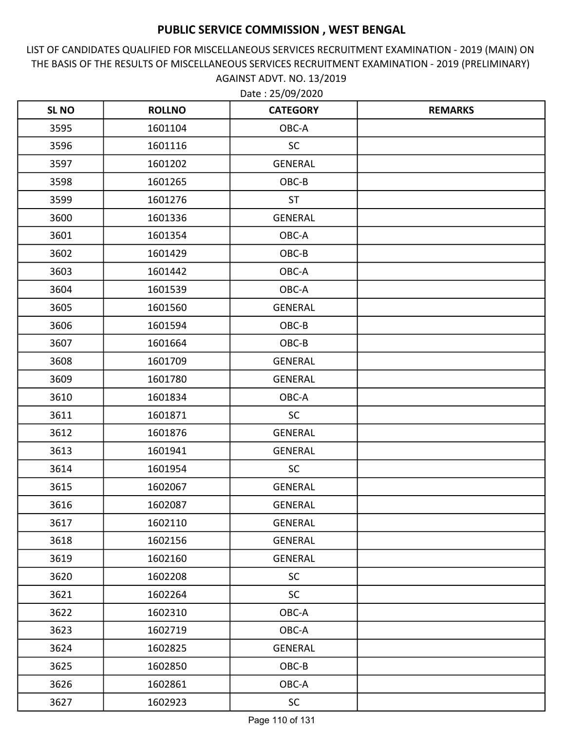LIST OF CANDIDATES QUALIFIED FOR MISCELLANEOUS SERVICES RECRUITMENT EXAMINATION - 2019 (MAIN) ON THE BASIS OF THE RESULTS OF MISCELLANEOUS SERVICES RECRUITMENT EXAMINATION - 2019 (PRELIMINARY) AGAINST ADVT. NO. 13/2019

| <b>SLNO</b> | <b>ROLLNO</b> | <b>CATEGORY</b> | <b>REMARKS</b> |
|-------------|---------------|-----------------|----------------|
| 3595        | 1601104       | OBC-A           |                |
| 3596        | 1601116       | <b>SC</b>       |                |
| 3597        | 1601202       | GENERAL         |                |
| 3598        | 1601265       | OBC-B           |                |
| 3599        | 1601276       | <b>ST</b>       |                |
| 3600        | 1601336       | <b>GENERAL</b>  |                |
| 3601        | 1601354       | OBC-A           |                |
| 3602        | 1601429       | OBC-B           |                |
| 3603        | 1601442       | OBC-A           |                |
| 3604        | 1601539       | OBC-A           |                |
| 3605        | 1601560       | <b>GENERAL</b>  |                |
| 3606        | 1601594       | OBC-B           |                |
| 3607        | 1601664       | OBC-B           |                |
| 3608        | 1601709       | <b>GENERAL</b>  |                |
| 3609        | 1601780       | <b>GENERAL</b>  |                |
| 3610        | 1601834       | OBC-A           |                |
| 3611        | 1601871       | <b>SC</b>       |                |
| 3612        | 1601876       | <b>GENERAL</b>  |                |
| 3613        | 1601941       | <b>GENERAL</b>  |                |
| 3614        | 1601954       | <b>SC</b>       |                |
| 3615        | 1602067       | <b>GENERAL</b>  |                |
| 3616        | 1602087       | <b>GENERAL</b>  |                |
| 3617        | 1602110       | GENERAL         |                |
| 3618        | 1602156       | GENERAL         |                |
| 3619        | 1602160       | <b>GENERAL</b>  |                |
| 3620        | 1602208       | <b>SC</b>       |                |
| 3621        | 1602264       | <b>SC</b>       |                |
| 3622        | 1602310       | OBC-A           |                |
| 3623        | 1602719       | OBC-A           |                |
| 3624        | 1602825       | GENERAL         |                |
| 3625        | 1602850       | OBC-B           |                |
| 3626        | 1602861       | OBC-A           |                |
| 3627        | 1602923       | <b>SC</b>       |                |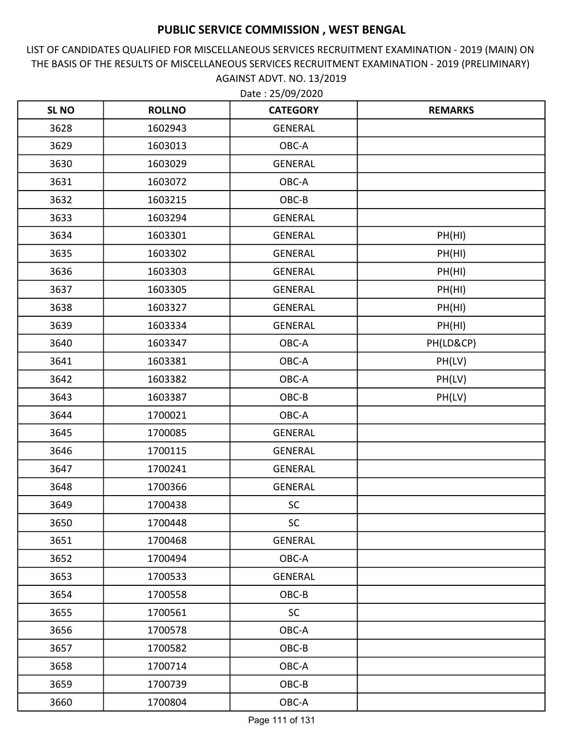LIST OF CANDIDATES QUALIFIED FOR MISCELLANEOUS SERVICES RECRUITMENT EXAMINATION - 2019 (MAIN) ON THE BASIS OF THE RESULTS OF MISCELLANEOUS SERVICES RECRUITMENT EXAMINATION - 2019 (PRELIMINARY) AGAINST ADVT. NO. 13/2019

| <b>SL NO</b> | <b>ROLLNO</b> | <b>CATEGORY</b> | <b>REMARKS</b> |
|--------------|---------------|-----------------|----------------|
| 3628         | 1602943       | <b>GENERAL</b>  |                |
| 3629         | 1603013       | OBC-A           |                |
| 3630         | 1603029       | GENERAL         |                |
| 3631         | 1603072       | OBC-A           |                |
| 3632         | 1603215       | OBC-B           |                |
| 3633         | 1603294       | GENERAL         |                |
| 3634         | 1603301       | <b>GENERAL</b>  | PH(HI)         |
| 3635         | 1603302       | <b>GENERAL</b>  | PH(HI)         |
| 3636         | 1603303       | <b>GENERAL</b>  | PH(HI)         |
| 3637         | 1603305       | <b>GENERAL</b>  | PH(HI)         |
| 3638         | 1603327       | <b>GENERAL</b>  | PH(HI)         |
| 3639         | 1603334       | GENERAL         | PH(HI)         |
| 3640         | 1603347       | OBC-A           | PH(LD&CP)      |
| 3641         | 1603381       | OBC-A           | PH(LV)         |
| 3642         | 1603382       | OBC-A           | PH(LV)         |
| 3643         | 1603387       | OBC-B           | PH(LV)         |
| 3644         | 1700021       | OBC-A           |                |
| 3645         | 1700085       | <b>GENERAL</b>  |                |
| 3646         | 1700115       | <b>GENERAL</b>  |                |
| 3647         | 1700241       | <b>GENERAL</b>  |                |
| 3648         | 1700366       | <b>GENERAL</b>  |                |
| 3649         | 1700438       | <b>SC</b>       |                |
| 3650         | 1700448       | <b>SC</b>       |                |
| 3651         | 1700468       | <b>GENERAL</b>  |                |
| 3652         | 1700494       | OBC-A           |                |
| 3653         | 1700533       | GENERAL         |                |
| 3654         | 1700558       | OBC-B           |                |
| 3655         | 1700561       | <b>SC</b>       |                |
| 3656         | 1700578       | OBC-A           |                |
| 3657         | 1700582       | OBC-B           |                |
| 3658         | 1700714       | OBC-A           |                |
| 3659         | 1700739       | OBC-B           |                |
| 3660         | 1700804       | OBC-A           |                |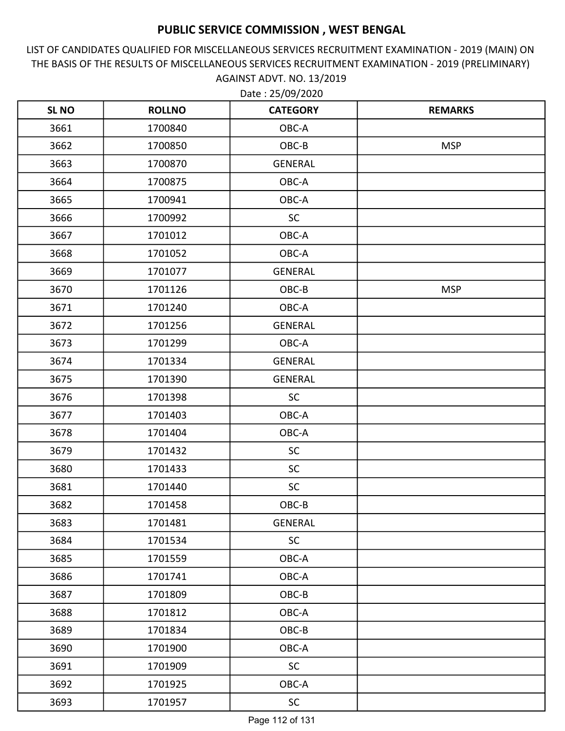LIST OF CANDIDATES QUALIFIED FOR MISCELLANEOUS SERVICES RECRUITMENT EXAMINATION - 2019 (MAIN) ON THE BASIS OF THE RESULTS OF MISCELLANEOUS SERVICES RECRUITMENT EXAMINATION - 2019 (PRELIMINARY) AGAINST ADVT. NO. 13/2019

| <b>SLNO</b> | <b>ROLLNO</b> | <b>CATEGORY</b> | <b>REMARKS</b> |
|-------------|---------------|-----------------|----------------|
| 3661        | 1700840       | OBC-A           |                |
| 3662        | 1700850       | OBC-B           | <b>MSP</b>     |
| 3663        | 1700870       | <b>GENERAL</b>  |                |
| 3664        | 1700875       | OBC-A           |                |
| 3665        | 1700941       | OBC-A           |                |
| 3666        | 1700992       | SC              |                |
| 3667        | 1701012       | OBC-A           |                |
| 3668        | 1701052       | OBC-A           |                |
| 3669        | 1701077       | GENERAL         |                |
| 3670        | 1701126       | OBC-B           | <b>MSP</b>     |
| 3671        | 1701240       | OBC-A           |                |
| 3672        | 1701256       | GENERAL         |                |
| 3673        | 1701299       | OBC-A           |                |
| 3674        | 1701334       | GENERAL         |                |
| 3675        | 1701390       | <b>GENERAL</b>  |                |
| 3676        | 1701398       | <b>SC</b>       |                |
| 3677        | 1701403       | OBC-A           |                |
| 3678        | 1701404       | OBC-A           |                |
| 3679        | 1701432       | SC              |                |
| 3680        | 1701433       | <b>SC</b>       |                |
| 3681        | 1701440       | <b>SC</b>       |                |
| 3682        | 1701458       | OBC-B           |                |
| 3683        | 1701481       | GENERAL         |                |
| 3684        | 1701534       | <b>SC</b>       |                |
| 3685        | 1701559       | OBC-A           |                |
| 3686        | 1701741       | OBC-A           |                |
| 3687        | 1701809       | OBC-B           |                |
| 3688        | 1701812       | OBC-A           |                |
| 3689        | 1701834       | OBC-B           |                |
| 3690        | 1701900       | OBC-A           |                |
| 3691        | 1701909       | SC              |                |
| 3692        | 1701925       | OBC-A           |                |
| 3693        | 1701957       | SC              |                |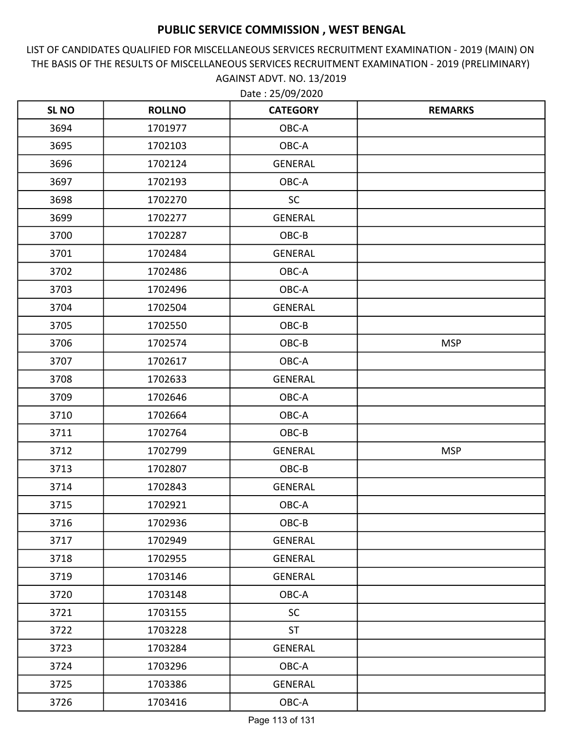LIST OF CANDIDATES QUALIFIED FOR MISCELLANEOUS SERVICES RECRUITMENT EXAMINATION - 2019 (MAIN) ON THE BASIS OF THE RESULTS OF MISCELLANEOUS SERVICES RECRUITMENT EXAMINATION - 2019 (PRELIMINARY) AGAINST ADVT. NO. 13/2019

| <b>SLNO</b> | <b>ROLLNO</b> | <b>CATEGORY</b> | <b>REMARKS</b> |
|-------------|---------------|-----------------|----------------|
| 3694        | 1701977       | OBC-A           |                |
| 3695        | 1702103       | OBC-A           |                |
| 3696        | 1702124       | <b>GENERAL</b>  |                |
| 3697        | 1702193       | OBC-A           |                |
| 3698        | 1702270       | <b>SC</b>       |                |
| 3699        | 1702277       | <b>GENERAL</b>  |                |
| 3700        | 1702287       | OBC-B           |                |
| 3701        | 1702484       | <b>GENERAL</b>  |                |
| 3702        | 1702486       | OBC-A           |                |
| 3703        | 1702496       | OBC-A           |                |
| 3704        | 1702504       | <b>GENERAL</b>  |                |
| 3705        | 1702550       | OBC-B           |                |
| 3706        | 1702574       | OBC-B           | <b>MSP</b>     |
| 3707        | 1702617       | OBC-A           |                |
| 3708        | 1702633       | <b>GENERAL</b>  |                |
| 3709        | 1702646       | OBC-A           |                |
| 3710        | 1702664       | OBC-A           |                |
| 3711        | 1702764       | OBC-B           |                |
| 3712        | 1702799       | <b>GENERAL</b>  | <b>MSP</b>     |
| 3713        | 1702807       | OBC-B           |                |
| 3714        | 1702843       | <b>GENERAL</b>  |                |
| 3715        | 1702921       | OBC-A           |                |
| 3716        | 1702936       | OBC-B           |                |
| 3717        | 1702949       | GENERAL         |                |
| 3718        | 1702955       | GENERAL         |                |
| 3719        | 1703146       | GENERAL         |                |
| 3720        | 1703148       | OBC-A           |                |
| 3721        | 1703155       | <b>SC</b>       |                |
| 3722        | 1703228       | <b>ST</b>       |                |
| 3723        | 1703284       | <b>GENERAL</b>  |                |
| 3724        | 1703296       | OBC-A           |                |
| 3725        | 1703386       | GENERAL         |                |
| 3726        | 1703416       | OBC-A           |                |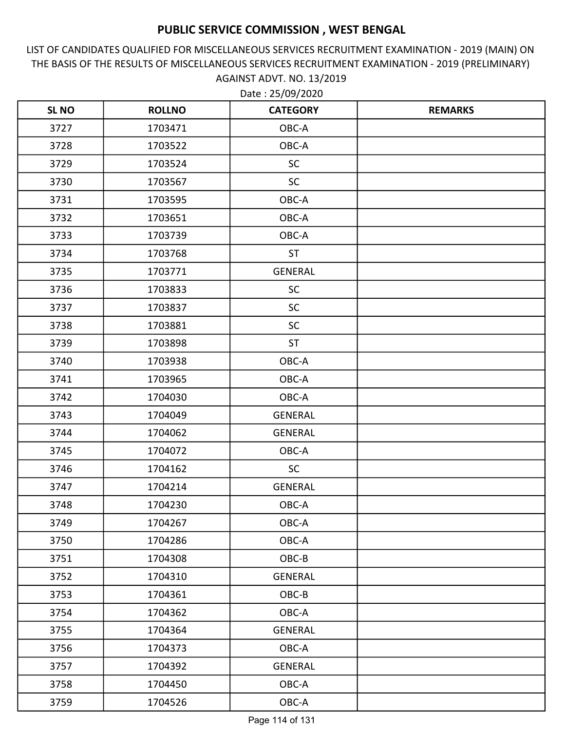LIST OF CANDIDATES QUALIFIED FOR MISCELLANEOUS SERVICES RECRUITMENT EXAMINATION - 2019 (MAIN) ON THE BASIS OF THE RESULTS OF MISCELLANEOUS SERVICES RECRUITMENT EXAMINATION - 2019 (PRELIMINARY) AGAINST ADVT. NO. 13/2019 Date : 25/09/2020

| <b>SL NO</b> | <b>ROLLNO</b> | <b>CATEGORY</b> | <b>REMARKS</b> |
|--------------|---------------|-----------------|----------------|
| 3727         | 1703471       | OBC-A           |                |
| 3728         | 1703522       | OBC-A           |                |
| 3729         | 1703524       | <b>SC</b>       |                |
| 3730         | 1703567       | <b>SC</b>       |                |
| 3731         | 1703595       | OBC-A           |                |
| 3732         | 1703651       | OBC-A           |                |
| 3733         | 1703739       | OBC-A           |                |
| 3734         | 1703768       | <b>ST</b>       |                |
| 3735         | 1703771       | <b>GENERAL</b>  |                |
| 3736         | 1703833       | SC              |                |
| 3737         | 1703837       | <b>SC</b>       |                |
| 3738         | 1703881       | <b>SC</b>       |                |
| 3739         | 1703898       | <b>ST</b>       |                |
| 3740         | 1703938       | OBC-A           |                |
| 3741         | 1703965       | OBC-A           |                |
| 3742         | 1704030       | OBC-A           |                |
| 3743         | 1704049       | <b>GENERAL</b>  |                |
| 3744         | 1704062       | <b>GENERAL</b>  |                |
| 3745         | 1704072       | OBC-A           |                |
| 3746         | 1704162       | <b>SC</b>       |                |
| 3747         | 1704214       | <b>GENERAL</b>  |                |
| 3748         | 1704230       | OBC-A           |                |
| 3749         | 1704267       | OBC-A           |                |
| 3750         | 1704286       | OBC-A           |                |
| 3751         | 1704308       | OBC-B           |                |
| 3752         | 1704310       | GENERAL         |                |
| 3753         | 1704361       | OBC-B           |                |
| 3754         | 1704362       | OBC-A           |                |
| 3755         | 1704364       | GENERAL         |                |
| 3756         | 1704373       | OBC-A           |                |
| 3757         | 1704392       | <b>GENERAL</b>  |                |
| 3758         | 1704450       | OBC-A           |                |
| 3759         | 1704526       | OBC-A           |                |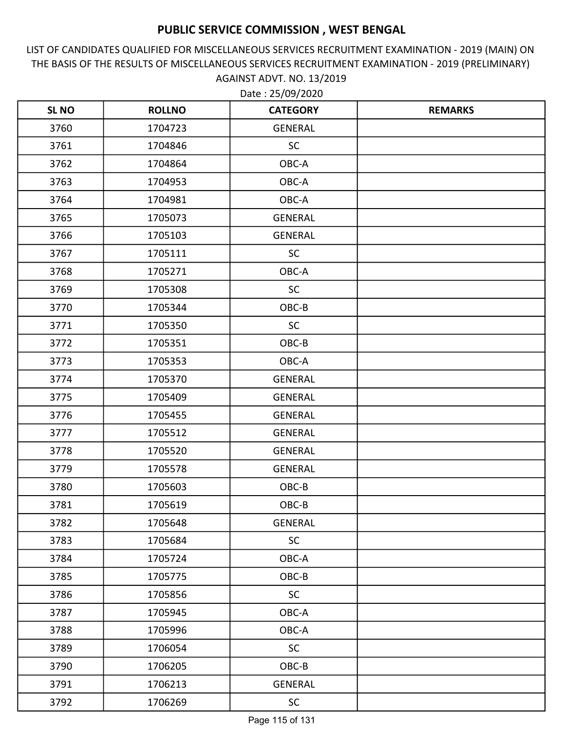LIST OF CANDIDATES QUALIFIED FOR MISCELLANEOUS SERVICES RECRUITMENT EXAMINATION - 2019 (MAIN) ON THE BASIS OF THE RESULTS OF MISCELLANEOUS SERVICES RECRUITMENT EXAMINATION - 2019 (PRELIMINARY) AGAINST ADVT. NO. 13/2019

| <b>SLNO</b> | <b>ROLLNO</b> | <b>CATEGORY</b> | <b>REMARKS</b> |
|-------------|---------------|-----------------|----------------|
| 3760        | 1704723       | <b>GENERAL</b>  |                |
| 3761        | 1704846       | <b>SC</b>       |                |
| 3762        | 1704864       | OBC-A           |                |
| 3763        | 1704953       | OBC-A           |                |
| 3764        | 1704981       | OBC-A           |                |
| 3765        | 1705073       | <b>GENERAL</b>  |                |
| 3766        | 1705103       | <b>GENERAL</b>  |                |
| 3767        | 1705111       | <b>SC</b>       |                |
| 3768        | 1705271       | OBC-A           |                |
| 3769        | 1705308       | SC              |                |
| 3770        | 1705344       | OBC-B           |                |
| 3771        | 1705350       | <b>SC</b>       |                |
| 3772        | 1705351       | OBC-B           |                |
| 3773        | 1705353       | OBC-A           |                |
| 3774        | 1705370       | <b>GENERAL</b>  |                |
| 3775        | 1705409       | <b>GENERAL</b>  |                |
| 3776        | 1705455       | <b>GENERAL</b>  |                |
| 3777        | 1705512       | <b>GENERAL</b>  |                |
| 3778        | 1705520       | <b>GENERAL</b>  |                |
| 3779        | 1705578       | <b>GENERAL</b>  |                |
| 3780        | 1705603       | OBC-B           |                |
| 3781        | 1705619       | OBC-B           |                |
| 3782        | 1705648       | <b>GENERAL</b>  |                |
| 3783        | 1705684       | <b>SC</b>       |                |
| 3784        | 1705724       | OBC-A           |                |
| 3785        | 1705775       | OBC-B           |                |
| 3786        | 1705856       | <b>SC</b>       |                |
| 3787        | 1705945       | OBC-A           |                |
| 3788        | 1705996       | OBC-A           |                |
| 3789        | 1706054       | <b>SC</b>       |                |
| 3790        | 1706205       | OBC-B           |                |
| 3791        | 1706213       | <b>GENERAL</b>  |                |
| 3792        | 1706269       | <b>SC</b>       |                |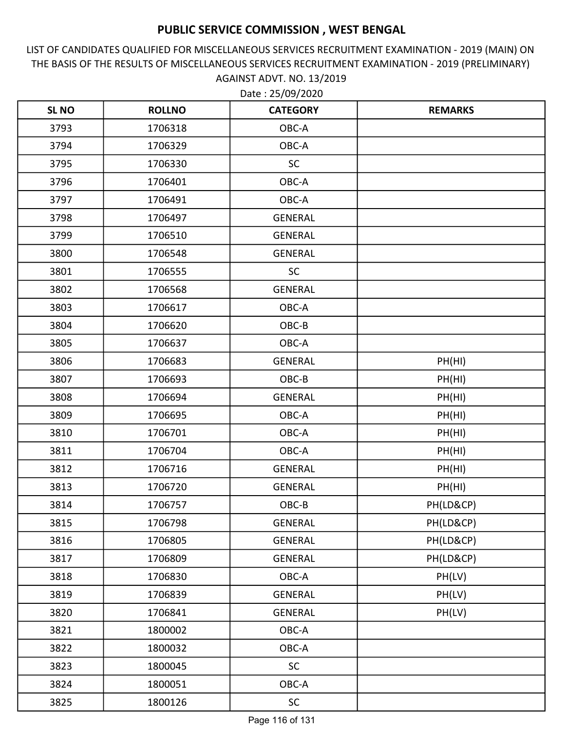LIST OF CANDIDATES QUALIFIED FOR MISCELLANEOUS SERVICES RECRUITMENT EXAMINATION - 2019 (MAIN) ON THE BASIS OF THE RESULTS OF MISCELLANEOUS SERVICES RECRUITMENT EXAMINATION - 2019 (PRELIMINARY) AGAINST ADVT. NO. 13/2019

| <b>SL NO</b> | <b>ROLLNO</b> | <b>CATEGORY</b> | <b>REMARKS</b> |
|--------------|---------------|-----------------|----------------|
| 3793         | 1706318       | OBC-A           |                |
| 3794         | 1706329       | OBC-A           |                |
| 3795         | 1706330       | <b>SC</b>       |                |
| 3796         | 1706401       | OBC-A           |                |
| 3797         | 1706491       | OBC-A           |                |
| 3798         | 1706497       | <b>GENERAL</b>  |                |
| 3799         | 1706510       | <b>GENERAL</b>  |                |
| 3800         | 1706548       | <b>GENERAL</b>  |                |
| 3801         | 1706555       | <b>SC</b>       |                |
| 3802         | 1706568       | <b>GENERAL</b>  |                |
| 3803         | 1706617       | OBC-A           |                |
| 3804         | 1706620       | OBC-B           |                |
| 3805         | 1706637       | OBC-A           |                |
| 3806         | 1706683       | <b>GENERAL</b>  | PH(HI)         |
| 3807         | 1706693       | OBC-B           | PH(HI)         |
| 3808         | 1706694       | <b>GENERAL</b>  | PH(HI)         |
| 3809         | 1706695       | OBC-A           | PH(HI)         |
| 3810         | 1706701       | OBC-A           | PH(HI)         |
| 3811         | 1706704       | OBC-A           | PH(HI)         |
| 3812         | 1706716       | <b>GENERAL</b>  | PH(HI)         |
| 3813         | 1706720       | <b>GENERAL</b>  | PH(HI)         |
| 3814         | 1706757       | OBC-B           | PH(LD&CP)      |
| 3815         | 1706798       | GENERAL         | PH(LD&CP)      |
| 3816         | 1706805       | GENERAL         | PH(LD&CP)      |
| 3817         | 1706809       | GENERAL         | PH(LD&CP)      |
| 3818         | 1706830       | OBC-A           | PH(LV)         |
| 3819         | 1706839       | <b>GENERAL</b>  | PH(LV)         |
| 3820         | 1706841       | GENERAL         | PH(LV)         |
| 3821         | 1800002       | OBC-A           |                |
| 3822         | 1800032       | OBC-A           |                |
| 3823         | 1800045       | <b>SC</b>       |                |
| 3824         | 1800051       | OBC-A           |                |
| 3825         | 1800126       | SC              |                |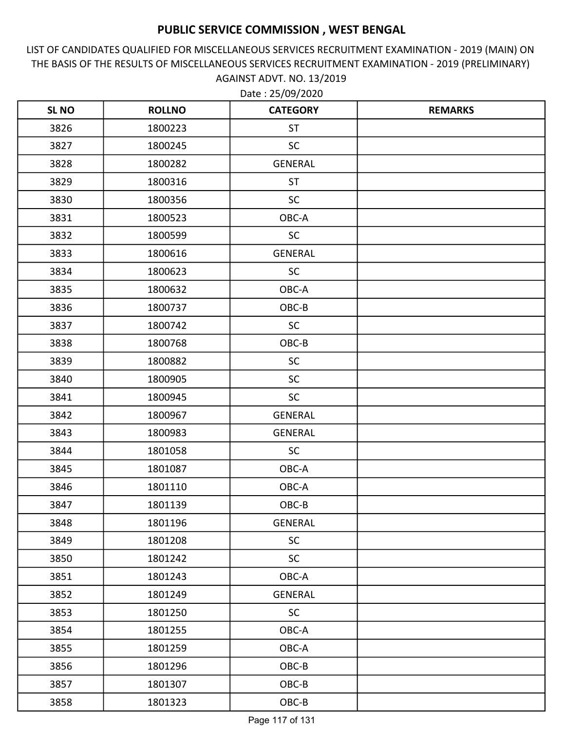LIST OF CANDIDATES QUALIFIED FOR MISCELLANEOUS SERVICES RECRUITMENT EXAMINATION - 2019 (MAIN) ON THE BASIS OF THE RESULTS OF MISCELLANEOUS SERVICES RECRUITMENT EXAMINATION - 2019 (PRELIMINARY) AGAINST ADVT. NO. 13/2019

| <b>SLNO</b> | <b>ROLLNO</b> | <b>CATEGORY</b> | <b>REMARKS</b> |
|-------------|---------------|-----------------|----------------|
| 3826        | 1800223       | <b>ST</b>       |                |
| 3827        | 1800245       | <b>SC</b>       |                |
| 3828        | 1800282       | <b>GENERAL</b>  |                |
| 3829        | 1800316       | <b>ST</b>       |                |
| 3830        | 1800356       | <b>SC</b>       |                |
| 3831        | 1800523       | OBC-A           |                |
| 3832        | 1800599       | <b>SC</b>       |                |
| 3833        | 1800616       | <b>GENERAL</b>  |                |
| 3834        | 1800623       | <b>SC</b>       |                |
| 3835        | 1800632       | OBC-A           |                |
| 3836        | 1800737       | OBC-B           |                |
| 3837        | 1800742       | <b>SC</b>       |                |
| 3838        | 1800768       | OBC-B           |                |
| 3839        | 1800882       | <b>SC</b>       |                |
| 3840        | 1800905       | <b>SC</b>       |                |
| 3841        | 1800945       | <b>SC</b>       |                |
| 3842        | 1800967       | <b>GENERAL</b>  |                |
| 3843        | 1800983       | <b>GENERAL</b>  |                |
| 3844        | 1801058       | <b>SC</b>       |                |
| 3845        | 1801087       | OBC-A           |                |
| 3846        | 1801110       | OBC-A           |                |
| 3847        | 1801139       | OBC-B           |                |
| 3848        | 1801196       | <b>GENERAL</b>  |                |
| 3849        | 1801208       | <b>SC</b>       |                |
| 3850        | 1801242       | <b>SC</b>       |                |
| 3851        | 1801243       | OBC-A           |                |
| 3852        | 1801249       | <b>GENERAL</b>  |                |
| 3853        | 1801250       | <b>SC</b>       |                |
| 3854        | 1801255       | OBC-A           |                |
| 3855        | 1801259       | OBC-A           |                |
| 3856        | 1801296       | OBC-B           |                |
| 3857        | 1801307       | OBC-B           |                |
| 3858        | 1801323       | OBC-B           |                |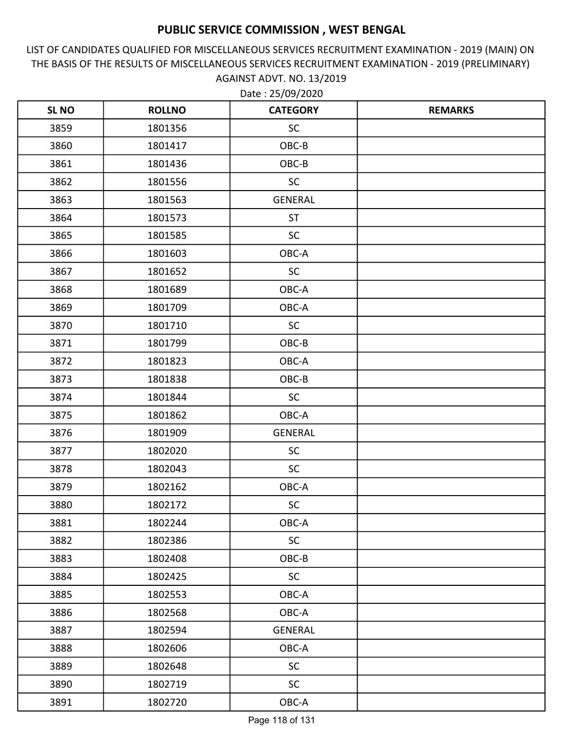LIST OF CANDIDATES QUALIFIED FOR MISCELLANEOUS SERVICES RECRUITMENT EXAMINATION - 2019 (MAIN) ON THE BASIS OF THE RESULTS OF MISCELLANEOUS SERVICES RECRUITMENT EXAMINATION - 2019 (PRELIMINARY) AGAINST ADVT. NO. 13/2019

| <b>SLNO</b> | <b>ROLLNO</b> | <b>CATEGORY</b> | <b>REMARKS</b> |
|-------------|---------------|-----------------|----------------|
| 3859        | 1801356       | <b>SC</b>       |                |
| 3860        | 1801417       | OBC-B           |                |
| 3861        | 1801436       | OBC-B           |                |
| 3862        | 1801556       | <b>SC</b>       |                |
| 3863        | 1801563       | <b>GENERAL</b>  |                |
| 3864        | 1801573       | <b>ST</b>       |                |
| 3865        | 1801585       | <b>SC</b>       |                |
| 3866        | 1801603       | OBC-A           |                |
| 3867        | 1801652       | <b>SC</b>       |                |
| 3868        | 1801689       | OBC-A           |                |
| 3869        | 1801709       | OBC-A           |                |
| 3870        | 1801710       | <b>SC</b>       |                |
| 3871        | 1801799       | OBC-B           |                |
| 3872        | 1801823       | OBC-A           |                |
| 3873        | 1801838       | OBC-B           |                |
| 3874        | 1801844       | <b>SC</b>       |                |
| 3875        | 1801862       | OBC-A           |                |
| 3876        | 1801909       | <b>GENERAL</b>  |                |
| 3877        | 1802020       | <b>SC</b>       |                |
| 3878        | 1802043       | <b>SC</b>       |                |
| 3879        | 1802162       | OBC-A           |                |
| 3880        | 1802172       | <b>SC</b>       |                |
| 3881        | 1802244       | OBC-A           |                |
| 3882        | 1802386       | <b>SC</b>       |                |
| 3883        | 1802408       | OBC-B           |                |
| 3884        | 1802425       | <b>SC</b>       |                |
| 3885        | 1802553       | OBC-A           |                |
| 3886        | 1802568       | OBC-A           |                |
| 3887        | 1802594       | <b>GENERAL</b>  |                |
| 3888        | 1802606       | OBC-A           |                |
| 3889        | 1802648       | <b>SC</b>       |                |
| 3890        | 1802719       | <b>SC</b>       |                |
| 3891        | 1802720       | OBC-A           |                |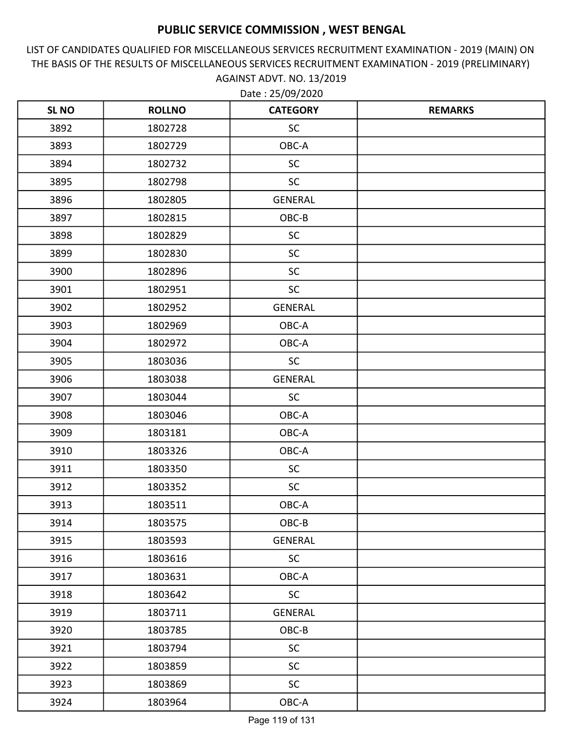LIST OF CANDIDATES QUALIFIED FOR MISCELLANEOUS SERVICES RECRUITMENT EXAMINATION - 2019 (MAIN) ON THE BASIS OF THE RESULTS OF MISCELLANEOUS SERVICES RECRUITMENT EXAMINATION - 2019 (PRELIMINARY) AGAINST ADVT. NO. 13/2019 Date : 25/09/2020

| <b>SLNO</b> | <b>ROLLNO</b> | <b>CATEGORY</b> | <b>REMARKS</b> |
|-------------|---------------|-----------------|----------------|
| 3892        | 1802728       | <b>SC</b>       |                |
| 3893        | 1802729       | OBC-A           |                |
| 3894        | 1802732       | <b>SC</b>       |                |
| 3895        | 1802798       | <b>SC</b>       |                |
| 3896        | 1802805       | <b>GENERAL</b>  |                |
| 3897        | 1802815       | OBC-B           |                |
| 3898        | 1802829       | <b>SC</b>       |                |
| 3899        | 1802830       | <b>SC</b>       |                |
| 3900        | 1802896       | <b>SC</b>       |                |
| 3901        | 1802951       | <b>SC</b>       |                |
| 3902        | 1802952       | <b>GENERAL</b>  |                |
| 3903        | 1802969       | OBC-A           |                |
| 3904        | 1802972       | OBC-A           |                |
| 3905        | 1803036       | <b>SC</b>       |                |
| 3906        | 1803038       | <b>GENERAL</b>  |                |
| 3907        | 1803044       | <b>SC</b>       |                |
| 3908        | 1803046       | OBC-A           |                |
| 3909        | 1803181       | OBC-A           |                |
| 3910        | 1803326       | OBC-A           |                |
| 3911        | 1803350       | <b>SC</b>       |                |
| 3912        | 1803352       | <b>SC</b>       |                |
| 3913        | 1803511       | OBC-A           |                |
| 3914        | 1803575       | OBC-B           |                |
| 3915        | 1803593       | <b>GENERAL</b>  |                |
| 3916        | 1803616       | <b>SC</b>       |                |
| 3917        | 1803631       | OBC-A           |                |
| 3918        | 1803642       | <b>SC</b>       |                |
| 3919        | 1803711       | <b>GENERAL</b>  |                |
| 3920        | 1803785       | OBC-B           |                |
| 3921        | 1803794       | <b>SC</b>       |                |
| 3922        | 1803859       | <b>SC</b>       |                |
| 3923        | 1803869       | <b>SC</b>       |                |
| 3924        | 1803964       | OBC-A           |                |

Page 119 of 131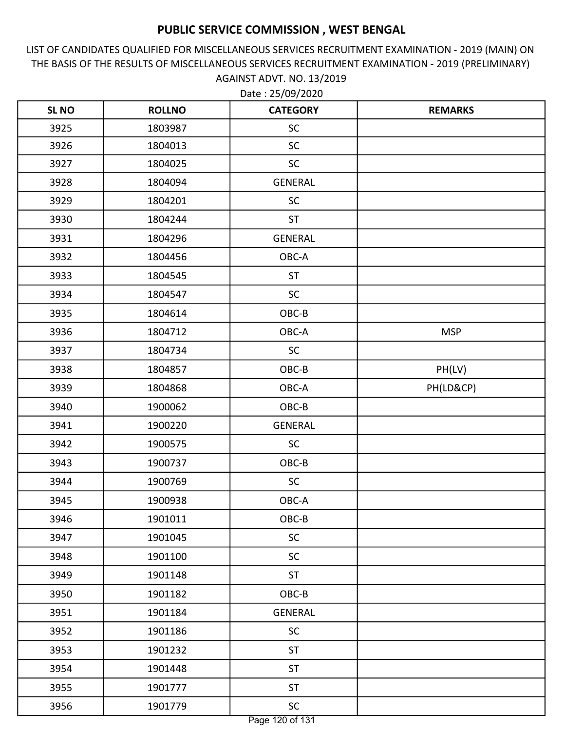LIST OF CANDIDATES QUALIFIED FOR MISCELLANEOUS SERVICES RECRUITMENT EXAMINATION - 2019 (MAIN) ON THE BASIS OF THE RESULTS OF MISCELLANEOUS SERVICES RECRUITMENT EXAMINATION - 2019 (PRELIMINARY) AGAINST ADVT. NO. 13/2019

| <b>SLNO</b> | <b>ROLLNO</b> | <b>CATEGORY</b> | <b>REMARKS</b> |
|-------------|---------------|-----------------|----------------|
| 3925        | 1803987       | <b>SC</b>       |                |
| 3926        | 1804013       | <b>SC</b>       |                |
| 3927        | 1804025       | <b>SC</b>       |                |
| 3928        | 1804094       | <b>GENERAL</b>  |                |
| 3929        | 1804201       | <b>SC</b>       |                |
| 3930        | 1804244       | <b>ST</b>       |                |
| 3931        | 1804296       | <b>GENERAL</b>  |                |
| 3932        | 1804456       | OBC-A           |                |
| 3933        | 1804545       | <b>ST</b>       |                |
| 3934        | 1804547       | <b>SC</b>       |                |
| 3935        | 1804614       | OBC-B           |                |
| 3936        | 1804712       | OBC-A           | <b>MSP</b>     |
| 3937        | 1804734       | <b>SC</b>       |                |
| 3938        | 1804857       | OBC-B           | PH(LV)         |
| 3939        | 1804868       | OBC-A           | PH(LD&CP)      |
| 3940        | 1900062       | OBC-B           |                |
| 3941        | 1900220       | <b>GENERAL</b>  |                |
| 3942        | 1900575       | <b>SC</b>       |                |
| 3943        | 1900737       | OBC-B           |                |
| 3944        | 1900769       | <b>SC</b>       |                |
| 3945        | 1900938       | OBC-A           |                |
| 3946        | 1901011       | OBC-B           |                |
| 3947        | 1901045       | <b>SC</b>       |                |
| 3948        | 1901100       | <b>SC</b>       |                |
| 3949        | 1901148       | <b>ST</b>       |                |
| 3950        | 1901182       | OBC-B           |                |
| 3951        | 1901184       | <b>GENERAL</b>  |                |
| 3952        | 1901186       | <b>SC</b>       |                |
| 3953        | 1901232       | <b>ST</b>       |                |
| 3954        | 1901448       | ST              |                |
| 3955        | 1901777       | ST              |                |
| 3956        | 1901779       | SC              |                |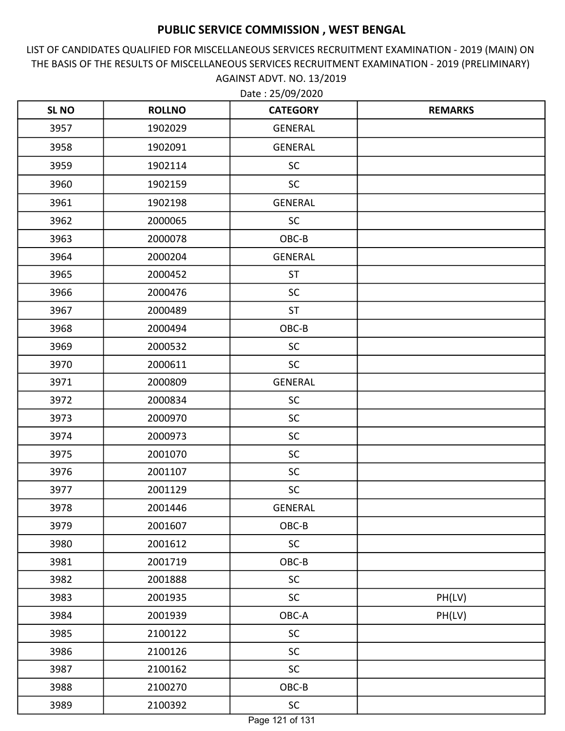LIST OF CANDIDATES QUALIFIED FOR MISCELLANEOUS SERVICES RECRUITMENT EXAMINATION - 2019 (MAIN) ON THE BASIS OF THE RESULTS OF MISCELLANEOUS SERVICES RECRUITMENT EXAMINATION - 2019 (PRELIMINARY) AGAINST ADVT. NO. 13/2019

Date : 25/09/2020

| <b>SL NO</b> | <b>ROLLNO</b> | <b>CATEGORY</b> | <b>REMARKS</b> |
|--------------|---------------|-----------------|----------------|
| 3957         | 1902029       | <b>GENERAL</b>  |                |
| 3958         | 1902091       | GENERAL         |                |
| 3959         | 1902114       | <b>SC</b>       |                |
| 3960         | 1902159       | <b>SC</b>       |                |
| 3961         | 1902198       | GENERAL         |                |
| 3962         | 2000065       | <b>SC</b>       |                |
| 3963         | 2000078       | OBC-B           |                |
| 3964         | 2000204       | GENERAL         |                |
| 3965         | 2000452       | <b>ST</b>       |                |
| 3966         | 2000476       | <b>SC</b>       |                |
| 3967         | 2000489       | <b>ST</b>       |                |
| 3968         | 2000494       | OBC-B           |                |
| 3969         | 2000532       | <b>SC</b>       |                |
| 3970         | 2000611       | <b>SC</b>       |                |
| 3971         | 2000809       | <b>GENERAL</b>  |                |
| 3972         | 2000834       | <b>SC</b>       |                |
| 3973         | 2000970       | <b>SC</b>       |                |
| 3974         | 2000973       | <b>SC</b>       |                |
| 3975         | 2001070       | SC              |                |
| 3976         | 2001107       | <b>SC</b>       |                |
| 3977         | 2001129       | <b>SC</b>       |                |
| 3978         | 2001446       | <b>GENERAL</b>  |                |
| 3979         | 2001607       | $OBC-B$         |                |
| 3980         | 2001612       | SC              |                |
| 3981         | 2001719       | OBC-B           |                |
| 3982         | 2001888       | <b>SC</b>       |                |
| 3983         | 2001935       | $\sf SC$        | PH(LV)         |
| 3984         | 2001939       | OBC-A           | PH(LV)         |
| 3985         | 2100122       | <b>SC</b>       |                |
| 3986         | 2100126       | <b>SC</b>       |                |
| 3987         | 2100162       | <b>SC</b>       |                |
| 3988         | 2100270       | $OBC-B$         |                |
| 3989         | 2100392       | <b>SC</b>       |                |

Page 121 of 131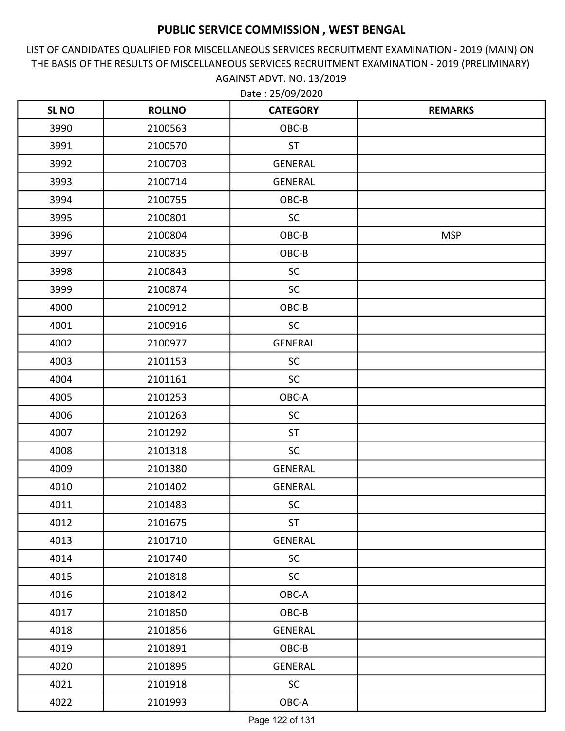LIST OF CANDIDATES QUALIFIED FOR MISCELLANEOUS SERVICES RECRUITMENT EXAMINATION - 2019 (MAIN) ON THE BASIS OF THE RESULTS OF MISCELLANEOUS SERVICES RECRUITMENT EXAMINATION - 2019 (PRELIMINARY) AGAINST ADVT. NO. 13/2019 Date : 25/09/2020

| <b>SL NO</b> | <b>ROLLNO</b> | <b>CATEGORY</b> | <b>REMARKS</b> |
|--------------|---------------|-----------------|----------------|
| 3990         | 2100563       | OBC-B           |                |
| 3991         | 2100570       | <b>ST</b>       |                |
| 3992         | 2100703       | GENERAL         |                |
| 3993         | 2100714       | GENERAL         |                |
| 3994         | 2100755       | OBC-B           |                |
| 3995         | 2100801       | SC              |                |
| 3996         | 2100804       | OBC-B           | <b>MSP</b>     |
| 3997         | 2100835       | OBC-B           |                |
| 3998         | 2100843       | <b>SC</b>       |                |
| 3999         | 2100874       | SC              |                |
| 4000         | 2100912       | OBC-B           |                |
| 4001         | 2100916       | <b>SC</b>       |                |
| 4002         | 2100977       | <b>GENERAL</b>  |                |
| 4003         | 2101153       | SC              |                |
| 4004         | 2101161       | <b>SC</b>       |                |
| 4005         | 2101253       | OBC-A           |                |
| 4006         | 2101263       | <b>SC</b>       |                |
| 4007         | 2101292       | <b>ST</b>       |                |
| 4008         | 2101318       | <b>SC</b>       |                |
| 4009         | 2101380       | GENERAL         |                |
| 4010         | 2101402       | <b>GENERAL</b>  |                |
| 4011         | 2101483       | <b>SC</b>       |                |
| 4012         | 2101675       | <b>ST</b>       |                |
| 4013         | 2101710       | GENERAL         |                |
| 4014         | 2101740       | <b>SC</b>       |                |
| 4015         | 2101818       | <b>SC</b>       |                |
| 4016         | 2101842       | OBC-A           |                |
| 4017         | 2101850       | OBC-B           |                |
| 4018         | 2101856       | GENERAL         |                |
| 4019         | 2101891       | OBC-B           |                |
| 4020         | 2101895       | GENERAL         |                |
| 4021         | 2101918       | <b>SC</b>       |                |
| 4022         | 2101993       | OBC-A           |                |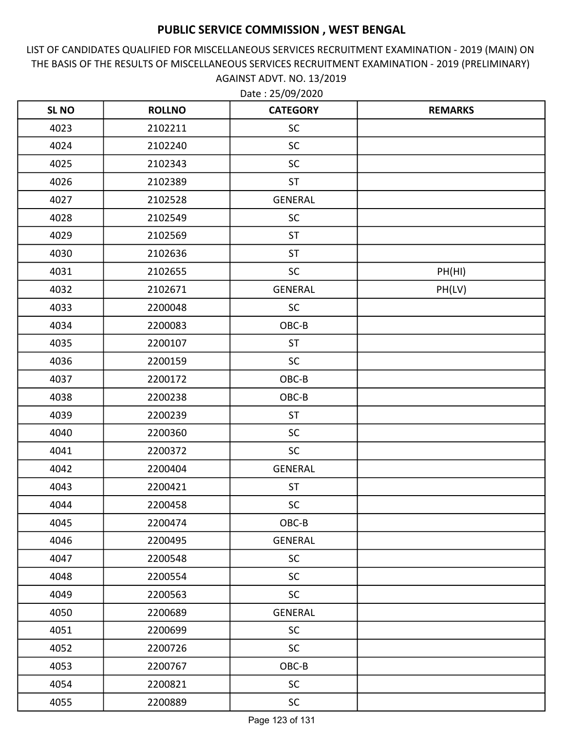LIST OF CANDIDATES QUALIFIED FOR MISCELLANEOUS SERVICES RECRUITMENT EXAMINATION - 2019 (MAIN) ON THE BASIS OF THE RESULTS OF MISCELLANEOUS SERVICES RECRUITMENT EXAMINATION - 2019 (PRELIMINARY) AGAINST ADVT. NO. 13/2019

| <b>SL NO</b> | <b>ROLLNO</b> | <b>CATEGORY</b> | <b>REMARKS</b> |
|--------------|---------------|-----------------|----------------|
| 4023         | 2102211       | <b>SC</b>       |                |
| 4024         | 2102240       | SC              |                |
| 4025         | 2102343       | <b>SC</b>       |                |
| 4026         | 2102389       | <b>ST</b>       |                |
| 4027         | 2102528       | <b>GENERAL</b>  |                |
| 4028         | 2102549       | SC              |                |
| 4029         | 2102569       | <b>ST</b>       |                |
| 4030         | 2102636       | <b>ST</b>       |                |
| 4031         | 2102655       | <b>SC</b>       | PH(HI)         |
| 4032         | 2102671       | <b>GENERAL</b>  | PH(LV)         |
| 4033         | 2200048       | <b>SC</b>       |                |
| 4034         | 2200083       | OBC-B           |                |
| 4035         | 2200107       | <b>ST</b>       |                |
| 4036         | 2200159       | <b>SC</b>       |                |
| 4037         | 2200172       | OBC-B           |                |
| 4038         | 2200238       | OBC-B           |                |
| 4039         | 2200239       | <b>ST</b>       |                |
| 4040         | 2200360       | <b>SC</b>       |                |
| 4041         | 2200372       | <b>SC</b>       |                |
| 4042         | 2200404       | <b>GENERAL</b>  |                |
| 4043         | 2200421       | <b>ST</b>       |                |
| 4044         | 2200458       | <b>SC</b>       |                |
| 4045         | 2200474       | OBC-B           |                |
| 4046         | 2200495       | <b>GENERAL</b>  |                |
| 4047         | 2200548       | <b>SC</b>       |                |
| 4048         | 2200554       | <b>SC</b>       |                |
| 4049         | 2200563       | SC              |                |
| 4050         | 2200689       | GENERAL         |                |
| 4051         | 2200699       | <b>SC</b>       |                |
| 4052         | 2200726       | <b>SC</b>       |                |
| 4053         | 2200767       | $OBC-B$         |                |
| 4054         | 2200821       | <b>SC</b>       |                |
| 4055         | 2200889       | <b>SC</b>       |                |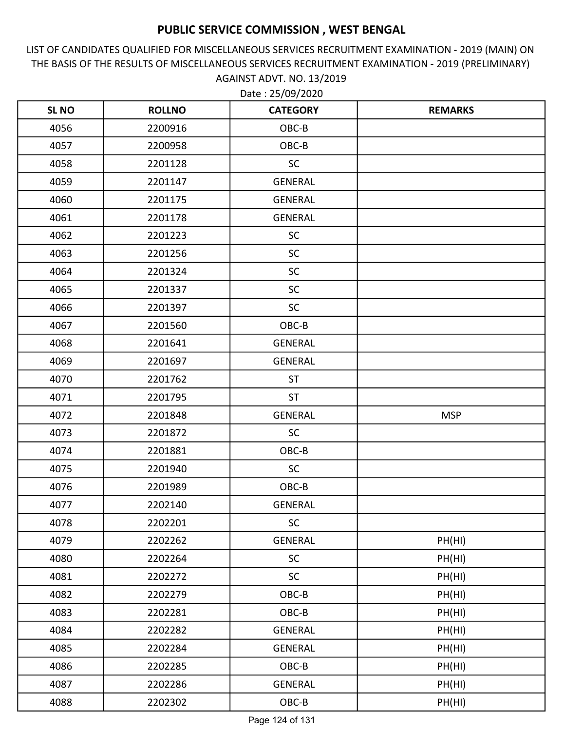LIST OF CANDIDATES QUALIFIED FOR MISCELLANEOUS SERVICES RECRUITMENT EXAMINATION - 2019 (MAIN) ON THE BASIS OF THE RESULTS OF MISCELLANEOUS SERVICES RECRUITMENT EXAMINATION - 2019 (PRELIMINARY) AGAINST ADVT. NO. 13/2019

| <b>SLNO</b> | <b>ROLLNO</b> | <b>CATEGORY</b> | <b>REMARKS</b> |
|-------------|---------------|-----------------|----------------|
| 4056        | 2200916       | OBC-B           |                |
| 4057        | 2200958       | OBC-B           |                |
| 4058        | 2201128       | <b>SC</b>       |                |
| 4059        | 2201147       | <b>GENERAL</b>  |                |
| 4060        | 2201175       | <b>GENERAL</b>  |                |
| 4061        | 2201178       | <b>GENERAL</b>  |                |
| 4062        | 2201223       | <b>SC</b>       |                |
| 4063        | 2201256       | <b>SC</b>       |                |
| 4064        | 2201324       | <b>SC</b>       |                |
| 4065        | 2201337       | <b>SC</b>       |                |
| 4066        | 2201397       | <b>SC</b>       |                |
| 4067        | 2201560       | OBC-B           |                |
| 4068        | 2201641       | <b>GENERAL</b>  |                |
| 4069        | 2201697       | <b>GENERAL</b>  |                |
| 4070        | 2201762       | <b>ST</b>       |                |
| 4071        | 2201795       | <b>ST</b>       |                |
| 4072        | 2201848       | <b>GENERAL</b>  | <b>MSP</b>     |
| 4073        | 2201872       | <b>SC</b>       |                |
| 4074        | 2201881       | OBC-B           |                |
| 4075        | 2201940       | <b>SC</b>       |                |
| 4076        | 2201989       | OBC-B           |                |
| 4077        | 2202140       | <b>GENERAL</b>  |                |
| 4078        | 2202201       | <b>SC</b>       |                |
| 4079        | 2202262       | <b>GENERAL</b>  | PH(HI)         |
| 4080        | 2202264       | <b>SC</b>       | PH(HI)         |
| 4081        | 2202272       | SC              | PH(HI)         |
| 4082        | 2202279       | OBC-B           | PH(HI)         |
| 4083        | 2202281       | OBC-B           | PH(HI)         |
| 4084        | 2202282       | GENERAL         | PH(HI)         |
| 4085        | 2202284       | <b>GENERAL</b>  | PH(HI)         |
| 4086        | 2202285       | OBC-B           | PH(HI)         |
| 4087        | 2202286       | GENERAL         | PH(HI)         |
| 4088        | 2202302       | $OBC-B$         | PH(HI)         |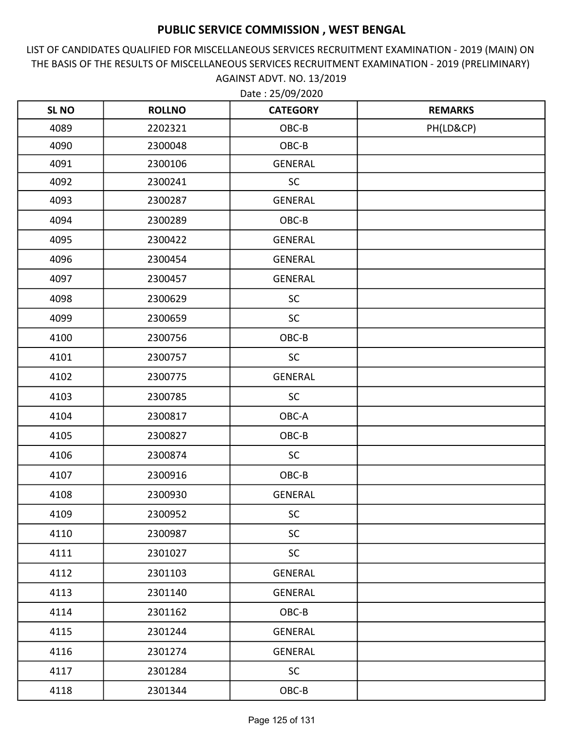LIST OF CANDIDATES QUALIFIED FOR MISCELLANEOUS SERVICES RECRUITMENT EXAMINATION - 2019 (MAIN) ON THE BASIS OF THE RESULTS OF MISCELLANEOUS SERVICES RECRUITMENT EXAMINATION - 2019 (PRELIMINARY) AGAINST ADVT. NO. 13/2019

| <b>SLNO</b> | <b>ROLLNO</b> | <b>CATEGORY</b> | <b>REMARKS</b> |
|-------------|---------------|-----------------|----------------|
| 4089        | 2202321       | OBC-B           | PH(LD&CP)      |
| 4090        | 2300048       | OBC-B           |                |
| 4091        | 2300106       | GENERAL         |                |
| 4092        | 2300241       | SC              |                |
| 4093        | 2300287       | <b>GENERAL</b>  |                |
| 4094        | 2300289       | OBC-B           |                |
| 4095        | 2300422       | GENERAL         |                |
| 4096        | 2300454       | <b>GENERAL</b>  |                |
| 4097        | 2300457       | GENERAL         |                |
| 4098        | 2300629       | SC              |                |
| 4099        | 2300659       | SC              |                |
| 4100        | 2300756       | OBC-B           |                |
| 4101        | 2300757       | SC              |                |
| 4102        | 2300775       | <b>GENERAL</b>  |                |
| 4103        | 2300785       | SC              |                |
| 4104        | 2300817       | OBC-A           |                |
| 4105        | 2300827       | OBC-B           |                |
| 4106        | 2300874       | <b>SC</b>       |                |
| 4107        | 2300916       | OBC-B           |                |
| 4108        | 2300930       | <b>GENERAL</b>  |                |
| 4109        | 2300952       | SC              |                |
| 4110        | 2300987       | <b>SC</b>       |                |
| 4111        | 2301027       | <b>SC</b>       |                |
| 4112        | 2301103       | GENERAL         |                |
| 4113        | 2301140       | GENERAL         |                |
| 4114        | 2301162       | OBC-B           |                |
| 4115        | 2301244       | GENERAL         |                |
| 4116        | 2301274       | GENERAL         |                |
| 4117        | 2301284       | <b>SC</b>       |                |
| 4118        | 2301344       | OBC-B           |                |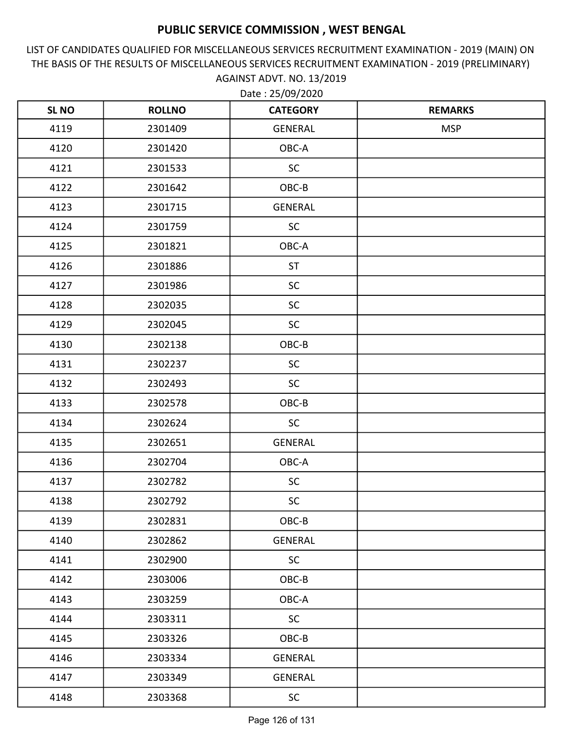LIST OF CANDIDATES QUALIFIED FOR MISCELLANEOUS SERVICES RECRUITMENT EXAMINATION - 2019 (MAIN) ON THE BASIS OF THE RESULTS OF MISCELLANEOUS SERVICES RECRUITMENT EXAMINATION - 2019 (PRELIMINARY) AGAINST ADVT. NO. 13/2019

| <b>SL NO</b> | <b>ROLLNO</b> | <b>CATEGORY</b> | <b>REMARKS</b> |
|--------------|---------------|-----------------|----------------|
| 4119         | 2301409       | GENERAL         | <b>MSP</b>     |
| 4120         | 2301420       | OBC-A           |                |
| 4121         | 2301533       | <b>SC</b>       |                |
| 4122         | 2301642       | OBC-B           |                |
| 4123         | 2301715       | GENERAL         |                |
| 4124         | 2301759       | <b>SC</b>       |                |
| 4125         | 2301821       | OBC-A           |                |
| 4126         | 2301886       | <b>ST</b>       |                |
| 4127         | 2301986       | <b>SC</b>       |                |
| 4128         | 2302035       | <b>SC</b>       |                |
| 4129         | 2302045       | <b>SC</b>       |                |
| 4130         | 2302138       | OBC-B           |                |
| 4131         | 2302237       | <b>SC</b>       |                |
| 4132         | 2302493       | SC              |                |
| 4133         | 2302578       | OBC-B           |                |
| 4134         | 2302624       | <b>SC</b>       |                |
| 4135         | 2302651       | GENERAL         |                |
| 4136         | 2302704       | OBC-A           |                |
| 4137         | 2302782       | <b>SC</b>       |                |
| 4138         | 2302792       | <b>SC</b>       |                |
| 4139         | 2302831       | OBC-B           |                |
| 4140         | 2302862       | GENERAL         |                |
| 4141         | 2302900       | <b>SC</b>       |                |
| 4142         | 2303006       | $OBC-B$         |                |
| 4143         | 2303259       | OBC-A           |                |
| 4144         | 2303311       | <b>SC</b>       |                |
| 4145         | 2303326       | $OBC-B$         |                |
| 4146         | 2303334       | GENERAL         |                |
| 4147         | 2303349       | GENERAL         |                |
| 4148         | 2303368       | <b>SC</b>       |                |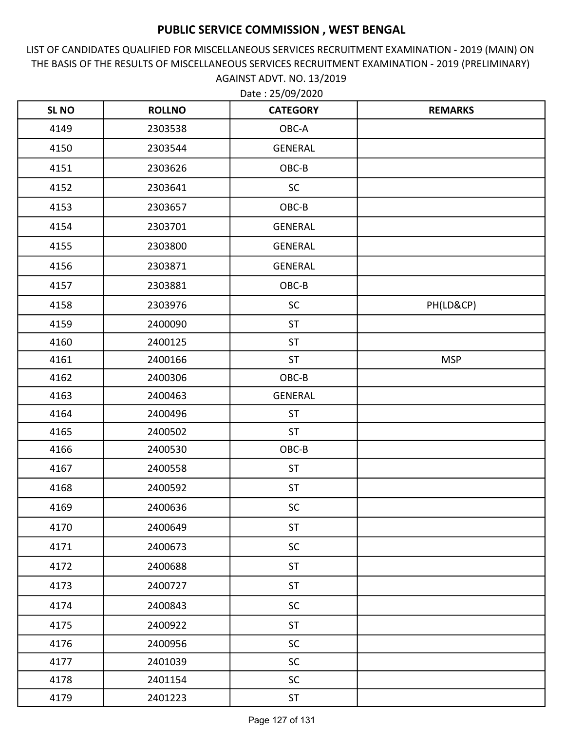LIST OF CANDIDATES QUALIFIED FOR MISCELLANEOUS SERVICES RECRUITMENT EXAMINATION - 2019 (MAIN) ON THE BASIS OF THE RESULTS OF MISCELLANEOUS SERVICES RECRUITMENT EXAMINATION - 2019 (PRELIMINARY) AGAINST ADVT. NO. 13/2019 Date : 25/09/2020

| <b>SL NO</b> | <b>ROLLNO</b> | <b>CATEGORY</b> | <b>REMARKS</b> |
|--------------|---------------|-----------------|----------------|
| 4149         | 2303538       | OBC-A           |                |
| 4150         | 2303544       | <b>GENERAL</b>  |                |
| 4151         | 2303626       | OBC-B           |                |
| 4152         | 2303641       | <b>SC</b>       |                |
| 4153         | 2303657       | OBC-B           |                |
| 4154         | 2303701       | GENERAL         |                |
| 4155         | 2303800       | <b>GENERAL</b>  |                |
| 4156         | 2303871       | <b>GENERAL</b>  |                |
| 4157         | 2303881       | OBC-B           |                |
| 4158         | 2303976       | <b>SC</b>       | PH(LD&CP)      |
| 4159         | 2400090       | <b>ST</b>       |                |
| 4160         | 2400125       | <b>ST</b>       |                |
| 4161         | 2400166       | <b>ST</b>       | <b>MSP</b>     |
| 4162         | 2400306       | OBC-B           |                |
| 4163         | 2400463       | GENERAL         |                |
| 4164         | 2400496       | <b>ST</b>       |                |
| 4165         | 2400502       | ST              |                |
| 4166         | 2400530       | OBC-B           |                |
| 4167         | 2400558       | <b>ST</b>       |                |
| 4168         | 2400592       | <b>ST</b>       |                |
| 4169         | 2400636       | <b>SC</b>       |                |
| 4170         | 2400649       | ST              |                |
| 4171         | 2400673       | <b>SC</b>       |                |
| 4172         | 2400688       | ST              |                |
| 4173         | 2400727       | <b>ST</b>       |                |
| 4174         | 2400843       | SC              |                |
| 4175         | 2400922       | ST              |                |
| 4176         | 2400956       | SC              |                |
| 4177         | 2401039       | <b>SC</b>       |                |
| 4178         | 2401154       | SC              |                |
| 4179         | 2401223       | ST              |                |

Page 127 of 131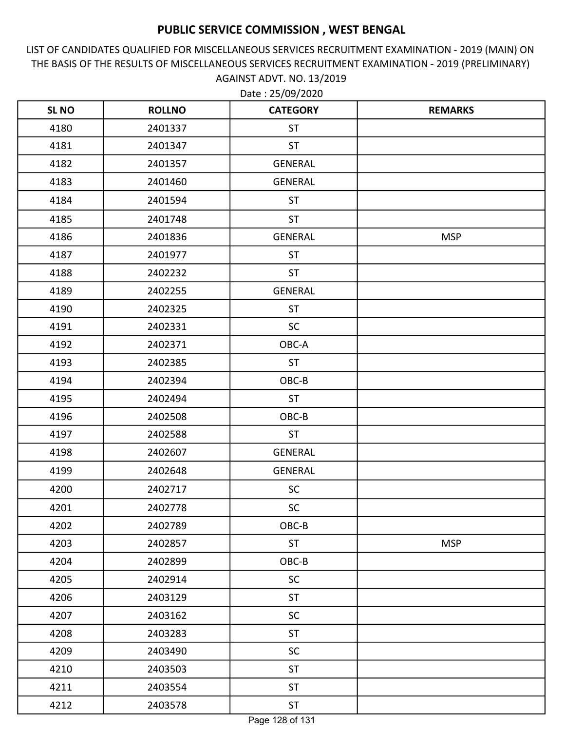LIST OF CANDIDATES QUALIFIED FOR MISCELLANEOUS SERVICES RECRUITMENT EXAMINATION - 2019 (MAIN) ON THE BASIS OF THE RESULTS OF MISCELLANEOUS SERVICES RECRUITMENT EXAMINATION - 2019 (PRELIMINARY) AGAINST ADVT. NO. 13/2019

| <b>SL NO</b> | <b>ROLLNO</b> | <b>CATEGORY</b> | <b>REMARKS</b> |
|--------------|---------------|-----------------|----------------|
| 4180         | 2401337       | <b>ST</b>       |                |
| 4181         | 2401347       | <b>ST</b>       |                |
| 4182         | 2401357       | <b>GENERAL</b>  |                |
| 4183         | 2401460       | <b>GENERAL</b>  |                |
| 4184         | 2401594       | <b>ST</b>       |                |
| 4185         | 2401748       | <b>ST</b>       |                |
| 4186         | 2401836       | <b>GENERAL</b>  | <b>MSP</b>     |
| 4187         | 2401977       | <b>ST</b>       |                |
| 4188         | 2402232       | <b>ST</b>       |                |
| 4189         | 2402255       | <b>GENERAL</b>  |                |
| 4190         | 2402325       | <b>ST</b>       |                |
| 4191         | 2402331       | <b>SC</b>       |                |
| 4192         | 2402371       | OBC-A           |                |
| 4193         | 2402385       | <b>ST</b>       |                |
| 4194         | 2402394       | OBC-B           |                |
| 4195         | 2402494       | <b>ST</b>       |                |
| 4196         | 2402508       | OBC-B           |                |
| 4197         | 2402588       | <b>ST</b>       |                |
| 4198         | 2402607       | GENERAL         |                |
| 4199         | 2402648       | <b>GENERAL</b>  |                |
| 4200         | 2402717       | <b>SC</b>       |                |
| 4201         | 2402778       | <b>SC</b>       |                |
| 4202         | 2402789       | OBC-B           |                |
| 4203         | 2402857       | <b>ST</b>       | <b>MSP</b>     |
| 4204         | 2402899       | OBC-B           |                |
| 4205         | 2402914       | <b>SC</b>       |                |
| 4206         | 2403129       | <b>ST</b>       |                |
| 4207         | 2403162       | <b>SC</b>       |                |
| 4208         | 2403283       | <b>ST</b>       |                |
| 4209         | 2403490       | <b>SC</b>       |                |
| 4210         | 2403503       | <b>ST</b>       |                |
| 4211         | 2403554       | ST              |                |
| 4212         | 2403578       | <b>ST</b>       |                |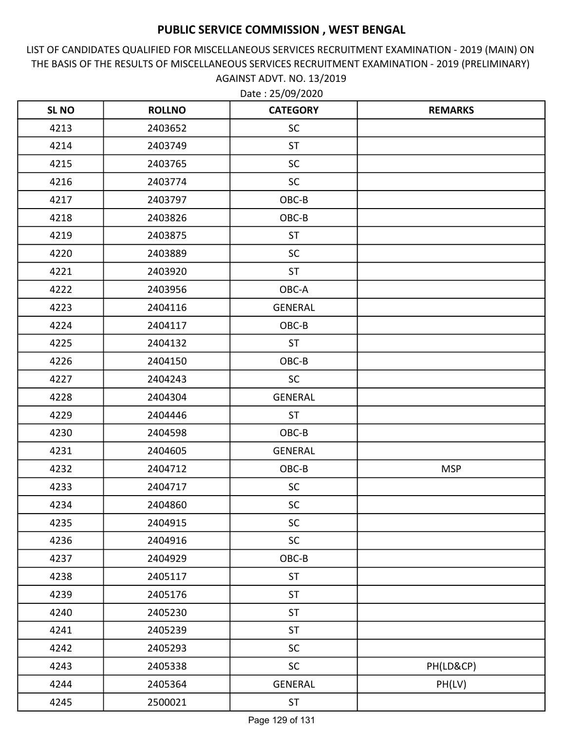LIST OF CANDIDATES QUALIFIED FOR MISCELLANEOUS SERVICES RECRUITMENT EXAMINATION - 2019 (MAIN) ON THE BASIS OF THE RESULTS OF MISCELLANEOUS SERVICES RECRUITMENT EXAMINATION - 2019 (PRELIMINARY) AGAINST ADVT. NO. 13/2019

| <b>SL NO</b> | <b>ROLLNO</b> | <b>CATEGORY</b> | <b>REMARKS</b> |
|--------------|---------------|-----------------|----------------|
| 4213         | 2403652       | <b>SC</b>       |                |
| 4214         | 2403749       | <b>ST</b>       |                |
| 4215         | 2403765       | <b>SC</b>       |                |
| 4216         | 2403774       | <b>SC</b>       |                |
| 4217         | 2403797       | OBC-B           |                |
| 4218         | 2403826       | OBC-B           |                |
| 4219         | 2403875       | <b>ST</b>       |                |
| 4220         | 2403889       | <b>SC</b>       |                |
| 4221         | 2403920       | <b>ST</b>       |                |
| 4222         | 2403956       | OBC-A           |                |
| 4223         | 2404116       | <b>GENERAL</b>  |                |
| 4224         | 2404117       | OBC-B           |                |
| 4225         | 2404132       | <b>ST</b>       |                |
| 4226         | 2404150       | OBC-B           |                |
| 4227         | 2404243       | <b>SC</b>       |                |
| 4228         | 2404304       | <b>GENERAL</b>  |                |
| 4229         | 2404446       | <b>ST</b>       |                |
| 4230         | 2404598       | OBC-B           |                |
| 4231         | 2404605       | <b>GENERAL</b>  |                |
| 4232         | 2404712       | OBC-B           | <b>MSP</b>     |
| 4233         | 2404717       | <b>SC</b>       |                |
| 4234         | 2404860       | <b>SC</b>       |                |
| 4235         | 2404915       | <b>SC</b>       |                |
| 4236         | 2404916       | <b>SC</b>       |                |
| 4237         | 2404929       | $OBC-B$         |                |
| 4238         | 2405117       | ST              |                |
| 4239         | 2405176       | <b>ST</b>       |                |
| 4240         | 2405230       | <b>ST</b>       |                |
| 4241         | 2405239       | <b>ST</b>       |                |
| 4242         | 2405293       | SC              |                |
| 4243         | 2405338       | SC              | PH(LD&CP)      |
| 4244         | 2405364       | <b>GENERAL</b>  | PH(LV)         |
| 4245         | 2500021       | <b>ST</b>       |                |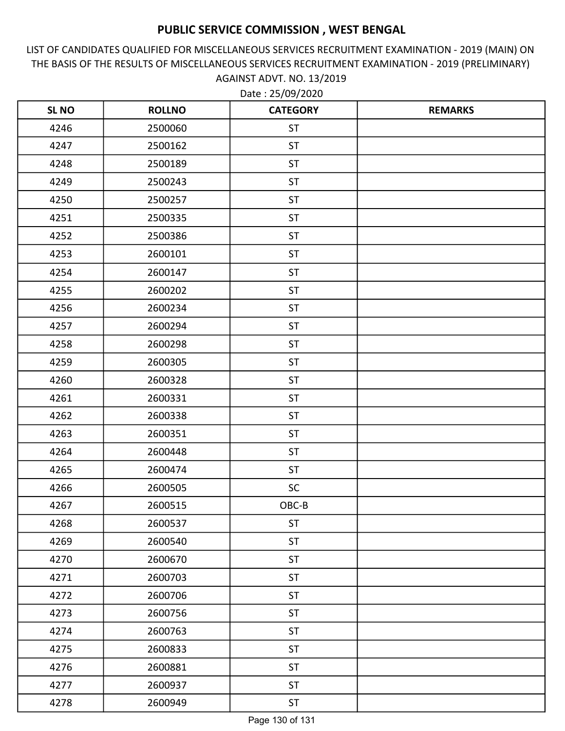LIST OF CANDIDATES QUALIFIED FOR MISCELLANEOUS SERVICES RECRUITMENT EXAMINATION - 2019 (MAIN) ON THE BASIS OF THE RESULTS OF MISCELLANEOUS SERVICES RECRUITMENT EXAMINATION - 2019 (PRELIMINARY) AGAINST ADVT. NO. 13/2019

| <b>SL NO</b> | <b>ROLLNO</b> | <b>CATEGORY</b> | <b>REMARKS</b> |
|--------------|---------------|-----------------|----------------|
| 4246         | 2500060       | <b>ST</b>       |                |
| 4247         | 2500162       | <b>ST</b>       |                |
| 4248         | 2500189       | <b>ST</b>       |                |
| 4249         | 2500243       | <b>ST</b>       |                |
| 4250         | 2500257       | <b>ST</b>       |                |
| 4251         | 2500335       | <b>ST</b>       |                |
| 4252         | 2500386       | <b>ST</b>       |                |
| 4253         | 2600101       | <b>ST</b>       |                |
| 4254         | 2600147       | <b>ST</b>       |                |
| 4255         | 2600202       | <b>ST</b>       |                |
| 4256         | 2600234       | <b>ST</b>       |                |
| 4257         | 2600294       | <b>ST</b>       |                |
| 4258         | 2600298       | <b>ST</b>       |                |
| 4259         | 2600305       | <b>ST</b>       |                |
| 4260         | 2600328       | <b>ST</b>       |                |
| 4261         | 2600331       | <b>ST</b>       |                |
| 4262         | 2600338       | <b>ST</b>       |                |
| 4263         | 2600351       | <b>ST</b>       |                |
| 4264         | 2600448       | <b>ST</b>       |                |
| 4265         | 2600474       | <b>ST</b>       |                |
| 4266         | 2600505       | <b>SC</b>       |                |
| 4267         | 2600515       | OBC-B           |                |
| 4268         | 2600537       | <b>ST</b>       |                |
| 4269         | 2600540       | <b>ST</b>       |                |
| 4270         | 2600670       | <b>ST</b>       |                |
| 4271         | 2600703       | <b>ST</b>       |                |
| 4272         | 2600706       | <b>ST</b>       |                |
| 4273         | 2600756       | <b>ST</b>       |                |
| 4274         | 2600763       | <b>ST</b>       |                |
| 4275         | 2600833       | <b>ST</b>       |                |
| 4276         | 2600881       | <b>ST</b>       |                |
| 4277         | 2600937       | <b>ST</b>       |                |
| 4278         | 2600949       | <b>ST</b>       |                |